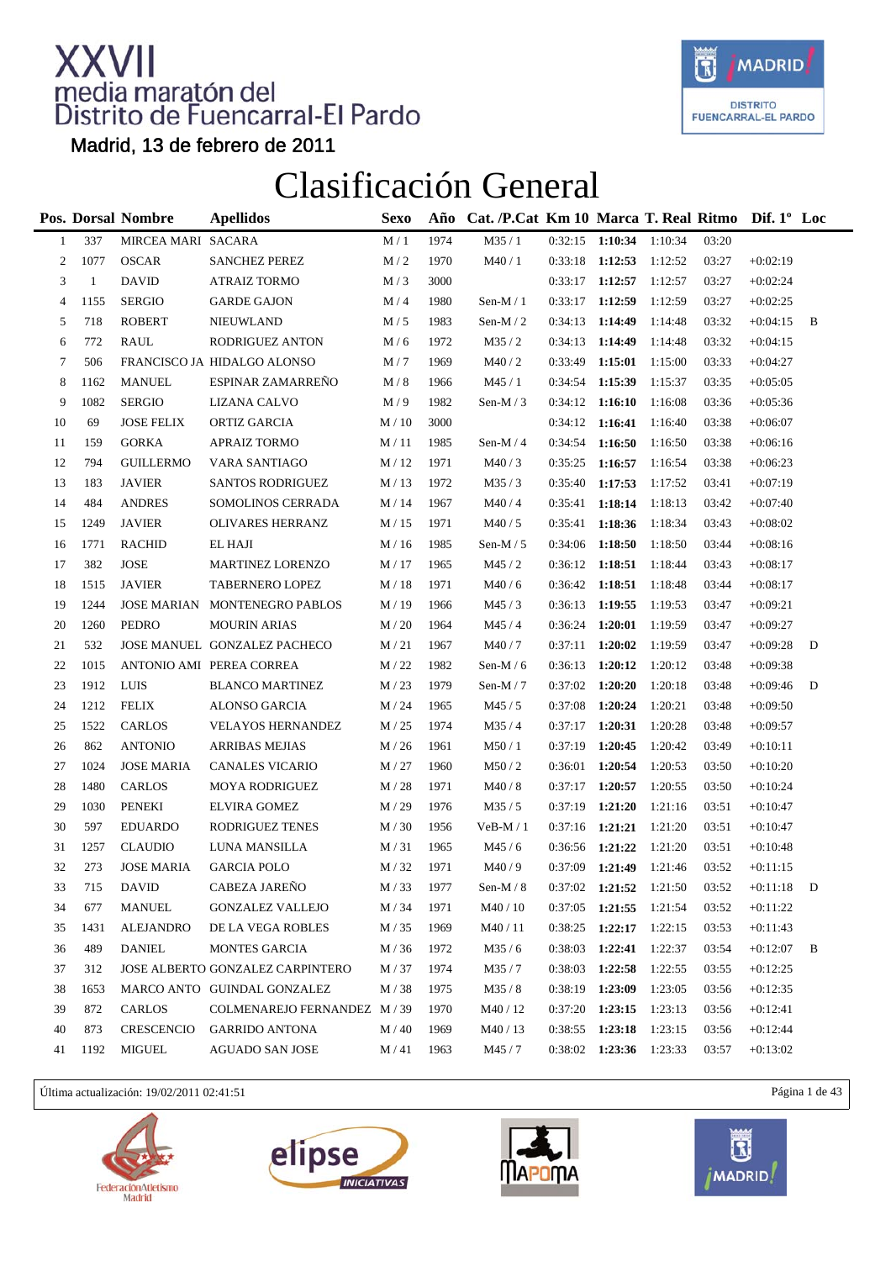

Madrid, 13 de febrero de 2011

### Clasificación General

|                |              | Pos. Dorsal Nombre | <b>Apellidos</b>                 | <b>Sexo</b>     | Año  | Cat. /P.Cat Km 10 Marca T. Real Ritmo Dif. 1° Loc |         |                                  |         |       |            |   |
|----------------|--------------|--------------------|----------------------------------|-----------------|------|---------------------------------------------------|---------|----------------------------------|---------|-------|------------|---|
| $\mathbf{1}$   | 337          | MIRCEA MARI SACARA |                                  | M/1             | 1974 | M35/1                                             |         | $0:32:15$ 1:10:34                | 1:10:34 | 03:20 |            |   |
| $\overline{c}$ | 1077         | <b>OSCAR</b>       | <b>SANCHEZ PEREZ</b>             | M/2             | 1970 | M40/1                                             |         | $0:33:18$ 1:12:53                | 1:12:52 | 03:27 | $+0:02:19$ |   |
| 3              | $\mathbf{1}$ | <b>DAVID</b>       | <b>ATRAIZ TORMO</b>              | M/3             | 3000 |                                                   | 0:33:17 | 1:12:57                          | 1:12:57 | 03:27 | $+0:02:24$ |   |
| 4              | 1155         | <b>SERGIO</b>      | <b>GARDE GAJON</b>               | M/4             | 1980 | Sen-M $/1$                                        | 0:33:17 | 1:12:59                          | 1:12:59 | 03:27 | $+0:02:25$ |   |
| 5              | 718          | <b>ROBERT</b>      | <b>NIEUWLAND</b>                 | M/5             | 1983 | Sen-M $/2$                                        | 0:34:13 | 1:14:49                          | 1:14:48 | 03:32 | $+0:04:15$ | B |
| 6              | 772          | RAUL               | RODRIGUEZ ANTON                  | M/6             | 1972 | M35/2                                             | 0:34:13 | 1:14:49                          | 1:14:48 | 03:32 | $+0:04:15$ |   |
| $\tau$         | 506          |                    | FRANCISCO JA HIDALGO ALONSO      | M/7             | 1969 | M40/2                                             | 0:33:49 | 1:15:01                          | 1:15:00 | 03:33 | $+0:04:27$ |   |
| 8              | 1162         | <b>MANUEL</b>      | ESPINAR ZAMARREÑO                | M/8             | 1966 | M45/1                                             | 0:34:54 | 1:15:39                          | 1:15:37 | 03:35 | $+0:05:05$ |   |
| 9              | 1082         | <b>SERGIO</b>      | LIZANA CALVO                     | M/9             | 1982 | Sen-M $/3$                                        | 0:34:12 | 1:16:10                          | 1:16:08 | 03:36 | $+0:05:36$ |   |
| 10             | 69           | <b>JOSE FELIX</b>  | ORTIZ GARCIA                     | M/10            | 3000 |                                                   |         | $0:34:12$ 1:16:41                | 1:16:40 | 03:38 | $+0:06:07$ |   |
| 11             | 159          | <b>GORKA</b>       | <b>APRAIZ TORMO</b>              | M/11            | 1985 | Sen-M $/4$                                        | 0:34:54 | 1:16:50                          | 1:16:50 | 03:38 | $+0:06:16$ |   |
| 12             | 794          | <b>GUILLERMO</b>   | VARA SANTIAGO                    | M/12            | 1971 | M40/3                                             | 0:35:25 | 1:16:57                          | 1:16:54 | 03:38 | $+0:06:23$ |   |
| 13             | 183          | <b>JAVIER</b>      | <b>SANTOS RODRIGUEZ</b>          | M/13            | 1972 | M35/3                                             | 0:35:40 | 1:17:53                          | 1:17:52 | 03:41 | $+0:07:19$ |   |
| 14             | 484          | <b>ANDRES</b>      | SOMOLINOS CERRADA                | M / 14          | 1967 | M40/4                                             | 0:35:41 | 1:18:14                          | 1:18:13 | 03:42 | $+0:07:40$ |   |
| 15             | 1249         | <b>JAVIER</b>      | OLIVARES HERRANZ                 | M/15            | 1971 | M40/5                                             | 0:35:41 | 1:18:36                          | 1:18:34 | 03:43 | $+0:08:02$ |   |
| 16             | 1771         | <b>RACHID</b>      | EL HAJI                          | M/16            | 1985 | Sen-M $/ 5$                                       | 0:34:06 | 1:18:50                          | 1:18:50 | 03:44 | $+0:08:16$ |   |
| 17             | 382          | <b>JOSE</b>        | MARTINEZ LORENZO                 | M / 17          | 1965 | M45/2                                             | 0:36:12 | 1:18:51                          | 1:18:44 | 03:43 | $+0:08:17$ |   |
| 18             | 1515         | <b>JAVIER</b>      | TABERNERO LOPEZ                  | M/18            | 1971 | M40/6                                             | 0:36:42 | 1:18:51                          | 1:18:48 | 03:44 | $+0:08:17$ |   |
| 19             | 1244         |                    | JOSE MARIAN MONTENEGRO PABLOS    | M/19            | 1966 | M45/3                                             | 0:36:13 | 1:19:55                          | 1:19:53 | 03:47 | $+0:09:21$ |   |
| 20             | 1260         | PEDRO              | <b>MOURIN ARIAS</b>              | M/20            | 1964 | M45/4                                             | 0:36:24 | 1:20:01                          | 1:19:59 | 03:47 | $+0:09:27$ |   |
| 21             | 532          |                    | JOSE MANUEL GONZALEZ PACHECO     | M/21            | 1967 | M40/7                                             | 0:37:11 | 1:20:02                          | 1:19:59 | 03:47 | $+0:09:28$ | D |
| 22             | 1015         |                    | ANTONIO AMI PEREA CORREA         | M/22            | 1982 | Sen-M $/6$                                        | 0:36:13 | 1:20:12                          | 1:20:12 | 03:48 | $+0:09:38$ |   |
| 23             | 1912         | LUIS               | <b>BLANCO MARTINEZ</b>           | M/23            | 1979 | Sen-M $/ 7$                                       | 0:37:02 | 1:20:20                          | 1:20:18 | 03:48 | $+0:09:46$ | D |
| 24             | 1212         | <b>FELIX</b>       | ALONSO GARCIA                    | M/24            | 1965 | M45/5                                             | 0:37:08 | 1:20:24                          | 1:20:21 | 03:48 | $+0:09:50$ |   |
| 25             | 1522         | <b>CARLOS</b>      | <b>VELAYOS HERNANDEZ</b>         | M/25            | 1974 | M35/4                                             | 0:37:17 | 1:20:31                          | 1:20:28 | 03:48 | $+0:09:57$ |   |
| 26             | 862          | <b>ANTONIO</b>     | <b>ARRIBAS MEJIAS</b>            | M/26            | 1961 | M50/1                                             | 0:37:19 | 1:20:45                          | 1:20:42 | 03:49 | $+0:10:11$ |   |
| 27             | 1024         | <b>JOSE MARIA</b>  | CANALES VICARIO                  | M/27            | 1960 | M50/2                                             | 0:36:01 | 1:20:54                          | 1:20:53 | 03:50 | $+0:10:20$ |   |
| 28             | 1480         | <b>CARLOS</b>      | <b>MOYA RODRIGUEZ</b>            | M / 28          | 1971 | M40/8                                             | 0:37:17 | 1:20:57                          | 1:20:55 | 03:50 | $+0:10:24$ |   |
| 29             | 1030         | <b>PENEKI</b>      | <b>ELVIRA GOMEZ</b>              | M / 29          | 1976 | M35/5                                             |         | $0:37:19$ 1:21:20                | 1:21:16 | 03:51 | $+0:10:47$ |   |
| 30             | 597          | <b>EDUARDO</b>     | RODRIGUEZ TENES                  | M/30            | 1956 | $VeB-M/1$                                         |         | $0:37:16$ 1:21:21                | 1:21:20 | 03:51 | $+0:10:47$ |   |
| 31             | 1257         | <b>CLAUDIO</b>     | LUNA MANSILLA                    | M/31            | 1965 | M45/6                                             | 0:36:56 | 1:21:22                          | 1:21:20 | 03:51 | $+0:10:48$ |   |
| 32             | 273          | <b>JOSE MARIA</b>  | <b>GARCIA POLO</b>               | M/32            | 1971 | M40/9                                             |         | $0:37:09$ <b>1:21:49</b> 1:21:46 |         | 03:52 | $+0:11:15$ |   |
| 33             | 715          | <b>DAVID</b>       | CABEZA JAREÑO                    | $\text{M}$ / 33 | 1977 | Sen-M / $\rm 8$                                   |         | $0:37:02$ 1:21:52                | 1:21:50 | 03:52 | $+0:11:18$ | D |
| 34             | 677          | <b>MANUEL</b>      | <b>GONZALEZ VALLEJO</b>          | M / 34          | 1971 | M40 / 10                                          | 0:37:05 | 1:21:55                          | 1:21:54 | 03:52 | $+0:11:22$ |   |
| 35             | 1431         | <b>ALEJANDRO</b>   | DE LA VEGA ROBLES                | M/35            | 1969 | M40/11                                            | 0:38:25 | 1:22:17                          | 1:22:15 | 03:53 | $+0:11:43$ |   |
| 36             | 489          | <b>DANIEL</b>      | <b>MONTES GARCIA</b>             | M/36            | 1972 | M35/6                                             | 0:38:03 | 1:22:41                          | 1:22:37 | 03:54 | $+0:12:07$ | B |
| 37             | 312          |                    | JOSE ALBERTO GONZALEZ CARPINTERO | M/37            | 1974 | M35/7                                             | 0:38:03 | 1:22:58                          | 1:22:55 | 03:55 | $+0:12:25$ |   |
| 38             | 1653         |                    | MARCO ANTO GUINDAL GONZALEZ      | M/38            | 1975 | M35/8                                             | 0:38:19 | 1:23:09                          | 1:23:05 | 03:56 | $+0:12:35$ |   |
| 39             | 872          | CARLOS             | COLMENAREJO FERNANDEZ M / 39     |                 | 1970 | M40 / 12                                          | 0:37:20 | 1:23:15                          | 1:23:13 | 03:56 | $+0:12:41$ |   |
| 40             | 873          | <b>CRESCENCIO</b>  | <b>GARRIDO ANTONA</b>            | M/40            | 1969 | M40 / 13                                          | 0:38:55 | 1:23:18                          | 1:23:15 | 03:56 | $+0:12:44$ |   |
| 41             | 1192         | <b>MIGUEL</b>      | <b>AGUADO SAN JOSE</b>           | M/41            | 1963 | M45 / 7                                           | 0:38:02 | $1:23:36$ 1:23:33                |         | 03:57 | $+0:13:02$ |   |

Última actualización: 19/02/2011 02:41:51 Página 1 de 43







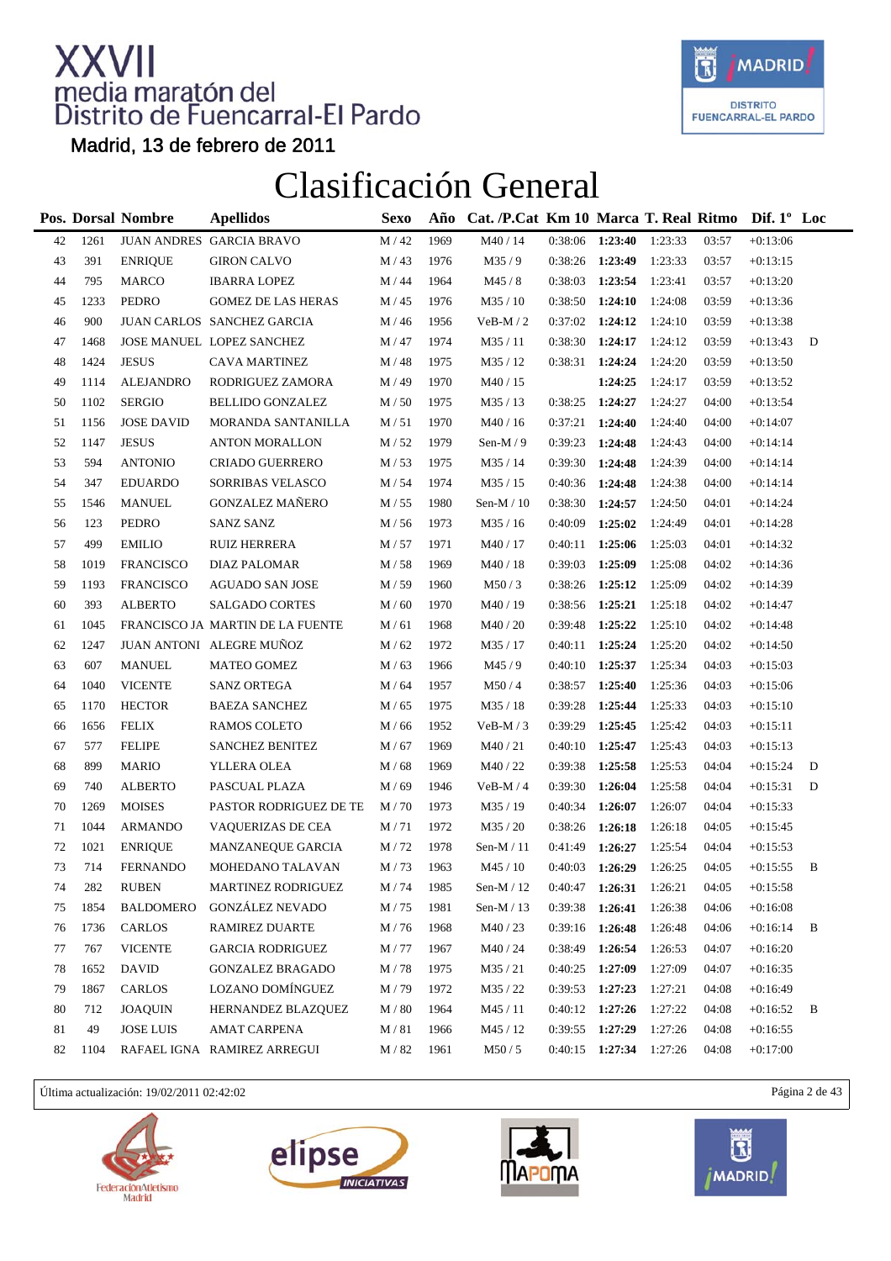

Madrid, 13 de febrero de 2011

### Clasificación General

|    |      | Pos. Dorsal Nombre | <b>Apellidos</b>                 | <b>Sexo</b>       | Año  | Cat. /P.Cat Km 10 Marca T. Real Ritmo Dif. 1° Loc |                   |                         |         |       |            |   |
|----|------|--------------------|----------------------------------|-------------------|------|---------------------------------------------------|-------------------|-------------------------|---------|-------|------------|---|
| 42 | 1261 |                    | JUAN ANDRES GARCIA BRAVO         | $M/42$            | 1969 | M40 / 14                                          | $0:38:06$ 1:23:40 |                         | 1:23:33 | 03:57 | $+0:13:06$ |   |
| 43 | 391  | <b>ENRIQUE</b>     | <b>GIRON CALVO</b>               | M/43              | 1976 | M35/9                                             | 0:38:26           | 1:23:49                 | 1:23:33 | 03:57 | $+0:13:15$ |   |
| 44 | 795  | <b>MARCO</b>       | <b>IBARRA LOPEZ</b>              | M / 44            | 1964 | M45/8                                             | 0:38:03           | 1:23:54                 | 1:23:41 | 03:57 | $+0:13:20$ |   |
| 45 | 1233 | <b>PEDRO</b>       | <b>GOMEZ DE LAS HERAS</b>        | M/45              | 1976 | M35 / 10                                          | 0:38:50           | 1:24:10                 | 1:24:08 | 03:59 | $+0:13:36$ |   |
| 46 | 900  |                    | JUAN CARLOS SANCHEZ GARCIA       | M / 46            | 1956 | $VeB-M/2$                                         | $0:37:02$ 1:24:12 |                         | 1:24:10 | 03:59 | $+0:13:38$ |   |
| 47 | 1468 |                    | JOSE MANUEL LOPEZ SANCHEZ        | M / 47            | 1974 | M35/11                                            | 0:38:30           | 1:24:17                 | 1:24:12 | 03:59 | $+0:13:43$ | D |
| 48 | 1424 | <b>JESUS</b>       | CAVA MARTINEZ                    | M / 48            | 1975 | M35 / 12                                          | 0:38:31           | 1:24:24                 | 1:24:20 | 03:59 | $+0:13:50$ |   |
| 49 | 1114 | <b>ALEJANDRO</b>   | RODRIGUEZ ZAMORA                 | M/49              | 1970 | M40 / 15                                          |                   | 1:24:25                 | 1:24:17 | 03:59 | $+0:13:52$ |   |
| 50 | 1102 | <b>SERGIO</b>      | <b>BELLIDO GONZALEZ</b>          | M/50              | 1975 | M35/13                                            | 0:38:25           | 1:24:27                 | 1:24:27 | 04:00 | $+0:13:54$ |   |
| 51 | 1156 | <b>JOSE DAVID</b>  | MORANDA SANTANILLA               | M/51              | 1970 | M40 / 16                                          | 0:37:21           | 1:24:40                 | 1:24:40 | 04:00 | $+0.14:07$ |   |
| 52 | 1147 | <b>JESUS</b>       | <b>ANTON MORALLON</b>            | M/52              | 1979 | Sen-M $/ 9$                                       | 0:39:23           | 1:24:48                 | 1:24:43 | 04:00 | $+0:14:14$ |   |
| 53 | 594  | <b>ANTONIO</b>     | CRIADO GUERRERO                  | M/53              | 1975 | M35 / 14                                          | 0:39:30           | 1:24:48                 | 1:24:39 | 04:00 | $+0:14:14$ |   |
| 54 | 347  | <b>EDUARDO</b>     | SORRIBAS VELASCO                 | M / 54            | 1974 | M35 / 15                                          | 0:40:36 1:24:48   |                         | 1:24:38 | 04:00 | $+0:14:14$ |   |
| 55 | 1546 | <b>MANUEL</b>      | <b>GONZALEZ MAÑERO</b>           | M / 55            | 1980 | Sen-M $/ 10$                                      | 0:38:30           | 1:24:57                 | 1:24:50 | 04:01 | $+0:14:24$ |   |
| 56 | 123  | <b>PEDRO</b>       | <b>SANZ SANZ</b>                 | M / 56            | 1973 | M35 / 16                                          | 0:40:09           | 1:25:02                 | 1:24:49 | 04:01 | $+0:14:28$ |   |
| 57 | 499  | <b>EMILIO</b>      | RUIZ HERRERA                     | M/57              | 1971 | M40 / 17                                          | 0:40:11           | 1:25:06                 | 1:25:03 | 04:01 | $+0:14:32$ |   |
| 58 | 1019 | <b>FRANCISCO</b>   | DIAZ PALOMAR                     | M / 58            | 1969 | M40 / 18                                          | 0:39:03           | 1:25:09                 | 1:25:08 | 04:02 | $+0:14:36$ |   |
| 59 | 1193 | <b>FRANCISCO</b>   | <b>AGUADO SAN JOSE</b>           | M/59              | 1960 | M50/3                                             | 0:38:26           | 1:25:12                 | 1:25:09 | 04:02 | $+0:14:39$ |   |
| 60 | 393  | <b>ALBERTO</b>     | <b>SALGADO CORTES</b>            | M/60              | 1970 | M40 / 19                                          | 0:38:56 1:25:21   |                         | 1:25:18 | 04:02 | $+0:14:47$ |   |
| 61 | 1045 |                    | FRANCISCO JA MARTIN DE LA FUENTE | M/61              | 1968 | M40 / 20                                          | 0:39:48           | 1:25:22                 | 1:25:10 | 04:02 | $+0:14:48$ |   |
| 62 | 1247 |                    | JUAN ANTONI ALEGRE MUÑOZ         | M/62              | 1972 | M35 / 17                                          | 0:40:11           | 1:25:24                 | 1:25:20 | 04:02 | $+0:14:50$ |   |
| 63 | 607  | <b>MANUEL</b>      | <b>MATEO GOMEZ</b>               | M/63              | 1966 | M45/9                                             | 0:40:10           | 1:25:37                 | 1:25:34 | 04:03 | $+0:15:03$ |   |
| 64 | 1040 | <b>VICENTE</b>     | <b>SANZ ORTEGA</b>               | M / 64            | 1957 | M50/4                                             | 0:38:57           | 1:25:40                 | 1:25:36 | 04:03 | $+0:15:06$ |   |
| 65 | 1170 | <b>HECTOR</b>      | <b>BAEZA SANCHEZ</b>             | M/65              | 1975 | M35 / 18                                          | 0:39:28           | 1:25:44                 | 1:25:33 | 04:03 | $+0:15:10$ |   |
| 66 | 1656 | <b>FELIX</b>       | RAMOS COLETO                     | M / 66            | 1952 | $VeB-M/3$                                         | 0:39:29           | 1:25:45                 | 1:25:42 | 04:03 | $+0:15:11$ |   |
| 67 | 577  | <b>FELIPE</b>      | <b>SANCHEZ BENITEZ</b>           | M / 67            | 1969 | M40/21                                            | 0:40:10           | 1:25:47                 | 1:25:43 | 04:03 | $+0:15:13$ |   |
| 68 | 899  | <b>MARIO</b>       | YLLERA OLEA                      | M / 68            | 1969 | M40/22                                            | 0:39:38           | 1:25:58                 | 1:25:53 | 04:04 | $+0:15:24$ | D |
| 69 | 740  | <b>ALBERTO</b>     | PASCUAL PLAZA                    | M/69              | 1946 | $VeB-M/4$                                         | 0:39:30           | 1:26:04                 | 1:25:58 | 04:04 | $+0:15:31$ | D |
| 70 | 1269 | <b>MOISES</b>      | PASTOR RODRIGUEZ DE TE           | M/70              | 1973 | M35 / 19                                          | 0:40:34           | 1:26:07                 | 1:26:07 | 04:04 | $+0:15:33$ |   |
| 71 | 1044 | <b>ARMANDO</b>     | <b>VAQUERIZAS DE CEA</b>         | M/71              | 1972 | M35 / 20                                          | 0:38:26           | 1:26:18                 | 1:26:18 | 04:05 | $+0:15:45$ |   |
| 72 | 1021 | <b>ENRIQUE</b>     | MANZANEQUE GARCIA                | M/72              | 1978 | Sen-M $/11$                                       | 0:41:49           | 1:26:27                 | 1:25:54 | 04:04 | $+0:15:53$ |   |
| 73 | 714  | <b>FERNANDO</b>    | MOHEDANO TALAVAN                 | M/73              | 1963 | M45 / 10                                          | 0:40:03           | 1:26:29                 | 1:26:25 | 04:05 | $+0.15:55$ | B |
| 74 | 282  | <b>RUBEN</b>       | MARTINEZ RODRIGUEZ               | $\mathrm{M}$ / 74 | 1985 | Sen-M / $12\,$                                    | 0:40:47           | 1:26:31                 | 1:26:21 | 04:05 | $+0:15:58$ |   |
| 75 | 1854 | <b>BALDOMERO</b>   | <b>GONZÁLEZ NEVADO</b>           | M/75              | 1981 | Sen-M $/$ 13                                      | 0:39:38           | 1:26:41                 | 1:26:38 | 04:06 | $+0:16:08$ |   |
| 76 | 1736 | <b>CARLOS</b>      | RAMIREZ DUARTE                   | M/76              | 1968 | M40/23                                            | 0:39:16           | 1:26:48                 | 1:26:48 | 04:06 | $+0:16:14$ | В |
| 77 | 767  | <b>VICENTE</b>     | <b>GARCIA RODRIGUEZ</b>          | M/77              | 1967 | M40 / 24                                          | 0:38:49           | 1:26:54                 | 1:26:53 | 04:07 | $+0:16:20$ |   |
| 78 | 1652 | <b>DAVID</b>       | <b>GONZALEZ BRAGADO</b>          | M/78              | 1975 | M35/21                                            | 0:40:25           | 1:27:09                 | 1:27:09 | 04:07 | $+0:16:35$ |   |
| 79 | 1867 | <b>CARLOS</b>      | LOZANO DOMÍNGUEZ                 | M/79              | 1972 | M35 / 22                                          | 0:39:53           | 1:27:23                 | 1:27:21 | 04:08 | $+0:16:49$ |   |
| 80 | 712  | <b>JOAQUIN</b>     | HERNANDEZ BLAZQUEZ               | M / 80            | 1964 | M45 / 11                                          | $0:40:12$ 1:27:26 |                         | 1:27:22 | 04:08 | $+0:16:52$ | B |
| 81 | 49   | <b>JOSE LUIS</b>   | <b>AMAT CARPENA</b>              | M/81              | 1966 | M45 / 12                                          | 0:39:55 1:27:29   |                         | 1:27:26 | 04:08 | $+0.16:55$ |   |
| 82 | 1104 |                    | RAFAEL IGNA RAMIREZ ARREGUI      | M / 82            | 1961 | M50/5                                             |                   | 0:40:15 1:27:34 1:27:26 |         | 04:08 | $+0:17:00$ |   |

Última actualización: 19/02/2011 02:42:02 Página 2 de 43







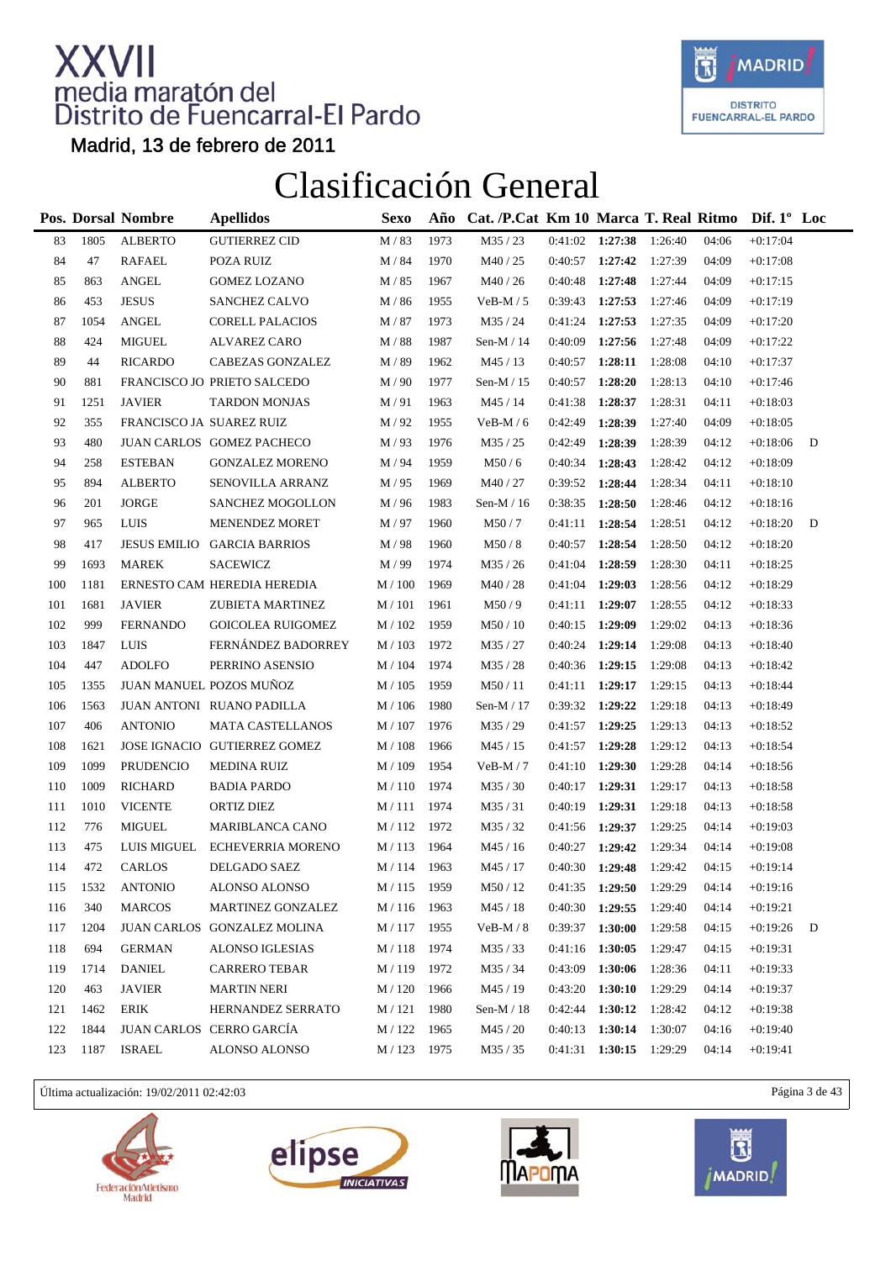

Madrid, 13 de febrero de 2011

### Clasificación General

|     |      | Pos. Dorsal Nombre       | <b>Apellidos</b>             | Sexo                 | Año  | Cat. /P.Cat Km 10 Marca T. Real Ritmo Dif. 1° Loc |                   |                     |         |       |            |   |
|-----|------|--------------------------|------------------------------|----------------------|------|---------------------------------------------------|-------------------|---------------------|---------|-------|------------|---|
| 83  | 1805 | <b>ALBERTO</b>           | <b>GUTIERREZ CID</b>         | M / 83               | 1973 | M35 / 23                                          | $0:41:02$ 1:27:38 |                     | 1:26:40 | 04:06 | $+0:17:04$ |   |
| 84  | 47   | <b>RAFAEL</b>            | POZA RUIZ                    | M / 84               | 1970 | M40 / 25                                          | $0:40:57$ 1:27:42 |                     | 1:27:39 | 04:09 | $+0:17:08$ |   |
| 85  | 863  | <b>ANGEL</b>             | <b>GOMEZ LOZANO</b>          | M / 85               | 1967 | M40/26                                            | 0:40:48           | 1:27:48             | 1:27:44 | 04:09 | $+0:17:15$ |   |
| 86  | 453  | <b>JESUS</b>             | <b>SANCHEZ CALVO</b>         | M / 86               | 1955 | $VeB-M/5$                                         | 0:39:43           | 1:27:53             | 1:27:46 | 04:09 | $+0:17:19$ |   |
| 87  | 1054 | <b>ANGEL</b>             | <b>CORELL PALACIOS</b>       | M / 87               | 1973 | M35 / 24                                          | 0:41:24           | 1:27:53             | 1:27:35 | 04:09 | $+0:17:20$ |   |
| 88  | 424  | <b>MIGUEL</b>            | <b>ALVAREZ CARO</b>          | M / 88               | 1987 | Sen-M $/$ 14                                      | 0:40:09           | 1:27:56             | 1:27:48 | 04:09 | $+0:17:22$ |   |
| 89  | 44   | <b>RICARDO</b>           | CABEZAS GONZALEZ             | M / 89               | 1962 | M45 / 13                                          | 0:40:57           | 1:28:11             | 1:28:08 | 04:10 | $+0:17:37$ |   |
| 90  | 881  |                          | FRANCISCO JO PRIETO SALCEDO  | M/90                 | 1977 | Sen-M $/$ 15                                      | 0:40:57           | 1:28:20             | 1:28:13 | 04:10 | $+0:17:46$ |   |
| 91  | 1251 | <b>JAVIER</b>            | <b>TARDON MONJAS</b>         | M/91                 | 1963 | M45 / 14                                          | 0:41:38           | 1:28:37             | 1:28:31 | 04:11 | $+0:18:03$ |   |
| 92  | 355  | FRANCISCO JA SUAREZ RUIZ |                              | M/92                 | 1955 | $VeB-M/6$                                         | 0:42:49           | 1:28:39             | 1:27:40 | 04:09 | $+0.18:05$ |   |
| 93  | 480  |                          | JUAN CARLOS GOMEZ PACHECO    | M/93                 | 1976 | M35 / 25                                          | 0:42:49           | 1:28:39             | 1:28:39 | 04:12 | $+0.18:06$ | D |
| 94  | 258  | <b>ESTEBAN</b>           | <b>GONZALEZ MORENO</b>       | M / 94               | 1959 | M50/6                                             | 0:40:34           | 1:28:43             | 1:28:42 | 04:12 | $+0.18:09$ |   |
| 95  | 894  | <b>ALBERTO</b>           | SENOVILLA ARRANZ             | M/95                 | 1969 | M40 / 27                                          | 0:39:52           | 1:28:44             | 1:28:34 | 04:11 | $+0:18:10$ |   |
| 96  | 201  | <b>JORGE</b>             | <b>SANCHEZ MOGOLLON</b>      | M/96                 | 1983 | Sen-M $/$ 16                                      | 0:38:35           | 1:28:50             | 1:28:46 | 04:12 | $+0:18:16$ |   |
| 97  | 965  | <b>LUIS</b>              | MENENDEZ MORET               | M/97                 | 1960 | M50/7                                             | 0:41:11           | 1:28:54             | 1:28:51 | 04:12 | $+0:18:20$ | D |
| 98  | 417  |                          | JESUS EMILIO GARCIA BARRIOS  | M/98                 | 1960 | M50/8                                             | 0:40:57           | 1:28:54             | 1:28:50 | 04:12 | $+0.18:20$ |   |
| 99  | 1693 | <b>MAREK</b>             | <b>SACEWICZ</b>              | M / 99               | 1974 | M35 / 26                                          | 0:41:04           | 1:28:59             | 1:28:30 | 04:11 | $+0:18:25$ |   |
| 100 | 1181 |                          | ERNESTO CAM HEREDIA HEREDIA  | $M/100$              | 1969 | M40/28                                            | 0:41:04           | 1:29:03             | 1:28:56 | 04:12 | $+0:18:29$ |   |
| 101 | 1681 | <b>JAVIER</b>            | ZUBIETA MARTINEZ             | M/101                | 1961 | M50/9                                             | 0:41:11           | 1:29:07             | 1:28:55 | 04:12 | $+0:18:33$ |   |
| 102 | 999  | <b>FERNANDO</b>          | GOICOLEA RUIGOMEZ            | M / 102              | 1959 | M50 / 10                                          | 0:40:15           | 1:29:09             | 1:29:02 | 04:13 | $+0:18:36$ |   |
| 103 | 1847 | LUIS                     | FERNÁNDEZ BADORREY           | M / 103              | 1972 | M35 / 27                                          | 0:40:24           | 1:29:14             | 1:29:08 | 04:13 | $+0:18:40$ |   |
| 104 | 447  | <b>ADOLFO</b>            | PERRINO ASENSIO              | M / 104              | 1974 | M35/28                                            | 0:40:36           | 1:29:15             | 1:29:08 | 04:13 | $+0:18:42$ |   |
| 105 | 1355 |                          | JUAN MANUEL POZOS MUÑOZ      | M / 105              | 1959 | M50/11                                            | 0:41:11           | 1:29:17             | 1:29:15 | 04:13 | $+0:18:44$ |   |
| 106 | 1563 |                          | JUAN ANTONI RUANO PADILLA    | M / 106              | 1980 | Sen-M $/$ 17                                      | 0:39:32           | 1:29:22             | 1:29:18 | 04:13 | $+0.18:49$ |   |
| 107 | 406  | <b>ANTONIO</b>           | <b>MATA CASTELLANOS</b>      | M / 107              | 1976 | M35 / 29                                          | 0:41:57           | 1:29:25             | 1:29:13 | 04:13 | $+0:18:52$ |   |
| 108 | 1621 |                          | JOSE IGNACIO GUTIERREZ GOMEZ | M/108                | 1966 | M45 / 15                                          | 0:41:57           | 1:29:28             | 1:29:12 | 04:13 | $+0:18:54$ |   |
| 109 | 1099 | PRUDENCIO                | <b>MEDINA RUIZ</b>           | M / 109              | 1954 | $VeB-M/7$                                         | 0:41:10           | 1:29:30             | 1:29:28 | 04:14 | $+0.18:56$ |   |
| 110 | 1009 | <b>RICHARD</b>           | <b>BADIA PARDO</b>           | M/110                | 1974 | M35/30                                            | 0:40:17           | 1:29:31             | 1:29:17 | 04:13 | $+0.18:58$ |   |
| 111 | 1010 | <b>VICENTE</b>           | ORTIZ DIEZ                   | M/111                | 1974 | M35/31                                            | 0:40:19           | 1:29:31             | 1:29:18 | 04:13 | $+0.18:58$ |   |
| 112 | 776  | <b>MIGUEL</b>            | <b>MARIBLANCA CANO</b>       | M / 112              | 1972 | M35/32                                            | 0:41:56           | 1:29:37             | 1:29:25 | 04:14 | $+0.19:03$ |   |
| 113 | 475  | LUIS MIGUEL              | <b>ECHEVERRIA MORENO</b>     | M/113                | 1964 | M45 / 16                                          | 0:40:27           | 1:29:42             | 1:29:34 | 04:14 | $+0.19:08$ |   |
| 114 | 472  | CARLOS                   | DELGADO SAEZ                 | M / 114              | 1963 | M45 / 17                                          | $0:40:30$ 1:29:48 |                     | 1:29:42 | 04:15 | $+0:19:14$ |   |
| 115 | 1532 | <b>ANTONIO</b>           | ALONSO ALONSO                | $\mathbf{M}$ / $115$ | 1959 | $\text{M50}$ / $12$                               | 0:41:35           | 1:29:50             | 1:29:29 | 04:14 | $+0:19:16$ |   |
| 116 | 340  | <b>MARCOS</b>            | <b>MARTINEZ GONZALEZ</b>     | M / 116              | 1963 | M45 / 18                                          | 0:40:30           | 1:29:55             | 1:29:40 | 04:14 | $+0:19:21$ |   |
| 117 | 1204 |                          | JUAN CARLOS GONZALEZ MOLINA  | M / 117              | 1955 | $VeB-M/8$                                         | 0:39:37           | 1:30:00             | 1:29:58 | 04:15 | $+0:19:26$ | D |
| 118 | 694  | <b>GERMAN</b>            | ALONSO IGLESIAS              | M / 118              | 1974 | M35/33                                            | 0:41:16           | 1:30:05             | 1:29:47 | 04:15 | $+0:19:31$ |   |
| 119 | 1714 | <b>DANIEL</b>            | <b>CARRERO TEBAR</b>         | M / 119              | 1972 | M35 / 34                                          | 0:43:09           | 1:30:06             | 1:28:36 | 04:11 | $+0:19:33$ |   |
| 120 | 463  | <b>JAVIER</b>            | <b>MARTIN NERI</b>           | M / 120              | 1966 | M45 / 19                                          | 0:43:20           | 1:30:10             | 1:29:29 | 04:14 | $+0:19:37$ |   |
| 121 | 1462 | ERIK                     | HERNANDEZ SERRATO            | M/121                | 1980 | Sen-M $/$ 18                                      | 0:42:44           | 1:30:12             | 1:28:42 | 04:12 | $+0.19:38$ |   |
| 122 | 1844 |                          | JUAN CARLOS CERRO GARCÍA     | M / 122              | 1965 | M45 / 20                                          | 0:40:13           | 1:30:14             | 1:30:07 | 04:16 | $+0:19:40$ |   |
| 123 | 1187 | <b>ISRAEL</b>            | ALONSO ALONSO                | M / 123              | 1975 | M35 / 35                                          | 0:41:31           | $1:30:15$ $1:29:29$ |         | 04:14 | $+0:19:41$ |   |

Última actualización: 19/02/2011 02:42:03 Página 3 de 43







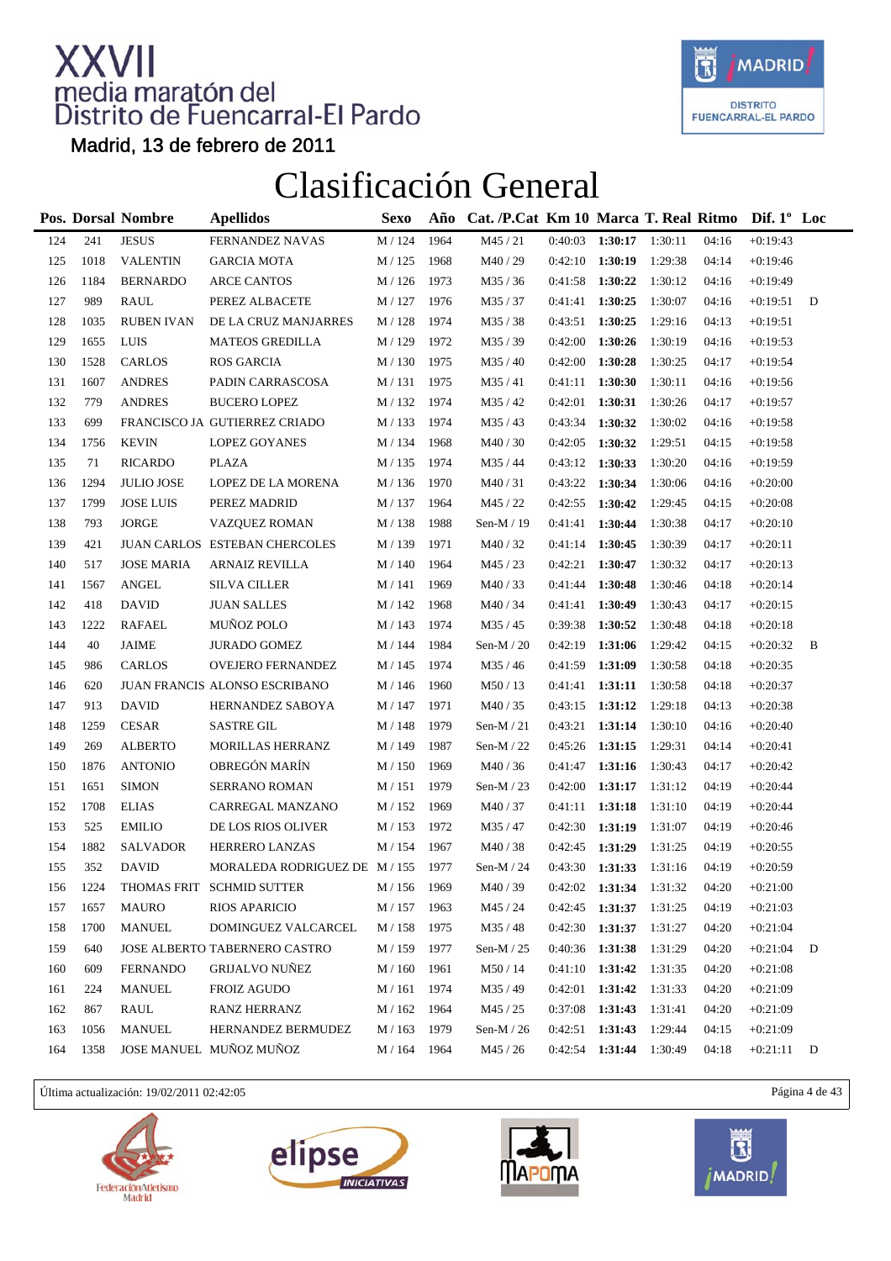

Madrid, 13 de febrero de 2011

### Clasificación General

|     |      | Pos. Dorsal Nombre | <b>Apellidos</b>              | <b>Sexo</b>        | Año  | Cat. /P.Cat Km 10 Marca T. Real Ritmo Dif. 1° Loc |                   |                     |         |       |            |   |
|-----|------|--------------------|-------------------------------|--------------------|------|---------------------------------------------------|-------------------|---------------------|---------|-------|------------|---|
| 124 | 241  | <b>JESUS</b>       | FERNANDEZ NAVAS               | M / 124            | 1964 | M45 / 21                                          | 0:40:03           | 1:30:17             | 1:30:11 | 04:16 | $+0:19:43$ |   |
| 125 | 1018 | <b>VALENTIN</b>    | <b>GARCIA MOTA</b>            | M / 125            | 1968 | M40 / 29                                          | $0:42:10$ 1:30:19 |                     | 1:29:38 | 04:14 | $+0:19:46$ |   |
| 126 | 1184 | <b>BERNARDO</b>    | <b>ARCE CANTOS</b>            | M / 126            | 1973 | M35/36                                            | 0:41:58           | 1:30:22             | 1:30:12 | 04:16 | $+0:19:49$ |   |
| 127 | 989  | RAUL               | PEREZ ALBACETE                | M / 127            | 1976 | M35/37                                            | 0:41:41           | 1:30:25             | 1:30:07 | 04:16 | $+0:19:51$ | D |
| 128 | 1035 | <b>RUBEN IVAN</b>  | DE LA CRUZ MANJARRES          | M / 128            | 1974 | M35/38                                            | 0:43:51           | 1:30:25             | 1:29:16 | 04:13 | $+0:19:51$ |   |
| 129 | 1655 | LUIS               | <b>MATEOS GREDILLA</b>        | M / 129            | 1972 | M35/39                                            | 0:42:00           | 1:30:26             | 1:30:19 | 04:16 | $+0:19:53$ |   |
| 130 | 1528 | <b>CARLOS</b>      | <b>ROS GARCIA</b>             | M / 130            | 1975 | M35/40                                            | 0:42:00           | 1:30:28             | 1:30:25 | 04:17 | $+0:19:54$ |   |
| 131 | 1607 | <b>ANDRES</b>      | PADIN CARRASCOSA              | M/131              | 1975 | M35/41                                            | 0:41:11           | 1:30:30             | 1:30:11 | 04:16 | $+0.19:56$ |   |
| 132 | 779  | <b>ANDRES</b>      | <b>BUCERO LOPEZ</b>           | M / 132            | 1974 | M35 / 42                                          | 0:42:01           | 1:30:31             | 1:30:26 | 04:17 | $+0:19:57$ |   |
| 133 | 699  |                    | FRANCISCO JA GUTIERREZ CRIADO | M / 133            | 1974 | M35/43                                            | 0:43:34           | 1:30:32             | 1:30:02 | 04:16 | $+0.19:58$ |   |
| 134 | 1756 | <b>KEVIN</b>       | <b>LOPEZ GOYANES</b>          | M / 134            | 1968 | M40/30                                            | 0:42:05           | 1:30:32             | 1:29:51 | 04:15 | $+0.19:58$ |   |
| 135 | 71   | <b>RICARDO</b>     | <b>PLAZA</b>                  | M / 135            | 1974 | M35/44                                            | $0:43:12$ 1:30:33 |                     | 1:30:20 | 04:16 | $+0.19:59$ |   |
| 136 | 1294 | <b>JULIO JOSE</b>  | LOPEZ DE LA MORENA            | M / 136            | 1970 | M40/31                                            | 0:43:22           | 1:30:34             | 1:30:06 | 04:16 | $+0:20:00$ |   |
| 137 | 1799 | <b>JOSE LUIS</b>   | PEREZ MADRID                  | M / 137            | 1964 | M45 / 22                                          | 0:42:55           | 1:30:42             | 1:29:45 | 04:15 | $+0:20:08$ |   |
| 138 | 793  | <b>JORGE</b>       | <b>VAZQUEZ ROMAN</b>          | M / 138            | 1988 | Sen-M / 19                                        | 0:41:41           | 1:30:44             | 1:30:38 | 04:17 | $+0:20:10$ |   |
| 139 | 421  |                    | JUAN CARLOS ESTEBAN CHERCOLES | M / 139            | 1971 | M40/32                                            | 0:41:14           | 1:30:45             | 1:30:39 | 04:17 | $+0:20:11$ |   |
| 140 | 517  | <b>JOSE MARIA</b>  | <b>ARNAIZ REVILLA</b>         | M / 140            | 1964 | M45 / 23                                          | 0:42:21           | 1:30:47             | 1:30:32 | 04:17 | $+0:20:13$ |   |
| 141 | 1567 | <b>ANGEL</b>       | <b>SILVA CILLER</b>           | M / 141            | 1969 | M40/33                                            | 0:41:44           | 1:30:48             | 1:30:46 | 04:18 | $+0:20:14$ |   |
| 142 | 418  | <b>DAVID</b>       | <b>JUAN SALLES</b>            | M / 142            | 1968 | M40 / 34                                          | 0:41:41           | 1:30:49             | 1:30:43 | 04:17 | $+0:20:15$ |   |
| 143 | 1222 | <b>RAFAEL</b>      | MUÑOZ POLO                    | M / 143            | 1974 | M35/45                                            | 0:39:38           | 1:30:52             | 1:30:48 | 04:18 | $+0:20:18$ |   |
| 144 | 40   | <b>JAIME</b>       | <b>JURADO GOMEZ</b>           | M / 144            | 1984 | Sen-M $/ 20$                                      | 0:42:19           | 1:31:06             | 1:29:42 | 04:15 | $+0:20:32$ | B |
| 145 | 986  | <b>CARLOS</b>      | OVEJERO FERNANDEZ             | M / 145            | 1974 | M35 / 46                                          | 0:41:59           | 1:31:09             | 1:30:58 | 04:18 | $+0:20:35$ |   |
| 146 | 620  |                    | JUAN FRANCIS ALONSO ESCRIBANO | M / 146            | 1960 | M50/13                                            | 0:41:41           | 1:31:11             | 1:30:58 | 04:18 | $+0:20:37$ |   |
| 147 | 913  | <b>DAVID</b>       | HERNANDEZ SABOYA              | M / 147            | 1971 | M40/35                                            | 0:43:15           | 1:31:12             | 1:29:18 | 04:13 | $+0:20:38$ |   |
| 148 | 1259 | <b>CESAR</b>       | <b>SASTRE GIL</b>             | M / 148            | 1979 | Sen-M $/21$                                       | 0:43:21           | 1:31:14             | 1:30:10 | 04:16 | $+0:20:40$ |   |
| 149 | 269  | <b>ALBERTO</b>     | MORILLAS HERRANZ              | M / 149            | 1987 | Sen-M $/22$                                       | 0:45:26           | 1:31:15             | 1:29:31 | 04:14 | $+0:20:41$ |   |
| 150 | 1876 | <b>ANTONIO</b>     | OBREGÓN MARÍN                 | M / 150            | 1969 | M40/36                                            | 0:41:47           | 1:31:16             | 1:30:43 | 04:17 | $+0:20:42$ |   |
| 151 | 1651 | <b>SIMON</b>       | SERRANO ROMAN                 | M / 151            | 1979 | Sen-M $/23$                                       | 0:42:00           | 1:31:17             | 1:31:12 | 04:19 | $+0:20:44$ |   |
| 152 | 1708 | <b>ELIAS</b>       | CARREGAL MANZANO              | M / 152            | 1969 | M40/37                                            | 0:41:11           | 1:31:18             | 1:31:10 | 04:19 | $+0:20:44$ |   |
| 153 | 525  | <b>EMILIO</b>      | DE LOS RIOS OLIVER            | M / 153            | 1972 | M35/47                                            | 0:42:30           | 1:31:19             | 1:31:07 | 04:19 | $+0:20:46$ |   |
| 154 | 1882 | <b>SALVADOR</b>    | HERRERO LANZAS                | M / 154            | 1967 | M40/38                                            | 0:42:45           | 1:31:29             | 1:31:25 | 04:19 | $+0:20:55$ |   |
| 155 | 352  | <b>DAVID</b>       | MORALEDA RODRIGUEZ DE M / 155 |                    | 1977 | Sen-M $/$ 24                                      | $0:43:30$ 1:31:33 |                     | 1:31:16 | 04:19 | $+0:20:59$ |   |
| 156 | 1224 |                    | THOMAS FRIT SCHMID SUTTER     | $\text{M}$ / $156$ | 1969 | M40 / 39                                          |                   | $0:42:02$ 1:31:34   | 1:31:32 | 04:20 | $+0:21:00$ |   |
| 157 | 1657 | MAURO              | <b>RIOS APARICIO</b>          | M / 157            | 1963 | M45 / 24                                          | 0:42:45           | 1:31:37             | 1:31:25 | 04:19 | $+0:21:03$ |   |
| 158 | 1700 | <b>MANUEL</b>      | DOMINGUEZ VALCARCEL           | M / 158            | 1975 | M35 / 48                                          | 0:42:30           | $1:31:37$ $1:31:27$ |         | 04:20 | $+0:21:04$ |   |
| 159 | 640  |                    | JOSE ALBERTO TABERNERO CASTRO | M / 159            | 1977 | Sen-M $/25$                                       | 0:40:36 1:31:38   |                     | 1:31:29 | 04:20 | $+0:21:04$ | D |
| 160 | 609  | <b>FERNANDO</b>    | <b>GRIJALVO NUÑEZ</b>         | $M/160\,$          | 1961 | M50 / 14                                          | $0:41:10$ 1:31:42 |                     | 1:31:35 | 04:20 | $+0:21:08$ |   |
| 161 | 224  | <b>MANUEL</b>      | <b>FROIZ AGUDO</b>            | M / 161            | 1974 | M35/49                                            | $0:42:01$ 1:31:42 |                     | 1:31:33 | 04:20 | $+0:21:09$ |   |
| 162 | 867  | RAUL               | RANZ HERRANZ                  | M / 162            | 1964 | M45 / 25                                          |                   | $0:37:08$ 1:31:43   | 1:31:41 | 04:20 | $+0:21:09$ |   |
| 163 | 1056 | <b>MANUEL</b>      | HERNANDEZ BERMUDEZ            | M / 163            | 1979 | Sen-M $/26$                                       | $0:42:51$ 1:31:43 |                     | 1:29:44 | 04:15 | $+0:21:09$ |   |
| 164 | 1358 |                    | JOSE MANUEL MUÑOZ MUÑOZ       | M / 164            | 1964 | M45 / 26                                          | $0:42:54$ 1:31:44 |                     | 1:30:49 | 04:18 | $+0:21:11$ | D |

Última actualización: 19/02/2011 02:42:05 Página 4 de 43







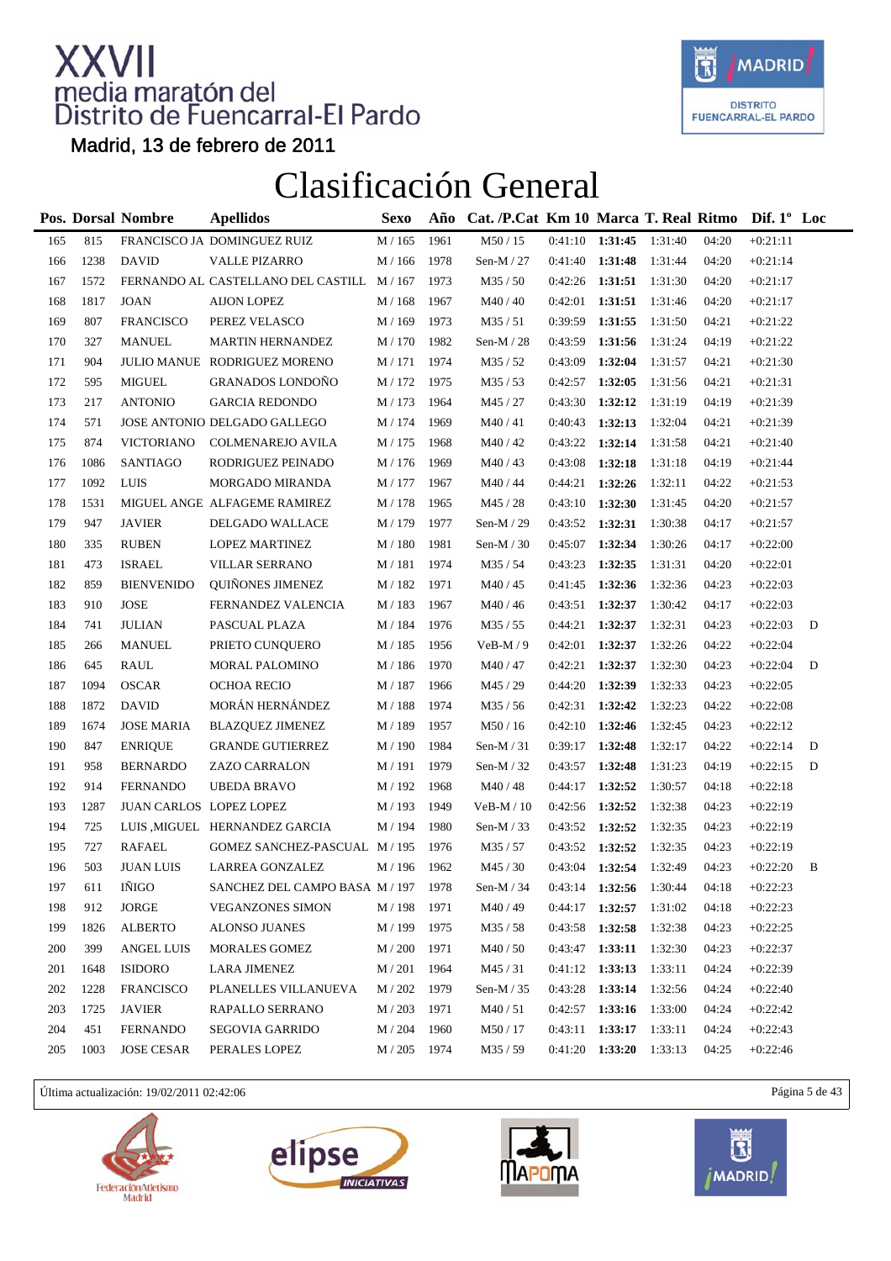

Madrid, 13 de febrero de 2011

### Clasificación General

|      |                          | <b>Apellidos</b>           | Sexo                                                                                                                                                                                    | Año                                                                                                         |                              |         |         |                                                                                                                                                                                                |       |            |                                                   |
|------|--------------------------|----------------------------|-----------------------------------------------------------------------------------------------------------------------------------------------------------------------------------------|-------------------------------------------------------------------------------------------------------------|------------------------------|---------|---------|------------------------------------------------------------------------------------------------------------------------------------------------------------------------------------------------|-------|------------|---------------------------------------------------|
| 815  |                          |                            | M / 165                                                                                                                                                                                 | 1961                                                                                                        | M50 / 15                     |         |         | 1:31:40                                                                                                                                                                                        | 04:20 | $+0:21:11$ |                                                   |
| 1238 | <b>DAVID</b>             | VALLE PIZARRO              | M / 166                                                                                                                                                                                 | 1978                                                                                                        | Sen-M $/27$                  | 0:41:40 | 1:31:48 | 1:31:44                                                                                                                                                                                        | 04:20 | $+0:21:14$ |                                                   |
| 1572 |                          |                            |                                                                                                                                                                                         | 1973                                                                                                        | M35 / 50                     | 0:42:26 | 1:31:51 | 1:31:30                                                                                                                                                                                        | 04:20 | $+0:21:17$ |                                                   |
| 1817 | <b>JOAN</b>              | <b>AIJON LOPEZ</b>         | M / 168                                                                                                                                                                                 | 1967                                                                                                        | M40/40                       | 0:42:01 | 1:31:51 | 1:31:46                                                                                                                                                                                        | 04:20 | $+0:21:17$ |                                                   |
| 807  | <b>FRANCISCO</b>         | PEREZ VELASCO              | M / 169                                                                                                                                                                                 | 1973                                                                                                        | M35/51                       | 0:39:59 | 1:31:55 | 1:31:50                                                                                                                                                                                        | 04:21 | $+0:21:22$ |                                                   |
| 327  | <b>MANUEL</b>            | <b>MARTIN HERNANDEZ</b>    | M / 170                                                                                                                                                                                 | 1982                                                                                                        | Sen-M $/ 28$                 | 0:43:59 | 1:31:56 | 1:31:24                                                                                                                                                                                        | 04:19 | $+0:21:22$ |                                                   |
| 904  |                          |                            | M/171                                                                                                                                                                                   | 1974                                                                                                        | M35/52                       | 0:43:09 | 1:32:04 | 1:31:57                                                                                                                                                                                        | 04:21 | $+0:21:30$ |                                                   |
| 595  | <b>MIGUEL</b>            | <b>GRANADOS LONDOÑO</b>    | M / 172                                                                                                                                                                                 | 1975                                                                                                        | M35/53                       | 0:42:57 | 1:32:05 | 1:31:56                                                                                                                                                                                        | 04:21 | $+0:21:31$ |                                                   |
| 217  | <b>ANTONIO</b>           | <b>GARCIA REDONDO</b>      | M / 173                                                                                                                                                                                 | 1964                                                                                                        | M45 / 27                     | 0:43:30 | 1:32:12 | 1:31:19                                                                                                                                                                                        | 04:19 | $+0:21:39$ |                                                   |
| 571  |                          |                            | M / 174                                                                                                                                                                                 |                                                                                                             | M40/41                       | 0:40:43 |         | 1:32:04                                                                                                                                                                                        | 04:21 | $+0:21:39$ |                                                   |
| 874  | <b>VICTORIANO</b>        | COLMENAREJO AVILA          | M / 175                                                                                                                                                                                 | 1968                                                                                                        | M40/42                       | 0:43:22 | 1:32:14 | 1:31:58                                                                                                                                                                                        | 04:21 | $+0:21:40$ |                                                   |
| 1086 | <b>SANTIAGO</b>          | RODRIGUEZ PEINADO          | M / 176                                                                                                                                                                                 | 1969                                                                                                        | M40/43                       | 0:43:08 | 1:32:18 | 1:31:18                                                                                                                                                                                        | 04:19 | $+0:21:44$ |                                                   |
| 1092 |                          | MORGADO MIRANDA            | M / 177                                                                                                                                                                                 | 1967                                                                                                        | M40 / 44                     | 0:44:21 | 1:32:26 | 1:32:11                                                                                                                                                                                        | 04:22 | $+0:21:53$ |                                                   |
| 1531 |                          |                            | M / 178                                                                                                                                                                                 | 1965                                                                                                        | M45 / 28                     | 0:43:10 |         | 1:31:45                                                                                                                                                                                        | 04:20 | $+0:21:57$ |                                                   |
| 947  | <b>JAVIER</b>            | DELGADO WALLACE            | M / 179                                                                                                                                                                                 | 1977                                                                                                        | Sen-M $/$ 29                 | 0:43:52 | 1:32:31 | 1:30:38                                                                                                                                                                                        | 04:17 | $+0:21:57$ |                                                   |
| 335  | <b>RUBEN</b>             | <b>LOPEZ MARTINEZ</b>      | M / 180                                                                                                                                                                                 | 1981                                                                                                        | Sen-M $/30$                  | 0:45:07 | 1:32:34 | 1:30:26                                                                                                                                                                                        | 04:17 | $+0:22:00$ |                                                   |
| 473  | <b>ISRAEL</b>            | <b>VILLAR SERRANO</b>      | M / 181                                                                                                                                                                                 | 1974                                                                                                        | M35 / 54                     | 0:43:23 | 1:32:35 | 1:31:31                                                                                                                                                                                        | 04:20 | $+0:22:01$ |                                                   |
| 859  | <b>BIENVENIDO</b>        | <b>QUIÑONES JIMENEZ</b>    | M / 182                                                                                                                                                                                 | 1971                                                                                                        | M40 / 45                     | 0:41:45 |         | 1:32:36                                                                                                                                                                                        | 04:23 | $+0:22:03$ |                                                   |
| 910  | <b>JOSE</b>              | FERNANDEZ VALENCIA         | M / 183                                                                                                                                                                                 | 1967                                                                                                        | M40 / 46                     | 0:43:51 | 1:32:37 | 1:30:42                                                                                                                                                                                        | 04:17 | $+0:22:03$ |                                                   |
| 741  | <b>JULIAN</b>            | PASCUAL PLAZA              | M / 184                                                                                                                                                                                 | 1976                                                                                                        | M35 / 55                     | 0:44:21 |         | 1:32:31                                                                                                                                                                                        | 04:23 | $+0:22:03$ | D                                                 |
| 266  | <b>MANUEL</b>            | PRIETO CUNQUERO            | M / 185                                                                                                                                                                                 | 1956                                                                                                        | $VeB-M/9$                    | 0:42:01 |         | 1:32:26                                                                                                                                                                                        | 04:22 | $+0:22:04$ |                                                   |
| 645  | <b>RAUL</b>              | MORAL PALOMINO             | M / 186                                                                                                                                                                                 | 1970                                                                                                        | M40/47                       | 0:42:21 | 1:32:37 | 1:32:30                                                                                                                                                                                        | 04:23 | $+0:22:04$ | D                                                 |
| 1094 | <b>OSCAR</b>             | OCHOA RECIO                | M / 187                                                                                                                                                                                 | 1966                                                                                                        | M45 / 29                     | 0:44:20 | 1:32:39 | 1:32:33                                                                                                                                                                                        | 04:23 | $+0:22:05$ |                                                   |
| 1872 | <b>DAVID</b>             | MORÁN HERNÁNDEZ            | M / 188                                                                                                                                                                                 | 1974                                                                                                        | M35 / 56                     | 0:42:31 |         | 1:32:23                                                                                                                                                                                        | 04:22 | $+0:22:08$ |                                                   |
| 1674 | <b>JOSE MARIA</b>        | <b>BLAZQUEZ JIMENEZ</b>    | M / 189                                                                                                                                                                                 | 1957                                                                                                        | M50 / 16                     | 0:42:10 |         | 1:32:45                                                                                                                                                                                        | 04:23 | $+0:22:12$ |                                                   |
| 847  | <b>ENRIQUE</b>           | <b>GRANDE GUTIERREZ</b>    | M / 190                                                                                                                                                                                 | 1984                                                                                                        | Sen-M $/31$                  | 0:39:17 | 1:32:48 | 1:32:17                                                                                                                                                                                        | 04:22 | $+0:22:14$ | D                                                 |
| 958  | <b>BERNARDO</b>          | ZAZO CARRALON              | M / 191                                                                                                                                                                                 | 1979                                                                                                        | Sen-M $/32$                  | 0:43:57 | 1:32:48 | 1:31:23                                                                                                                                                                                        | 04:19 | $+0:22:15$ | D                                                 |
| 914  | <b>FERNANDO</b>          | <b>UBEDA BRAVO</b>         | M / 192                                                                                                                                                                                 | 1968                                                                                                        | M40/48                       | 0:44:17 | 1:32:52 | 1:30:57                                                                                                                                                                                        | 04:18 | $+0:22:18$ |                                                   |
| 1287 |                          |                            | M / 193                                                                                                                                                                                 | 1949                                                                                                        | $VeB-M / 10$                 | 0:42:56 |         | 1:32:38                                                                                                                                                                                        | 04:23 | $+0:22:19$ |                                                   |
| 725  |                          |                            | M / 194                                                                                                                                                                                 | 1980                                                                                                        | Sen-M $/$ 33                 | 0:43:52 |         | 1:32:35                                                                                                                                                                                        | 04:23 | $+0:22:19$ |                                                   |
| 727  | <b>RAFAEL</b>            |                            |                                                                                                                                                                                         | 1976                                                                                                        | M35 / 57                     | 0:43:52 | 1:32:52 | 1:32:35                                                                                                                                                                                        | 04:23 | $+0:22:19$ |                                                   |
| 503  | <b>JUAN LUIS</b>         | LARREA GONZALEZ            | M / 196                                                                                                                                                                                 |                                                                                                             | M45 / 30                     |         |         | 1:32:49                                                                                                                                                                                        | 04:23 | $+0:22:20$ | B                                                 |
| 611  | $\tilde{\mathrm{INIGO}}$ |                            |                                                                                                                                                                                         |                                                                                                             | Sen-M / 34                   |         |         | 1:30:44                                                                                                                                                                                        | 04:18 | $+0:22:23$ |                                                   |
| 912  | JORGE                    | <b>VEGANZONES SIMON</b>    | M / 198                                                                                                                                                                                 | 1971                                                                                                        | M40 / 49                     | 0:44:17 | 1:32:57 | 1:31:02                                                                                                                                                                                        | 04:18 | $+0:22:23$ |                                                   |
| 1826 | <b>ALBERTO</b>           | <b>ALONSO JUANES</b>       | M / 199                                                                                                                                                                                 | 1975                                                                                                        | M35/58                       | 0:43:58 | 1:32:58 | 1:32:38                                                                                                                                                                                        | 04:23 | $+0:22:25$ |                                                   |
| 399  | <b>ANGEL LUIS</b>        | <b>MORALES GOMEZ</b>       | M / 200                                                                                                                                                                                 | 1971                                                                                                        | M40/50                       | 0:43:47 | 1:33:11 | 1:32:30                                                                                                                                                                                        | 04:23 | $+0:22:37$ |                                                   |
| 1648 | <b>ISIDORO</b>           | LARA JIMENEZ               | M / 201                                                                                                                                                                                 | 1964                                                                                                        | M45/31                       | 0:41:12 |         | 1:33:11                                                                                                                                                                                        | 04:24 | $+0:22:39$ |                                                   |
| 1228 | <b>FRANCISCO</b>         | PLANELLES VILLANUEVA       | M / 202                                                                                                                                                                                 | 1979                                                                                                        | Sen-M $/$ 35                 | 0:43:28 | 1:33:14 | 1:32:56                                                                                                                                                                                        | 04:24 | $+0:22:40$ |                                                   |
| 1725 | <b>JAVIER</b>            | RAPALLO SERRANO            | M/203                                                                                                                                                                                   | 1971                                                                                                        | M40/51                       | 0:42:57 | 1:33:16 | 1:33:00                                                                                                                                                                                        | 04:24 | $+0:22:42$ |                                                   |
| 451  | <b>FERNANDO</b>          | <b>SEGOVIA GARRIDO</b>     | M / 204                                                                                                                                                                                 | 1960                                                                                                        | M50 / 17                     | 0:43:11 | 1:33:17 | 1:33:11                                                                                                                                                                                        | 04:24 | $+0:22:43$ |                                                   |
| 1003 | <b>JOSE CESAR</b>        | PERALES LOPEZ              | M / 205                                                                                                                                                                                 |                                                                                                             | M35 / 59                     |         |         | 1:33:13                                                                                                                                                                                        | 04:25 | $+0:22:46$ |                                                   |
|      |                          | Pos. Dorsal Nombre<br>LUIS | FRANCISCO JA DOMINGUEZ RUIZ<br>JULIO MANUE RODRIGUEZ MORENO<br>JOSE ANTONIO DELGADO GALLEGO<br>MIGUEL ANGE ALFAGEME RAMIREZ<br>JUAN CARLOS LOPEZ LOPEZ<br>LUIS ,MIGUEL HERNANDEZ GARCIA | FERNANDO AL CASTELLANO DEL CASTILL M/167<br>GOMEZ SANCHEZ-PASCUAL M / 195<br>SANCHEZ DEL CAMPO BASA M / 197 | 1969<br>1962<br>1978<br>1974 |         |         | $0:41:10$ 1:31:45<br>1:32:13<br>1:32:30<br>1:32:36<br>1:32:37<br>1:32:37<br>1:32:42<br>1:32:46<br>1:32:52<br>1:32:52<br>$0:43:04$ 1:32:54<br>$0:43:14$ 1:32:56<br>1:33:13<br>$0:41:20$ 1:33:20 |       |            | Cat. /P.Cat Km 10 Marca T. Real Ritmo Dif. 1° Loc |

Última actualización: 19/02/2011 02:42:06 Página 5 de 43







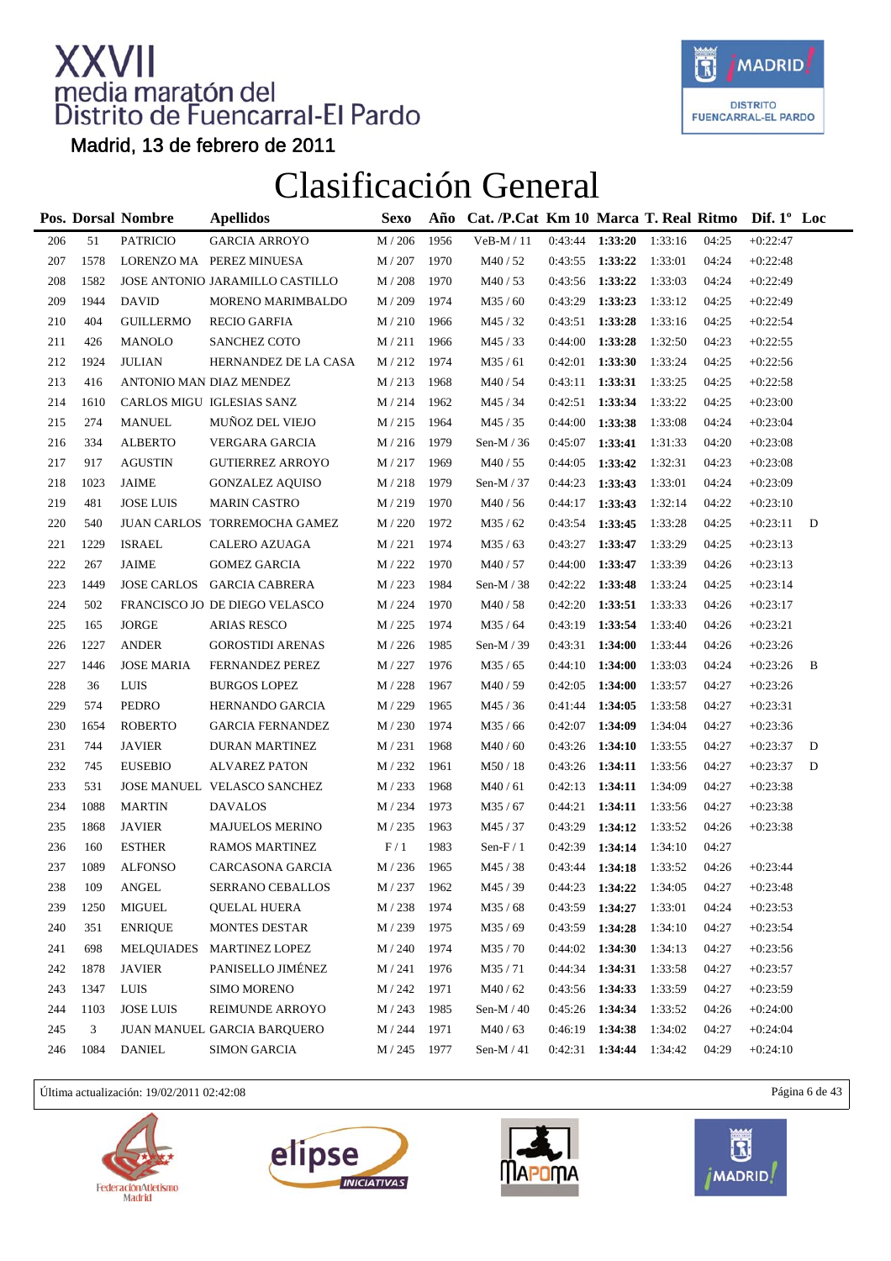

Madrid, 13 de febrero de 2011

### Clasificación General

|     |      | Pos. Dorsal Nombre     | <b>Apellidos</b>                | <b>Sexo</b> | Año  | Cat. /P.Cat Km 10 Marca T. Real Ritmo Dif. 1° Loc |         |         |         |       |            |   |
|-----|------|------------------------|---------------------------------|-------------|------|---------------------------------------------------|---------|---------|---------|-------|------------|---|
| 206 | 51   | <b>PATRICIO</b>        | <b>GARCIA ARROYO</b>            | $M/206$     | 1956 | VeB-M / 11                                        | 0:43:44 | 1:33:20 | 1:33:16 | 04:25 | $+0:22:47$ |   |
| 207 | 1578 |                        | LORENZO MA PEREZ MINUESA        | M / 207     | 1970 | M40 / 52                                          | 0:43:55 | 1:33:22 | 1:33:01 | 04:24 | $+0:22:48$ |   |
| 208 | 1582 |                        | JOSE ANTONIO JARAMILLO CASTILLO | M / 208     | 1970 | M40/53                                            | 0:43:56 | 1:33:22 | 1:33:03 | 04:24 | $+0:22:49$ |   |
| 209 | 1944 | <b>DAVID</b>           | MORENO MARIMBALDO               | M / 209     | 1974 | M35/60                                            | 0:43:29 | 1:33:23 | 1:33:12 | 04:25 | $+0:22:49$ |   |
| 210 | 404  | <b>GUILLERMO</b>       | <b>RECIO GARFIA</b>             | M/210       | 1966 | M45 / 32                                          | 0:43:51 | 1:33:28 | 1:33:16 | 04:25 | $+0:22:54$ |   |
| 211 | 426  | MANOLO                 | SANCHEZ COTO                    | M/211       | 1966 | M45 / 33                                          | 0:44:00 | 1:33:28 | 1:32:50 | 04:23 | $+0:22:55$ |   |
| 212 | 1924 | <b>JULIAN</b>          | HERNANDEZ DE LA CASA            | M / 212     | 1974 | M35/61                                            | 0:42:01 | 1:33:30 | 1:33:24 | 04:25 | $+0:22:56$ |   |
| 213 | 416  |                        | ANTONIO MAN DIAZ MENDEZ         | M/213       | 1968 | M40 / 54                                          | 0:43:11 | 1:33:31 | 1:33:25 | 04:25 | $+0:22:58$ |   |
| 214 | 1610 |                        | CARLOS MIGU IGLESIAS SANZ       | M / 214     | 1962 | M45 / 34                                          | 0:42:51 | 1:33:34 | 1:33:22 | 04:25 | $+0:23:00$ |   |
| 215 | 274  | <b>MANUEL</b>          | MUÑOZ DEL VIEJO                 | M / 215     | 1964 | M45 / 35                                          | 0:44:00 | 1:33:38 | 1:33:08 | 04:24 | $+0:23:04$ |   |
| 216 | 334  | <b>ALBERTO</b>         | VERGARA GARCIA                  | M / 216     | 1979 | Sen-M $/36$                                       | 0:45:07 | 1:33:41 | 1:31:33 | 04:20 | $+0:23:08$ |   |
| 217 | 917  | <b>AGUSTIN</b>         | <b>GUTIERREZ ARROYO</b>         | M/217       | 1969 | M40/55                                            | 0:44:05 | 1:33:42 | 1:32:31 | 04:23 | $+0:23:08$ |   |
| 218 | 1023 | <b>JAIME</b>           | <b>GONZALEZ AQUISO</b>          | M / 218     | 1979 | Sen-M $/37$                                       | 0:44:23 | 1:33:43 | 1:33:01 | 04:24 | $+0:23:09$ |   |
| 219 | 481  | <b>JOSE LUIS</b>       | <b>MARIN CASTRO</b>             | M / 219     | 1970 | M40/56                                            | 0:44:17 | 1:33:43 | 1:32:14 | 04:22 | $+0:23:10$ |   |
| 220 | 540  |                        | JUAN CARLOS TORREMOCHA GAMEZ    | M/220       | 1972 | M35/62                                            | 0:43:54 | 1:33:45 | 1:33:28 | 04:25 | $+0:23:11$ | D |
| 221 | 1229 | <b>ISRAEL</b>          | CALERO AZUAGA                   | M/221       | 1974 | M35/63                                            | 0:43:27 | 1:33:47 | 1:33:29 | 04:25 | $+0:23:13$ |   |
| 222 | 267  | <b>JAIME</b>           | <b>GOMEZ GARCIA</b>             | M / 222     | 1970 | M40 / 57                                          | 0:44:00 | 1:33:47 | 1:33:39 | 04:26 | $+0:23:13$ |   |
| 223 | 1449 |                        | JOSE CARLOS GARCIA CABRERA      | M / 223     | 1984 | Sen-M $/$ 38                                      | 0:42:22 | 1:33:48 | 1:33:24 | 04:25 | $+0:23:14$ |   |
| 224 | 502  |                        | FRANCISCO JO DE DIEGO VELASCO   | M / 224     | 1970 | M40 / 58                                          | 0:42:20 | 1:33:51 | 1:33:33 | 04:26 | $+0:23:17$ |   |
| 225 | 165  | <b>JORGE</b>           | <b>ARIAS RESCO</b>              | M/225       | 1974 | M35/64                                            | 0:43:19 | 1:33:54 | 1:33:40 | 04:26 | $+0:23:21$ |   |
| 226 | 1227 | <b>ANDER</b>           | <b>GOROSTIDI ARENAS</b>         | M / 226     | 1985 | Sen-M / 39                                        | 0:43:31 | 1:34:00 | 1:33:44 | 04:26 | $+0:23:26$ |   |
| 227 | 1446 | <b>JOSE MARIA</b>      | FERNANDEZ PEREZ                 | M / 227     | 1976 | M35 / 65                                          | 0:44:10 | 1:34:00 | 1:33:03 | 04:24 | $+0:23:26$ | B |
| 228 | 36   | <b>LUIS</b>            | <b>BURGOS LOPEZ</b>             | M / 228     | 1967 | M40/59                                            | 0:42:05 | 1:34:00 | 1:33:57 | 04:27 | $+0:23:26$ |   |
| 229 | 574  | PEDRO                  | HERNANDO GARCIA                 | M / 229     | 1965 | M45 / 36                                          | 0:41:44 | 1:34:05 | 1:33:58 | 04:27 | $+0:23:31$ |   |
| 230 | 1654 | <b>ROBERTO</b>         | <b>GARCIA FERNANDEZ</b>         | M / 230     | 1974 | M35 / 66                                          | 0:42:07 | 1:34:09 | 1:34:04 | 04:27 | $+0:23:36$ |   |
| 231 | 744  | <b>JAVIER</b>          | DURAN MARTINEZ                  | M / 231     | 1968 | M40 / 60                                          | 0:43:26 | 1:34:10 | 1:33:55 | 04:27 | $+0:23:37$ | D |
| 232 | 745  | <b>EUSEBIO</b>         | <b>ALVAREZ PATON</b>            | M / 232     | 1961 | M50 / 18                                          | 0:43:26 | 1:34:11 | 1:33:56 | 04:27 | $+0:23:37$ | D |
| 233 | 531  |                        | JOSE MANUEL VELASCO SANCHEZ     | M/233       | 1968 | M40/61                                            | 0:42:13 | 1:34:11 | 1:34:09 | 04:27 | $+0:23:38$ |   |
| 234 | 1088 | <b>MARTIN</b>          | <b>DAVALOS</b>                  | M / 234     | 1973 | M35 / 67                                          | 0:44:21 | 1:34:11 | 1:33:56 | 04:27 | $+0:23:38$ |   |
| 235 | 1868 | <b>JAVIER</b>          | MAJUELOS MERINO                 | M / 235     | 1963 | M45 / 37                                          | 0:43:29 | 1:34:12 | 1:33:52 | 04:26 | $+0:23:38$ |   |
| 236 | 160  | <b>ESTHER</b>          | <b>RAMOS MARTINEZ</b>           | F/1         | 1983 | Sen-F $/1$                                        | 0:42:39 | 1:34:14 | 1:34:10 | 04:27 |            |   |
| 237 | 1089 | <b>ALFONSO</b>         | CARCASONA GARCIA                | M / 236     | 1965 | M45/38                                            | 0:43:44 | 1:34:18 | 1:33:52 | 04:26 | $+0:23:44$ |   |
| 238 | 109  | $\operatorname{ANGEL}$ | SERRANO CEBALLOS                | $M/237$     | 1962 | M45 / 39                                          | 0:44:23 | 1:34:22 | 1:34:05 | 04:27 | $+0:23:48$ |   |
| 239 | 1250 | MIGUEL                 | QUELAL HUERA                    | M / 238     | 1974 | M35/68                                            | 0:43:59 | 1:34:27 | 1:33:01 | 04:24 | $+0:23:53$ |   |
| 240 | 351  | <b>ENRIQUE</b>         | <b>MONTES DESTAR</b>            | M / 239     | 1975 | M35/69                                            | 0:43:59 | 1:34:28 | 1:34:10 | 04:27 | $+0:23:54$ |   |
| 241 | 698  | MELQUIADES             | <b>MARTINEZ LOPEZ</b>           | M / 240     | 1974 | M35 / 70                                          | 0:44:02 | 1:34:30 | 1:34:13 | 04:27 | $+0:23:56$ |   |
| 242 | 1878 | <b>JAVIER</b>          | PANISELLO JIMÉNEZ               | M/241       | 1976 | M35/71                                            | 0:44:34 | 1:34:31 | 1:33:58 | 04:27 | $+0:23:57$ |   |
| 243 | 1347 | LUIS                   | SIMO MORENO                     | M / 242     | 1971 | M40 / 62                                          | 0:43:56 | 1:34:33 | 1:33:59 | 04:27 | $+0:23:59$ |   |
| 244 | 1103 | <b>JOSE LUIS</b>       | REIMUNDE ARROYO                 | M / 243     | 1985 | Sen-M $/40$                                       | 0:45:26 | 1:34:34 | 1:33:52 | 04:26 | $+0:24:00$ |   |
| 245 | 3    |                        | JUAN MANUEL GARCIA BARQUERO     | M / 244     | 1971 | M40/63                                            | 0:46:19 | 1:34:38 | 1:34:02 | 04:27 | $+0:24:04$ |   |
| 246 | 1084 | <b>DANIEL</b>          | <b>SIMON GARCIA</b>             | M / 245     | 1977 | Sen-M $/41$                                       | 0:42:31 | 1:34:44 | 1:34:42 | 04:29 | $+0:24:10$ |   |

Última actualización: 19/02/2011 02:42:08 Página 6 de 43







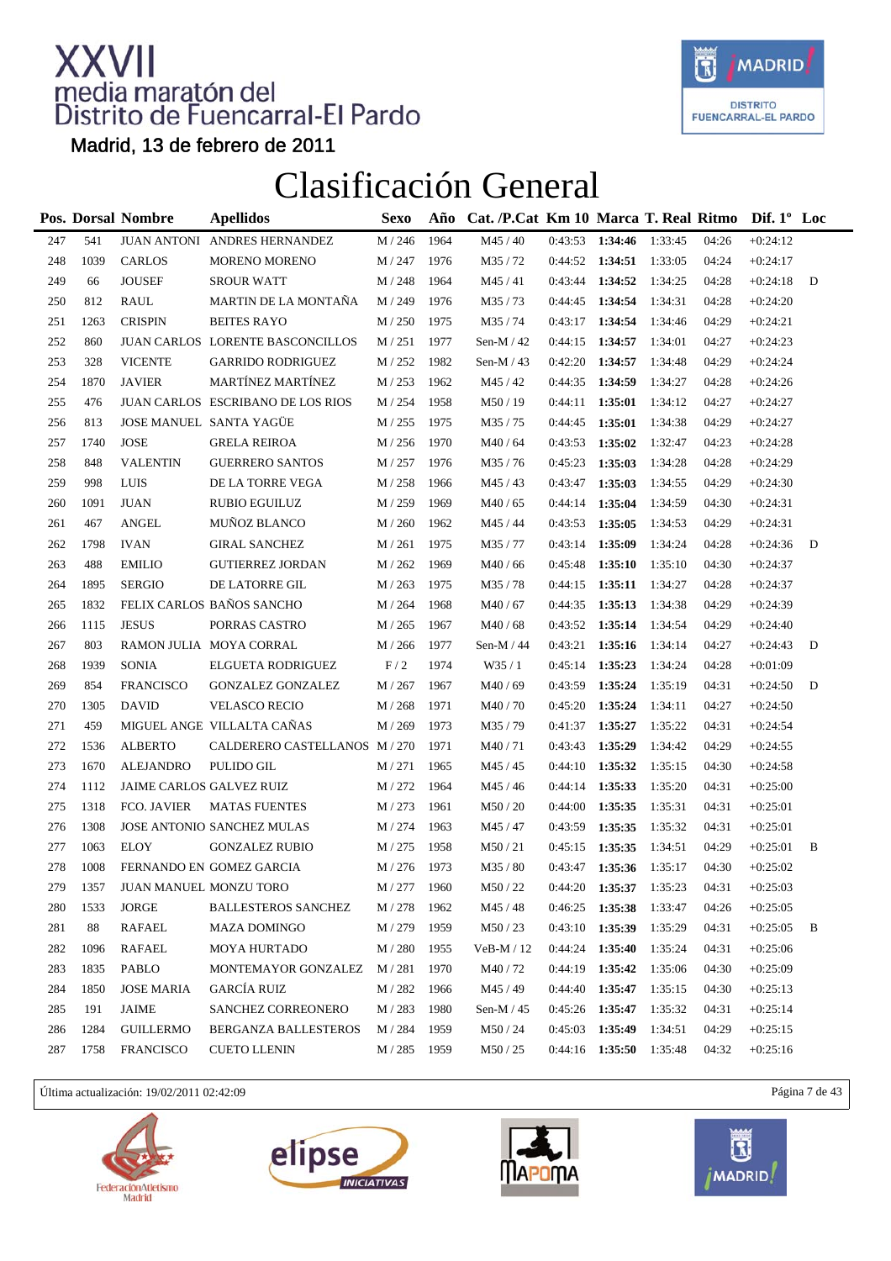

Madrid, 13 de febrero de 2011

### Clasificación General

|     |      | Pos. Dorsal Nombre       | <b>Apellidos</b>                  | <b>Sexo</b>        | Año  | Cat. /P.Cat Km 10 Marca T. Real Ritmo Dif. 1° Loc |                   |                   |         |       |            |   |
|-----|------|--------------------------|-----------------------------------|--------------------|------|---------------------------------------------------|-------------------|-------------------|---------|-------|------------|---|
| 247 | 541  |                          | JUAN ANTONI ANDRES HERNANDEZ      | M / 246            | 1964 | M45 / 40                                          | 0:43:53           | 1:34:46           | 1:33:45 | 04:26 | $+0:24:12$ |   |
| 248 | 1039 | <b>CARLOS</b>            | <b>MORENO MORENO</b>              | M / 247            | 1976 | M35/72                                            |                   | $0:44:52$ 1:34:51 | 1:33:05 | 04:24 | $+0:24:17$ |   |
| 249 | 66   | <b>JOUSEF</b>            | <b>SROUR WATT</b>                 | M / 248            | 1964 | M45 / 41                                          | 0:43:44           | 1:34:52           | 1:34:25 | 04:28 | $+0:24:18$ | D |
| 250 | 812  | RAUL                     | MARTIN DE LA MONTAÑA              | M / 249            | 1976 | M35/73                                            | 0:44:45           | 1:34:54           | 1:34:31 | 04:28 | $+0:24:20$ |   |
| 251 | 1263 | <b>CRISPIN</b>           | <b>BEITES RAYO</b>                | $M/250$            | 1975 | M35/74                                            | 0:43:17           | 1:34:54           | 1:34:46 | 04:29 | $+0:24:21$ |   |
| 252 | 860  |                          | JUAN CARLOS LORENTE BASCONCILLOS  | M / 251            | 1977 | Sen-M $/42$                                       | 0:44:15           | 1:34:57           | 1:34:01 | 04:27 | $+0:24:23$ |   |
| 253 | 328  | <b>VICENTE</b>           | <b>GARRIDO RODRIGUEZ</b>          | M / 252            | 1982 | Sen-M $/43$                                       | 0:42:20           | 1:34:57           | 1:34:48 | 04:29 | $+0:24:24$ |   |
| 254 | 1870 | <b>JAVIER</b>            | MARTÍNEZ MARTÍNEZ                 | M / 253            | 1962 | M45/42                                            | 0:44:35           | 1:34:59           | 1:34:27 | 04:28 | $+0:24:26$ |   |
| 255 | 476  |                          | JUAN CARLOS ESCRIBANO DE LOS RIOS | M / 254            | 1958 | M50 / 19                                          | 0:44:11           | 1:35:01           | 1:34:12 | 04:27 | $+0:24:27$ |   |
| 256 | 813  |                          | JOSE MANUEL SANTA YAGÜE           | M / 255            | 1975 | M35/75                                            | 0:44:45           | 1:35:01           | 1:34:38 | 04:29 | $+0:24:27$ |   |
| 257 | 1740 | <b>JOSE</b>              | <b>GRELA REIROA</b>               | M / 256            | 1970 | M40/64                                            | 0:43:53           | 1:35:02           | 1:32:47 | 04:23 | $+0:24:28$ |   |
| 258 | 848  | <b>VALENTIN</b>          | <b>GUERRERO SANTOS</b>            | M / 257            | 1976 | M35/76                                            | 0:45:23           | 1:35:03           | 1:34:28 | 04:28 | $+0:24:29$ |   |
| 259 | 998  | LUIS                     | DE LA TORRE VEGA                  | M / 258            | 1966 | M45/43                                            | 0:43:47           | 1:35:03           | 1:34:55 | 04:29 | $+0:24:30$ |   |
| 260 | 1091 | <b>JUAN</b>              | <b>RUBIO EGUILUZ</b>              | M / 259            | 1969 | M40/65                                            | 0:44:14           | 1:35:04           | 1:34:59 | 04:30 | $+0:24:31$ |   |
| 261 | 467  | ANGEL                    | MUÑOZ BLANCO                      | M / 260            | 1962 | M45 / 44                                          | 0:43:53           | 1:35:05           | 1:34:53 | 04:29 | $+0:24:31$ |   |
| 262 | 1798 | <b>IVAN</b>              | <b>GIRAL SANCHEZ</b>              | M/261              | 1975 | M35/77                                            | 0:43:14           | 1:35:09           | 1:34:24 | 04:28 | $+0:24:36$ | D |
| 263 | 488  | <b>EMILIO</b>            | <b>GUTIERREZ JORDAN</b>           | M / 262            | 1969 | M40/66                                            | 0:45:48           | 1:35:10           | 1:35:10 | 04:30 | $+0:24:37$ |   |
| 264 | 1895 | <b>SERGIO</b>            | DE LATORRE GIL                    | M / 263            | 1975 | M35/78                                            | 0:44:15           | 1:35:11           | 1:34:27 | 04:28 | $+0:24:37$ |   |
| 265 | 1832 |                          | FELIX CARLOS BAÑOS SANCHO         | M / 264            | 1968 | M40/67                                            | 0:44:35           | 1:35:13           | 1:34:38 | 04:29 | $+0:24:39$ |   |
| 266 | 1115 | <b>JESUS</b>             | PORRAS CASTRO                     | M / 265            | 1967 | M40/68                                            | 0:43:52           | 1:35:14           | 1:34:54 | 04:29 | $+0:24:40$ |   |
| 267 | 803  |                          | RAMON JULIA MOYA CORRAL           | M / 266            | 1977 | Sen-M / 44                                        | 0:43:21           | 1:35:16           | 1:34:14 | 04:27 | $+0:24:43$ | D |
| 268 | 1939 | <b>SONIA</b>             | ELGUETA RODRIGUEZ                 | F/2                | 1974 | W35/1                                             | 0:45:14           | 1:35:23           | 1:34:24 | 04:28 | $+0:01:09$ |   |
| 269 | 854  | <b>FRANCISCO</b>         | <b>GONZALEZ GONZALEZ</b>          | M / 267            | 1967 | M40/69                                            | 0:43:59           | 1:35:24           | 1:35:19 | 04:31 | $+0:24:50$ | D |
| 270 | 1305 | <b>DAVID</b>             | VELASCO RECIO                     | M / 268            | 1971 | M40/70                                            | 0:45:20           | 1:35:24           | 1:34:11 | 04:27 | $+0:24:50$ |   |
| 271 | 459  |                          | MIGUEL ANGE VILLALTA CAÑAS        | M / 269            | 1973 | M35/79                                            | 0:41:37           | 1:35:27           | 1:35:22 | 04:31 | $+0:24:54$ |   |
| 272 | 1536 | <b>ALBERTO</b>           | CALDERERO CASTELLANOS M / 270     |                    | 1971 | M40/71                                            | 0:43:43           | 1:35:29           | 1:34:42 | 04:29 | $+0:24:55$ |   |
| 273 | 1670 | ALEJANDRO                | PULIDO GIL                        | M / 271            | 1965 | M45 / 45                                          | 0:44:10           | 1:35:32           | 1:35:15 | 04:30 | $+0:24:58$ |   |
| 274 | 1112 | JAIME CARLOS GALVEZ RUIZ |                                   | M / 272            | 1964 | M45 / 46                                          | 0:44:14           | 1:35:33           | 1:35:20 | 04:31 | $+0:25:00$ |   |
| 275 | 1318 | FCO. JAVIER              | <b>MATAS FUENTES</b>              | M / 273            | 1961 | M50 / 20                                          | 0:44:00           | 1:35:35           | 1:35:31 | 04:31 | $+0:25:01$ |   |
| 276 | 1308 |                          | JOSE ANTONIO SANCHEZ MULAS        | M / 274            | 1963 | M45 / 47                                          | 0:43:59           | 1:35:35           | 1:35:32 | 04:31 | $+0:25:01$ |   |
| 277 | 1063 | <b>ELOY</b>              | <b>GONZALEZ RUBIO</b>             | M / 275            | 1958 | M50/21                                            | 0:45:15           | 1:35:35           | 1:34:51 | 04:29 | $+0:25:01$ | B |
| 278 | 1008 |                          | FERNANDO EN GOMEZ GARCIA          | M / 276            | 1973 | M35/80                                            |                   | $0:43:47$ 1:35:36 | 1:35:17 | 04:30 | $+0:25:02$ |   |
| 279 | 1357 | JUAN MANUEL MONZU TORO   |                                   | $\mathbf{M}$ / 277 | 1960 | M50/22                                            | 0:44:20           | 1:35:37           | 1:35:23 | 04:31 | $+0:25:03$ |   |
| 280 | 1533 | JORGE                    | <b>BALLESTEROS SANCHEZ</b>        | M / 278            | 1962 | M45 / 48                                          | 0:46:25           | 1:35:38           | 1:33:47 | 04:26 | $+0:25:05$ |   |
| 281 | 88   | RAFAEL                   | <b>MAZA DOMINGO</b>               | M / 279            | 1959 | M50/23                                            | $0:43:10$ 1:35:39 |                   | 1:35:29 | 04:31 | $+0:25:05$ | В |
| 282 | 1096 | RAFAEL                   | <b>MOYA HURTADO</b>               | M / 280            | 1955 | VeB-M / 12                                        |                   | $0:44:24$ 1:35:40 | 1:35:24 | 04:31 | $+0:25:06$ |   |
| 283 | 1835 | PABLO                    | MONTEMAYOR GONZALEZ               | M / 281            | 1970 | M40/72                                            | 0:44:19           | 1:35:42           | 1:35:06 | 04:30 | $+0:25:09$ |   |
| 284 | 1850 | <b>JOSE MARIA</b>        | GARCÍA RUIZ                       | M / 282            | 1966 | M45/49                                            | 0:44:40           | 1:35:47           | 1:35:15 | 04:30 | $+0:25:13$ |   |
| 285 | 191  | JAIME                    | SANCHEZ CORREONERO                | M / 283            | 1980 | Sen-M $/45$                                       | 0:45:26           | 1:35:47           | 1:35:32 | 04:31 | $+0:25:14$ |   |
| 286 | 1284 | <b>GUILLERMO</b>         | BERGANZA BALLESTEROS              | M / 284            | 1959 | M50 / 24                                          | 0:45:03           | 1:35:49           | 1:34:51 | 04:29 | $+0:25:15$ |   |
| 287 | 1758 | <b>FRANCISCO</b>         | <b>CUETO LLENIN</b>               | M / 285            | 1959 | M50/25                                            |                   | $0:44:16$ 1:35:50 | 1:35:48 | 04:32 | $+0:25:16$ |   |

Última actualización: 19/02/2011 02:42:09 Página 7 de 43







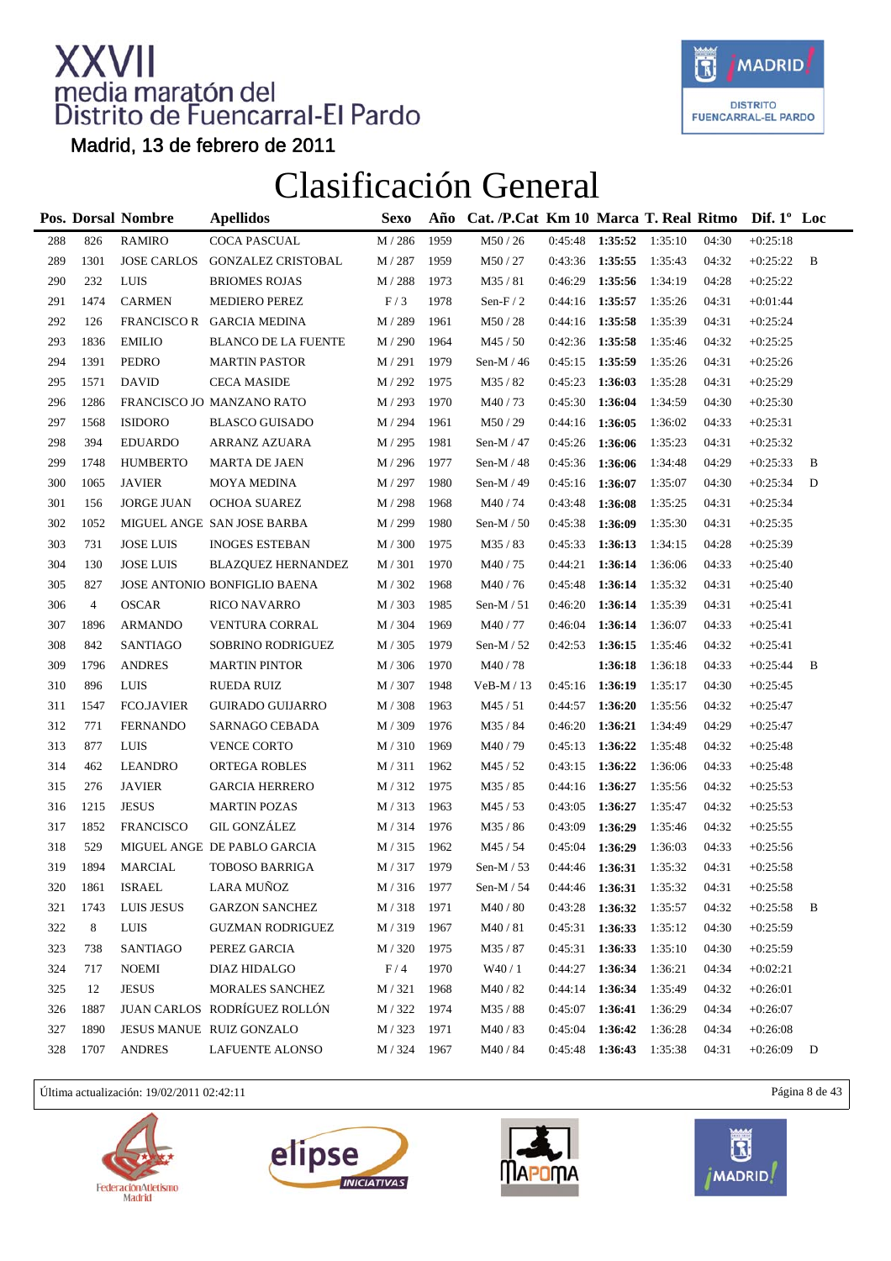

Madrid, 13 de febrero de 2011

### Clasificación General

|     |                | Pos. Dorsal Nombre | <b>Apellidos</b>             | <b>Sexo</b>        | Año  | Cat. /P.Cat Km 10 Marca T. Real Ritmo Dif. 1° Loc |         |                        |         |       |            |   |
|-----|----------------|--------------------|------------------------------|--------------------|------|---------------------------------------------------|---------|------------------------|---------|-------|------------|---|
| 288 | 826            | <b>RAMIRO</b>      | COCA PASCUAL                 | M / 286            | 1959 | M50 / 26                                          | 0:45:48 | 1:35:52                | 1:35:10 | 04:30 | $+0:25:18$ |   |
| 289 | 1301           | <b>JOSE CARLOS</b> | <b>GONZALEZ CRISTOBAL</b>    | M / 287            | 1959 | M50/27                                            | 0:43:36 | 1:35:55                | 1:35:43 | 04:32 | $+0:25:22$ | B |
| 290 | 232            | <b>LUIS</b>        | <b>BRIOMES ROJAS</b>         | M / 288            | 1973 | M35/81                                            | 0:46:29 | 1:35:56                | 1:34:19 | 04:28 | $+0:25:22$ |   |
| 291 | 1474           | <b>CARMEN</b>      | <b>MEDIERO PEREZ</b>         | F/3                | 1978 | Sen-F $/2$                                        | 0:44:16 | 1:35:57                | 1:35:26 | 04:31 | $+0:01:44$ |   |
| 292 | 126            |                    | FRANCISCO R GARCIA MEDINA    | M / 289            | 1961 | M50/28                                            |         | 0:44:16 1:35:58        | 1:35:39 | 04:31 | $+0:25:24$ |   |
| 293 | 1836           | <b>EMILIO</b>      | <b>BLANCO DE LA FUENTE</b>   | M / 290            | 1964 | M45/50                                            | 0:42:36 | 1:35:58                | 1:35:46 | 04:32 | $+0:25:25$ |   |
| 294 | 1391           | PEDRO              | <b>MARTIN PASTOR</b>         | M / 291            | 1979 | Sen-M / 46                                        | 0:45:15 | 1:35:59                | 1:35:26 | 04:31 | $+0:25:26$ |   |
| 295 | 1571           | <b>DAVID</b>       | <b>CECA MASIDE</b>           | M / 292            | 1975 | M35/82                                            | 0:45:23 | 1:36:03                | 1:35:28 | 04:31 | $+0:25:29$ |   |
| 296 | 1286           |                    | FRANCISCO JO MANZANO RATO    | M / 293            | 1970 | M40/73                                            | 0:45:30 | 1:36:04                | 1:34:59 | 04:30 | $+0:25:30$ |   |
| 297 | 1568           | <b>ISIDORO</b>     | <b>BLASCO GUISADO</b>        | M / 294            | 1961 | M50/29                                            | 0:44:16 | 1:36:05                | 1:36:02 | 04:33 | $+0:25:31$ |   |
| 298 | 394            | <b>EDUARDO</b>     | ARRANZ AZUARA                | M / 295            | 1981 | Sen-M $/47$                                       | 0:45:26 | 1:36:06                | 1:35:23 | 04:31 | $+0:25:32$ |   |
| 299 | 1748           | <b>HUMBERTO</b>    | <b>MARTA DE JAEN</b>         | M / 296            | 1977 | Sen-M $/48$                                       | 0:45:36 | 1:36:06                | 1:34:48 | 04:29 | $+0:25:33$ | B |
| 300 | 1065           | <b>JAVIER</b>      | <b>MOYA MEDINA</b>           | M / 297            | 1980 | Sen-M / 49                                        | 0:45:16 | 1:36:07                | 1:35:07 | 04:30 | $+0:25:34$ | D |
| 301 | 156            | <b>JORGE JUAN</b>  | <b>OCHOA SUAREZ</b>          | M / 298            | 1968 | M40/74                                            | 0:43:48 | 1:36:08                | 1:35:25 | 04:31 | $+0:25:34$ |   |
| 302 | 1052           |                    | MIGUEL ANGE SAN JOSE BARBA   | M / 299            | 1980 | Sen-M $/ 50$                                      | 0:45:38 | 1:36:09                | 1:35:30 | 04:31 | $+0:25:35$ |   |
| 303 | 731            | <b>JOSE LUIS</b>   | <b>INOGES ESTEBAN</b>        | M / 300            | 1975 | M35/83                                            | 0:45:33 | 1:36:13                | 1:34:15 | 04:28 | $+0:25:39$ |   |
| 304 | 130            | <b>JOSE LUIS</b>   | <b>BLAZQUEZ HERNANDEZ</b>    | M / 301            | 1970 | M40/75                                            | 0:44:21 | 1:36:14                | 1:36:06 | 04:33 | $+0:25:40$ |   |
| 305 | 827            |                    | JOSE ANTONIO BONFIGLIO BAENA | M / 302            | 1968 | M40/76                                            | 0:45:48 | 1:36:14                | 1:35:32 | 04:31 | $+0:25:40$ |   |
| 306 | $\overline{4}$ | <b>OSCAR</b>       | <b>RICO NAVARRO</b>          | M/303              | 1985 | Sen-M $/ 51$                                      | 0:46:20 | 1:36:14                | 1:35:39 | 04:31 | $+0:25:41$ |   |
| 307 | 1896           | <b>ARMANDO</b>     | VENTURA CORRAL               | M / 304            | 1969 | M40/77                                            | 0:46:04 | 1:36:14                | 1:36:07 | 04:33 | $+0:25:41$ |   |
| 308 | 842            | <b>SANTIAGO</b>    | SOBRINO RODRIGUEZ            | M / 305            | 1979 | Sen-M $/ 52$                                      | 0:42:53 | 1:36:15                | 1:35:46 | 04:32 | $+0:25:41$ |   |
| 309 | 1796           | <b>ANDRES</b>      | <b>MARTIN PINTOR</b>         | M / 306            | 1970 | M40/78                                            |         | 1:36:18                | 1:36:18 | 04:33 | $+0:25:44$ | B |
| 310 | 896            | <b>LUIS</b>        | <b>RUEDA RUIZ</b>            | M / 307            | 1948 | $VeB-M / 13$                                      | 0:45:16 | 1:36:19                | 1:35:17 | 04:30 | $+0:25:45$ |   |
| 311 | 1547           | <b>FCO.JAVIER</b>  | <b>GUIRADO GUIJARRO</b>      | M / 308            | 1963 | M45/51                                            | 0:44:57 | 1:36:20                | 1:35:56 | 04:32 | $+0:25:47$ |   |
| 312 | 771            | <b>FERNANDO</b>    | SARNAGO CEBADA               | M / 309            | 1976 | M35/84                                            | 0:46:20 | 1:36:21                | 1:34:49 | 04:29 | $+0:25:47$ |   |
| 313 | 877            | LUIS               | <b>VENCE CORTO</b>           | M / 310            | 1969 | M40/79                                            | 0:45:13 | 1:36:22                | 1:35:48 | 04:32 | $+0:25:48$ |   |
| 314 | 462            | <b>LEANDRO</b>     | ORTEGA ROBLES                | M/311              | 1962 | M45 / 52                                          | 0:43:15 | 1:36:22                | 1:36:06 | 04:33 | $+0:25:48$ |   |
| 315 | 276            | <b>JAVIER</b>      | <b>GARCIA HERRERO</b>        | M/312              | 1975 | M35 / 85                                          | 0:44:16 | 1:36:27                | 1:35:56 | 04:32 | $+0:25:53$ |   |
| 316 | 1215           | <b>JESUS</b>       | <b>MARTIN POZAS</b>          | M/313              | 1963 | M45 / 53                                          | 0:43:05 | 1:36:27                | 1:35:47 | 04:32 | $+0:25:53$ |   |
| 317 | 1852           | <b>FRANCISCO</b>   | <b>GIL GONZÁLEZ</b>          | M / 314            | 1976 | M35/86                                            | 0:43:09 | 1:36:29                | 1:35:46 | 04:32 | $+0:25:55$ |   |
| 318 | 529            |                    | MIGUEL ANGE DE PABLO GARCIA  | M / 315            | 1962 | M45 / 54                                          | 0:45:04 | 1:36:29                | 1:36:03 | 04:33 | $+0:25:56$ |   |
| 319 | 1894           | <b>MARCIAL</b>     | <b>TOBOSO BARRIGA</b>        | M / 317            | 1979 | Sen-M $/$ 53                                      | 0:44:46 | 1:36:31                | 1:35:32 | 04:31 | $+0:25:58$ |   |
| 320 | 1861           | <b>ISRAEL</b>      | LARA MUÑOZ                   | $\text{M}$ / $316$ | 1977 | Sen-M $/ 54$                                      | 0:44:46 | 1:36:31                | 1:35:32 | 04:31 | $+0:25:58$ |   |
| 321 | 1743           | LUIS JESUS         | <b>GARZON SANCHEZ</b>        | M / 318            | 1971 | M40 / 80                                          | 0:43:28 | 1:36:32                | 1:35:57 | 04:32 | $+0:25:58$ | B |
| 322 | 8              | LUIS               | <b>GUZMAN RODRIGUEZ</b>      | M/319              | 1967 | M40/81                                            | 0:45:31 | 1:36:33                | 1:35:12 | 04:30 | $+0:25:59$ |   |
| 323 | 738            | <b>SANTIAGO</b>    | PEREZ GARCIA                 | M / 320            | 1975 | M35 / 87                                          | 0:45:31 | 1:36:33                | 1:35:10 | 04:30 | $+0:25:59$ |   |
| 324 | 717            | <b>NOEMI</b>       | DIAZ HIDALGO                 | F/4                | 1970 | W40 / 1                                           | 0:44:27 | 1:36:34                | 1:36:21 | 04:34 | $+0:02:21$ |   |
| 325 | 12             | <b>JESUS</b>       | <b>MORALES SANCHEZ</b>       | M / 321            | 1968 | M40 / 82                                          | 0:44:14 | 1:36:34                | 1:35:49 | 04:32 | $+0:26:01$ |   |
| 326 | 1887           |                    | JUAN CARLOS RODRÍGUEZ ROLLÓN | M / 322            | 1974 | M35/88                                            | 0:45:07 | 1:36:41                | 1:36:29 | 04:34 | $+0:26:07$ |   |
| 327 | 1890           |                    | JESUS MANUE RUIZ GONZALO     | M / 323            | 1971 | M40/83                                            | 0:45:04 | 1:36:42                | 1:36:28 | 04:34 | $+0:26:08$ |   |
| 328 | 1707           | <b>ANDRES</b>      | <b>LAFUENTE ALONSO</b>       | M / 324            | 1967 | M40 / 84                                          | 0:45:48 | <b>1:36:43</b> 1:35:38 |         | 04:31 | $+0:26:09$ | D |

Última actualización: 19/02/2011 02:42:11 Página 8 de 43







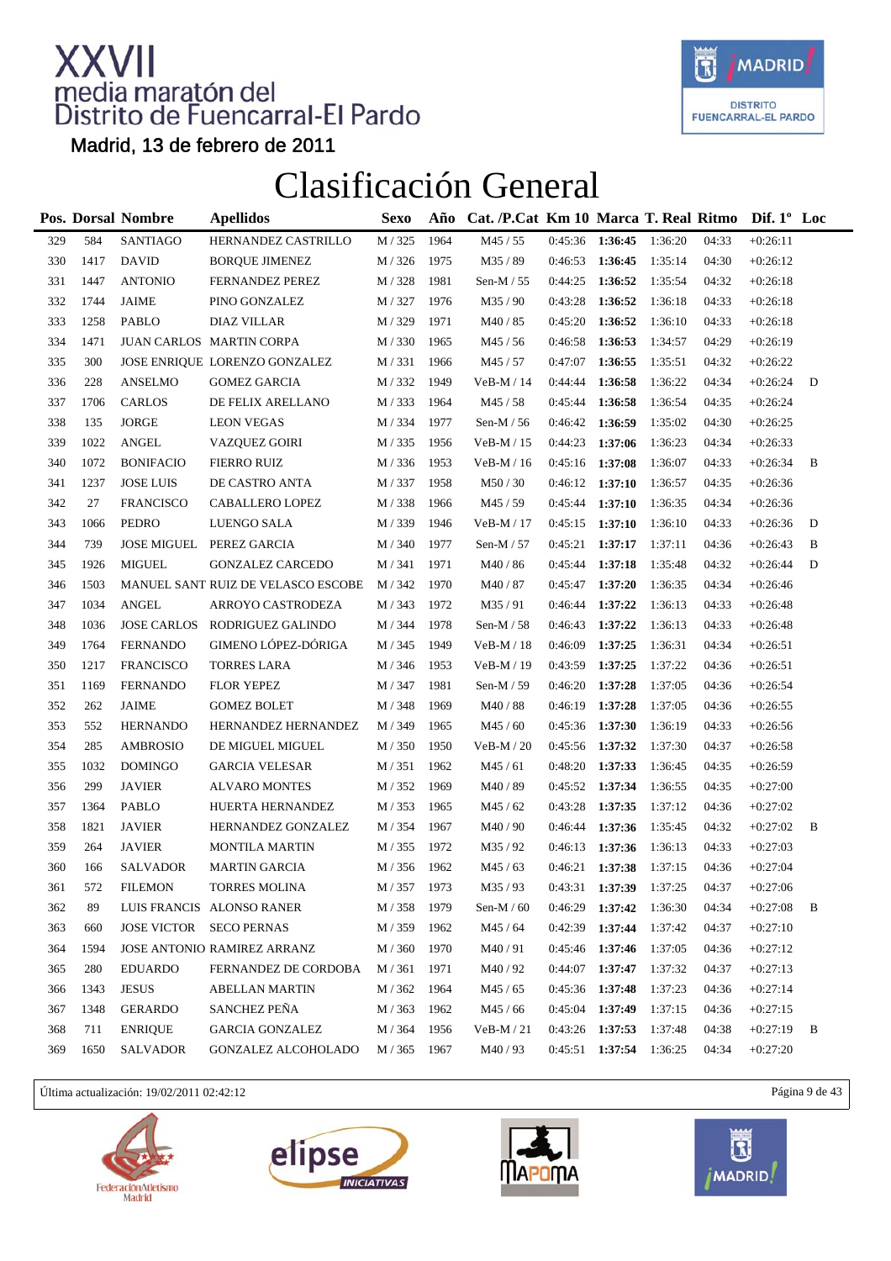

Madrid, 13 de febrero de 2011

### Clasificación General

|     |      | <b>Pos. Dorsal Nombre</b> | <b>Apellidos</b>                   | <b>Sexo</b> | Año  | Cat. /P.Cat Km 10 Marca T. Real Ritmo Dif. 1° Loc |         |                   |         |       |            |   |
|-----|------|---------------------------|------------------------------------|-------------|------|---------------------------------------------------|---------|-------------------|---------|-------|------------|---|
| 329 | 584  | SANTIAGO                  | HERNANDEZ CASTRILLO                | M / 325     | 1964 | M45 / 55                                          | 0:45:36 | 1:36:45           | 1:36:20 | 04:33 | $+0:26:11$ |   |
| 330 | 1417 | <b>DAVID</b>              | <b>BORQUE JIMENEZ</b>              | M / 326     | 1975 | M35 / 89                                          | 0:46:53 | 1:36:45           | 1:35:14 | 04:30 | $+0:26:12$ |   |
| 331 | 1447 | <b>ANTONIO</b>            | FERNANDEZ PEREZ                    | M / 328     | 1981 | Sen-M $/ 55$                                      | 0:44:25 | 1:36:52           | 1:35:54 | 04:32 | $+0:26:18$ |   |
| 332 | 1744 | JAIME                     | PINO GONZALEZ                      | M / 327     | 1976 | M35/90                                            | 0:43:28 | 1:36:52           | 1:36:18 | 04:33 | $+0:26:18$ |   |
| 333 | 1258 | <b>PABLO</b>              | <b>DIAZ VILLAR</b>                 | M / 329     | 1971 | M40 / 85                                          | 0:45:20 | 1:36:52           | 1:36:10 | 04:33 | $+0:26:18$ |   |
| 334 | 1471 |                           | JUAN CARLOS MARTIN CORPA           | M / 330     | 1965 | M45 / 56                                          | 0:46:58 | 1:36:53           | 1:34:57 | 04:29 | $+0:26:19$ |   |
| 335 | 300  |                           | JOSE ENRIQUE LORENZO GONZALEZ      | M/331       | 1966 | M45 / 57                                          | 0:47:07 | 1:36:55           | 1:35:51 | 04:32 | $+0:26:22$ |   |
| 336 | 228  | <b>ANSELMO</b>            | <b>GOMEZ GARCIA</b>                | M / 332     | 1949 | $VeB-M / 14$                                      | 0:44:44 | 1:36:58           | 1:36:22 | 04:34 | $+0:26:24$ | D |
| 337 | 1706 | <b>CARLOS</b>             | DE FELIX ARELLANO                  | M / 333     | 1964 | M45 / 58                                          | 0:45:44 | 1:36:58           | 1:36:54 | 04:35 | $+0:26:24$ |   |
| 338 | 135  | <b>JORGE</b>              | <b>LEON VEGAS</b>                  | M / 334     | 1977 | Sen-M $/ 56$                                      | 0:46:42 | 1:36:59           | 1:35:02 | 04:30 | $+0:26:25$ |   |
| 339 | 1022 | <b>ANGEL</b>              | <b>VAZQUEZ GOIRI</b>               | M / 335     | 1956 | $VeB-M/15$                                        | 0:44:23 | 1:37:06           | 1:36:23 | 04:34 | $+0:26:33$ |   |
| 340 | 1072 | <b>BONIFACIO</b>          | <b>FIERRO RUIZ</b>                 | M / 336     | 1953 | $VeB-M/16$                                        | 0:45:16 | 1:37:08           | 1:36:07 | 04:33 | $+0:26:34$ | B |
| 341 | 1237 | <b>JOSE LUIS</b>          | DE CASTRO ANTA                     | M / 337     | 1958 | M50/30                                            | 0:46:12 | 1:37:10           | 1:36:57 | 04:35 | $+0:26:36$ |   |
| 342 | 27   | <b>FRANCISCO</b>          | CABALLERO LOPEZ                    | M / 338     | 1966 | M45 / 59                                          | 0:45:44 | 1:37:10           | 1:36:35 | 04:34 | $+0:26:36$ |   |
| 343 | 1066 | <b>PEDRO</b>              | LUENGO SALA                        | M / 339     | 1946 | $VeB-M / 17$                                      | 0:45:15 | 1:37:10           | 1:36:10 | 04:33 | $+0:26:36$ | D |
| 344 | 739  |                           | JOSE MIGUEL PEREZ GARCIA           | M / 340     | 1977 | Sen-M / 57                                        | 0:45:21 | 1:37:17           | 1:37:11 | 04:36 | $+0:26:43$ | B |
| 345 | 1926 | <b>MIGUEL</b>             | <b>GONZALEZ CARCEDO</b>            | M / 341     | 1971 | M40 / 86                                          | 0:45:44 | 1:37:18           | 1:35:48 | 04:32 | $+0:26:44$ | D |
| 346 | 1503 |                           | MANUEL SANT RUIZ DE VELASCO ESCOBE | M / 342     | 1970 | M40 / 87                                          | 0:45:47 | 1:37:20           | 1:36:35 | 04:34 | $+0:26:46$ |   |
| 347 | 1034 | <b>ANGEL</b>              | ARROYO CASTRODEZA                  | M / 343     | 1972 | M35/91                                            | 0:46:44 | 1:37:22           | 1:36:13 | 04:33 | $+0:26:48$ |   |
| 348 | 1036 |                           | JOSE CARLOS RODRIGUEZ GALINDO      | M / 344     | 1978 | Sen-M $/ 58$                                      | 0:46:43 | 1:37:22           | 1:36:13 | 04:33 | $+0:26:48$ |   |
| 349 | 1764 | <b>FERNANDO</b>           | GIMENO LÓPEZ-DÓRIGA                | M / 345     | 1949 | $VeB-M/18$                                        | 0:46:09 | 1:37:25           | 1:36:31 | 04:34 | $+0:26:51$ |   |
| 350 | 1217 | <b>FRANCISCO</b>          | <b>TORRES LARA</b>                 | M / 346     | 1953 | $VeB-M / 19$                                      | 0:43:59 | 1:37:25           | 1:37:22 | 04:36 | $+0:26:51$ |   |
| 351 | 1169 | <b>FERNANDO</b>           | <b>FLOR YEPEZ</b>                  | M / 347     | 1981 | Sen-M / 59                                        | 0:46:20 | 1:37:28           | 1:37:05 | 04:36 | $+0:26:54$ |   |
| 352 | 262  | <b>JAIME</b>              | <b>GOMEZ BOLET</b>                 | M / 348     | 1969 | M40 / 88                                          | 0:46:19 | 1:37:28           | 1:37:05 | 04:36 | $+0:26:55$ |   |
| 353 | 552  | <b>HERNANDO</b>           | HERNANDEZ HERNANDEZ                | M / 349     | 1965 | M45 / 60                                          | 0:45:36 | 1:37:30           | 1:36:19 | 04:33 | $+0:26:56$ |   |
| 354 | 285  | <b>AMBROSIO</b>           | DE MIGUEL MIGUEL                   | M / 350     | 1950 | $VeB-M / 20$                                      | 0:45:56 | 1:37:32           | 1:37:30 | 04:37 | $+0:26:58$ |   |
| 355 | 1032 | <b>DOMINGO</b>            | <b>GARCIA VELESAR</b>              | M/351       | 1962 | M45/61                                            | 0:48:20 | 1:37:33           | 1:36:45 | 04:35 | $+0:26:59$ |   |
| 356 | 299  | <b>JAVIER</b>             | <b>ALVARO MONTES</b>               | M / 352     | 1969 | M40/89                                            | 0:45:52 | 1:37:34           | 1:36:55 | 04:35 | $+0:27:00$ |   |
| 357 | 1364 | PABLO                     | HUERTA HERNANDEZ                   | M / 353     | 1965 | M45 / 62                                          | 0:43:28 | 1:37:35           | 1:37:12 | 04:36 | $+0:27:02$ |   |
| 358 | 1821 | <b>JAVIER</b>             | HERNANDEZ GONZALEZ                 | M / 354     | 1967 | M40 / 90                                          | 0:46:44 | 1:37:36           | 1:35:45 | 04:32 | $+0:27:02$ | B |
| 359 | 264  | <b>JAVIER</b>             | <b>MONTILA MARTIN</b>              | M / 355     | 1972 | M35/92                                            | 0:46:13 | 1:37:36           | 1:36:13 | 04:33 | $+0:27:03$ |   |
| 360 | 166  | <b>SALVADOR</b>           | <b>MARTIN GARCIA</b>               | M / 356     | 1962 | M45 / 63                                          |         | $0:46:21$ 1:37:38 | 1:37:15 | 04:36 | $+0:27:04$ |   |
| 361 | 572  | <b>FILEMON</b>            | TORRES MOLINA                      | M / 357     | 1973 | M <sub>35</sub> / 93                              | 0:43:31 | 1:37:39           | 1:37:25 | 04:37 | $+0:27:06$ |   |
| 362 | 89   |                           | LUIS FRANCIS ALONSO RANER          | M / 358     | 1979 | Sen-M / $60$                                      | 0:46:29 | 1:37:42           | 1:36:30 | 04:34 | $+0:27:08$ | В |
| 363 | 660  | <b>JOSE VICTOR</b>        | <b>SECO PERNAS</b>                 | M / 359     | 1962 | M45 / 64                                          | 0:42:39 | 1:37:44           | 1:37:42 | 04:37 | $+0:27:10$ |   |
| 364 | 1594 |                           | JOSE ANTONIO RAMIREZ ARRANZ        | M / 360     | 1970 | M40/91                                            | 0:45:46 | 1:37:46           | 1:37:05 | 04:36 | $+0:27:12$ |   |
| 365 | 280  | <b>EDUARDO</b>            | FERNANDEZ DE CORDOBA               | M / 361     | 1971 | M40/92                                            | 0:44:07 | 1:37:47           | 1:37:32 | 04:37 | $+0:27:13$ |   |
| 366 | 1343 | <b>JESUS</b>              | ABELLAN MARTIN                     | M / 362     | 1964 | M45 / 65                                          | 0:45:36 | 1:37:48           | 1:37:23 | 04:36 | $+0:27:14$ |   |
| 367 | 1348 | <b>GERARDO</b>            | SANCHEZ PEÑA                       | M / 363     | 1962 | M45 / 66                                          | 0:45:04 | 1:37:49           | 1:37:15 | 04:36 | $+0:27:15$ |   |
| 368 | 711  | <b>ENRIQUE</b>            | <b>GARCIA GONZALEZ</b>             | M / 364     | 1956 | $VeB-M/21$                                        | 0:43:26 | 1:37:53           | 1:37:48 | 04:38 | $+0:27:19$ | B |
| 369 | 1650 | <b>SALVADOR</b>           | GONZALEZ ALCOHOLADO                | M / 365     | 1967 | M40/93                                            |         | 0:45:51 1:37:54   | 1:36:25 | 04:34 | $+0:27:20$ |   |

Última actualización: 19/02/2011 02:42:12 Página 9 de 43







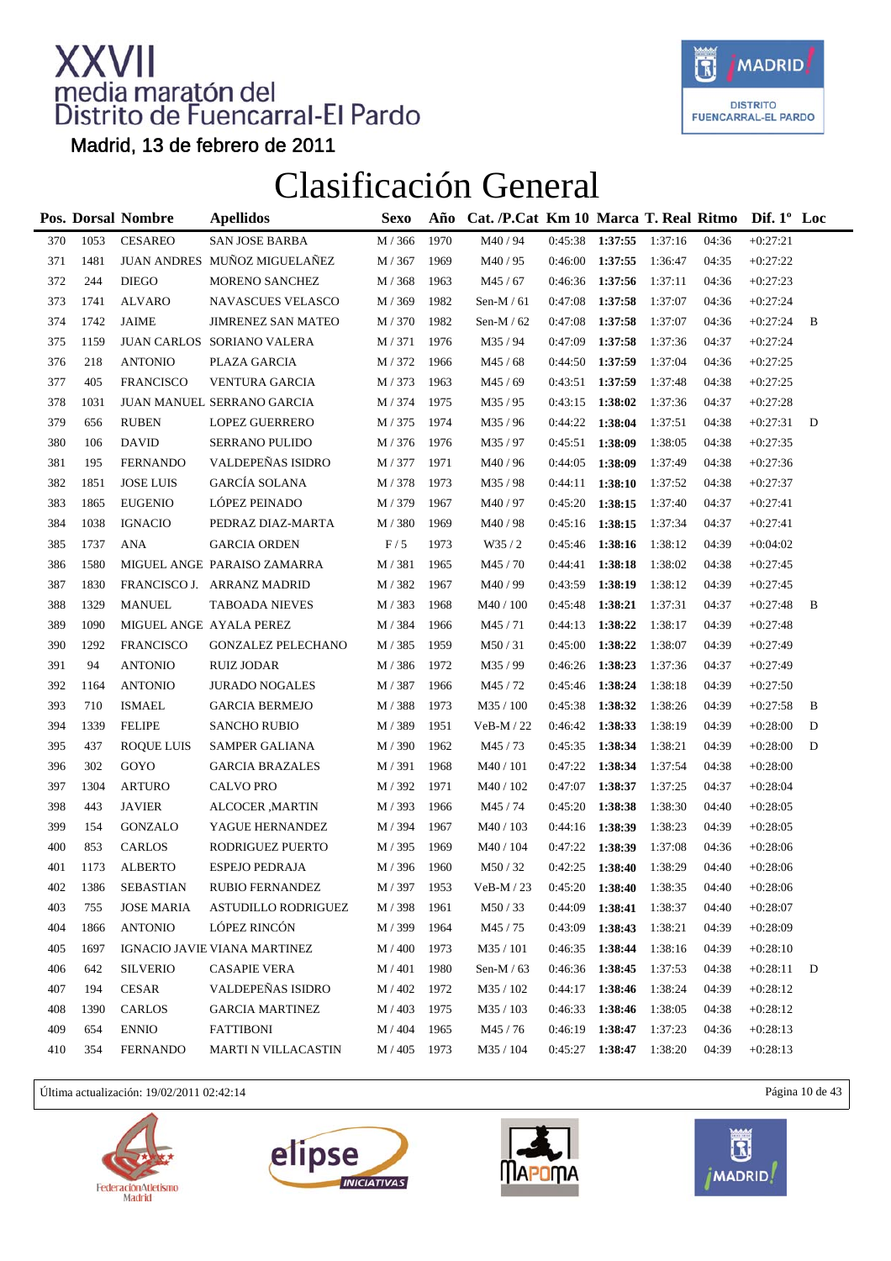

Madrid, 13 de febrero de 2011

#### Clasificación General

|     |      | Pos. Dorsal Nombre | <b>Apellidos</b>             | Sexo               | Año  | Cat. /P.Cat Km 10 Marca T. Real Ritmo Dif. 1° Loc |         |         |         |       |            |   |
|-----|------|--------------------|------------------------------|--------------------|------|---------------------------------------------------|---------|---------|---------|-------|------------|---|
| 370 | 1053 | <b>CESAREO</b>     | <b>SAN JOSE BARBA</b>        | M / 366            | 1970 | M40/94                                            | 0:45:38 | 1:37:55 | 1:37:16 | 04:36 | $+0:27:21$ |   |
| 371 | 1481 |                    | JUAN ANDRES MUÑOZ MIGUELAÑEZ | M / 367            | 1969 | M40/95                                            | 0:46:00 | 1:37:55 | 1:36:47 | 04:35 | $+0:27:22$ |   |
| 372 | 244  | <b>DIEGO</b>       | MORENO SANCHEZ               | M / 368            | 1963 | M45 / 67                                          | 0:46:36 | 1:37:56 | 1:37:11 | 04:36 | $+0:27:23$ |   |
| 373 | 1741 | ALVARO             | NAVASCUES VELASCO            | M / 369            | 1982 | Sen-M $/61$                                       | 0:47:08 | 1:37:58 | 1:37:07 | 04:36 | $+0:27:24$ |   |
| 374 | 1742 | <b>JAIME</b>       | <b>JIMRENEZ SAN MATEO</b>    | M / 370            | 1982 | Sen-M $/62$                                       | 0:47:08 | 1:37:58 | 1:37:07 | 04:36 | $+0:27:24$ | B |
| 375 | 1159 |                    | JUAN CARLOS SORIANO VALERA   | M / 371            | 1976 | M35/94                                            | 0:47:09 | 1:37:58 | 1:37:36 | 04:37 | $+0:27:24$ |   |
| 376 | 218  | <b>ANTONIO</b>     | PLAZA GARCIA                 | M / 372            | 1966 | M45 / 68                                          | 0:44:50 | 1:37:59 | 1:37:04 | 04:36 | $+0:27:25$ |   |
| 377 | 405  | <b>FRANCISCO</b>   | VENTURA GARCIA               | M / 373            | 1963 | M45 / 69                                          | 0:43:51 | 1:37:59 | 1:37:48 | 04:38 | $+0:27:25$ |   |
| 378 | 1031 |                    | JUAN MANUEL SERRANO GARCIA   | M / 374            | 1975 | M35/95                                            | 0:43:15 | 1:38:02 | 1:37:36 | 04:37 | $+0:27:28$ |   |
| 379 | 656  | <b>RUBEN</b>       | <b>LOPEZ GUERRERO</b>        | M / 375            | 1974 | M35 / 96                                          | 0:44:22 | 1:38:04 | 1:37:51 | 04:38 | $+0:27:31$ | D |
| 380 | 106  | <b>DAVID</b>       | <b>SERRANO PULIDO</b>        | M / 376            | 1976 | M35/97                                            | 0:45:51 | 1:38:09 | 1:38:05 | 04:38 | $+0:27:35$ |   |
| 381 | 195  | <b>FERNANDO</b>    | VALDEPEÑAS ISIDRO            | M / 377            | 1971 | M40/96                                            | 0:44:05 | 1:38:09 | 1:37:49 | 04:38 | $+0:27:36$ |   |
| 382 | 1851 | <b>JOSE LUIS</b>   | <b>GARCÍA SOLANA</b>         | M / 378            | 1973 | M35/98                                            | 0:44:11 | 1:38:10 | 1:37:52 | 04:38 | $+0:27:37$ |   |
| 383 | 1865 | <b>EUGENIO</b>     | LÓPEZ PEINADO                | M / 379            | 1967 | M40/97                                            | 0:45:20 | 1:38:15 | 1:37:40 | 04:37 | $+0:27:41$ |   |
| 384 | 1038 | <b>IGNACIO</b>     | PEDRAZ DIAZ-MARTA            | M / 380            | 1969 | M40/98                                            | 0:45:16 | 1:38:15 | 1:37:34 | 04:37 | $+0:27:41$ |   |
| 385 | 1737 | <b>ANA</b>         | <b>GARCIA ORDEN</b>          | F/5                | 1973 | W35/2                                             | 0:45:46 | 1:38:16 | 1:38:12 | 04:39 | $+0:04:02$ |   |
| 386 | 1580 |                    | MIGUEL ANGE PARAISO ZAMARRA  | M / 381            | 1965 | M45/70                                            | 0:44:41 | 1:38:18 | 1:38:02 | 04:38 | $+0:27:45$ |   |
| 387 | 1830 |                    | FRANCISCO J. ARRANZ MADRID   | M / 382            | 1967 | M40/99                                            | 0:43:59 | 1:38:19 | 1:38:12 | 04:39 | $+0:27:45$ |   |
| 388 | 1329 | <b>MANUEL</b>      | <b>TABOADA NIEVES</b>        | M / 383            | 1968 | M40 / 100                                         | 0:45:48 | 1:38:21 | 1:37:31 | 04:37 | $+0:27:48$ | B |
| 389 | 1090 |                    | MIGUEL ANGE AYALA PEREZ      | M / 384            | 1966 | M45/71                                            | 0:44:13 | 1:38:22 | 1:38:17 | 04:39 | $+0:27:48$ |   |
| 390 | 1292 | <b>FRANCISCO</b>   | <b>GONZALEZ PELECHANO</b>    | M / 385            | 1959 | M50/31                                            | 0:45:00 | 1:38:22 | 1:38:07 | 04:39 | $+0:27:49$ |   |
| 391 | 94   | <b>ANTONIO</b>     | RUIZ JODAR                   | M / 386            | 1972 | M35/99                                            | 0:46:26 | 1:38:23 | 1:37:36 | 04:37 | $+0:27:49$ |   |
| 392 | 1164 | <b>ANTONIO</b>     | <b>JURADO NOGALES</b>        | M / 387            | 1966 | M45/72                                            | 0:45:46 | 1:38:24 | 1:38:18 | 04:39 | $+0:27:50$ |   |
| 393 | 710  | <b>ISMAEL</b>      | <b>GARCIA BERMEJO</b>        | M / 388            | 1973 | M35 / 100                                         | 0:45:38 | 1:38:32 | 1:38:26 | 04:39 | $+0:27:58$ | B |
| 394 | 1339 | <b>FELIPE</b>      | <b>SANCHO RUBIO</b>          | M / 389            | 1951 | $VeB-M / 22$                                      | 0:46:42 | 1:38:33 | 1:38:19 | 04:39 | $+0:28:00$ | D |
| 395 | 437  | <b>ROQUE LUIS</b>  | SAMPER GALIANA               | M / 390            | 1962 | M45/73                                            | 0:45:35 | 1:38:34 | 1:38:21 | 04:39 | $+0:28:00$ | D |
| 396 | 302  | GOYO               | <b>GARCIA BRAZALES</b>       | M / 391            | 1968 | M40 / 101                                         | 0:47:22 | 1:38:34 | 1:37:54 | 04:38 | $+0:28:00$ |   |
| 397 | 1304 | <b>ARTURO</b>      | <b>CALVO PRO</b>             | M / 392            | 1971 | M40 / 102                                         | 0:47:07 | 1:38:37 | 1:37:25 | 04:37 | $+0:28:04$ |   |
| 398 | 443  | <b>JAVIER</b>      | <b>ALCOCER</b> , MARTIN      | M / 393            | 1966 | M45 / 74                                          | 0:45:20 | 1:38:38 | 1:38:30 | 04:40 | $+0:28:05$ |   |
| 399 | 154  | GONZALO            | YAGUE HERNANDEZ              | M / 394            | 1967 | M40 / 103                                         | 0:44:16 | 1:38:39 | 1:38:23 | 04:39 | $+0:28:05$ |   |
| 400 | 853  | <b>CARLOS</b>      | RODRIGUEZ PUERTO             | M / 395            | 1969 | M40 / 104                                         | 0:47:22 | 1:38:39 | 1:37:08 | 04:36 | $+0:28:06$ |   |
| 401 | 1173 | <b>ALBERTO</b>     | <b>ESPEJO PEDRAJA</b>        | M / 396            | 1960 | M50/32                                            | 0:42:25 | 1:38:40 | 1:38:29 | 04:40 | $+0:28:06$ |   |
| 402 | 1386 | SEBASTIAN          | RUBIO FERNANDEZ              | $\mathbf{M}$ / 397 | 1953 | $VeB-M/23$                                        | 0:45:20 | 1:38:40 | 1:38:35 | 04:40 | $+0:28:06$ |   |
| 403 | 755  | <b>JOSE MARIA</b>  | <b>ASTUDILLO RODRIGUEZ</b>   | M / 398            | 1961 | M50/33                                            | 0:44:09 | 1:38:41 | 1:38:37 | 04:40 | $+0:28:07$ |   |
| 404 | 1866 | <b>ANTONIO</b>     | LÓPEZ RINCÓN                 | M / 399            | 1964 | M45 / 75                                          | 0:43:09 | 1:38:43 | 1:38:21 | 04:39 | $+0:28:09$ |   |
| 405 | 1697 |                    | IGNACIO JAVIE VIANA MARTINEZ | M / 400            | 1973 | M35 / 101                                         | 0:46:35 | 1:38:44 | 1:38:16 | 04:39 | $+0:28:10$ |   |
| 406 | 642  | <b>SILVERIO</b>    | <b>CASAPIE VERA</b>          | M / 401            | 1980 | Sen-M $/$ 63                                      | 0:46:36 | 1:38:45 | 1:37:53 | 04:38 | $+0:28:11$ | D |
| 407 | 194  | CESAR              | VALDEPEÑAS ISIDRO            | M / 402            | 1972 | M35 / 102                                         | 0:44:17 | 1:38:46 | 1:38:24 | 04:39 | $+0:28:12$ |   |
| 408 | 1390 | CARLOS             | <b>GARCIA MARTINEZ</b>       | M / 403            | 1975 | M35 / 103                                         | 0:46:33 | 1:38:46 | 1:38:05 | 04:38 | $+0:28:12$ |   |
| 409 | 654  | <b>ENNIO</b>       | <b>FATTIBONI</b>             | M / 404            | 1965 | M45 / 76                                          | 0:46:19 | 1:38:47 | 1:37:23 | 04:36 | $+0:28:13$ |   |
| 410 | 354  | <b>FERNANDO</b>    | <b>MARTI N VILLACASTIN</b>   | M / 405            | 1973 | M35 / 104                                         | 0:45:27 | 1:38:47 | 1:38:20 | 04:39 | $+0:28:13$ |   |

Última actualización: 19/02/2011 02:42:14 Página 10 de 43







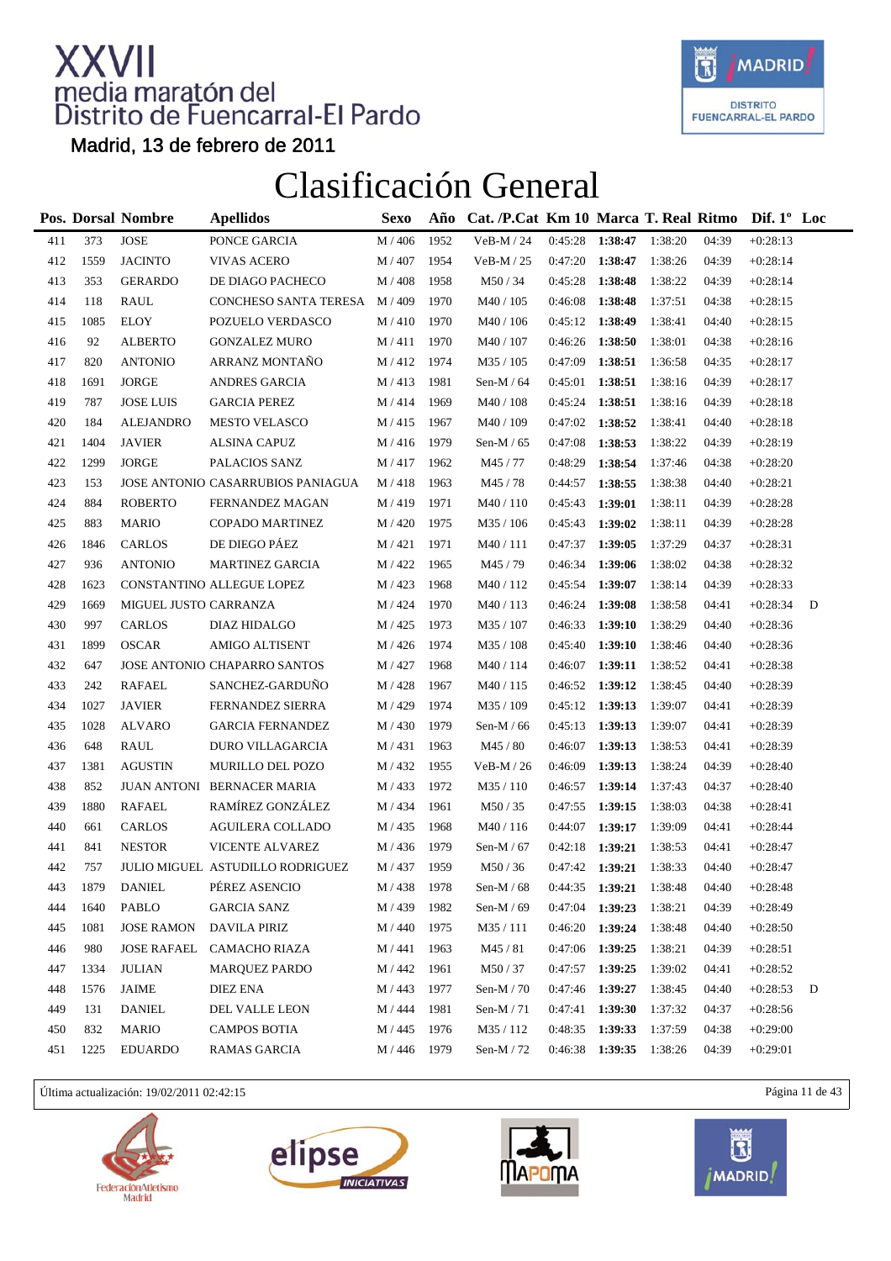

Madrid, 13 de febrero de 2011

### Clasificación General

|     |      | <b>Pos. Dorsal Nombre</b>  | <b>Apellidos</b>                  | Sexo               | Año  | Cat. /P.Cat Km 10 Marca T. Real Ritmo Dif. 1° Loc |                   |         |         |       |            |   |
|-----|------|----------------------------|-----------------------------------|--------------------|------|---------------------------------------------------|-------------------|---------|---------|-------|------------|---|
| 411 | 373  | $\ensuremath{\text{JOSE}}$ | PONCE GARCIA                      | $M/406$            | 1952 | VeB-M / 24                                        | 0:45:28           | 1:38:47 | 1:38:20 | 04:39 | $+0:28:13$ |   |
| 412 | 1559 | <b>JACINTO</b>             | <b>VIVAS ACERO</b>                | M / 407            | 1954 | $VeB-M / 25$                                      | 0:47:20           | 1:38:47 | 1:38:26 | 04:39 | $+0:28:14$ |   |
| 413 | 353  | <b>GERARDO</b>             | DE DIAGO PACHECO                  | M / 408            | 1958 | M50/34                                            | 0:45:28           | 1:38:48 | 1:38:22 | 04:39 | $+0:28:14$ |   |
| 414 | 118  | RAUL                       | CONCHESO SANTA TERESA             | M / 409            | 1970 | M40 / 105                                         | 0:46:08           | 1:38:48 | 1:37:51 | 04:38 | $+0:28:15$ |   |
| 415 | 1085 | <b>ELOY</b>                | POZUELO VERDASCO                  | M/410              | 1970 | M40 / 106                                         | 0:45:12           | 1:38:49 | 1:38:41 | 04:40 | $+0:28:15$ |   |
| 416 | 92   | <b>ALBERTO</b>             | <b>GONZALEZ MURO</b>              | M/411              | 1970 | M40 / 107                                         | 0:46:26           | 1:38:50 | 1:38:01 | 04:38 | $+0:28:16$ |   |
| 417 | 820  | <b>ANTONIO</b>             | ARRANZ MONTAÑO                    | M/412              | 1974 | M35 / 105                                         | 0:47:09           | 1:38:51 | 1:36:58 | 04:35 | $+0:28:17$ |   |
| 418 | 1691 | <b>JORGE</b>               | <b>ANDRES GARCIA</b>              | M/413              | 1981 | Sen-M $/64$                                       | 0:45:01           | 1:38:51 | 1:38:16 | 04:39 | $+0:28:17$ |   |
| 419 | 787  | <b>JOSE LUIS</b>           | <b>GARCIA PEREZ</b>               | M / 414            | 1969 | M40 / 108                                         | 0:45:24           | 1:38:51 | 1:38:16 | 04:39 | $+0:28:18$ |   |
| 420 | 184  | ALEJANDRO                  | <b>MESTO VELASCO</b>              | M/415              | 1967 | M40 / 109                                         | 0:47:02           | 1:38:52 | 1:38:41 | 04:40 | $+0:28:18$ |   |
| 421 | 1404 | <b>JAVIER</b>              | <b>ALSINA CAPUZ</b>               | M / 416            | 1979 | Sen-M $/$ 65                                      | 0:47:08           | 1:38:53 | 1:38:22 | 04:39 | $+0:28:19$ |   |
| 422 | 1299 | JORGE                      | PALACIOS SANZ                     | M / 417            | 1962 | M45 / 77                                          | 0:48:29           | 1:38:54 | 1:37:46 | 04:38 | $+0:28:20$ |   |
| 423 | 153  |                            | JOSE ANTONIO CASARRUBIOS PANIAGUA | M / 418            | 1963 | M45/78                                            | 0:44:57           | 1:38:55 | 1:38:38 | 04:40 | $+0:28:21$ |   |
| 424 | 884  | <b>ROBERTO</b>             | FERNANDEZ MAGAN                   | M / 419            | 1971 | M40/110                                           | 0:45:43           | 1:39:01 | 1:38:11 | 04:39 | $+0:28:28$ |   |
| 425 | 883  | <b>MARIO</b>               | <b>COPADO MARTINEZ</b>            | M / 420            | 1975 | M35 / 106                                         | 0:45:43           | 1:39:02 | 1:38:11 | 04:39 | $+0:28:28$ |   |
| 426 | 1846 | CARLOS                     | DE DIEGO PÁEZ                     | M / 421            | 1971 | M40/111                                           | 0:47:37           | 1:39:05 | 1:37:29 | 04:37 | $+0:28:31$ |   |
| 427 | 936  | <b>ANTONIO</b>             | <b>MARTINEZ GARCIA</b>            | M / 422            | 1965 | M45/79                                            | 0:46:34           | 1:39:06 | 1:38:02 | 04:38 | $+0:28:32$ |   |
| 428 | 1623 |                            | CONSTANTINO ALLEGUE LOPEZ         | M / 423            | 1968 | M40 / 112                                         | 0:45:54           | 1:39:07 | 1:38:14 | 04:39 | $+0:28:33$ |   |
| 429 | 1669 | MIGUEL JUSTO CARRANZA      |                                   | M / 424            | 1970 | M40/113                                           | 0:46:24           | 1:39:08 | 1:38:58 | 04:41 | $+0:28:34$ | D |
| 430 | 997  | CARLOS                     | DIAZ HIDALGO                      | M / 425            | 1973 | M35 / 107                                         | 0:46:33           | 1:39:10 | 1:38:29 | 04:40 | $+0:28:36$ |   |
| 431 | 1899 | <b>OSCAR</b>               | AMIGO ALTISENT                    | M / 426            | 1974 | M35 / 108                                         | 0:45:40           | 1:39:10 | 1:38:46 | 04:40 | $+0:28:36$ |   |
| 432 | 647  |                            | JOSE ANTONIO CHAPARRO SANTOS      | M / 427            | 1968 | M40 / 114                                         | 0:46:07           | 1:39:11 | 1:38:52 | 04:41 | $+0:28:38$ |   |
| 433 | 242  | <b>RAFAEL</b>              | SANCHEZ-GARDUÑO                   | M / 428            | 1967 | M40 / 115                                         | 0:46:52           | 1:39:12 | 1:38:45 | 04:40 | $+0:28:39$ |   |
| 434 | 1027 | <b>JAVIER</b>              | FERNANDEZ SIERRA                  | M / 429            | 1974 | M35 / 109                                         | 0:45:12           | 1:39:13 | 1:39:07 | 04:41 | $+0:28:39$ |   |
| 435 | 1028 | <b>ALVARO</b>              | <b>GARCIA FERNANDEZ</b>           | M / 430            | 1979 | Sen-M $/66$                                       | 0:45:13           | 1:39:13 | 1:39:07 | 04:41 | $+0:28:39$ |   |
| 436 | 648  | RAUL                       | DURO VILLAGARCIA                  | M / 431            | 1963 | M45 / 80                                          | 0:46:07           | 1:39:13 | 1:38:53 | 04:41 | $+0:28:39$ |   |
| 437 | 1381 | <b>AGUSTIN</b>             | MURILLO DEL POZO                  | M / 432            | 1955 | $VeB-M/26$                                        | 0:46:09           | 1:39:13 | 1:38:24 | 04:39 | $+0:28:40$ |   |
| 438 | 852  |                            | JUAN ANTONI BERNACER MARIA        | M / 433            | 1972 | M35 / 110                                         | 0:46:57           | 1:39:14 | 1:37:43 | 04:37 | $+0:28:40$ |   |
| 439 | 1880 | <b>RAFAEL</b>              | RAMÍREZ GONZÁLEZ                  | M / 434            | 1961 | M50/35                                            | 0:47:55           | 1:39:15 | 1:38:03 | 04:38 | $+0:28:41$ |   |
| 440 | 661  | CARLOS                     | <b>AGUILERA COLLADO</b>           | M / 435            | 1968 | M40/116                                           | 0:44:07           | 1:39:17 | 1:39:09 | 04:41 | $+0:28:44$ |   |
| 441 | 841  | <b>NESTOR</b>              | VICENTE ALVAREZ                   | M / 436            | 1979 | Sen-M $/$ 67                                      | 0:42:18           | 1:39:21 | 1:38:53 | 04:41 | $+0:28:47$ |   |
| 442 | 757  |                            | JULIO MIGUEL ASTUDILLO RODRIGUEZ  | M / 437            | 1959 | M50/36                                            | $0:47:42$ 1:39:21 |         | 1:38:33 | 04:40 | $+0:28:47$ |   |
| 443 | 1879 | <b>DANIEL</b>              | PÉREZ ASENCIO                     | $\mathbf{M}$ / 438 | 1978 | Sen-M / $68\,$                                    | 0:44:35           | 1:39:21 | 1:38:48 | 04:40 | $+0:28:48$ |   |
| 444 | 1640 | PABLO                      | GARCIA SANZ                       | M / 439            | 1982 | Sen-M / 69                                        | 0:47:04           | 1:39:23 | 1:38:21 | 04:39 | $+0:28:49$ |   |
| 445 | 1081 | <b>JOSE RAMON</b>          | <b>DAVILA PIRIZ</b>               | M / 440            | 1975 | M35 / 111                                         | 0:46:20           | 1:39:24 | 1:38:48 | 04:40 | $+0:28:50$ |   |
| 446 | 980  | <b>JOSE RAFAEL</b>         | CAMACHO RIAZA                     | M / 441            | 1963 | M45/81                                            | 0:47:06           | 1:39:25 | 1:38:21 | 04:39 | $+0:28:51$ |   |
| 447 | 1334 | <b>JULIAN</b>              | <b>MARQUEZ PARDO</b>              | M / 442            | 1961 | M50/37                                            | 0:47:57           | 1:39:25 | 1:39:02 | 04:41 | $+0:28:52$ |   |
| 448 | 1576 | JAIME                      | DIEZ ENA                          | M / 443            | 1977 | Sen-M / 70                                        | 0:47:46           | 1:39:27 | 1:38:45 | 04:40 | $+0:28:53$ | D |
| 449 | 131  | <b>DANIEL</b>              | DEL VALLE LEON                    | M / 444            | 1981 | Sen-M $/ 71$                                      | 0:47:41           | 1:39:30 | 1:37:32 | 04:37 | $+0:28:56$ |   |
| 450 | 832  | <b>MARIO</b>               | <b>CAMPOS BOTIA</b>               | M / 445            | 1976 | M35 / 112                                         | 0:48:35           | 1:39:33 | 1:37:59 | 04:38 | $+0:29:00$ |   |
| 451 | 1225 | <b>EDUARDO</b>             | <b>RAMAS GARCIA</b>               | M / 446            | 1979 | Sen-M $/ 72$                                      | 0:46:38           | 1:39:35 | 1:38:26 | 04:39 | $+0:29:01$ |   |

Última actualización: 19/02/2011 02:42:15 Página 11 de 43







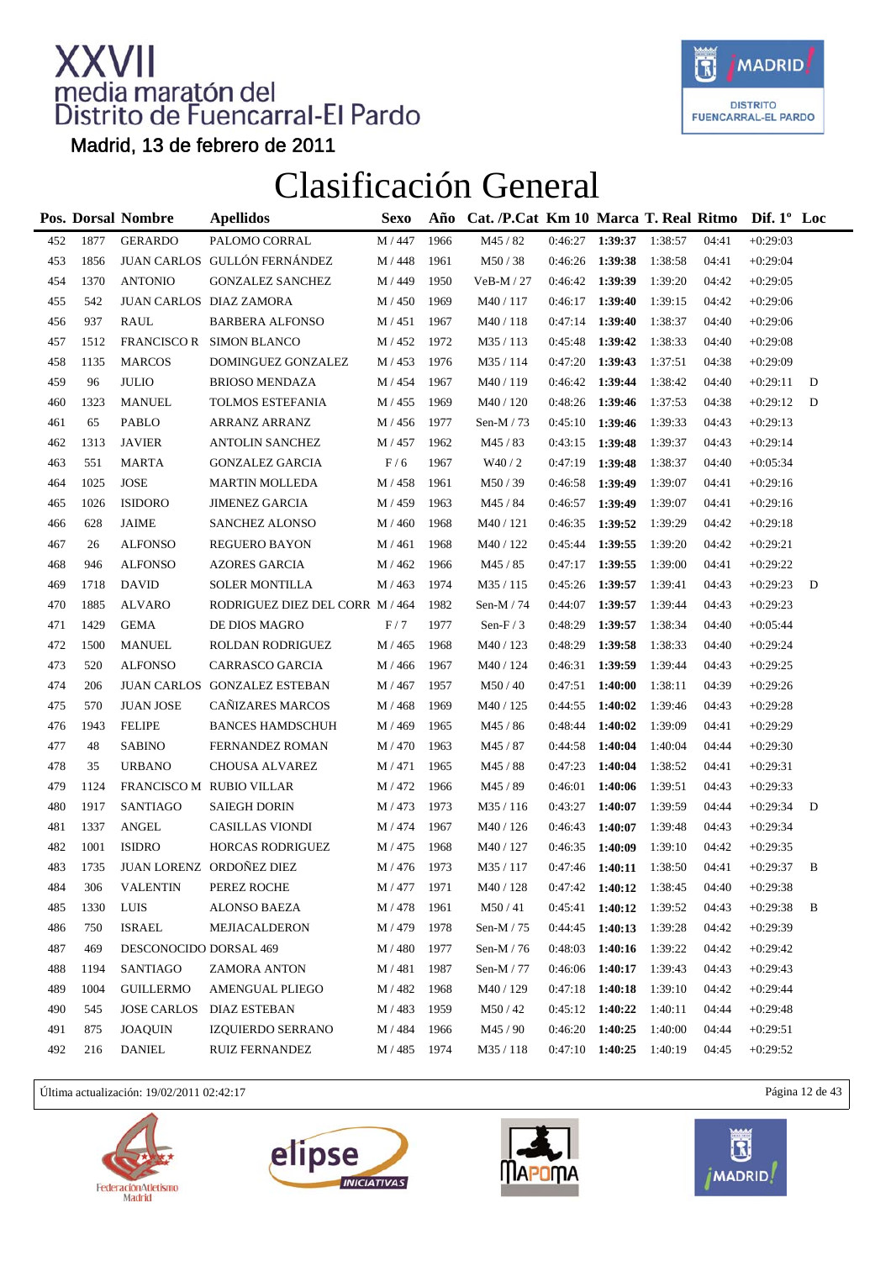

Madrid, 13 de febrero de 2011

### Clasificación General

|     |      | Pos. Dorsal Nombre     | <b>Apellidos</b>                | <b>Sexo</b> | Año  | Cat. /P.Cat Km 10 Marca T. Real Ritmo |         |         |         |       | Dif. $1^{\circ}$ Loc |   |
|-----|------|------------------------|---------------------------------|-------------|------|---------------------------------------|---------|---------|---------|-------|----------------------|---|
| 452 | 1877 | <b>GERARDO</b>         | PALOMO CORRAL                   | M / 447     | 1966 | M45 / 82                              | 0:46:27 | 1:39:37 | 1:38:57 | 04:41 | $+0:29:03$           |   |
| 453 | 1856 |                        | JUAN CARLOS GULLÓN FERNÁNDEZ    | M / 448     | 1961 | M50/38                                | 0:46:26 | 1:39:38 | 1:38:58 | 04:41 | $+0:29:04$           |   |
| 454 | 1370 | <b>ANTONIO</b>         | <b>GONZALEZ SANCHEZ</b>         | M / 449     | 1950 | $VeB-M / 27$                          | 0:46:42 | 1:39:39 | 1:39:20 | 04:42 | $+0:29:05$           |   |
| 455 | 542  |                        | JUAN CARLOS DIAZ ZAMORA         | M / 450     | 1969 | M40 / 117                             | 0:46:17 | 1:39:40 | 1:39:15 | 04:42 | $+0:29:06$           |   |
| 456 | 937  | RAUL                   | <b>BARBERA ALFONSO</b>          | M / 451     | 1967 | M40/118                               | 0:47:14 | 1:39:40 | 1:38:37 | 04:40 | $+0:29:06$           |   |
| 457 | 1512 |                        | FRANCISCO R SIMON BLANCO        | M / 452     | 1972 | M35/113                               | 0:45:48 | 1:39:42 | 1:38:33 | 04:40 | $+0:29:08$           |   |
| 458 | 1135 | <b>MARCOS</b>          | DOMINGUEZ GONZALEZ              | M / 453     | 1976 | M35 / 114                             | 0:47:20 | 1:39:43 | 1:37:51 | 04:38 | $+0:29:09$           |   |
| 459 | 96   | <b>JULIO</b>           | <b>BRIOSO MENDAZA</b>           | M / 454     | 1967 | M40/119                               | 0:46:42 | 1:39:44 | 1:38:42 | 04:40 | $+0:29:11$           | D |
| 460 | 1323 | <b>MANUEL</b>          | TOLMOS ESTEFANIA                | M / 455     | 1969 | M40 / 120                             | 0:48:26 | 1:39:46 | 1:37:53 | 04:38 | $+0:29:12$           | D |
| 461 | 65   | <b>PABLO</b>           | ARRANZ ARRANZ                   | M / 456     | 1977 | Sen-M $/ 73$                          | 0:45:10 | 1:39:46 | 1:39:33 | 04:43 | $+0:29:13$           |   |
| 462 | 1313 | <b>JAVIER</b>          | <b>ANTOLIN SANCHEZ</b>          | M / 457     | 1962 | M45/83                                | 0:43:15 | 1:39:48 | 1:39:37 | 04:43 | $+0:29:14$           |   |
| 463 | 551  | MARTA                  | <b>GONZALEZ GARCIA</b>          | F/6         | 1967 | W40/2                                 | 0:47:19 | 1:39:48 | 1:38:37 | 04:40 | $+0:05:34$           |   |
| 464 | 1025 | <b>JOSE</b>            | <b>MARTIN MOLLEDA</b>           | M / 458     | 1961 | M50/39                                | 0:46:58 | 1:39:49 | 1:39:07 | 04:41 | $+0:29:16$           |   |
| 465 | 1026 | <b>ISIDORO</b>         | <b>JIMENEZ GARCIA</b>           | M / 459     | 1963 | M45 / 84                              | 0:46:57 | 1:39:49 | 1:39:07 | 04:41 | $+0:29:16$           |   |
| 466 | 628  | <b>JAIME</b>           | <b>SANCHEZ ALONSO</b>           | M / 460     | 1968 | M40 / 121                             | 0:46:35 | 1:39:52 | 1:39:29 | 04:42 | $+0:29:18$           |   |
| 467 | 26   | <b>ALFONSO</b>         | <b>REGUERO BAYON</b>            | M / 461     | 1968 | M40 / 122                             | 0:45:44 | 1:39:55 | 1:39:20 | 04:42 | $+0:29:21$           |   |
| 468 | 946  | <b>ALFONSO</b>         | <b>AZORES GARCIA</b>            | M / 462     | 1966 | M45 / 85                              | 0:47:17 | 1:39:55 | 1:39:00 | 04:41 | $+0:29:22$           |   |
| 469 | 1718 | <b>DAVID</b>           | <b>SOLER MONTILLA</b>           | M / 463     | 1974 | M35 / 115                             | 0:45:26 | 1:39:57 | 1:39:41 | 04:43 | $+0:29:23$           | D |
| 470 | 1885 | ALVARO                 | RODRIGUEZ DIEZ DEL CORR M / 464 |             | 1982 | Sen-M $/ 74$                          | 0:44:07 | 1:39:57 | 1:39:44 | 04:43 | $+0:29:23$           |   |
| 471 | 1429 | <b>GEMA</b>            | DE DIOS MAGRO                   | F/7         | 1977 | Sen-F $/$ 3                           | 0:48:29 | 1:39:57 | 1:38:34 | 04:40 | $+0:05:44$           |   |
| 472 | 1500 | <b>MANUEL</b>          | ROLDAN RODRIGUEZ                | M / 465     | 1968 | M40 / 123                             | 0:48:29 | 1:39:58 | 1:38:33 | 04:40 | $+0:29:24$           |   |
| 473 | 520  | <b>ALFONSO</b>         | CARRASCO GARCIA                 | M / 466     | 1967 | M40 / 124                             | 0:46:31 | 1:39:59 | 1:39:44 | 04:43 | $+0:29:25$           |   |
| 474 | 206  |                        | JUAN CARLOS GONZALEZ ESTEBAN    | M / 467     | 1957 | M50/40                                | 0:47:51 | 1:40:00 | 1:38:11 | 04:39 | $+0:29:26$           |   |
| 475 | 570  | <b>JUAN JOSE</b>       | CAÑIZARES MARCOS                | M / 468     | 1969 | M40 / 125                             | 0:44:55 | 1:40:02 | 1:39:46 | 04:43 | $+0:29:28$           |   |
| 476 | 1943 | <b>FELIPE</b>          | <b>BANCES HAMDSCHUH</b>         | M / 469     | 1965 | M45 / 86                              | 0:48:44 | 1:40:02 | 1:39:09 | 04:41 | $+0:29:29$           |   |
| 477 | 48   | <b>SABINO</b>          | FERNANDEZ ROMAN                 | M / 470     | 1963 | M45 / 87                              | 0:44:58 | 1:40:04 | 1:40:04 | 04:44 | $+0:29:30$           |   |
| 478 | 35   | <b>URBANO</b>          | CHOUSA ALVAREZ                  | M / 471     | 1965 | M45 / 88                              | 0:47:23 | 1:40:04 | 1:38:52 | 04:41 | $+0:29:31$           |   |
| 479 | 1124 |                        | FRANCISCO M RUBIO VILLAR        | M / 472     | 1966 | M45 / 89                              | 0:46:01 | 1:40:06 | 1:39:51 | 04:43 | $+0:29:33$           |   |
| 480 | 1917 | <b>SANTIAGO</b>        | <b>SAIEGH DORIN</b>             | M / 473     | 1973 | M35/116                               | 0:43:27 | 1:40:07 | 1:39:59 | 04:44 | $+0:29:34$           | D |
| 481 | 1337 | <b>ANGEL</b>           | CASILLAS VIONDI                 | M / 474     | 1967 | M40 / 126                             | 0:46:43 | 1:40:07 | 1:39:48 | 04:43 | $+0:29:34$           |   |
| 482 | 1001 | <b>ISIDRO</b>          | <b>HORCAS RODRIGUEZ</b>         | M / 475     | 1968 | M40 / 127                             | 0:46:35 | 1:40:09 | 1:39:10 | 04:42 | $+0:29:35$           |   |
| 483 | 1735 |                        | JUAN LORENZ ORDOÑEZ DIEZ        | M / 476     | 1973 | M35 / 117                             | 0:47:46 | 1:40:11 | 1:38:50 | 04:41 | $+0:29:37$           | B |
| 484 | 306  | <b>VALENTIN</b>        | PEREZ ROCHE                     | M / 477     | 1971 | M40 / 128                             | 0:47:42 | 1:40:12 | 1:38:45 | 04:40 | $+0.29:38$           |   |
| 485 | 1330 | LUIS                   | ALONSO BAEZA                    | M / 478     | 1961 | M50/41                                | 0:45:41 | 1:40:12 | 1:39:52 | 04:43 | $+0:29:38$           | B |
| 486 | 750  | <b>ISRAEL</b>          | MEJIACALDERON                   | M / 479     | 1978 | Sen-M $/ 75$                          | 0:44:45 | 1:40:13 | 1:39:28 | 04:42 | $+0:29:39$           |   |
| 487 | 469  | DESCONOCIDO DORSAL 469 |                                 | M / 480     | 1977 | Sen-M $/ 76$                          | 0:48:03 | 1:40:16 | 1:39:22 | 04:42 | $+0:29:42$           |   |
| 488 | 1194 | <b>SANTIAGO</b>        | ZAMORA ANTON                    | M / 481     | 1987 | Sen-M / 77                            | 0:46:06 | 1:40:17 | 1:39:43 | 04:43 | $+0:29:43$           |   |
| 489 | 1004 | <b>GUILLERMO</b>       | AMENGUAL PLIEGO                 | M / 482     | 1968 | M40 / 129                             | 0:47:18 | 1:40:18 | 1:39:10 | 04:42 | $+0:29:44$           |   |
| 490 | 545  | <b>JOSE CARLOS</b>     | <b>DIAZ ESTEBAN</b>             | M / 483     | 1959 | M50/42                                | 0:45:12 | 1:40:22 | 1:40:11 | 04:44 | $+0:29:48$           |   |
| 491 | 875  | <b>JOAQUIN</b>         | IZQUIERDO SERRANO               | M / 484     | 1966 | M45/90                                | 0:46:20 | 1:40:25 | 1:40:00 | 04:44 | $+0:29:51$           |   |
| 492 | 216  | <b>DANIEL</b>          | <b>RUIZ FERNANDEZ</b>           | M / 485     | 1974 | M35/118                               | 0:47:10 | 1:40:25 | 1:40:19 | 04:45 | $+0:29:52$           |   |

Última actualización: 19/02/2011 02:42:17 Página 12 de 43







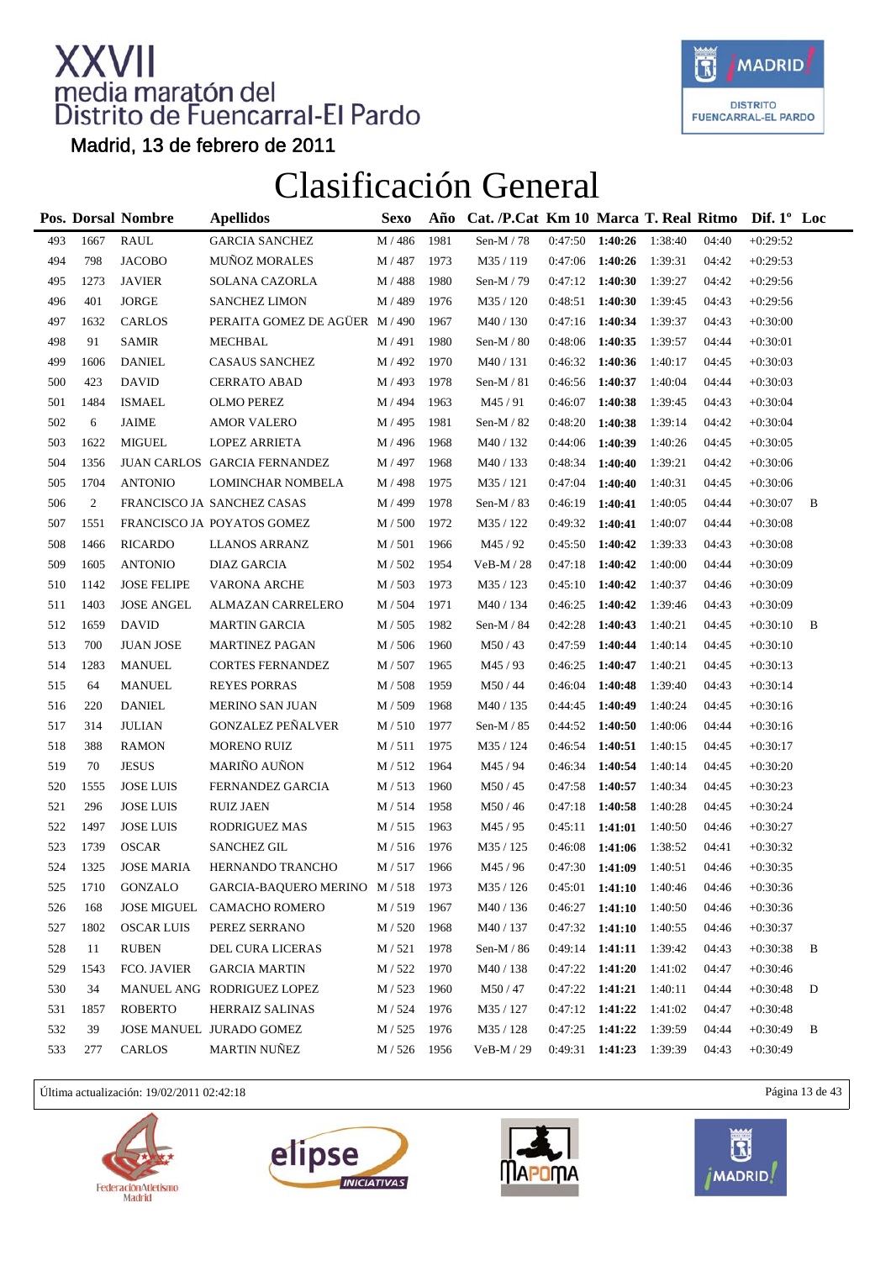

Madrid, 13 de febrero de 2011

### Clasificación General

|     |                | Pos. Dorsal Nombre | <b>Apellidos</b>               | <b>Sexo</b> | Año  | Cat. /P.Cat Km 10 Marca T. Real Ritmo Dif. 1 <sup>°</sup> Loc |                   |                   |         |       |            |   |
|-----|----------------|--------------------|--------------------------------|-------------|------|---------------------------------------------------------------|-------------------|-------------------|---------|-------|------------|---|
| 493 | 1667           | <b>RAUL</b>        | <b>GARCIA SANCHEZ</b>          | M / 486     | 1981 | Sen-M / 78                                                    | $0:47:50$ 1:40:26 |                   | 1:38:40 | 04:40 | $+0:29:52$ |   |
| 494 | 798            | <b>JACOBO</b>      | MUÑOZ MORALES                  | M / 487     | 1973 | M35 / 119                                                     | $0:47:06$ 1:40:26 |                   | 1:39:31 | 04:42 | $+0:29:53$ |   |
| 495 | 1273           | <b>JAVIER</b>      | SOLANA CAZORLA                 | M / 488     | 1980 | Sen-M $/79$                                                   | 0:47:12           | 1:40:30           | 1:39:27 | 04:42 | $+0:29:56$ |   |
| 496 | 401            | <b>JORGE</b>       | <b>SANCHEZ LIMON</b>           | M / 489     | 1976 | M35 / 120                                                     | 0:48:51           | 1:40:30           | 1:39:45 | 04:43 | $+0:29:56$ |   |
| 497 | 1632           | <b>CARLOS</b>      | PERAITA GOMEZ DE AGÜER M / 490 |             | 1967 | M40 / 130                                                     | $0:47:16$ 1:40:34 |                   | 1:39:37 | 04:43 | $+0:30:00$ |   |
| 498 | 91             | <b>SAMIR</b>       | MECHBAL                        | M / 491     | 1980 | Sen-M $/$ 80                                                  | 0:48:06           | 1:40:35           | 1:39:57 | 04:44 | $+0:30:01$ |   |
| 499 | 1606           | <b>DANIEL</b>      | <b>CASAUS SANCHEZ</b>          | M / 492     | 1970 | M40/131                                                       | 0:46:32           | 1:40:36           | 1:40:17 | 04:45 | $+0:30:03$ |   |
| 500 | 423            | <b>DAVID</b>       | <b>CERRATO ABAD</b>            | M / 493     | 1978 | Sen-M $/81$                                                   | 0:46:56           | 1:40:37           | 1:40:04 | 04:44 | $+0:30:03$ |   |
| 501 | 1484           | <b>ISMAEL</b>      | <b>OLMO PEREZ</b>              | M / 494     | 1963 | M45/91                                                        | 0:46:07           | 1:40:38           | 1:39:45 | 04:43 | $+0:30:04$ |   |
| 502 | 6              | <b>JAIME</b>       | <b>AMOR VALERO</b>             | M / 495     | 1981 | Sen-M $/$ 82                                                  | 0:48:20           | 1:40:38           | 1:39:14 | 04:42 | $+0:30:04$ |   |
| 503 | 1622           | <b>MIGUEL</b>      | <b>LOPEZ ARRIETA</b>           | M / 496     | 1968 | M40 / 132                                                     | 0:44:06           | 1:40:39           | 1:40:26 | 04:45 | $+0:30:05$ |   |
| 504 | 1356           |                    | JUAN CARLOS GARCIA FERNANDEZ   | M / 497     | 1968 | M40 / 133                                                     | 0:48:34           | 1:40:40           | 1:39:21 | 04:42 | $+0:30:06$ |   |
| 505 | 1704           | <b>ANTONIO</b>     | LOMINCHAR NOMBELA              | M / 498     | 1975 | M35 / 121                                                     | 0:47:04           | 1:40:40           | 1:40:31 | 04:45 | $+0:30:06$ |   |
| 506 | $\mathfrak{2}$ |                    | FRANCISCO JA SANCHEZ CASAS     | M / 499     | 1978 | Sen-M $/$ 83                                                  | 0:46:19           | 1:40:41           | 1:40:05 | 04:44 | $+0:30:07$ | B |
| 507 | 1551           |                    | FRANCISCO JA POYATOS GOMEZ     | M/500       | 1972 | M35 / 122                                                     | 0:49:32           | 1:40:41           | 1:40:07 | 04:44 | $+0:30:08$ |   |
| 508 | 1466           | <b>RICARDO</b>     | <b>LLANOS ARRANZ</b>           | M / 501     | 1966 | M45/92                                                        | 0:45:50           | 1:40:42           | 1:39:33 | 04:43 | $+0:30:08$ |   |
| 509 | 1605           | <b>ANTONIO</b>     | DIAZ GARCIA                    | M / 502     | 1954 | $VeB-M / 28$                                                  | 0:47:18           | 1:40:42           | 1:40:00 | 04:44 | $+0:30:09$ |   |
| 510 | 1142           | <b>JOSE FELIPE</b> | <b>VARONA ARCHE</b>            | M / 503     | 1973 | M35 / 123                                                     | 0:45:10           | 1:40:42           | 1:40:37 | 04:46 | $+0:30:09$ |   |
| 511 | 1403           | <b>JOSE ANGEL</b>  | ALMAZAN CARRELERO              | M / 504     | 1971 | M40 / 134                                                     | 0:46:25           | 1:40:42           | 1:39:46 | 04:43 | $+0:30:09$ |   |
| 512 | 1659           | <b>DAVID</b>       | <b>MARTIN GARCIA</b>           | M / 505     | 1982 | Sen-M / 84                                                    | 0:42:28           | 1:40:43           | 1:40:21 | 04:45 | $+0:30:10$ | B |
| 513 | 700            | <b>JUAN JOSE</b>   | MARTINEZ PAGAN                 | M / 506     | 1960 | M50/43                                                        | 0:47:59           | 1:40:44           | 1:40:14 | 04:45 | $+0:30:10$ |   |
| 514 | 1283           | <b>MANUEL</b>      | <b>CORTES FERNANDEZ</b>        | M / 507     | 1965 | M45 / 93                                                      | 0:46:25           | 1:40:47           | 1:40:21 | 04:45 | $+0:30:13$ |   |
| 515 | 64             | <b>MANUEL</b>      | <b>REYES PORRAS</b>            | M / 508     | 1959 | M50/44                                                        | 0:46:04           | 1:40:48           | 1:39:40 | 04:43 | $+0:30:14$ |   |
| 516 | 220            | <b>DANIEL</b>      | <b>MERINO SAN JUAN</b>         | M / 509     | 1968 | M40 / 135                                                     | 0:44:45           | 1:40:49           | 1:40:24 | 04:45 | $+0:30:16$ |   |
| 517 | 314            | <b>JULIAN</b>      | <b>GONZALEZ PEÑALVER</b>       | M / 510     | 1977 | Sen-M $/$ 85                                                  | 0:44:52           | 1:40:50           | 1:40:06 | 04:44 | $+0:30:16$ |   |
| 518 | 388            | <b>RAMON</b>       | <b>MORENO RUIZ</b>             | M/511       | 1975 | M35 / 124                                                     | 0:46:54           | 1:40:51           | 1:40:15 | 04:45 | $+0:30:17$ |   |
| 519 | 70             | <b>JESUS</b>       | MARIÑO AUÑON                   | M/512       | 1964 | M45 / 94                                                      | 0:46:34           | 1:40:54           | 1:40:14 | 04:45 | $+0:30:20$ |   |
| 520 | 1555           | <b>JOSE LUIS</b>   | FERNANDEZ GARCIA               | M/513       | 1960 | M50/45                                                        | 0:47:58           | 1:40:57           | 1:40:34 | 04:45 | $+0:30:23$ |   |
| 521 | 296            | <b>JOSE LUIS</b>   | <b>RUIZ JAEN</b>               | M / 514     | 1958 | M50 / 46                                                      | 0:47:18           | 1:40:58           | 1:40:28 | 04:45 | $+0:30:24$ |   |
| 522 | 1497           | <b>JOSE LUIS</b>   | <b>RODRIGUEZ MAS</b>           | M/515       | 1963 | M45 / 95                                                      | 0:45:11           | 1:41:01           | 1:40:50 | 04:46 | $+0:30:27$ |   |
| 523 | 1739           | <b>OSCAR</b>       | <b>SANCHEZ GIL</b>             | M/516       | 1976 | M <sub>35</sub> / 125                                         | 0:46:08           | 1:41:06           | 1:38:52 | 04:41 | $+0:30:32$ |   |
| 524 | 1325           | <b>JOSE MARIA</b>  | HERNANDO TRANCHO               | M/517       | 1966 | M45/96                                                        | $0:47:30$ 1:41:09 |                   | 1:40:51 | 04:46 | $+0:30:35$ |   |
| 525 | 1710           | <b>GONZALO</b>     | GARCIA-BAQUERO MERINO M/518    |             | 1973 | M35 / 126                                                     | 0:45:01           | 1:41:10           | 1:40:46 | 04:46 | $+0:30:36$ |   |
| 526 | 168            | <b>JOSE MIGUEL</b> | <b>CAMACHO ROMERO</b>          | M/519       | 1967 | M40/136                                                       | 0:46:27           | 1:41:10           | 1:40:50 | 04:46 | $+0:30:36$ |   |
| 527 | 1802           | <b>OSCAR LUIS</b>  | PEREZ SERRANO                  | M / 520     | 1968 | M40 / 137                                                     | 0:47:32           | 1:41:10           | 1:40:55 | 04:46 | $+0:30:37$ |   |
| 528 | 11             | <b>RUBEN</b>       | <b>DEL CURA LICERAS</b>        | M / 521     | 1978 | Sen-M $/$ 86                                                  | 0:49:14           | 1:41:11           | 1:39:42 | 04:43 | $+0:30:38$ | B |
| 529 | 1543           | FCO. JAVIER        | <b>GARCIA MARTIN</b>           | M / 522     | 1970 | M40 / 138                                                     | 0:47:22           | 1:41:20           | 1:41:02 | 04:47 | $+0:30:46$ |   |
| 530 | 34             |                    | MANUEL ANG RODRIGUEZ LOPEZ     | M / 523     | 1960 | M50/47                                                        |                   | $0:47:22$ 1:41:21 | 1:40:11 | 04:44 | $+0:30:48$ | D |
| 531 | 1857           | <b>ROBERTO</b>     | <b>HERRAIZ SALINAS</b>         | M / 524     | 1976 | M35 / 127                                                     | $0:47:12$ 1:41:22 |                   | 1:41:02 | 04:47 | $+0:30:48$ |   |
| 532 | 39             |                    | JOSE MANUEL JURADO GOMEZ       | M / 525     | 1976 | M35 / 128                                                     | $0:47:25$ 1:41:22 |                   | 1:39:59 | 04:44 | $+0:30:49$ | B |
| 533 | 277            | CARLOS             | <b>MARTIN NUÑEZ</b>            | M / 526     | 1956 | VeB-M / 29                                                    |                   | $0:49:31$ 1:41:23 | 1:39:39 | 04:43 | $+0:30:49$ |   |

Última actualización: 19/02/2011 02:42:18 Página 13 de 43







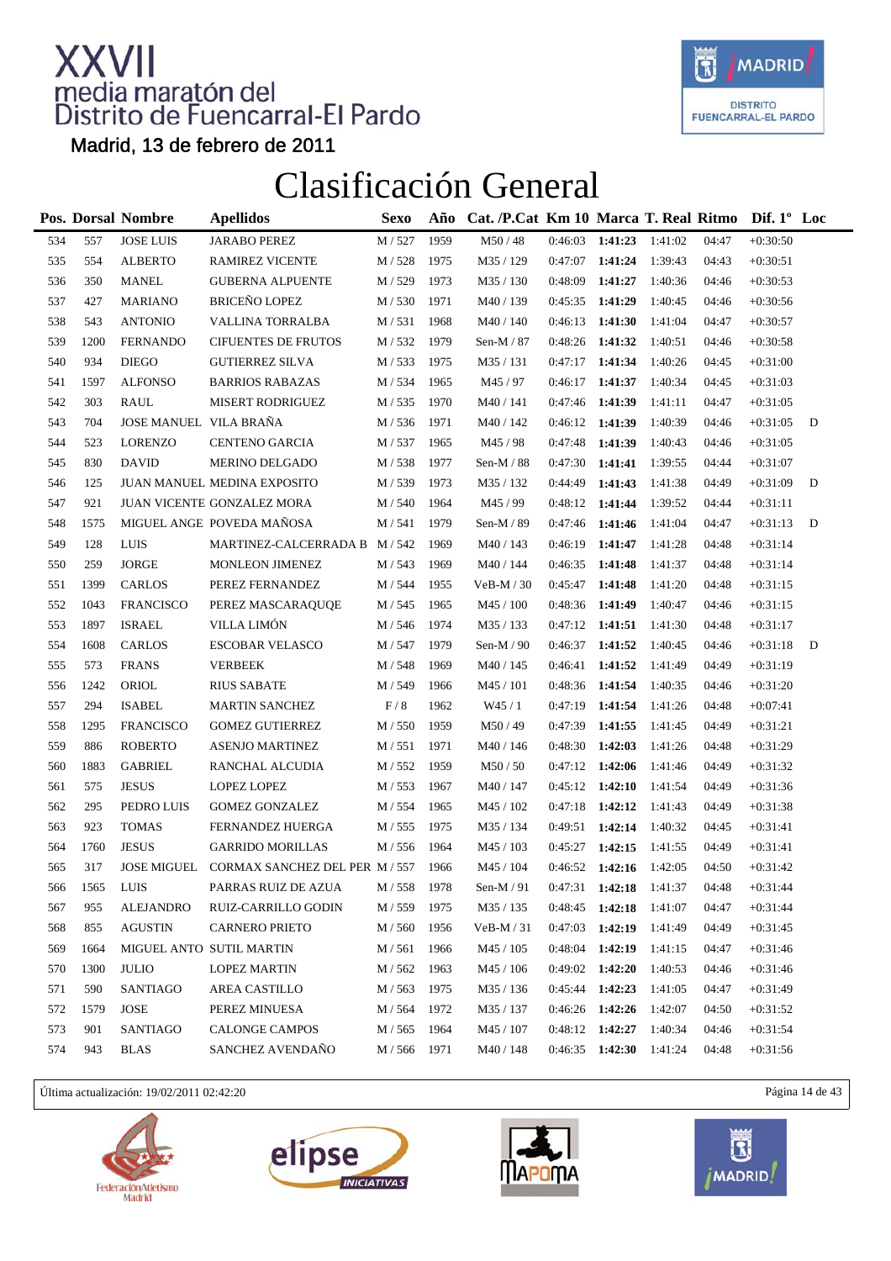

Madrid, 13 de febrero de 2011

### Clasificación General

|     |      | Pos. Dorsal Nombre     | <b>Apellidos</b>                         | <b>Sexo</b>        | Año  | Cat. /P.Cat Km 10 Marca T. Real Ritmo Dif. 1° Loc |                   |                   |         |       |            |   |
|-----|------|------------------------|------------------------------------------|--------------------|------|---------------------------------------------------|-------------------|-------------------|---------|-------|------------|---|
| 534 | 557  | <b>JOSE LUIS</b>       | <b>JARABO PEREZ</b>                      | M / 527            | 1959 | M50/48                                            | 0:46:03           | 1:41:23           | 1:41:02 | 04:47 | $+0:30:50$ |   |
| 535 | 554  | <b>ALBERTO</b>         | <b>RAMIREZ VICENTE</b>                   | M / 528            | 1975 | M35 / 129                                         | 0:47:07           | 1:41:24           | 1:39:43 | 04:43 | $+0:30:51$ |   |
| 536 | 350  | <b>MANEL</b>           | <b>GUBERNA ALPUENTE</b>                  | M / 529            | 1973 | M35 / 130                                         | 0:48:09           | 1:41:27           | 1:40:36 | 04:46 | $+0:30:53$ |   |
| 537 | 427  | <b>MARIANO</b>         | <b>BRICEÑO LOPEZ</b>                     | M/530              | 1971 | M40 / 139                                         | 0:45:35           | 1:41:29           | 1:40:45 | 04:46 | $+0:30:56$ |   |
| 538 | 543  | <b>ANTONIO</b>         | VALLINA TORRALBA                         | M / 531            | 1968 | M40 / 140                                         | 0:46:13           | 1:41:30           | 1:41:04 | 04:47 | $+0:30:57$ |   |
| 539 | 1200 | <b>FERNANDO</b>        | <b>CIFUENTES DE FRUTOS</b>               | M / 532            | 1979 | Sen-M / 87                                        | 0:48:26           | 1:41:32           | 1:40:51 | 04:46 | $+0:30:58$ |   |
| 540 | 934  | <b>DIEGO</b>           | <b>GUTIERREZ SILVA</b>                   | M/533              | 1975 | M35 / 131                                         | 0:47:17           | 1:41:34           | 1:40:26 | 04:45 | $+0:31:00$ |   |
| 541 | 1597 | <b>ALFONSO</b>         | <b>BARRIOS RABAZAS</b>                   | M / 534            | 1965 | M45 / 97                                          | 0:46:17           | 1:41:37           | 1:40:34 | 04:45 | $+0:31:03$ |   |
| 542 | 303  | <b>RAUL</b>            | <b>MISERT RODRIGUEZ</b>                  | M / 535            | 1970 | M40 / 141                                         | 0:47:46           | 1:41:39           | 1:41:11 | 04:47 | $+0:31:05$ |   |
| 543 | 704  | JOSE MANUEL VILA BRAÑA |                                          | M / 536            | 1971 | M40 / 142                                         | $0:46:12$ 1:41:39 |                   | 1:40:39 | 04:46 | $+0:31:05$ | D |
| 544 | 523  | <b>LORENZO</b>         | <b>CENTENO GARCIA</b>                    | M / 537            | 1965 | M45 / 98                                          | 0:47:48           | 1:41:39           | 1:40:43 | 04:46 | $+0:31:05$ |   |
| 545 | 830  | <b>DAVID</b>           | MERINO DELGADO                           | M / 538            | 1977 | Sen-M $/$ 88                                      | 0:47:30           | 1:41:41           | 1:39:55 | 04:44 | $+0:31:07$ |   |
| 546 | 125  |                        | JUAN MANUEL MEDINA EXPOSITO              | M / 539            | 1973 | M35 / 132                                         | 0:44:49           | 1:41:43           | 1:41:38 | 04:49 | $+0:31:09$ | D |
| 547 | 921  |                        | JUAN VICENTE GONZALEZ MORA               | M / 540            | 1964 | M45/99                                            | 0:48:12           | 1:41:44           | 1:39:52 | 04:44 | $+0:31:11$ |   |
| 548 | 1575 |                        | MIGUEL ANGE POVEDA MAÑOSA                | M / 541            | 1979 | Sen-M / 89                                        | 0:47:46           | 1:41:46           | 1:41:04 | 04:47 | $+0:31:13$ | D |
| 549 | 128  | LUIS                   | MARTINEZ-CALCERRADA B M / 542            |                    | 1969 | M40 / 143                                         | 0:46:19           | 1:41:47           | 1:41:28 | 04:48 | $+0:31:14$ |   |
| 550 | 259  | <b>JORGE</b>           | <b>MONLEON JIMENEZ</b>                   | M / 543            | 1969 | M40 / 144                                         | 0:46:35           | 1:41:48           | 1:41:37 | 04:48 | $+0:31:14$ |   |
| 551 | 1399 | CARLOS                 | PEREZ FERNANDEZ                          | M / 544            | 1955 | $VeB-M / 30$                                      | 0:45:47           | 1:41:48           | 1:41:20 | 04:48 | $+0:31:15$ |   |
| 552 | 1043 | <b>FRANCISCO</b>       | PEREZ MASCARAQUQE                        | M / 545            | 1965 | M45 / 100                                         | 0:48:36           | 1:41:49           | 1:40:47 | 04:46 | $+0:31:15$ |   |
| 553 | 1897 | <b>ISRAEL</b>          | VILLA LIMÓN                              | M / 546            | 1974 | M35 / 133                                         | 0:47:12           | 1:41:51           | 1:41:30 | 04:48 | $+0:31:17$ |   |
| 554 | 1608 | <b>CARLOS</b>          | <b>ESCOBAR VELASCO</b>                   | M / 547            | 1979 | Sen-M $/ 90$                                      | 0:46:37           | 1:41:52           | 1:40:45 | 04:46 | $+0:31:18$ | D |
| 555 | 573  | <b>FRANS</b>           | <b>VERBEEK</b>                           | M / 548            | 1969 | M40 / 145                                         | 0:46:41           | 1:41:52           | 1:41:49 | 04:49 | $+0:31:19$ |   |
| 556 | 1242 | ORIOL                  | <b>RIUS SABATE</b>                       | M / 549            | 1966 | M45 / 101                                         | 0:48:36           | 1:41:54           | 1:40:35 | 04:46 | $+0:31:20$ |   |
| 557 | 294  | <b>ISABEL</b>          | <b>MARTIN SANCHEZ</b>                    | F/8                | 1962 | W45 / 1                                           | 0:47:19           | 1:41:54           | 1:41:26 | 04:48 | $+0:07:41$ |   |
| 558 | 1295 | <b>FRANCISCO</b>       | <b>GOMEZ GUTIERREZ</b>                   | M / 550            | 1959 | M50/49                                            | 0:47:39           | 1:41:55           | 1:41:45 | 04:49 | $+0:31:21$ |   |
| 559 | 886  | <b>ROBERTO</b>         | <b>ASENJO MARTINEZ</b>                   | M / 551            | 1971 | M40 / 146                                         | 0:48:30           | 1:42:03           | 1:41:26 | 04:48 | $+0:31:29$ |   |
| 560 | 1883 | <b>GABRIEL</b>         | RANCHAL ALCUDIA                          | M / 552            | 1959 | M50/50                                            | 0:47:12           | 1:42:06           | 1:41:46 | 04:49 | $+0:31:32$ |   |
| 561 | 575  | <b>JESUS</b>           | LOPEZ LOPEZ                              | M / 553            | 1967 | M40 / 147                                         | $0:45:12$ 1:42:10 |                   | 1:41:54 | 04:49 | $+0:31:36$ |   |
| 562 | 295  | PEDRO LUIS             | <b>GOMEZ GONZALEZ</b>                    | M / 554            | 1965 | M45 / 102                                         | $0:47:18$ 1:42:12 |                   | 1:41:43 | 04:49 | $+0:31:38$ |   |
| 563 | 923  | <b>TOMAS</b>           | FERNANDEZ HUERGA                         | M / 555            | 1975 | M35 / 134                                         | 0:49:51           | 1:42:14           | 1:40:32 | 04:45 | $+0:31:41$ |   |
| 564 | 1760 | <b>JESUS</b>           | <b>GARRIDO MORILLAS</b>                  | M / 556            | 1964 | M45 / 103                                         | 0:45:27           | 1:42:15           | 1:41:55 | 04:49 | $+0:31:41$ |   |
| 565 | 317  |                        | JOSE MIGUEL CORMAX SANCHEZ DEL PER M/557 |                    | 1966 | M45 / 104                                         |                   | $0:46:52$ 1:42:16 | 1:42:05 | 04:50 | $+0:31:42$ |   |
| 566 | 1565 | LUIS                   | PARRAS RUIZ DE AZUA                      | $\text{M}$ / $558$ | 1978 | Sen-M / $91\,$                                    | 0:47:31           | 1:42:18           | 1:41:37 | 04:48 | $+0:31:44$ |   |
| 567 | 955  | ALEJANDRO              | RUIZ-CARRILLO GODIN                      | M / 559            | 1975 | M35 / 135                                         | 0:48:45           | 1:42:18           | 1:41:07 | 04:47 | $+0:31:44$ |   |
| 568 | 855  | <b>AGUSTIN</b>         | <b>CARNERO PRIETO</b>                    | M / 560            | 1956 | $VeB-M/31$                                        | 0:47:03           | 1:42:19           | 1:41:49 | 04:49 | $+0:31:45$ |   |
| 569 | 1664 |                        | MIGUEL ANTO SUTIL MARTIN                 | M / 561            | 1966 | M45 / 105                                         | $0:48:04$ 1:42:19 |                   | 1:41:15 | 04:47 | $+0:31:46$ |   |
| 570 | 1300 | <b>JULIO</b>           | <b>LOPEZ MARTIN</b>                      | M / 562            | 1963 | M45 / 106                                         | $0:49:02$ 1:42:20 |                   | 1:40:53 | 04:46 | $+0:31:46$ |   |
| 571 | 590  | <b>SANTIAGO</b>        | AREA CASTILLO                            | M / 563            | 1975 | M35 / 136                                         | 0:45:44 1:42:23   |                   | 1:41:05 | 04:47 | $+0:31:49$ |   |
| 572 | 1579 | <b>JOSE</b>            | PEREZ MINUESA                            | M / 564            | 1972 | M35 / 137                                         | 0:46:26 1:42:26   |                   | 1:42:07 | 04:50 | $+0:31:52$ |   |
| 573 | 901  | SANTIAGO               | <b>CALONGE CAMPOS</b>                    | M / 565            | 1964 | M45 / 107                                         | 0:48:12 1:42:27   |                   | 1:40:34 | 04:46 | $+0:31:54$ |   |
| 574 | 943  | <b>BLAS</b>            | SANCHEZ AVENDAÑO                         | M / 566            | 1971 | M40 / 148                                         | $0:46:35$ 1:42:30 |                   | 1:41:24 | 04:48 | $+0:31:56$ |   |

Última actualización: 19/02/2011 02:42:20 Página 14 de 43







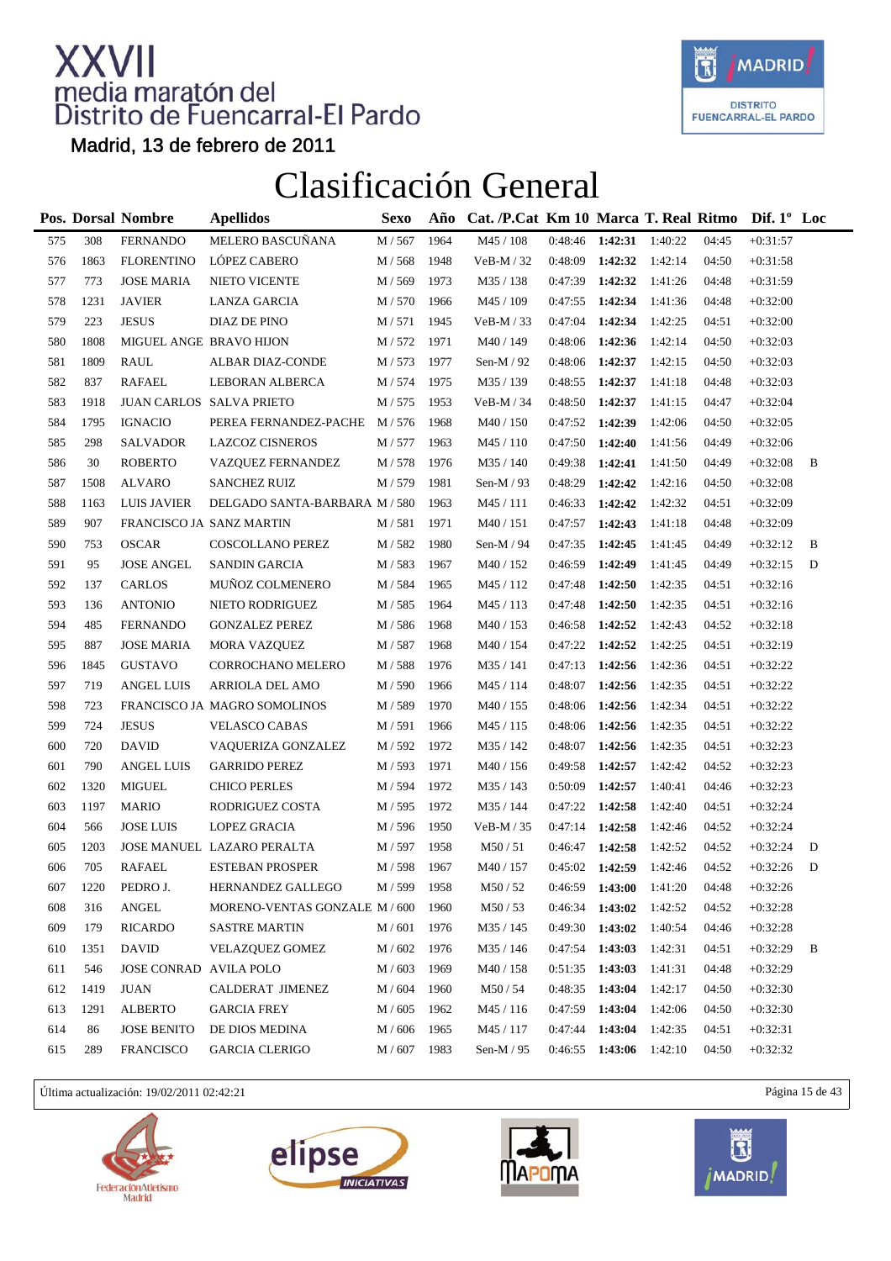

Madrid, 13 de febrero de 2011

### Clasificación General

|     |      | Pos. Dorsal Nombre       | <b>Apellidos</b>              | <b>Sexo</b>   | Año  | Cat. /P.Cat Km 10 Marca T. Real Ritmo Dif. 1° Loc |                   |         |         |       |            |   |
|-----|------|--------------------------|-------------------------------|---------------|------|---------------------------------------------------|-------------------|---------|---------|-------|------------|---|
| 575 | 308  | <b>FERNANDO</b>          | MELERO BASCUÑANA              | M / 567       | 1964 | M45 / 108                                         | 0:48:46           | 1:42:31 | 1:40:22 | 04:45 | $+0:31:57$ |   |
| 576 | 1863 | <b>FLORENTINO</b>        | LÓPEZ CABERO                  | M / 568       | 1948 | $VeB-M / 32$                                      | 0:48:09           | 1:42:32 | 1:42:14 | 04:50 | $+0:31:58$ |   |
| 577 | 773  | <b>JOSE MARIA</b>        | NIETO VICENTE                 | M / 569       | 1973 | M35 / 138                                         | 0:47:39           | 1:42:32 | 1:41:26 | 04:48 | $+0:31:59$ |   |
| 578 | 1231 | <b>JAVIER</b>            | LANZA GARCIA                  | M/570         | 1966 | M45 / 109                                         | 0:47:55           | 1:42:34 | 1:41:36 | 04:48 | $+0:32:00$ |   |
| 579 | 223  | <b>JESUS</b>             | DIAZ DE PINO                  | M / 571       | 1945 | $VeB-M / 33$                                      | 0:47:04           | 1:42:34 | 1:42:25 | 04:51 | $+0:32:00$ |   |
| 580 | 1808 | MIGUEL ANGE BRAVO HIJON  |                               | M / 572       | 1971 | M40 / 149                                         | 0:48:06           | 1:42:36 | 1:42:14 | 04:50 | $+0:32:03$ |   |
| 581 | 1809 | <b>RAUL</b>              | ALBAR DIAZ-CONDE              | M / 573       | 1977 | Sen-M $/$ 92                                      | 0:48:06           | 1:42:37 | 1:42:15 | 04:50 | $+0:32:03$ |   |
| 582 | 837  | <b>RAFAEL</b>            | LEBORAN ALBERCA               | M / 574       | 1975 | M35/139                                           | 0:48:55           | 1:42:37 | 1:41:18 | 04:48 | $+0:32:03$ |   |
| 583 | 1918 |                          | JUAN CARLOS SALVA PRIETO      | M / 575       | 1953 | $VeB-M / 34$                                      | 0:48:50           | 1:42:37 | 1:41:15 | 04:47 | $+0:32:04$ |   |
| 584 | 1795 | <b>IGNACIO</b>           | PEREA FERNANDEZ-PACHE         | M / 576       | 1968 | M40 / 150                                         | 0:47:52           | 1:42:39 | 1:42:06 | 04:50 | $+0:32:05$ |   |
| 585 | 298  | <b>SALVADOR</b>          | <b>LAZCOZ CISNEROS</b>        | M / 577       | 1963 | M45 / 110                                         | 0:47:50           | 1:42:40 | 1:41:56 | 04:49 | $+0:32:06$ |   |
| 586 | 30   | <b>ROBERTO</b>           | VAZQUEZ FERNANDEZ             | M / 578       | 1976 | M35 / 140                                         | 0:49:38           | 1:42:41 | 1:41:50 | 04:49 | $+0:32:08$ | B |
| 587 | 1508 | <b>ALVARO</b>            | <b>SANCHEZ RUIZ</b>           | M / 579       | 1981 | Sen-M $/$ 93                                      | 0:48:29           | 1:42:42 | 1:42:16 | 04:50 | $+0:32:08$ |   |
| 588 | 1163 | LUIS JAVIER              | DELGADO SANTA-BARBARA M/580   |               | 1963 | M45 / 111                                         | 0:46:33           | 1:42:42 | 1:42:32 | 04:51 | $+0:32:09$ |   |
| 589 | 907  | FRANCISCO JA SANZ MARTIN |                               | M/581         | 1971 | M40 / 151                                         | 0:47:57           | 1:42:43 | 1:41:18 | 04:48 | $+0:32:09$ |   |
| 590 | 753  | <b>OSCAR</b>             | COSCOLLANO PEREZ              | M / 582       | 1980 | Sen-M / 94                                        | 0:47:35           | 1:42:45 | 1:41:45 | 04:49 | $+0:32:12$ | B |
| 591 | 95   | <b>JOSE ANGEL</b>        | SANDIN GARCIA                 | M / 583       | 1967 | M40 / 152                                         | 0:46:59           | 1:42:49 | 1:41:45 | 04:49 | $+0:32:15$ | D |
| 592 | 137  | <b>CARLOS</b>            | MUÑOZ COLMENERO               | M / 584       | 1965 | M45 / 112                                         | 0:47:48           | 1:42:50 | 1:42:35 | 04:51 | $+0:32:16$ |   |
| 593 | 136  | <b>ANTONIO</b>           | NIETO RODRIGUEZ               | M / 585       | 1964 | M45 / 113                                         | 0:47:48           | 1:42:50 | 1:42:35 | 04:51 | $+0:32:16$ |   |
| 594 | 485  | <b>FERNANDO</b>          | <b>GONZALEZ PEREZ</b>         | M / 586       | 1968 | M40 / 153                                         | 0:46:58           | 1:42:52 | 1:42:43 | 04:52 | $+0:32:18$ |   |
| 595 | 887  | <b>JOSE MARIA</b>        | <b>MORA VAZQUEZ</b>           | M / 587       | 1968 | M40 / 154                                         | 0:47:22           | 1:42:52 | 1:42:25 | 04:51 | $+0:32:19$ |   |
| 596 | 1845 | <b>GUSTAVO</b>           | CORROCHANO MELERO             | M / 588       | 1976 | M35 / 141                                         | 0:47:13           | 1:42:56 | 1:42:36 | 04:51 | $+0:32:22$ |   |
| 597 | 719  | <b>ANGEL LUIS</b>        | ARRIOLA DEL AMO               | M / 590       | 1966 | M45 / 114                                         | 0:48:07           | 1:42:56 | 1:42:35 | 04:51 | $+0:32:22$ |   |
| 598 | 723  |                          | FRANCISCO JA MAGRO SOMOLINOS  | M / 589       | 1970 | M40 / 155                                         | 0:48:06           | 1:42:56 | 1:42:34 | 04:51 | $+0:32:22$ |   |
| 599 | 724  | <b>JESUS</b>             | <b>VELASCO CABAS</b>          | M / 591       | 1966 | M45 / 115                                         | 0:48:06           | 1:42:56 | 1:42:35 | 04:51 | $+0:32:22$ |   |
| 600 | 720  | <b>DAVID</b>             | VAQUERIZA GONZALEZ            | M / 592       | 1972 | M35 / 142                                         | 0:48:07           | 1:42:56 | 1:42:35 | 04:51 | $+0:32:23$ |   |
| 601 | 790  | <b>ANGEL LUIS</b>        | <b>GARRIDO PEREZ</b>          | M / 593       | 1971 | M40 / 156                                         | 0:49:58           | 1:42:57 | 1:42:42 | 04:52 | $+0:32:23$ |   |
| 602 | 1320 | <b>MIGUEL</b>            | <b>CHICO PERLES</b>           | M / 594       | 1972 | M35 / 143                                         | 0:50:09           | 1:42:57 | 1:40:41 | 04:46 | $+0:32:23$ |   |
| 603 | 1197 | <b>MARIO</b>             | RODRIGUEZ COSTA               | M / 595       | 1972 | M35 / 144                                         | 0:47:22           | 1:42:58 | 1:42:40 | 04:51 | $+0:32:24$ |   |
| 604 | 566  | <b>JOSE LUIS</b>         | <b>LOPEZ GRACIA</b>           | M / 596       | 1950 | $VeB-M / 35$                                      | 0:47:14           | 1:42:58 | 1:42:46 | 04:52 | $+0:32:24$ |   |
| 605 | 1203 |                          | JOSE MANUEL LAZARO PERALTA    | M / 597       | 1958 | M50/51                                            | 0:46:47           | 1:42:58 | 1:42:52 | 04:52 | $+0:32:24$ | D |
| 606 | 705  | <b>RAFAEL</b>            | <b>ESTEBAN PROSPER</b>        | M / 598       | 1967 | M40 / 157                                         | $0:45:02$ 1:42:59 |         | 1:42:46 | 04:52 | $+0:32:26$ | D |
| 607 | 1220 | PEDRO J.                 | HERNANDEZ GALLEGO             | $M$ / $599\,$ | 1958 | M <sub>50</sub> / 52                              | 0:46:59           | 1:43:00 | 1:41:20 | 04:48 | $+0:32:26$ |   |
| 608 | 316  | ANGEL                    | MORENO-VENTAS GONZALE M / 600 |               | 1960 | M50 / 53                                          | 0:46:34           | 1:43:02 | 1:42:52 | 04:52 | $+0:32:28$ |   |
| 609 | 179  | RICARDO                  | <b>SASTRE MARTIN</b>          | M / 601       | 1976 | M35 / 145                                         | 0:49:30           | 1:43:02 | 1:40:54 | 04:46 | $+0:32:28$ |   |
| 610 | 1351 | <b>DAVID</b>             | <b>VELAZQUEZ GOMEZ</b>        | M / 602       | 1976 | M35 / 146                                         | 0:47:54           | 1:43:03 | 1:42:31 | 04:51 | $+0:32:29$ | B |
| 611 | 546  | JOSE CONRAD AVILA POLO   |                               | M / 603       | 1969 | M40 / 158                                         | 0:51:35           | 1:43:03 | 1:41:31 | 04:48 | $+0:32:29$ |   |
| 612 | 1419 | <b>JUAN</b>              | CALDERAT JIMENEZ              | M / 604       | 1960 | M50/54                                            | 0:48:35           | 1:43:04 | 1:42:17 | 04:50 | $+0:32:30$ |   |
| 613 | 1291 | <b>ALBERTO</b>           | <b>GARCIA FREY</b>            | M / 605       | 1962 | M45 / 116                                         | 0:47:59           | 1:43:04 | 1:42:06 | 04:50 | $+0:32:30$ |   |
| 614 | 86   | <b>JOSE BENITO</b>       | DE DIOS MEDINA                | M / 606       | 1965 | M45 / 117                                         | 0:47:44           | 1:43:04 | 1:42:35 | 04:51 | $+0:32:31$ |   |
| 615 | 289  | <b>FRANCISCO</b>         | <b>GARCIA CLERIGO</b>         | M / 607       | 1983 | Sen-M / 95                                        | 0:46:55           | 1:43:06 | 1:42:10 | 04:50 | $+0:32:32$ |   |

Última actualización: 19/02/2011 02:42:21 Página 15 de 43







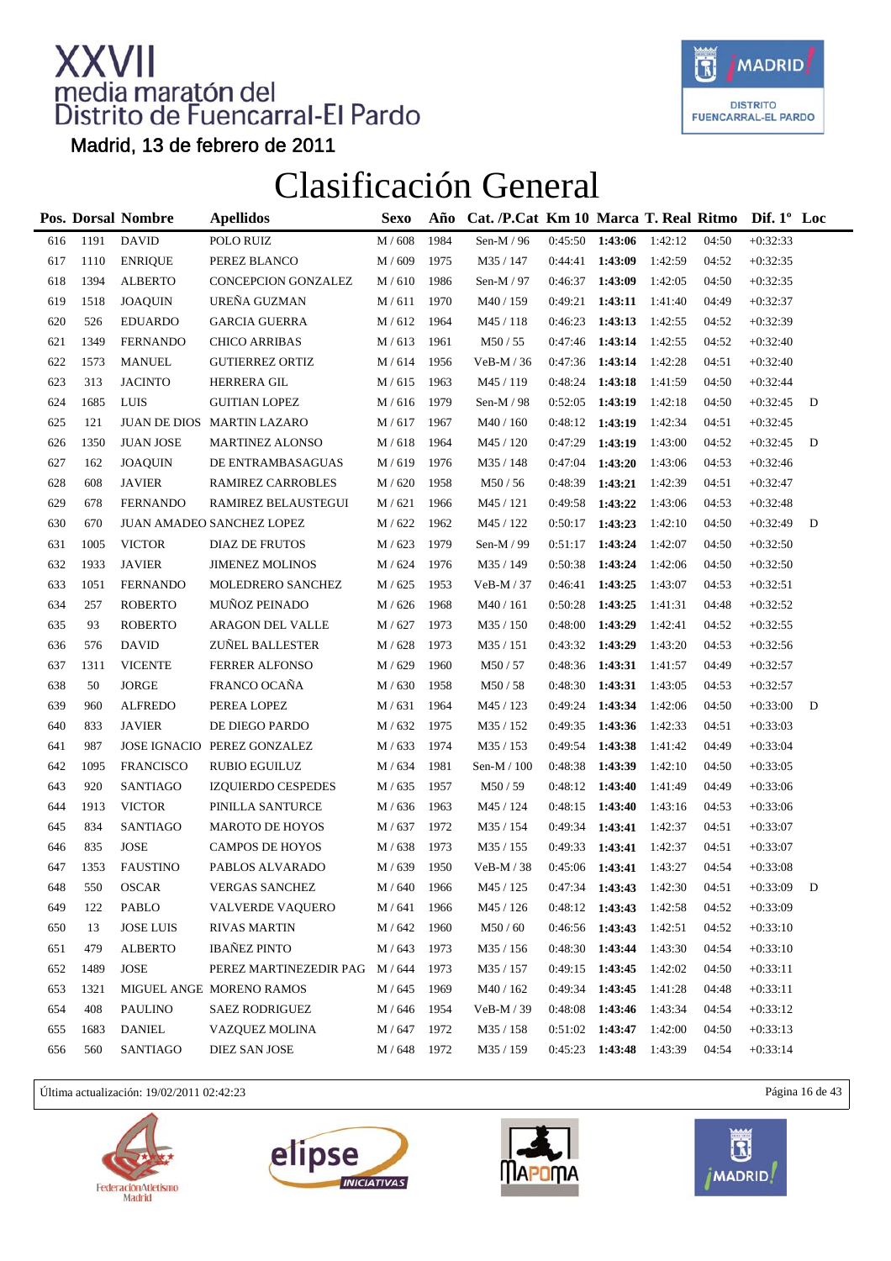

Madrid, 13 de febrero de 2011

### Clasificación General

|     |      | Pos. Dorsal Nombre | <b>Apellidos</b>            | <b>Sexo</b>      | Año  | Cat. /P.Cat Km 10 Marca T. Real Ritmo |                   |                   |         |       | Dif. $1^{\circ}$ Loc |   |
|-----|------|--------------------|-----------------------------|------------------|------|---------------------------------------|-------------------|-------------------|---------|-------|----------------------|---|
| 616 | 1191 | <b>DAVID</b>       | POLO RUIZ                   | M/608            | 1984 | Sen-M / 96                            | 0:45:50           | 1:43:06           | 1:42:12 | 04:50 | $+0:32:33$           |   |
| 617 | 1110 | <b>ENRIQUE</b>     | PEREZ BLANCO                | M / 609          | 1975 | M35 / 147                             | 0:44:41           | 1:43:09           | 1:42:59 | 04:52 | $+0:32:35$           |   |
| 618 | 1394 | <b>ALBERTO</b>     | CONCEPCION GONZALEZ         | M / 610          | 1986 | Sen-M / 97                            | 0:46:37           | 1:43:09           | 1:42:05 | 04:50 | $+0:32:35$           |   |
| 619 | 1518 | <b>JOAQUIN</b>     | UREÑA GUZMAN                | M/611            | 1970 | M40 / 159                             | 0:49:21           | 1:43:11           | 1:41:40 | 04:49 | $+0:32:37$           |   |
| 620 | 526  | <b>EDUARDO</b>     | <b>GARCIA GUERRA</b>        | M/612            | 1964 | M45 / 118                             | 0:46:23           | 1:43:13           | 1:42:55 | 04:52 | $+0:32:39$           |   |
| 621 | 1349 | <b>FERNANDO</b>    | <b>CHICO ARRIBAS</b>        | M/613            | 1961 | M50 / 55                              | 0:47:46           | 1:43:14           | 1:42:55 | 04:52 | $+0:32:40$           |   |
| 622 | 1573 | <b>MANUEL</b>      | <b>GUTIERREZ ORTIZ</b>      | M / 614          | 1956 | $VeB-M/36$                            | 0:47:36           | 1:43:14           | 1:42:28 | 04:51 | $+0:32:40$           |   |
| 623 | 313  | <b>JACINTO</b>     | HERRERA GIL                 | M / 615          | 1963 | M45 / 119                             | 0:48:24           | 1:43:18           | 1:41:59 | 04:50 | $+0:32:44$           |   |
| 624 | 1685 | LUIS               | <b>GUITIAN LOPEZ</b>        | M / 616          | 1979 | Sen-M $/$ 98                          | 0:52:05           | 1:43:19           | 1:42:18 | 04:50 | $+0:32:45$           | D |
| 625 | 121  |                    | JUAN DE DIOS MARTIN LAZARO  | M / 617          | 1967 | M40 / 160                             | 0:48:12 1:43:19   |                   | 1:42:34 | 04:51 | $+0:32:45$           |   |
| 626 | 1350 | <b>JUAN JOSE</b>   | <b>MARTINEZ ALONSO</b>      | M / 618          | 1964 | M45 / 120                             | 0:47:29           | 1:43:19           | 1:43:00 | 04:52 | $+0:32:45$           | D |
| 627 | 162  | <b>JOAQUIN</b>     | DE ENTRAMBASAGUAS           | M/619            | 1976 | M35 / 148                             | 0:47:04           | 1:43:20           | 1:43:06 | 04:53 | $+0:32:46$           |   |
| 628 | 608  | <b>JAVIER</b>      | RAMIREZ CARROBLES           | M / 620          | 1958 | M50 / 56                              | 0:48:39           | 1:43:21           | 1:42:39 | 04:51 | $+0:32:47$           |   |
| 629 | 678  | <b>FERNANDO</b>    | RAMIREZ BELAUSTEGUI         | M/621            | 1966 | M45 / 121                             | 0:49:58           | 1:43:22           | 1:43:06 | 04:53 | $+0:32:48$           |   |
| 630 | 670  |                    | JUAN AMADEO SANCHEZ LOPEZ   | M / 622          | 1962 | M45 / 122                             | 0:50:17           | 1:43:23           | 1:42:10 | 04:50 | $+0:32:49$           | D |
| 631 | 1005 | <b>VICTOR</b>      | DIAZ DE FRUTOS              | M / 623          | 1979 | Sen-M $/$ 99                          | 0:51:17           | 1:43:24           | 1:42:07 | 04:50 | $+0:32:50$           |   |
| 632 | 1933 | <b>JAVIER</b>      | <b>JIMENEZ MOLINOS</b>      | M / 624          | 1976 | M35 / 149                             | 0:50:38           | 1:43:24           | 1:42:06 | 04:50 | $+0:32:50$           |   |
| 633 | 1051 | <b>FERNANDO</b>    | MOLEDRERO SANCHEZ           | M / 625          | 1953 | $VeB-M / 37$                          | 0:46:41           | 1:43:25           | 1:43:07 | 04:53 | $+0:32:51$           |   |
| 634 | 257  | <b>ROBERTO</b>     | <b>MUÑOZ PEINADO</b>        | M / 626          | 1968 | M40/161                               | 0:50:28           | 1:43:25           | 1:41:31 | 04:48 | $+0:32:52$           |   |
| 635 | 93   | <b>ROBERTO</b>     | ARAGON DEL VALLE            | M / 627          | 1973 | M35 / 150                             | 0:48:00           | 1:43:29           | 1:42:41 | 04:52 | $+0:32:55$           |   |
| 636 | 576  | <b>DAVID</b>       | <b>ZUÑEL BALLESTER</b>      | M / 628          | 1973 | M35 / 151                             | 0:43:32           | 1:43:29           | 1:43:20 | 04:53 | $+0:32:56$           |   |
| 637 | 1311 | <b>VICENTE</b>     | <b>FERRER ALFONSO</b>       | M / 629          | 1960 | M50/57                                | 0:48:36           | 1:43:31           | 1:41:57 | 04:49 | $+0:32:57$           |   |
| 638 | 50   | <b>JORGE</b>       | FRANCO OCAÑA                | M / 630          | 1958 | M50/58                                | 0:48:30           | 1:43:31           | 1:43:05 | 04:53 | $+0:32:57$           |   |
| 639 | 960  | <b>ALFREDO</b>     | PEREA LOPEZ                 | M/631            | 1964 | M45 / 123                             | 0:49:24           | 1:43:34           | 1:42:06 | 04:50 | $+0:33:00$           | D |
| 640 | 833  | <b>JAVIER</b>      | DE DIEGO PARDO              | M / 632          | 1975 | M35 / 152                             | 0:49:35           | 1:43:36           | 1:42:33 | 04:51 | $+0:33:03$           |   |
| 641 | 987  |                    | JOSE IGNACIO PEREZ GONZALEZ | M / 633          | 1974 | M35 / 153                             | 0:49:54           | 1:43:38           | 1:41:42 | 04:49 | $+0:33:04$           |   |
| 642 | 1095 | <b>FRANCISCO</b>   | <b>RUBIO EGUILUZ</b>        | M / 634          | 1981 | Sen-M / 100                           | 0:48:38           | 1:43:39           | 1:42:10 | 04:50 | $+0:33:05$           |   |
| 643 | 920  | <b>SANTIAGO</b>    | <b>IZQUIERDO CESPEDES</b>   | M / 635          | 1957 | M50/59                                | $0:48:12$ 1:43:40 |                   | 1:41:49 | 04:49 | $+0:33:06$           |   |
| 644 | 1913 | <b>VICTOR</b>      | PINILLA SANTURCE            | M / 636          | 1963 | M45 / 124                             | 0:48:15           | 1:43:40           | 1:43:16 | 04:53 | $+0:33:06$           |   |
| 645 | 834  | SANTIAGO           | <b>MAROTO DE HOYOS</b>      | M / 637          | 1972 | M35 / 154                             | 0:49:34           | 1:43:41           | 1:42:37 | 04:51 | $+0:33:07$           |   |
| 646 | 835  | <b>JOSE</b>        | <b>CAMPOS DE HOYOS</b>      | M / 638          | 1973 | M35 / 155                             | 0:49:33           | 1:43:41           | 1:42:37 | 04:51 | $+0:33:07$           |   |
| 647 | 1353 | FAUSTINO           | PABLOS ALVARADO             | M / 639          | 1950 | $VeB-M / 38$                          |                   | $0:45:06$ 1:43:41 | 1:43:27 | 04:54 | $+0:33:08$           |   |
| 648 | 550  | OSCAR              | VERGAS SANCHEZ              | $\text{M}$ / 640 | 1966 | M45 / 125                             | 0:47:34           | 1:43:43           | 1:42:30 | 04:51 | $+0:33:09$           | D |
| 649 | 122  | PABLO              | <b>VALVERDE VAQUERO</b>     | M / 641          | 1966 | M45 / 126                             |                   | $0:48:12$ 1:43:43 | 1:42:58 | 04:52 | $+0:33:09$           |   |
| 650 | 13   | <b>JOSE LUIS</b>   | <b>RIVAS MARTIN</b>         | M / 642          | 1960 | M50/60                                |                   | 0:46:56 1:43:43   | 1:42:51 | 04:52 | $+0:33:10$           |   |
| 651 | 479  | <b>ALBERTO</b>     | <b>IBAÑEZ PINTO</b>         | M / 643          | 1973 | M35 / 156                             | 0:48:30           | 1:43:44           | 1:43:30 | 04:54 | $+0:33:10$           |   |
| 652 | 1489 | <b>JOSE</b>        | PEREZ MARTINEZEDIR PAG      | M / 644          | 1973 | M35 / 157                             | 0:49:15           | 1:43:45           | 1:42:02 | 04:50 | $+0:33:11$           |   |
| 653 | 1321 |                    | MIGUEL ANGE MORENO RAMOS    | $M/645$          | 1969 | M40 / 162                             | 0:49:34           | 1:43:45           | 1:41:28 | 04:48 | $+0:33:11$           |   |
| 654 | 408  | PAULINO            | <b>SAEZ RODRIGUEZ</b>       | M / 646          | 1954 | $VeB-M / 39$                          | 0:48:08           | 1:43:46           | 1:43:34 | 04:54 | $+0:33:12$           |   |
| 655 | 1683 | <b>DANIEL</b>      | VAZQUEZ MOLINA              | M / 647          | 1972 | M35 / 158                             | 0:51:02           | 1:43:47           | 1:42:00 | 04:50 | $+0:33:13$           |   |
| 656 | 560  | SANTIAGO           | DIEZ SAN JOSE               | M / 648          | 1972 | M35 / 159                             | 0:45:23           | 1:43:48           | 1:43:39 | 04:54 | $+0:33:14$           |   |

Última actualización: 19/02/2011 02:42:23 Página 16 de 43







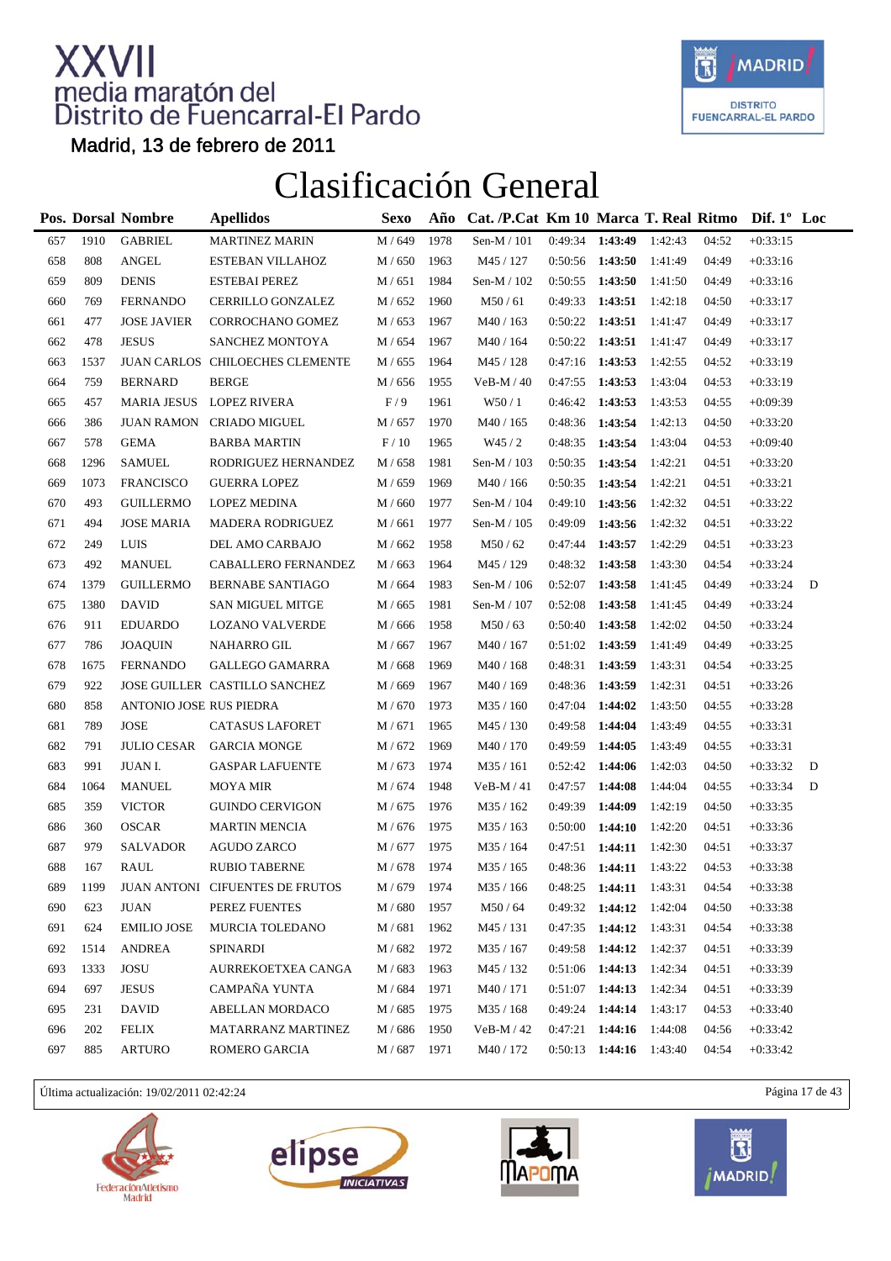

Madrid, 13 de febrero de 2011

### Clasificación General

|     |      | Pos. Dorsal Nombre      | <b>Apellidos</b>                | <b>Sexo</b>        | Año  | Cat. /P.Cat Km 10 Marca T. Real Ritmo Dif. 1° Loc |         |                   |         |       |            |   |
|-----|------|-------------------------|---------------------------------|--------------------|------|---------------------------------------------------|---------|-------------------|---------|-------|------------|---|
| 657 | 1910 | <b>GABRIEL</b>          | <b>MARTINEZ MARIN</b>           | M / 649            | 1978 | Sen-M / 101                                       |         | $0:49:34$ 1:43:49 | 1:42:43 | 04:52 | $+0:33:15$ |   |
| 658 | 808  | $\operatorname{ANGEL}$  | ESTEBAN VILLAHOZ                | M / 650            | 1963 | M45 / 127                                         |         | 0:50:56 1:43:50   | 1:41:49 | 04:49 | $+0:33:16$ |   |
| 659 | 809  | <b>DENIS</b>            | <b>ESTEBAI PEREZ</b>            | M / 651            | 1984 | Sen-M / 102                                       | 0:50:55 | 1:43:50           | 1:41:50 | 04:49 | $+0:33:16$ |   |
| 660 | 769  | <b>FERNANDO</b>         | CERRILLO GONZALEZ               | M / 652            | 1960 | M50/61                                            | 0:49:33 | 1:43:51           | 1:42:18 | 04:50 | $+0:33:17$ |   |
| 661 | 477  | <b>JOSE JAVIER</b>      | CORROCHANO GOMEZ                | M / 653            | 1967 | M40 / 163                                         |         | $0:50:22$ 1:43:51 | 1:41:47 | 04:49 | $+0:33:17$ |   |
| 662 | 478  | <b>JESUS</b>            | SANCHEZ MONTOYA                 | M / 654            | 1967 | M40 / 164                                         |         | $0:50:22$ 1:43:51 | 1:41:47 | 04:49 | $+0:33:17$ |   |
| 663 | 1537 |                         | JUAN CARLOS CHILOECHES CLEMENTE | M / 655            | 1964 | M45 / 128                                         | 0:47:16 | 1:43:53           | 1:42:55 | 04:52 | $+0:33:19$ |   |
| 664 | 759  | <b>BERNARD</b>          | <b>BERGE</b>                    | M / 656            | 1955 | $VeB-M/40$                                        | 0:47:55 | 1:43:53           | 1:43:04 | 04:53 | $+0:33:19$ |   |
| 665 | 457  |                         | MARIA JESUS LOPEZ RIVERA        | F/9                | 1961 | W50 / 1                                           | 0:46:42 | 1:43:53           | 1:43:53 | 04:55 | $+0:09:39$ |   |
| 666 | 386  |                         | JUAN RAMON CRIADO MIGUEL        | M / 657            | 1970 | M40 / 165                                         | 0:48:36 | 1:43:54           | 1:42:13 | 04:50 | $+0:33:20$ |   |
| 667 | 578  | <b>GEMA</b>             | <b>BARBA MARTIN</b>             | F/10               | 1965 | W45/2                                             | 0:48:35 | 1:43:54           | 1:43:04 | 04:53 | $+0:09:40$ |   |
| 668 | 1296 | <b>SAMUEL</b>           | RODRIGUEZ HERNANDEZ             | M / 658            | 1981 | Sen-M / 103                                       | 0:50:35 | 1:43:54           | 1:42:21 | 04:51 | $+0:33:20$ |   |
| 669 | 1073 | <b>FRANCISCO</b>        | <b>GUERRA LOPEZ</b>             | M / 659            | 1969 | M40 / 166                                         | 0:50:35 | 1:43:54           | 1:42:21 | 04:51 | $+0:33:21$ |   |
| 670 | 493  | <b>GUILLERMO</b>        | <b>LOPEZ MEDINA</b>             | M / 660            | 1977 | Sen-M / 104                                       | 0:49:10 | 1:43:56           | 1:42:32 | 04:51 | $+0:33:22$ |   |
| 671 | 494  | <b>JOSE MARIA</b>       | <b>MADERA RODRIGUEZ</b>         | M/661              | 1977 | Sen-M / 105                                       | 0:49:09 | 1:43:56           | 1:42:32 | 04:51 | $+0:33:22$ |   |
| 672 | 249  | <b>LUIS</b>             | DEL AMO CARBAJO                 | M / 662            | 1958 | M50/62                                            | 0:47:44 | 1:43:57           | 1:42:29 | 04:51 | $+0:33:23$ |   |
| 673 | 492  | <b>MANUEL</b>           | CABALLERO FERNANDEZ             | M / 663            | 1964 | M45 / 129                                         | 0:48:32 | 1:43:58           | 1:43:30 | 04:54 | $+0:33:24$ |   |
| 674 | 1379 | <b>GUILLERMO</b>        | <b>BERNABE SANTIAGO</b>         | M / 664            | 1983 | Sen-M $/ 106$                                     | 0:52:07 | 1:43:58           | 1:41:45 | 04:49 | $+0:33:24$ | D |
| 675 | 1380 | <b>DAVID</b>            | <b>SAN MIGUEL MITGE</b>         | M / 665            | 1981 | Sen-M / 107                                       | 0:52:08 | 1:43:58           | 1:41:45 | 04:49 | $+0:33:24$ |   |
| 676 | 911  | <b>EDUARDO</b>          | <b>LOZANO VALVERDE</b>          | M / 666            | 1958 | M50/63                                            | 0:50:40 | 1:43:58           | 1:42:02 | 04:50 | $+0:33:24$ |   |
| 677 | 786  | <b>JOAQUIN</b>          | NAHARRO GIL                     | M / 667            | 1967 | M40 / 167                                         |         | $0:51:02$ 1:43:59 | 1:41:49 | 04:49 | $+0:33:25$ |   |
| 678 | 1675 | <b>FERNANDO</b>         | GALLEGO GAMARRA                 | M / 668            | 1969 | M40 / 168                                         | 0:48:31 | 1:43:59           | 1:43:31 | 04:54 | $+0:33:25$ |   |
| 679 | 922  |                         | JOSE GUILLER CASTILLO SANCHEZ   | M / 669            | 1967 | M40 / 169                                         | 0:48:36 | 1:43:59           | 1:42:31 | 04:51 | $+0:33:26$ |   |
| 680 | 858  | ANTONIO JOSE RUS PIEDRA |                                 | M / 670            | 1973 | M35 / 160                                         | 0:47:04 | 1:44:02           | 1:43:50 | 04:55 | $+0:33:28$ |   |
| 681 | 789  | <b>JOSE</b>             | <b>CATASUS LAFORET</b>          | M / 671            | 1965 | M45 / 130                                         | 0:49:58 | 1:44:04           | 1:43:49 | 04:55 | $+0:33:31$ |   |
| 682 | 791  | <b>JULIO CESAR</b>      | <b>GARCIA MONGE</b>             | M / 672            | 1969 | M40 / 170                                         | 0:49:59 | 1:44:05           | 1:43:49 | 04:55 | $+0:33:31$ |   |
| 683 | 991  | JUAN I.                 | <b>GASPAR LAFUENTE</b>          | $M/673$            | 1974 | M35/161                                           | 0:52:42 | 1:44:06           | 1:42:03 | 04:50 | $+0:33:32$ | D |
| 684 | 1064 | <b>MANUEL</b>           | <b>MOYA MIR</b>                 | M / 674            | 1948 | $VeB-M/41$                                        | 0:47:57 | 1:44:08           | 1:44:04 | 04:55 | $+0:33:34$ | D |
| 685 | 359  | <b>VICTOR</b>           | <b>GUINDO CERVIGON</b>          | M / 675            | 1976 | M35 / 162                                         | 0:49:39 | 1:44:09           | 1:42:19 | 04:50 | $+0:33:35$ |   |
| 686 | 360  | <b>OSCAR</b>            | <b>MARTIN MENCIA</b>            | M / 676            | 1975 | M35 / 163                                         | 0:50:00 | 1:44:10           | 1:42:20 | 04:51 | $+0:33:36$ |   |
| 687 | 979  | <b>SALVADOR</b>         | <b>AGUDO ZARCO</b>              | M / 677            | 1975 | M35 / 164                                         | 0:47:51 | 1:44:11           | 1:42:30 | 04:51 | $+0:33:37$ |   |
| 688 | 167  | RAUL                    | <b>RUBIO TABERNE</b>            | M / 678            | 1974 | M35 / 165                                         |         | $0:48:36$ 1:44:11 | 1:43:22 | 04:53 | $+0:33:38$ |   |
| 689 | 1199 |                         | JUAN ANTONI CIFUENTES DE FRUTOS | $\mathrm{M}$ / 679 | 1974 | $\text{M35}\,/\,166$                              | 0:48:25 | 1:44:11           | 1:43:31 | 04:54 | $+0:33:38$ |   |
| 690 | 623  | JUAN                    | PEREZ FUENTES                   | M / 680            | 1957 | M50/64                                            | 0:49:32 | 1:44:12           | 1:42:04 | 04:50 | $+0:33:38$ |   |
| 691 | 624  | <b>EMILIO JOSE</b>      | MURCIA TOLEDANO                 | M / 681            | 1962 | M45 / 131                                         | 0:47:35 | 1:44:12           | 1:43:31 | 04:54 | $+0:33:38$ |   |
| 692 | 1514 | <b>ANDREA</b>           | SPINARDI                        | M / 682            | 1972 | M35 / 167                                         | 0:49:58 | 1:44:12           | 1:42:37 | 04:51 | $+0:33:39$ |   |
| 693 | 1333 | JOSU                    | AURREKOETXEA CANGA              | M / 683            | 1963 | M45 / 132                                         |         | $0:51:06$ 1:44:13 | 1:42:34 | 04:51 | $+0:33:39$ |   |
| 694 | 697  | <b>JESUS</b>            | CAMPAÑA YUNTA                   | M / 684            | 1971 | M40 / 171                                         | 0:51:07 | 1:44:13           | 1:42:34 | 04:51 | $+0:33:39$ |   |
| 695 | 231  | <b>DAVID</b>            | <b>ABELLAN MORDACO</b>          | M / 685            | 1975 | M35 / 168                                         | 0:49:24 | 1:44:14           | 1:43:17 | 04:53 | $+0:33:40$ |   |
| 696 | 202  | <b>FELIX</b>            | MATARRANZ MARTINEZ              | M / 686            | 1950 | $VeB-M/42$                                        | 0:47:21 | 1:44:16           | 1:44:08 | 04:56 | $+0:33:42$ |   |
| 697 | 885  | ARTURO                  | ROMERO GARCIA                   | M / 687            | 1971 | M40 / 172                                         | 0:50:13 | 1:44:16           | 1:43:40 | 04:54 | $+0:33:42$ |   |

Última actualización: 19/02/2011 02:42:24 Página 17 de 43







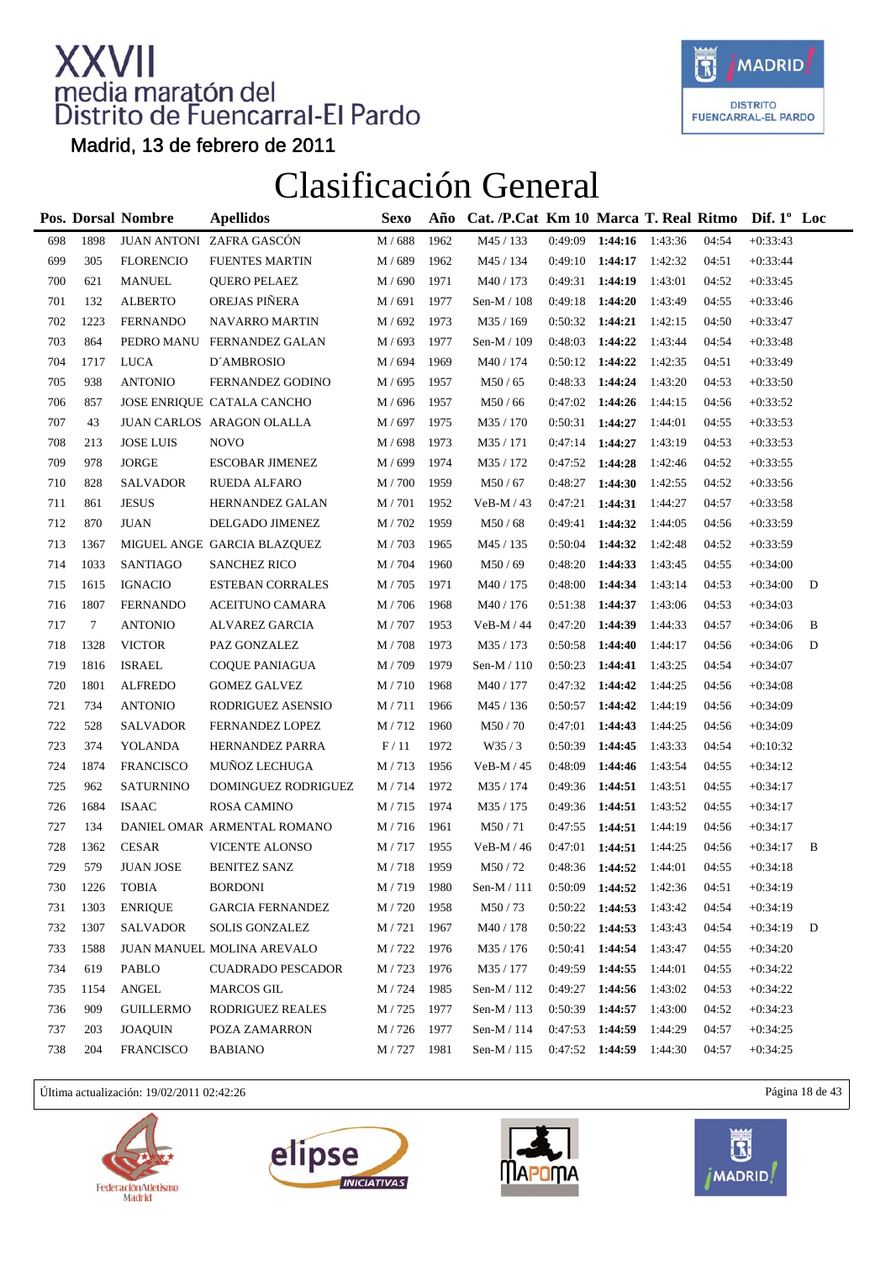

Madrid, 13 de febrero de 2011

#### Clasificación General

|     |        | Pos. Dorsal Nombre | <b>Apellidos</b>            | <b>Sexo</b> | Año  | Cat. /P.Cat Km 10 Marca T. Real Ritmo |                   |                   |         |       | Dif. $1^{\circ}$ Loc |   |
|-----|--------|--------------------|-----------------------------|-------------|------|---------------------------------------|-------------------|-------------------|---------|-------|----------------------|---|
| 698 | 1898   |                    | JUAN ANTONI ZAFRA GASCÓN    | M / 688     | 1962 | M45 / 133                             | 0:49:09           | 1:44:16           | 1:43:36 | 04:54 | $+0:33:43$           |   |
| 699 | 305    | <b>FLORENCIO</b>   | <b>FUENTES MARTIN</b>       | M / 689     | 1962 | M45 / 134                             | 0:49:10           | 1:44:17           | 1:42:32 | 04:51 | $+0:33:44$           |   |
| 700 | 621    | <b>MANUEL</b>      | <b>QUERO PELAEZ</b>         | M / 690     | 1971 | M40 / 173                             | 0:49:31           | 1:44:19           | 1:43:01 | 04:52 | $+0:33:45$           |   |
| 701 | 132    | <b>ALBERTO</b>     | OREJAS PIÑERA               | M / 691     | 1977 | Sen-M / 108                           | 0:49:18           | 1:44:20           | 1:43:49 | 04:55 | $+0:33:46$           |   |
| 702 | 1223   | FERNANDO           | <b>NAVARRO MARTIN</b>       | M / 692     | 1973 | M35 / 169                             | 0:50:32           | 1:44:21           | 1:42:15 | 04:50 | $+0:33:47$           |   |
| 703 | 864    |                    | PEDRO MANU FERNANDEZ GALAN  | M / 693     | 1977 | Sen-M / 109                           | 0:48:03           | 1:44:22           | 1:43:44 | 04:54 | $+0:33:48$           |   |
| 704 | 1717   | <b>LUCA</b>        | D'AMBROSIO                  | M / 694     | 1969 | M40 / 174                             | 0:50:12           | 1:44:22           | 1:42:35 | 04:51 | $+0:33:49$           |   |
| 705 | 938    | <b>ANTONIO</b>     | FERNANDEZ GODINO            | M / 695     | 1957 | M50/65                                | 0:48:33           | 1:44:24           | 1:43:20 | 04:53 | $+0:33:50$           |   |
| 706 | 857    |                    | JOSE ENRIQUE CATALA CANCHO  | M / 696     | 1957 | M50/66                                | 0:47:02           | 1:44:26           | 1:44:15 | 04:56 | $+0:33:52$           |   |
| 707 | 43     |                    | JUAN CARLOS ARAGON OLALLA   | M / 697     | 1975 | M35 / 170                             | 0:50:31           | 1:44:27           | 1:44:01 | 04:55 | $+0:33:53$           |   |
| 708 | 213    | <b>JOSE LUIS</b>   | <b>NOVO</b>                 | M / 698     | 1973 | M35 / 171                             | 0:47:14           | 1:44:27           | 1:43:19 | 04:53 | $+0:33:53$           |   |
| 709 | 978    | <b>JORGE</b>       | <b>ESCOBAR JIMENEZ</b>      | M / 699     | 1974 | M35 / 172                             | 0:47:52           | 1:44:28           | 1:42:46 | 04:52 | $+0:33:55$           |   |
| 710 | 828    | <b>SALVADOR</b>    | <b>RUEDA ALFARO</b>         | M / 700     | 1959 | M50/67                                | 0:48:27           | 1:44:30           | 1:42:55 | 04:52 | $+0:33:56$           |   |
| 711 | 861    | <b>JESUS</b>       | HERNANDEZ GALAN             | M / 701     | 1952 | $VeB-M/43$                            | 0:47:21           | 1:44:31           | 1:44:27 | 04:57 | $+0:33:58$           |   |
| 712 | 870    | <b>JUAN</b>        | DELGADO JIMENEZ             | M / 702     | 1959 | M50/68                                | 0:49:41           | 1:44:32           | 1:44:05 | 04:56 | $+0:33:59$           |   |
| 713 | 1367   |                    | MIGUEL ANGE GARCIA BLAZQUEZ | M / 703     | 1965 | M45 / 135                             | 0:50:04           | 1:44:32           | 1:42:48 | 04:52 | $+0:33:59$           |   |
| 714 | 1033   | <b>SANTIAGO</b>    | <b>SANCHEZ RICO</b>         | M / 704     | 1960 | M50/69                                | 0:48:20           | 1:44:33           | 1:43:45 | 04:55 | $+0:34:00$           |   |
| 715 | 1615   | <b>IGNACIO</b>     | <b>ESTEBAN CORRALES</b>     | M / 705     | 1971 | M40 / 175                             | 0:48:00           | 1:44:34           | 1:43:14 | 04:53 | $+0:34:00$           | D |
| 716 | 1807   | <b>FERNANDO</b>    | <b>ACEITUNO CAMARA</b>      | M / 706     | 1968 | M40 / 176                             | 0:51:38           | 1:44:37           | 1:43:06 | 04:53 | $+0:34:03$           |   |
| 717 | $\tau$ | <b>ANTONIO</b>     | ALVAREZ GARCIA              | M / 707     | 1953 | VeB-M / 44                            | 0:47:20           | 1:44:39           | 1:44:33 | 04:57 | $+0:34:06$           | B |
| 718 | 1328   | <b>VICTOR</b>      | PAZ GONZALEZ                | M / 708     | 1973 | M35 / 173                             | 0:50:58           | 1:44:40           | 1:44:17 | 04:56 | $+0:34:06$           | D |
| 719 | 1816   | <b>ISRAEL</b>      | <b>COQUE PANIAGUA</b>       | M / 709     | 1979 | Sen-M / 110                           | 0:50:23           | 1:44:41           | 1:43:25 | 04:54 | $+0:34:07$           |   |
| 720 | 1801   | <b>ALFREDO</b>     | <b>GOMEZ GALVEZ</b>         | M/710       | 1968 | M40 / 177                             | 0:47:32           | 1:44:42           | 1:44:25 | 04:56 | $+0:34:08$           |   |
| 721 | 734    | <b>ANTONIO</b>     | RODRIGUEZ ASENSIO           | M/711       | 1966 | M45 / 136                             | 0:50:57           | 1:44:42           | 1:44:19 | 04:56 | $+0:34:09$           |   |
| 722 | 528    | <b>SALVADOR</b>    | FERNANDEZ LOPEZ             | M/712       | 1960 | M50/70                                | 0:47:01           | 1:44:43           | 1:44:25 | 04:56 | $+0:34:09$           |   |
| 723 | 374    | YOLANDA            | HERNANDEZ PARRA             | F/11        | 1972 | W35/3                                 | 0:50:39           | 1:44:45           | 1:43:33 | 04:54 | $+0:10:32$           |   |
| 724 | 1874   | <b>FRANCISCO</b>   | MUÑOZ LECHUGA               | M/713       | 1956 | $VeB-M/45$                            | 0:48:09           | 1:44:46           | 1:43:54 | 04:55 | $+0:34:12$           |   |
| 725 | 962    | <b>SATURNINO</b>   | DOMINGUEZ RODRIGUEZ         | M/714       | 1972 | M35 / 174                             | 0:49:36           | 1:44:51           | 1:43:51 | 04:55 | $+0:34:17$           |   |
| 726 | 1684   | <b>ISAAC</b>       | <b>ROSA CAMINO</b>          | M/715       | 1974 | M35 / 175                             | 0:49:36           | 1:44:51           | 1:43:52 | 04:55 | $+0:34:17$           |   |
| 727 | 134    |                    | DANIEL OMAR ARMENTAL ROMANO | M / 716     | 1961 | M50/71                                | 0:47:55           | 1:44:51           | 1:44:19 | 04:56 | $+0:34:17$           |   |
| 728 | 1362   | <b>CESAR</b>       | <b>VICENTE ALONSO</b>       | M/717       | 1955 | VeB-M / 46                            | 0:47:01           | 1:44:51           | 1:44:25 | 04:56 | $+0:34:17$           | B |
| 729 | 579    | <b>JUAN JOSE</b>   | <b>BENITEZ SANZ</b>         | M / 718     | 1959 | M50/72                                |                   | $0:48:36$ 1:44:52 | 1:44:01 | 04:55 | $+0:34:18$           |   |
| 730 | 1226   | TOBIA              | <b>BORDONI</b>              | M / 719     | 1980 | Sen-M / 111                           | 0:50:09           | 1:44:52           | 1:42:36 | 04:51 | $+0:34:19$           |   |
| 731 | 1303   | <b>ENRIQUE</b>     | GARCIA FERNANDEZ            | M / 720     | 1958 | M50/73                                | 0:50:22           | 1:44:53           | 1:43:42 | 04:54 | $+0:34:19$           |   |
| 732 | 1307   | SALVADOR           | <b>SOLIS GONZALEZ</b>       | M / 721     | 1967 | M40 / 178                             | 0:50:22           | 1:44:53           | 1:43:43 | 04:54 | $+0:34:19$           | D |
| 733 | 1588   |                    | JUAN MANUEL MOLINA AREVALO  | M / 722     | 1976 | M35 / 176                             | 0:50:41           | 1:44:54           | 1:43:47 | 04:55 | $+0:34:20$           |   |
| 734 | 619    | PABLO              | <b>CUADRADO PESCADOR</b>    | M / 723     | 1976 | M35 / 177                             | 0:49:59           | 1:44:55           | 1:44:01 | 04:55 | $+0:34:22$           |   |
| 735 | 1154   | ANGEL              | <b>MARCOS GIL</b>           | M / 724     | 1985 | Sen-M / 112                           | 0:49:27           | 1:44:56           | 1:43:02 | 04:53 | $+0:34:22$           |   |
| 736 | 909    | <b>GUILLERMO</b>   | RODRIGUEZ REALES            | M / 725     | 1977 | Sen-M / 113                           | 0:50:39           | 1:44:57           | 1:43:00 | 04:52 | $+0:34:23$           |   |
| 737 | 203    | <b>JOAQUIN</b>     | POZA ZAMARRON               | M / 726     | 1977 | Sen-M / 114                           | 0:47:53           | 1:44:59           | 1:44:29 | 04:57 | $+0:34:25$           |   |
| 738 | 204    | <b>FRANCISCO</b>   | <b>BABIANO</b>              | M / 727     | 1981 | Sen-M / 115                           | $0:47:52$ 1:44:59 |                   | 1:44:30 | 04:57 | $+0:34:25$           |   |

Última actualización: 19/02/2011 02:42:26 Página 18 de 43







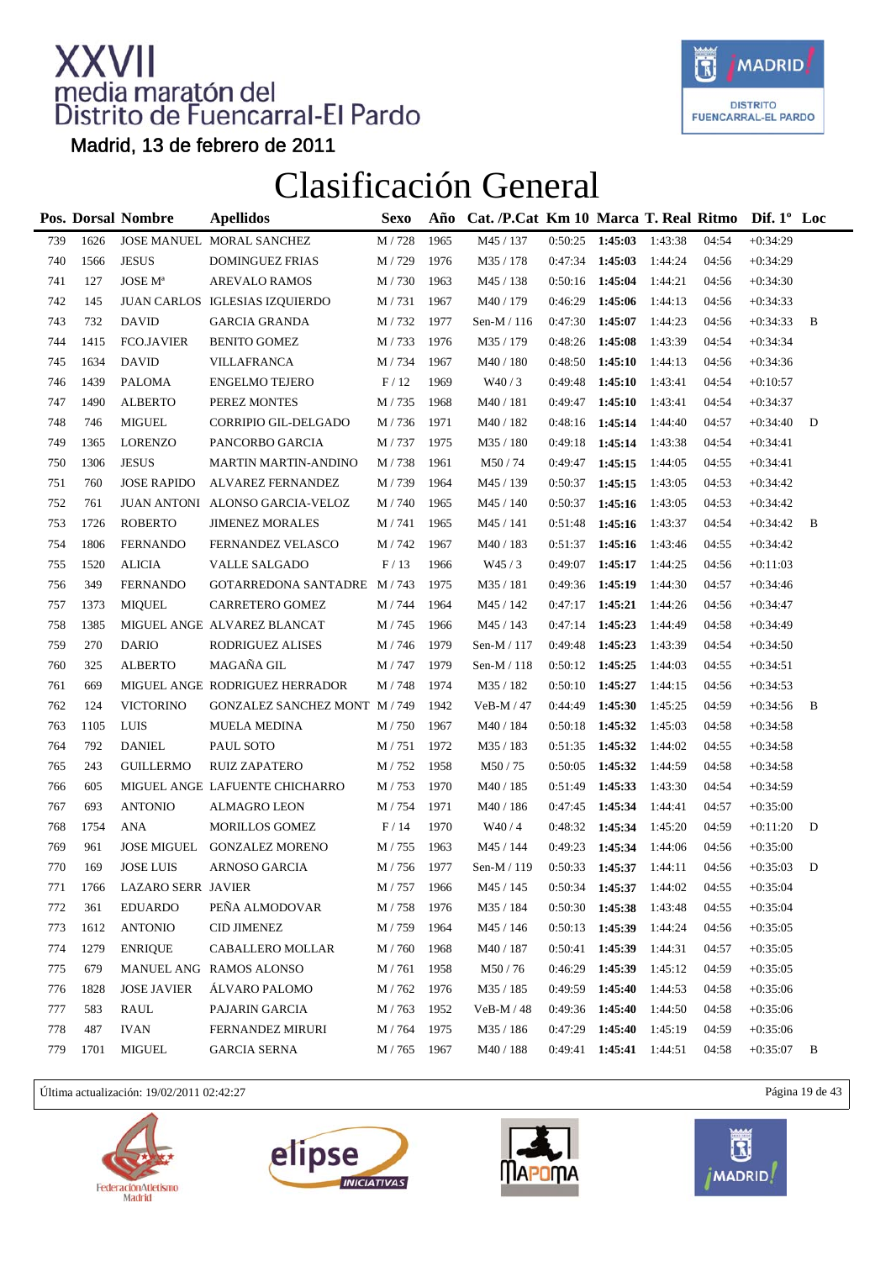

Madrid, 13 de febrero de 2011

### Clasificación General

|     |      | Pos. Dorsal Nombre         | <b>Apellidos</b>                | Sexo          | Año  | Cat. /P.Cat Km 10 Marca T. Real Ritmo |                   |         |         |       | Dif. $1^{\circ}$ Loc |   |
|-----|------|----------------------------|---------------------------------|---------------|------|---------------------------------------|-------------------|---------|---------|-------|----------------------|---|
| 739 | 1626 |                            | JOSE MANUEL MORAL SANCHEZ       | M / 728       | 1965 | M45 / 137                             | 0:50:25           | 1:45:03 | 1:43:38 | 04:54 | $+0:34:29$           |   |
| 740 | 1566 | <b>JESUS</b>               | <b>DOMINGUEZ FRIAS</b>          | M / 729       | 1976 | M35 / 178                             | 0:47:34           | 1:45:03 | 1:44:24 | 04:56 | $+0:34:29$           |   |
| 741 | 127  | <b>JOSE</b> M <sup>a</sup> | <b>AREVALO RAMOS</b>            | M / 730       | 1963 | M45 / 138                             | 0:50:16           | 1:45:04 | 1:44:21 | 04:56 | $+0:34:30$           |   |
| 742 | 145  |                            | JUAN CARLOS IGLESIAS IZQUIERDO  | M/731         | 1967 | M40 / 179                             | 0:46:29           | 1:45:06 | 1:44:13 | 04:56 | $+0:34:33$           |   |
| 743 | 732  | <b>DAVID</b>               | <b>GARCIA GRANDA</b>            | M / 732       | 1977 | Sen-M / 116                           | 0:47:30           | 1:45:07 | 1:44:23 | 04:56 | $+0:34:33$           | B |
| 744 | 1415 | <b>FCO.JAVIER</b>          | <b>BENITO GOMEZ</b>             | M / 733       | 1976 | M35 / 179                             | 0:48:26           | 1:45:08 | 1:43:39 | 04:54 | $+0:34:34$           |   |
| 745 | 1634 | <b>DAVID</b>               | VILLAFRANCA                     | M / 734       | 1967 | M40 / 180                             | 0:48:50           | 1:45:10 | 1:44:13 | 04:56 | $+0:34:36$           |   |
| 746 | 1439 | <b>PALOMA</b>              | <b>ENGELMO TEJERO</b>           | F/12          | 1969 | W40/3                                 | 0:49:48           | 1:45:10 | 1:43:41 | 04:54 | $+0.10:57$           |   |
| 747 | 1490 | <b>ALBERTO</b>             | PEREZ MONTES                    | M / 735       | 1968 | M40 / 181                             | 0:49:47           | 1:45:10 | 1:43:41 | 04:54 | $+0:34:37$           |   |
| 748 | 746  | <b>MIGUEL</b>              | CORRIPIO GIL-DELGADO            | M / 736       | 1971 | M40 / 182                             | 0:48:16           | 1:45:14 | 1:44:40 | 04:57 | $+0:34:40$           | D |
| 749 | 1365 | <b>LORENZO</b>             | PANCORBO GARCIA                 | M/737         | 1975 | M35 / 180                             | 0:49:18           | 1:45:14 | 1:43:38 | 04:54 | $+0:34:41$           |   |
| 750 | 1306 | <b>JESUS</b>               | <b>MARTIN MARTIN-ANDINO</b>     | M/738         | 1961 | M50/74                                | 0:49:47           | 1:45:15 | 1:44:05 | 04:55 | $+0:34:41$           |   |
| 751 | 760  | <b>JOSE RAPIDO</b>         | ALVAREZ FERNANDEZ               | M/739         | 1964 | M45 / 139                             | 0:50:37           | 1:45:15 | 1:43:05 | 04:53 | $+0:34:42$           |   |
| 752 | 761  |                            | JUAN ANTONI ALONSO GARCIA-VELOZ | M / 740       | 1965 | M45 / 140                             | 0:50:37           | 1:45:16 | 1:43:05 | 04:53 | $+0:34:42$           |   |
| 753 | 1726 | <b>ROBERTO</b>             | <b>JIMENEZ MORALES</b>          | M/741         | 1965 | M45 / 141                             | 0:51:48           | 1:45:16 | 1:43:37 | 04:54 | $+0:34:42$           | B |
| 754 | 1806 | <b>FERNANDO</b>            | FERNANDEZ VELASCO               | M / 742       | 1967 | M40 / 183                             | 0:51:37           | 1:45:16 | 1:43:46 | 04:55 | $+0:34:42$           |   |
| 755 | 1520 | <b>ALICIA</b>              | <b>VALLE SALGADO</b>            | F/13          | 1966 | W45/3                                 | 0:49:07           | 1:45:17 | 1:44:25 | 04:56 | $+0:11:03$           |   |
| 756 | 349  | <b>FERNANDO</b>            | GOTARREDONA SANTADRE M / 743    |               | 1975 | M35 / 181                             | 0:49:36           | 1:45:19 | 1:44:30 | 04:57 | $+0:34:46$           |   |
| 757 | 1373 | <b>MIQUEL</b>              | CARRETERO GOMEZ                 | M / 744       | 1964 | M45 / 142                             | 0:47:17           | 1:45:21 | 1:44:26 | 04:56 | $+0:34:47$           |   |
| 758 | 1385 |                            | MIGUEL ANGE ALVAREZ BLANCAT     | M / 745       | 1966 | M45 / 143                             | 0:47:14           | 1:45:23 | 1:44:49 | 04:58 | $+0:34:49$           |   |
| 759 | 270  | <b>DARIO</b>               | RODRIGUEZ ALISES                | M / 746       | 1979 | Sen-M / 117                           | 0:49:48           | 1:45:23 | 1:43:39 | 04:54 | $+0:34:50$           |   |
| 760 | 325  | <b>ALBERTO</b>             | MAGAÑA GIL                      | M / 747       | 1979 | Sen-M / 118                           | $0:50:12$ 1:45:25 |         | 1:44:03 | 04:55 | $+0:34:51$           |   |
| 761 | 669  |                            | MIGUEL ANGE RODRIGUEZ HERRADOR  | M/748         | 1974 | M35 / 182                             | 0:50:10           | 1:45:27 | 1:44:15 | 04:56 | $+0:34:53$           |   |
| 762 | 124  | <b>VICTORINO</b>           | GONZALEZ SANCHEZ MONT M / 749   |               | 1942 | VeB-M / 47                            | 0:44:49           | 1:45:30 | 1:45:25 | 04:59 | $+0:34:56$           | B |
| 763 | 1105 | LUIS                       | <b>MUELA MEDINA</b>             | M / 750       | 1967 | M40 / 184                             | 0:50:18           | 1:45:32 | 1:45:03 | 04:58 | $+0:34:58$           |   |
| 764 | 792  | <b>DANIEL</b>              | PAUL SOTO                       | M / 751       | 1972 | M35 / 183                             | 0:51:35           | 1:45:32 | 1:44:02 | 04:55 | $+0:34:58$           |   |
| 765 | 243  | <b>GUILLERMO</b>           | <b>RUIZ ZAPATERO</b>            | M / 752       | 1958 | M50/75                                | 0:50:05           | 1:45:32 | 1:44:59 | 04:58 | $+0:34:58$           |   |
| 766 | 605  |                            | MIGUEL ANGE LAFUENTE CHICHARRO  | M/753         | 1970 | M40 / 185                             | 0:51:49           | 1:45:33 | 1:43:30 | 04:54 | $+0:34:59$           |   |
| 767 | 693  | <b>ANTONIO</b>             | <b>ALMAGRO LEON</b>             | M / 754       | 1971 | M40 / 186                             | 0:47:45           | 1:45:34 | 1:44:41 | 04:57 | $+0:35:00$           |   |
| 768 | 1754 | <b>ANA</b>                 | <b>MORILLOS GOMEZ</b>           | F/14          | 1970 | W40/4                                 | 0:48:32 1:45:34   |         | 1:45:20 | 04:59 | $+0:11:20$           | D |
| 769 | 961  | <b>JOSE MIGUEL</b>         | <b>GONZALEZ MORENO</b>          | M / 755       | 1963 | M45 / 144                             | 0:49:23           | 1:45:34 | 1:44:06 | 04:56 | $+0:35:00$           |   |
| 770 | 169  | <b>JOSE LUIS</b>           | ARNOSO GARCIA                   | M / 756       | 1977 | Sen-M / 119                           | 0:50:33           | 1:45:37 | 1:44:11 | 04:56 | $+0:35:03$           | D |
| 771 | 1766 | LAZARO SERR JAVIER         |                                 | $M$ / $757\,$ | 1966 | M45 / 145                             | 0:50:34           | 1:45:37 | 1:44:02 | 04:55 | $+0:35:04$           |   |
| 772 | 361  | <b>EDUARDO</b>             | PENA ALMODOVAR                  | M / 758       | 1976 | M35 / 184                             | 0:50:30           | 1:45:38 | 1:43:48 | 04:55 | $+0:35:04$           |   |
| 773 | 1612 | <b>ANTONIO</b>             | <b>CID JIMENEZ</b>              | M / 759       | 1964 | M45 / 146                             | 0:50:13           | 1:45:39 | 1:44:24 | 04:56 | $+0:35:05$           |   |
| 774 | 1279 | <b>ENRIQUE</b>             | CABALLERO MOLLAR                | M / 760       | 1968 | M40 / 187                             | 0:50:41 1:45:39   |         | 1:44:31 | 04:57 | $+0:35:05$           |   |
| 775 | 679  |                            | MANUEL ANG RAMOS ALONSO         | M / 761       | 1958 | M50/76                                | 0:46:29           | 1:45:39 | 1:45:12 | 04:59 | $+0:35:05$           |   |
| 776 | 1828 | <b>JOSE JAVIER</b>         | ÁLVARO PALOMO                   | M / 762       | 1976 | M35 / 185                             | 0:49:59           | 1:45:40 | 1:44:53 | 04:58 | $+0:35:06$           |   |
| 777 | 583  | RAUL                       | PAJARIN GARCIA                  | M/763         | 1952 | VeB-M / 48                            | 0:49:36 1:45:40   |         | 1:44:50 | 04:58 | $+0:35:06$           |   |
| 778 | 487  | <b>IVAN</b>                | FERNANDEZ MIRURI                | M / 764       | 1975 | M35 / 186                             | 0:47:29           | 1:45:40 | 1:45:19 | 04:59 | $+0:35:06$           |   |
| 779 | 1701 | <b>MIGUEL</b>              | GARCIA SERNA                    | M / 765       | 1967 | M40 / 188                             | 0:49:41           | 1:45:41 | 1:44:51 | 04:58 | $+0:35:07$           | B |

Última actualización: 19/02/2011 02:42:27 Página 19 de 43







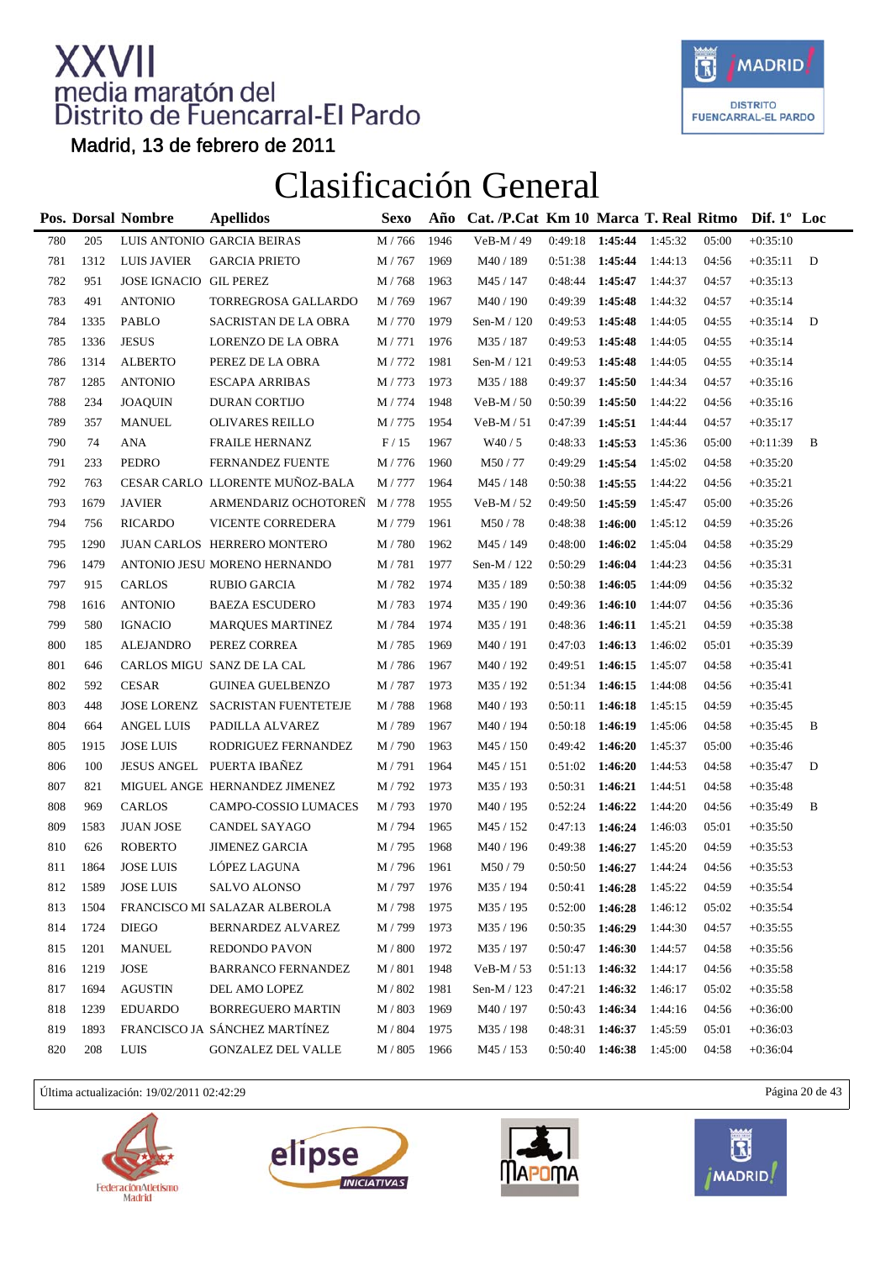

Madrid, 13 de febrero de 2011

### Clasificación General

|     |      | Pos. Dorsal Nombre     | <b>Apellidos</b>                 | Sexo    | Año  | Cat. /P.Cat Km 10 Marca T. Real Ritmo Dif. 1° Loc |         |                   |         |       |            |              |
|-----|------|------------------------|----------------------------------|---------|------|---------------------------------------------------|---------|-------------------|---------|-------|------------|--------------|
| 780 | 205  |                        | LUIS ANTONIO GARCIA BEIRAS       | M / 766 | 1946 | VeB-M / 49                                        | 0:49:18 | 1:45:44           | 1:45:32 | 05:00 | $+0:35:10$ |              |
| 781 | 1312 | <b>LUIS JAVIER</b>     | <b>GARCIA PRIETO</b>             | M / 767 | 1969 | M40 / 189                                         | 0:51:38 | 1:45:44           | 1:44:13 | 04:56 | $+0:35:11$ | $\mathbf{D}$ |
| 782 | 951  | JOSE IGNACIO GIL PEREZ |                                  | M / 768 | 1963 | M45 / 147                                         | 0:48:44 | 1:45:47           | 1:44:37 | 04:57 | $+0:35:13$ |              |
| 783 | 491  | <b>ANTONIO</b>         | TORREGROSA GALLARDO              | M / 769 | 1967 | M40 / 190                                         | 0:49:39 | 1:45:48           | 1:44:32 | 04:57 | $+0:35:14$ |              |
| 784 | 1335 | PABLO                  | SACRISTAN DE LA OBRA             | M / 770 | 1979 | Sen-M / 120                                       | 0:49:53 | 1:45:48           | 1:44:05 | 04:55 | $+0:35:14$ | D            |
| 785 | 1336 | <b>JESUS</b>           | LORENZO DE LA OBRA               | M / 771 | 1976 | M35 / 187                                         | 0:49:53 | 1:45:48           | 1:44:05 | 04:55 | $+0:35:14$ |              |
| 786 | 1314 | <b>ALBERTO</b>         | PEREZ DE LA OBRA                 | M / 772 | 1981 | Sen-M / 121                                       | 0:49:53 | 1:45:48           | 1:44:05 | 04:55 | $+0:35:14$ |              |
| 787 | 1285 | <b>ANTONIO</b>         | <b>ESCAPA ARRIBAS</b>            | M / 773 | 1973 | M35 / 188                                         | 0:49:37 | 1:45:50           | 1:44:34 | 04:57 | $+0:35:16$ |              |
| 788 | 234  | <b>JOAQUIN</b>         | <b>DURAN CORTIJO</b>             | M / 774 | 1948 | $VeB-M / 50$                                      | 0:50:39 | 1:45:50           | 1:44:22 | 04:56 | $+0:35:16$ |              |
| 789 | 357  | <b>MANUEL</b>          | <b>OLIVARES REILLO</b>           | M / 775 | 1954 | $VeB-M / 51$                                      | 0:47:39 | 1:45:51           | 1:44:44 | 04:57 | $+0:35:17$ |              |
| 790 | 74   | <b>ANA</b>             | <b>FRAILE HERNANZ</b>            | F/15    | 1967 | W40/5                                             | 0:48:33 | 1:45:53           | 1:45:36 | 05:00 | $+0:11:39$ | B            |
| 791 | 233  | PEDRO                  | <b>FERNANDEZ FUENTE</b>          | M / 776 | 1960 | M50/77                                            | 0:49:29 | 1:45:54           | 1:45:02 | 04:58 | $+0:35:20$ |              |
| 792 | 763  |                        | CESAR CARLO LLORENTE MUÑOZ-BALA  | M / 777 | 1964 | M45 / 148                                         | 0:50:38 | 1:45:55           | 1:44:22 | 04:56 | $+0:35:21$ |              |
| 793 | 1679 | <b>JAVIER</b>          | ARMENDARIZ OCHOTOREÑ             | M / 778 | 1955 | VeB-M / 52                                        | 0:49:50 | 1:45:59           | 1:45:47 | 05:00 | $+0:35:26$ |              |
| 794 | 756  | <b>RICARDO</b>         | VICENTE CORREDERA                | M / 779 | 1961 | M50/78                                            | 0:48:38 | 1:46:00           | 1:45:12 | 04:59 | $+0:35:26$ |              |
| 795 | 1290 |                        | JUAN CARLOS HERRERO MONTERO      | M/780   | 1962 | M45 / 149                                         | 0:48:00 | 1:46:02           | 1:45:04 | 04:58 | $+0:35:29$ |              |
| 796 | 1479 |                        | ANTONIO JESU MORENO HERNANDO     | M / 781 | 1977 | Sen-M / 122                                       | 0:50:29 | 1:46:04           | 1:44:23 | 04:56 | $+0:35:31$ |              |
| 797 | 915  | <b>CARLOS</b>          | <b>RUBIO GARCIA</b>              | M/782   | 1974 | M35 / 189                                         | 0:50:38 | 1:46:05           | 1:44:09 | 04:56 | $+0:35:32$ |              |
| 798 | 1616 | <b>ANTONIO</b>         | <b>BAEZA ESCUDERO</b>            | M/783   | 1974 | M35 / 190                                         | 0:49:36 | 1:46:10           | 1:44:07 | 04:56 | $+0:35:36$ |              |
| 799 | 580  | <b>IGNACIO</b>         | <b>MARQUES MARTINEZ</b>          | M / 784 | 1974 | M35 / 191                                         | 0:48:36 | 1:46:11           | 1:45:21 | 04:59 | $+0:35:38$ |              |
| 800 | 185  | <b>ALEJANDRO</b>       | PEREZ CORREA                     | M / 785 | 1969 | M40 / 191                                         | 0:47:03 | 1:46:13           | 1:46:02 | 05:01 | $+0:35:39$ |              |
| 801 | 646  |                        | CARLOS MIGU SANZ DE LA CAL       | M / 786 | 1967 | M40 / 192                                         | 0:49:51 | 1:46:15           | 1:45:07 | 04:58 | $+0:35:41$ |              |
| 802 | 592  | <b>CESAR</b>           | <b>GUINEA GUELBENZO</b>          | M/787   | 1973 | M35 / 192                                         | 0:51:34 | 1:46:15           | 1:44:08 | 04:56 | $+0:35:41$ |              |
| 803 | 448  |                        | JOSE LORENZ SACRISTAN FUENTETEJE | M/788   | 1968 | M40 / 193                                         | 0:50:11 | 1:46:18           | 1:45:15 | 04:59 | $+0:35:45$ |              |
| 804 | 664  | <b>ANGEL LUIS</b>      | PADILLA ALVAREZ                  | M / 789 | 1967 | M40 / 194                                         | 0:50:18 | 1:46:19           | 1:45:06 | 04:58 | $+0:35:45$ | B            |
| 805 | 1915 | <b>JOSE LUIS</b>       | RODRIGUEZ FERNANDEZ              | M / 790 | 1963 | M45 / 150                                         | 0:49:42 | 1:46:20           | 1:45:37 | 05:00 | $+0:35:46$ |              |
| 806 | 100  |                        | JESUS ANGEL PUERTA IBAÑEZ        | M / 791 | 1964 | M45 / 151                                         | 0:51:02 | 1:46:20           | 1:44:53 | 04:58 | $+0:35:47$ | D            |
| 807 | 821  |                        | MIGUEL ANGE HERNANDEZ JIMENEZ    | M/792   | 1973 | M35 / 193                                         | 0:50:31 | 1:46:21           | 1:44:51 | 04:58 | $+0:35:48$ |              |
| 808 | 969  | <b>CARLOS</b>          | CAMPO-COSSIO LUMACES             | M / 793 | 1970 | M40 / 195                                         | 0:52:24 | 1:46:22           | 1:44:20 | 04:56 | $+0:35:49$ | B            |
| 809 | 1583 | <b>JUAN JOSE</b>       | CANDEL SAYAGO                    | M / 794 | 1965 | M45 / 152                                         |         | $0:47:13$ 1:46:24 | 1:46:03 | 05:01 | $+0:35:50$ |              |
| 810 | 626  | <b>ROBERTO</b>         | <b>JIMENEZ GARCIA</b>            | M/795   | 1968 | M40 / 196                                         | 0:49:38 | 1:46:27           | 1:45:20 | 04:59 | $+0:35:53$ |              |
| 811 | 1864 | <b>JOSE LUIS</b>       | LÓPEZ LAGUNA                     | M / 796 | 1961 | M50/79                                            | 0:50:50 | 1:46:27           | 1:44:24 | 04:56 | $+0:35:53$ |              |
| 812 | 1589 | <b>JOSE LUIS</b>       | SALVO ALONSO                     | M / 797 | 1976 | M35 / 194                                         | 0:50:41 | 1:46:28           | 1:45:22 | 04:59 | $+0:35:54$ |              |
| 813 | 1504 |                        | FRANCISCO MI SALAZAR ALBEROLA    | M / 798 | 1975 | M35 / 195                                         | 0:52:00 | 1:46:28           | 1:46:12 | 05:02 | $+0:35:54$ |              |
| 814 | 1724 | <b>DIEGO</b>           | BERNARDEZ ALVAREZ                | M / 799 | 1973 | M35 / 196                                         | 0:50:35 | 1:46:29           | 1:44:30 | 04:57 | $+0:35:55$ |              |
| 815 | 1201 | <b>MANUEL</b>          | <b>REDONDO PAVON</b>             | M / 800 | 1972 | M35 / 197                                         | 0:50:47 | 1:46:30           | 1:44:57 | 04:58 | $+0:35:56$ |              |
| 816 | 1219 | JOSE                   | <b>BARRANCO FERNANDEZ</b>        | $M/801$ | 1948 | $VeB-M / 53$                                      | 0:51:13 | 1:46:32           | 1:44:17 | 04:56 | $+0:35:58$ |              |
| 817 | 1694 | <b>AGUSTIN</b>         | DEL AMO LOPEZ                    | M / 802 | 1981 | Sen-M / 123                                       | 0:47:21 | 1:46:32           | 1:46:17 | 05:02 | $+0:35:58$ |              |
| 818 | 1239 | <b>EDUARDO</b>         | <b>BORREGUERO MARTIN</b>         | M / 803 | 1969 | M40 / 197                                         | 0:50:43 | 1:46:34           | 1:44:16 | 04:56 | $+0:36:00$ |              |
| 819 | 1893 |                        | FRANCISCO JA SÁNCHEZ MARTÍNEZ    | M / 804 | 1975 | M35 / 198                                         | 0:48:31 | 1:46:37           | 1:45:59 | 05:01 | $+0:36:03$ |              |
| 820 | 208  | LUIS                   | <b>GONZALEZ DEL VALLE</b>        | M / 805 | 1966 | M45 / 153                                         | 0:50:40 | 1:46:38           | 1:45:00 | 04:58 | $+0:36:04$ |              |

Última actualización: 19/02/2011 02:42:29 Página 20 de 43







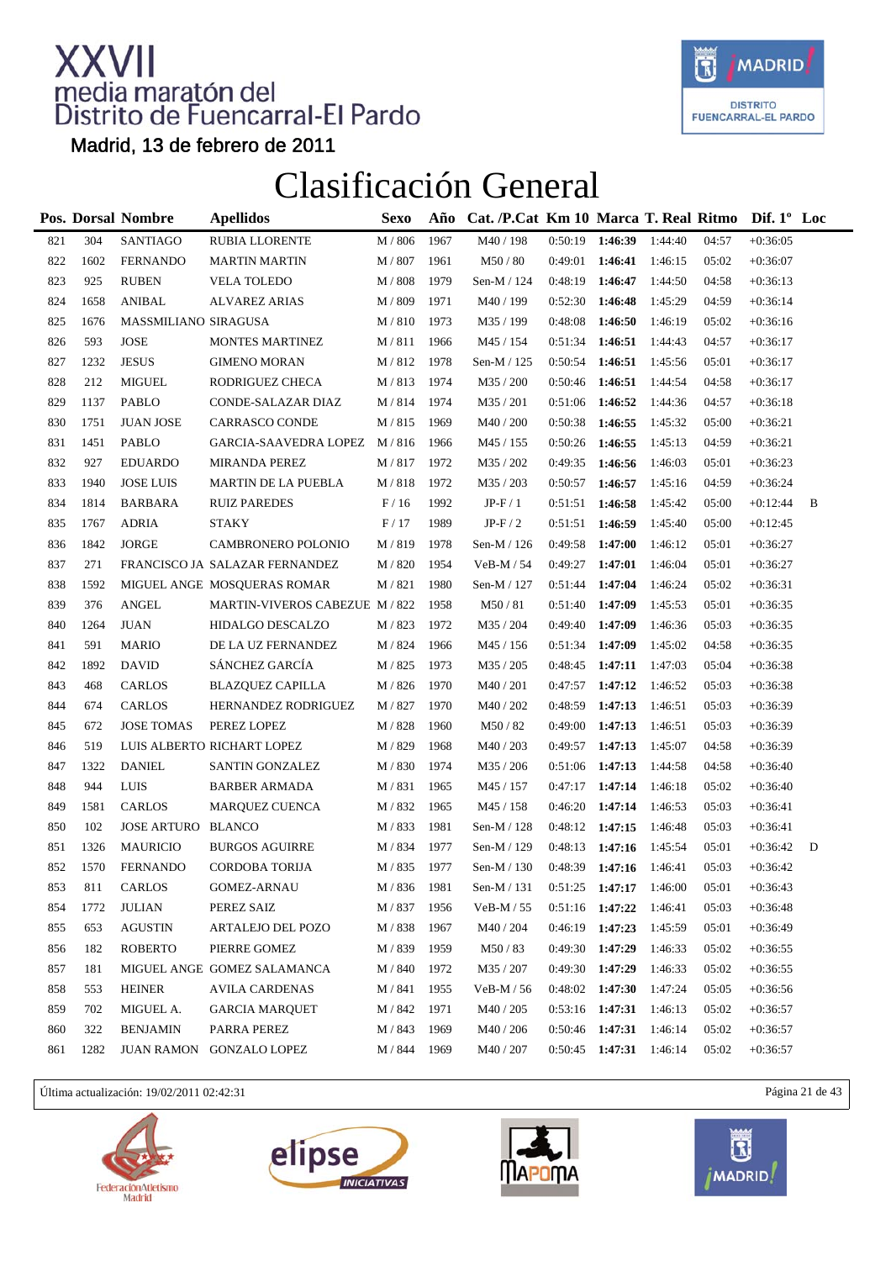

Madrid, 13 de febrero de 2011

### Clasificación General

|     |      | Pos. Dorsal Nombre   | <b>Apellidos</b>               | <b>Sexo</b>      | Año  | Cat. /P.Cat Km 10 Marca T. Real Ritmo Dif. 1° Loc |                   |                   |         |       |            |   |
|-----|------|----------------------|--------------------------------|------------------|------|---------------------------------------------------|-------------------|-------------------|---------|-------|------------|---|
| 821 | 304  | <b>SANTIAGO</b>      | RUBIA LLORENTE                 | $M/806$          | 1967 | M40 / 198                                         |                   | $0:50:19$ 1:46:39 | 1:44:40 | 04:57 | $+0:36:05$ |   |
| 822 | 1602 | <b>FERNANDO</b>      | <b>MARTIN MARTIN</b>           | M / 807          | 1961 | M50/80                                            | 0:49:01           | 1:46:41           | 1:46:15 | 05:02 | $+0:36:07$ |   |
| 823 | 925  | <b>RUBEN</b>         | <b>VELA TOLEDO</b>             | M / 808          | 1979 | Sen-M / 124                                       | 0:48:19           | 1:46:47           | 1:44:50 | 04:58 | $+0:36:13$ |   |
| 824 | 1658 | ANIBAL               | <b>ALVAREZ ARIAS</b>           | M / 809          | 1971 | M40 / 199                                         | 0:52:30           | 1:46:48           | 1:45:29 | 04:59 | $+0:36:14$ |   |
| 825 | 1676 | MASSMILIANO SIRAGUSA |                                | M / 810          | 1973 | M35 / 199                                         | 0:48:08           | 1:46:50           | 1:46:19 | 05:02 | $+0:36:16$ |   |
| 826 | 593  | <b>JOSE</b>          | <b>MONTES MARTINEZ</b>         | M / 811          | 1966 | M45 / 154                                         | 0:51:34           | 1:46:51           | 1:44:43 | 04:57 | $+0:36:17$ |   |
| 827 | 1232 | <b>JESUS</b>         | <b>GIMENO MORAN</b>            | M / 812          | 1978 | Sen-M / 125                                       | 0:50:54           | 1:46:51           | 1:45:56 | 05:01 | $+0:36:17$ |   |
| 828 | 212  | <b>MIGUEL</b>        | RODRIGUEZ CHECA                | M/813            | 1974 | M35 / 200                                         | 0:50:46           | 1:46:51           | 1:44:54 | 04:58 | $+0:36:17$ |   |
| 829 | 1137 | <b>PABLO</b>         | CONDE-SALAZAR DIAZ             | M / 814          | 1974 | M35 / 201                                         | 0:51:06 1:46:52   |                   | 1:44:36 | 04:57 | $+0:36:18$ |   |
| 830 | 1751 | <b>JUAN JOSE</b>     | CARRASCO CONDE                 | M / 815          | 1969 | M40 / 200                                         | 0:50:38           | 1:46:55           | 1:45:32 | 05:00 | $+0:36:21$ |   |
| 831 | 1451 | <b>PABLO</b>         | GARCIA-SAAVEDRA LOPEZ          | M / 816          | 1966 | M45 / 155                                         | 0:50:26           | 1:46:55           | 1:45:13 | 04:59 | $+0:36:21$ |   |
| 832 | 927  | <b>EDUARDO</b>       | <b>MIRANDA PEREZ</b>           | M / 817          | 1972 | M35 / 202                                         | 0:49:35           | 1:46:56           | 1:46:03 | 05:01 | $+0:36:23$ |   |
| 833 | 1940 | <b>JOSE LUIS</b>     | <b>MARTIN DE LA PUEBLA</b>     | M / 818          | 1972 | M35 / 203                                         | 0:50:57           | 1:46:57           | 1:45:16 | 04:59 | $+0:36:24$ |   |
| 834 | 1814 | BARBARA              | <b>RUIZ PAREDES</b>            | F/16             | 1992 | $JP-F/1$                                          | 0:51:51           | 1:46:58           | 1:45:42 | 05:00 | $+0:12:44$ | B |
| 835 | 1767 | <b>ADRIA</b>         | <b>STAKY</b>                   | F/17             | 1989 | $JP-F/2$                                          | 0:51:51           | 1:46:59           | 1:45:40 | 05:00 | $+0:12:45$ |   |
| 836 | 1842 | <b>JORGE</b>         | CAMBRONERO POLONIO             | M / 819          | 1978 | Sen-M / 126                                       | 0:49:58           | 1:47:00           | 1:46:12 | 05:01 | $+0:36:27$ |   |
| 837 | 271  |                      | FRANCISCO JA SALAZAR FERNANDEZ | M / 820          | 1954 | $VeB-M / 54$                                      | 0:49:27           | 1:47:01           | 1:46:04 | 05:01 | $+0:36:27$ |   |
| 838 | 1592 |                      | MIGUEL ANGE MOSQUERAS ROMAR    | M / 821          | 1980 | Sen-M / 127                                       | 0:51:44           | 1:47:04           | 1:46:24 | 05:02 | $+0:36:31$ |   |
| 839 | 376  | <b>ANGEL</b>         | MARTIN-VIVEROS CABEZUE M / 822 |                  | 1958 | M50/81                                            | 0:51:40           | 1:47:09           | 1:45:53 | 05:01 | $+0:36:35$ |   |
| 840 | 1264 | <b>JUAN</b>          | HIDALGO DESCALZO               | M / 823          | 1972 | M35 / 204                                         | 0:49:40           | 1:47:09           | 1:46:36 | 05:03 | $+0:36:35$ |   |
| 841 | 591  | <b>MARIO</b>         | DE LA UZ FERNANDEZ             | M / 824          | 1966 | M45 / 156                                         | 0:51:34           | 1:47:09           | 1:45:02 | 04:58 | $+0:36:35$ |   |
| 842 | 1892 | <b>DAVID</b>         | SÁNCHEZ GARCÍA                 | M / 825          | 1973 | M35 / 205                                         | 0:48:45           | 1:47:11           | 1:47:03 | 05:04 | $+0:36:38$ |   |
| 843 | 468  | CARLOS               | <b>BLAZQUEZ CAPILLA</b>        | M / 826          | 1970 | M40 / 201                                         | 0:47:57           | 1:47:12           | 1:46:52 | 05:03 | $+0:36:38$ |   |
| 844 | 674  | CARLOS               | HERNANDEZ RODRIGUEZ            | M / 827          | 1970 | M40 / 202                                         | 0:48:59           | 1:47:13           | 1:46:51 | 05:03 | $+0:36:39$ |   |
| 845 | 672  | <b>JOSE TOMAS</b>    | PEREZ LOPEZ                    | M / 828          | 1960 | M50/82                                            | 0:49:00           | 1:47:13           | 1:46:51 | 05:03 | $+0:36:39$ |   |
| 846 | 519  |                      | LUIS ALBERTO RICHART LOPEZ     | M / 829          | 1968 | M40 / 203                                         | 0:49:57           | 1:47:13           | 1:45:07 | 04:58 | $+0:36:39$ |   |
| 847 | 1322 | <b>DANIEL</b>        | <b>SANTIN GONZALEZ</b>         | M / 830          | 1974 | M35 / 206                                         | 0:51:06           | 1:47:13           | 1:44:58 | 04:58 | $+0:36:40$ |   |
| 848 | 944  | LUIS                 | <b>BARBER ARMADA</b>           | M / 831          | 1965 | M45 / 157                                         | 0:47:17           | 1:47:14           | 1:46:18 | 05:02 | $+0:36:40$ |   |
| 849 | 1581 | CARLOS               | MARQUEZ CUENCA                 | M / 832          | 1965 | M45 / 158                                         | 0:46:20           | 1:47:14           | 1:46:53 | 05:03 | $+0:36:41$ |   |
| 850 | 102  | JOSE ARTURO BLANCO   |                                | M / 833          | 1981 | Sen-M / 128                                       | $0:48:12$ 1:47:15 |                   | 1:46:48 | 05:03 | $+0:36:41$ |   |
| 851 | 1326 | <b>MAURICIO</b>      | <b>BURGOS AGUIRRE</b>          | M / 834          | 1977 | Sen-M / 129                                       | 0:48:13           | 1:47:16           | 1:45:54 | 05:01 | $+0:36:42$ | D |
| 852 | 1570 | <b>FERNANDO</b>      | CORDOBA TORIJA                 | M / 835          | 1977 | Sen-M $/$ 130                                     | $0:48:39$ 1:47:16 |                   | 1:46:41 | 05:03 | $+0:36:42$ |   |
| 853 | 811  | CARLOS               | GOMEZ-ARNAU                    | $\text{M}$ / 836 | 1981 | Sen-M / 131                                       | 0:51:25           | 1:47:17           | 1:46:00 | 05:01 | $+0:36:43$ |   |
| 854 | 1772 | <b>JULIAN</b>        | PEREZ SAIZ                     | M / 837          | 1956 | $VeB-M / 55$                                      | 0:51:16           | 1:47:22           | 1:46:41 | 05:03 | $+0:36:48$ |   |
| 855 | 653  | <b>AGUSTIN</b>       | ARTALEJO DEL POZO              | M / 838          | 1967 | M40 / 204                                         | 0:46:19           | 1:47:23           | 1:45:59 | 05:01 | $+0:36:49$ |   |
| 856 | 182  | <b>ROBERTO</b>       | PIERRE GOMEZ                   | M / 839          | 1959 | M50/83                                            | 0:49:30 1:47:29   |                   | 1:46:33 | 05:02 | $+0:36:55$ |   |
| 857 | 181  |                      | MIGUEL ANGE GOMEZ SALAMANCA    | M / 840          | 1972 | M35 / 207                                         | 0:49:30 1:47:29   |                   | 1:46:33 | 05:02 | $+0:36:55$ |   |
| 858 | 553  | <b>HEINER</b>        | <b>AVILA CARDENAS</b>          | M / 841          | 1955 | $VeB-M / 56$                                      | 0:48:02           | 1:47:30           | 1:47:24 | 05:05 | $+0:36:56$ |   |
| 859 | 702  | MIGUEL A.            | <b>GARCIA MARQUET</b>          | M / 842          | 1971 | M40 / 205                                         | $0:53:16$ 1:47:31 |                   | 1:46:13 | 05:02 | $+0:36:57$ |   |
| 860 | 322  | <b>BENJAMIN</b>      | PARRA PEREZ                    | M / 843          | 1969 | M40 / 206                                         | 0:50:46           | 1:47:31           | 1:46:14 | 05:02 | $+0:36:57$ |   |
| 861 | 1282 |                      | JUAN RAMON GONZALO LOPEZ       | M / 844          | 1969 | M40 / 207                                         |                   | $0:50:45$ 1:47:31 | 1:46:14 | 05:02 | $+0:36:57$ |   |

Última actualización: 19/02/2011 02:42:31 Página 21 de 43







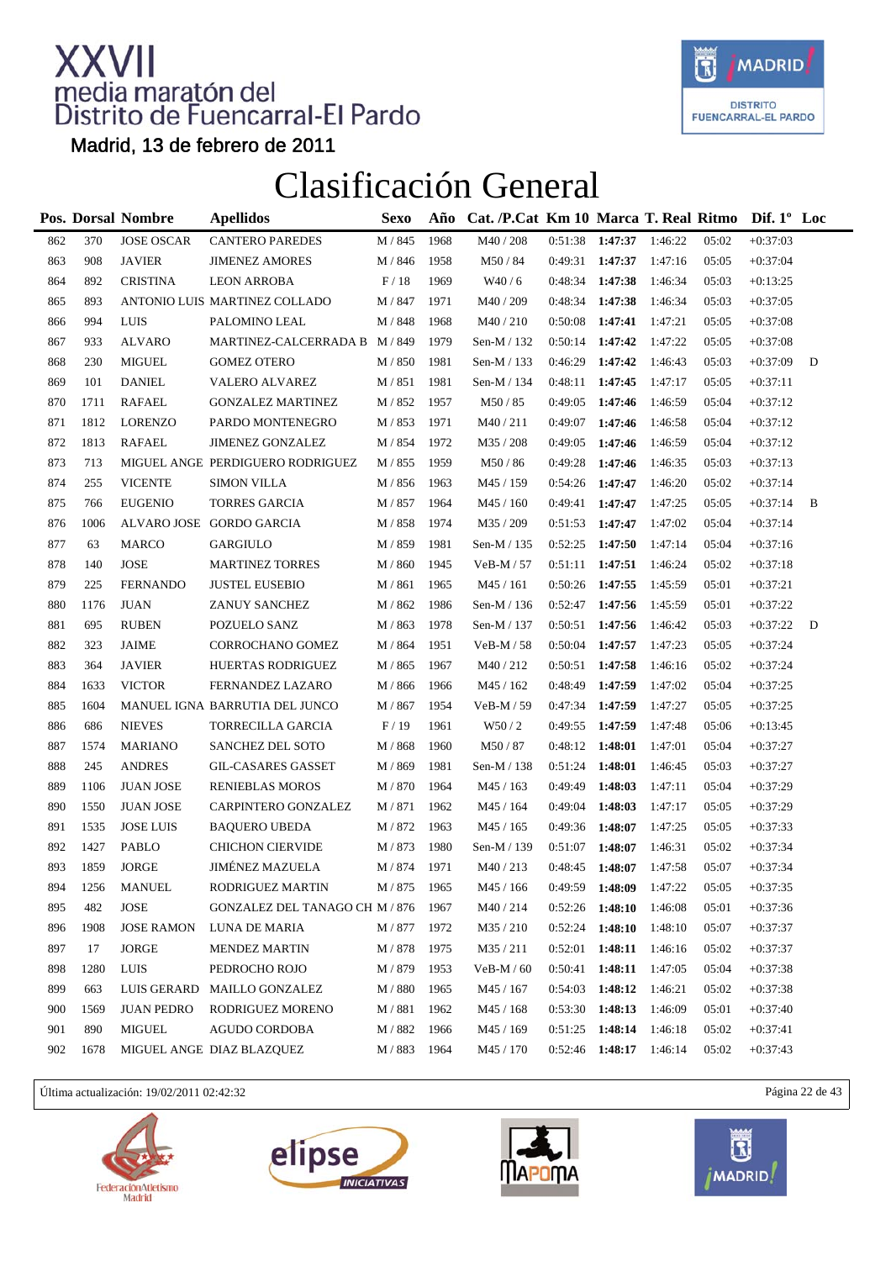

Madrid, 13 de febrero de 2011

### Clasificación General

|     |      | Pos. Dorsal Nombre         | <b>Apellidos</b>                 | Sexo    | Año  | Cat. /P.Cat Km 10 Marca T. Real Ritmo Dif. 1° Loc |                   |         |         |       |            |   |
|-----|------|----------------------------|----------------------------------|---------|------|---------------------------------------------------|-------------------|---------|---------|-------|------------|---|
| 862 | 370  | <b>JOSE OSCAR</b>          | <b>CANTERO PAREDES</b>           | M / 845 | 1968 | M40 / 208                                         | 0:51:38           | 1:47:37 | 1:46:22 | 05:02 | $+0:37:03$ |   |
| 863 | 908  | <b>JAVIER</b>              | <b>JIMENEZ AMORES</b>            | M / 846 | 1958 | M50/84                                            | 0:49:31           | 1:47:37 | 1:47:16 | 05:05 | $+0:37:04$ |   |
| 864 | 892  | <b>CRISTINA</b>            | <b>LEON ARROBA</b>               | F/18    | 1969 | W40/6                                             | 0:48:34           | 1:47:38 | 1:46:34 | 05:03 | $+0:13:25$ |   |
| 865 | 893  |                            | ANTONIO LUIS MARTINEZ COLLADO    | M / 847 | 1971 | M40 / 209                                         | 0:48:34           | 1:47:38 | 1:46:34 | 05:03 | $+0:37:05$ |   |
| 866 | 994  | LUIS                       | PALOMINO LEAL                    | M / 848 | 1968 | M40/210                                           | 0:50:08           | 1:47:41 | 1:47:21 | 05:05 | $+0:37:08$ |   |
| 867 | 933  | <b>ALVARO</b>              | MARTINEZ-CALCERRADA B            | M / 849 | 1979 | Sen-M / 132                                       | 0:50:14           | 1:47:42 | 1:47:22 | 05:05 | $+0:37:08$ |   |
| 868 | 230  | <b>MIGUEL</b>              | <b>GOMEZ OTERO</b>               | M / 850 | 1981 | Sen-M / 133                                       | 0:46:29           | 1:47:42 | 1:46:43 | 05:03 | $+0:37:09$ | D |
| 869 | 101  | <b>DANIEL</b>              | VALERO ALVAREZ                   | M / 851 | 1981 | Sen-M / 134                                       | 0:48:11           | 1:47:45 | 1:47:17 | 05:05 | $+0:37:11$ |   |
| 870 | 1711 | <b>RAFAEL</b>              | <b>GONZALEZ MARTINEZ</b>         | M / 852 | 1957 | M50 / 85                                          | 0:49:05           | 1:47:46 | 1:46:59 | 05:04 | $+0:37:12$ |   |
| 871 | 1812 | <b>LORENZO</b>             | PARDO MONTENEGRO                 | M / 853 | 1971 | M40/211                                           | 0:49:07           | 1:47:46 | 1:46:58 | 05:04 | $+0:37:12$ |   |
| 872 | 1813 | <b>RAFAEL</b>              | <b>JIMENEZ GONZALEZ</b>          | M / 854 | 1972 | M35 / 208                                         | 0:49:05           | 1:47:46 | 1:46:59 | 05:04 | $+0:37:12$ |   |
| 873 | 713  |                            | MIGUEL ANGE PERDIGUERO RODRIGUEZ | M / 855 | 1959 | M50/86                                            | 0:49:28           | 1:47:46 | 1:46:35 | 05:03 | $+0:37:13$ |   |
| 874 | 255  | <b>VICENTE</b>             | <b>SIMON VILLA</b>               | M / 856 | 1963 | M45 / 159                                         | 0:54:26           | 1:47:47 | 1:46:20 | 05:02 | $+0:37:14$ |   |
| 875 | 766  | <b>EUGENIO</b>             | <b>TORRES GARCIA</b>             | M / 857 | 1964 | M45 / 160                                         | 0:49:41           | 1:47:47 | 1:47:25 | 05:05 | $+0:37:14$ | B |
| 876 | 1006 |                            | ALVARO JOSE GORDO GARCIA         | M / 858 | 1974 | M35 / 209                                         | 0:51:53           | 1:47:47 | 1:47:02 | 05:04 | $+0:37:14$ |   |
| 877 | 63   | <b>MARCO</b>               | <b>GARGIULO</b>                  | M / 859 | 1981 | Sen-M / 135                                       | 0:52:25           | 1:47:50 | 1:47:14 | 05:04 | $+0:37:16$ |   |
| 878 | 140  | $\ensuremath{\text{JOSE}}$ | <b>MARTINEZ TORRES</b>           | M / 860 | 1945 | VeB-M / 57                                        | 0:51:11           | 1:47:51 | 1:46:24 | 05:02 | $+0:37:18$ |   |
| 879 | 225  | <b>FERNANDO</b>            | <b>JUSTEL EUSEBIO</b>            | M / 861 | 1965 | M45 / 161                                         | 0:50:26           | 1:47:55 | 1:45:59 | 05:01 | $+0:37:21$ |   |
| 880 | 1176 | <b>JUAN</b>                | ZANUY SANCHEZ                    | M / 862 | 1986 | Sen-M $/$ 136                                     | 0:52:47           | 1:47:56 | 1:45:59 | 05:01 | $+0:37:22$ |   |
| 881 | 695  | <b>RUBEN</b>               | POZUELO SANZ                     | M / 863 | 1978 | Sen-M / 137                                       | 0:50:51           | 1:47:56 | 1:46:42 | 05:03 | $+0:37:22$ | D |
| 882 | 323  | <b>JAIME</b>               | CORROCHANO GOMEZ                 | M / 864 | 1951 | $VeB-M / 58$                                      | 0:50:04           | 1:47:57 | 1:47:23 | 05:05 | $+0:37:24$ |   |
| 883 | 364  | <b>JAVIER</b>              | HUERTAS RODRIGUEZ                | M / 865 | 1967 | M40/212                                           | 0:50:51           | 1:47:58 | 1:46:16 | 05:02 | $+0:37:24$ |   |
| 884 | 1633 | <b>VICTOR</b>              | FERNANDEZ LAZARO                 | M / 866 | 1966 | M45 / 162                                         | 0:48:49           | 1:47:59 | 1:47:02 | 05:04 | $+0:37:25$ |   |
| 885 | 1604 |                            | MANUEL IGNA BARRUTIA DEL JUNCO   | M / 867 | 1954 | VeB-M / 59                                        | 0:47:34           | 1:47:59 | 1:47:27 | 05:05 | $+0:37:25$ |   |
| 886 | 686  | <b>NIEVES</b>              | TORRECILLA GARCIA                | F/19    | 1961 | W50/2                                             | 0:49:55           | 1:47:59 | 1:47:48 | 05:06 | $+0:13:45$ |   |
| 887 | 1574 | <b>MARIANO</b>             | SANCHEZ DEL SOTO                 | M / 868 | 1960 | M50/87                                            | 0:48:12           | 1:48:01 | 1:47:01 | 05:04 | $+0:37:27$ |   |
| 888 | 245  | <b>ANDRES</b>              | <b>GIL-CASARES GASSET</b>        | M / 869 | 1981 | Sen-M / 138                                       | 0:51:24           | 1:48:01 | 1:46:45 | 05:03 | $+0:37:27$ |   |
| 889 | 1106 | <b>JUAN JOSE</b>           | <b>RENIEBLAS MOROS</b>           | M / 870 | 1964 | M45 / 163                                         | 0:49:49           | 1:48:03 | 1:47:11 | 05:04 | $+0:37:29$ |   |
| 890 | 1550 | <b>JUAN JOSE</b>           | CARPINTERO GONZALEZ              | M / 871 | 1962 | M45 / 164                                         | 0:49:04           | 1:48:03 | 1:47:17 | 05:05 | $+0:37:29$ |   |
| 891 | 1535 | <b>JOSE LUIS</b>           | <b>BAQUERO UBEDA</b>             | M / 872 | 1963 | M45 / 165                                         | 0:49:36           | 1:48:07 | 1:47:25 | 05:05 | $+0:37:33$ |   |
| 892 | 1427 | PABLO                      | <b>CHICHON CIERVIDE</b>          | M / 873 | 1980 | Sen-M / 139                                       | 0:51:07           | 1:48:07 | 1:46:31 | 05:02 | $+0:37:34$ |   |
| 893 | 1859 | JORGE                      | JIMÉNEZ MAZUELA                  | M / 874 | 1971 | M40/213                                           | 0:48:45           | 1:48:07 | 1:47:58 | 05:07 | $+0:37:34$ |   |
| 894 | 1256 | MANUEL                     | RODRIGUEZ MARTIN                 | $M/875$ | 1965 | $\rm M45$ / $166$                                 | 0:49:59           | 1:48:09 | 1:47:22 | 05:05 | $+0:37:35$ |   |
| 895 | 482  | JOSE                       | GONZALEZ DEL TANAGO CH M / 876   |         | 1967 | M40 / 214                                         | 0:52:26           | 1:48:10 | 1:46:08 | 05:01 | $+0:37:36$ |   |
| 896 | 1908 | <b>JOSE RAMON</b>          | LUNA DE MARIA                    | M / 877 | 1972 | M35/210                                           | 0:52:24           | 1:48:10 | 1:48:10 | 05:07 | $+0:37:37$ |   |
| 897 | 17   | <b>JORGE</b>               | <b>MENDEZ MARTIN</b>             | M / 878 | 1975 | M35/211                                           | 0:52:01           | 1:48:11 | 1:46:16 | 05:02 | $+0:37:37$ |   |
| 898 | 1280 | <b>LUIS</b>                | PEDROCHO ROJO                    | M / 879 | 1953 | $VeB-M / 60$                                      | 0:50:41           | 1:48:11 | 1:47:05 | 05:04 | $+0:37:38$ |   |
| 899 | 663  |                            | LUIS GERARD MAILLO GONZALEZ      | M / 880 | 1965 | M45 / 167                                         | 0:54:03           | 1:48:12 | 1:46:21 | 05:02 | $+0:37:38$ |   |
| 900 | 1569 | <b>JUAN PEDRO</b>          | RODRIGUEZ MORENO                 | M / 881 | 1962 | M45 / 168                                         | 0:53:30           | 1:48:13 | 1:46:09 | 05:01 | $+0:37:40$ |   |
| 901 | 890  | <b>MIGUEL</b>              | AGUDO CORDOBA                    | M / 882 | 1966 | M45 / 169                                         | 0:51:25           | 1:48:14 | 1:46:18 | 05:02 | $+0:37:41$ |   |
| 902 | 1678 |                            | MIGUEL ANGE DIAZ BLAZQUEZ        | M / 883 | 1964 | M45 / 170                                         | $0:52:46$ 1:48:17 |         | 1:46:14 | 05:02 | $+0:37:43$ |   |

Última actualización: 19/02/2011 02:42:32 Página 22 de 43







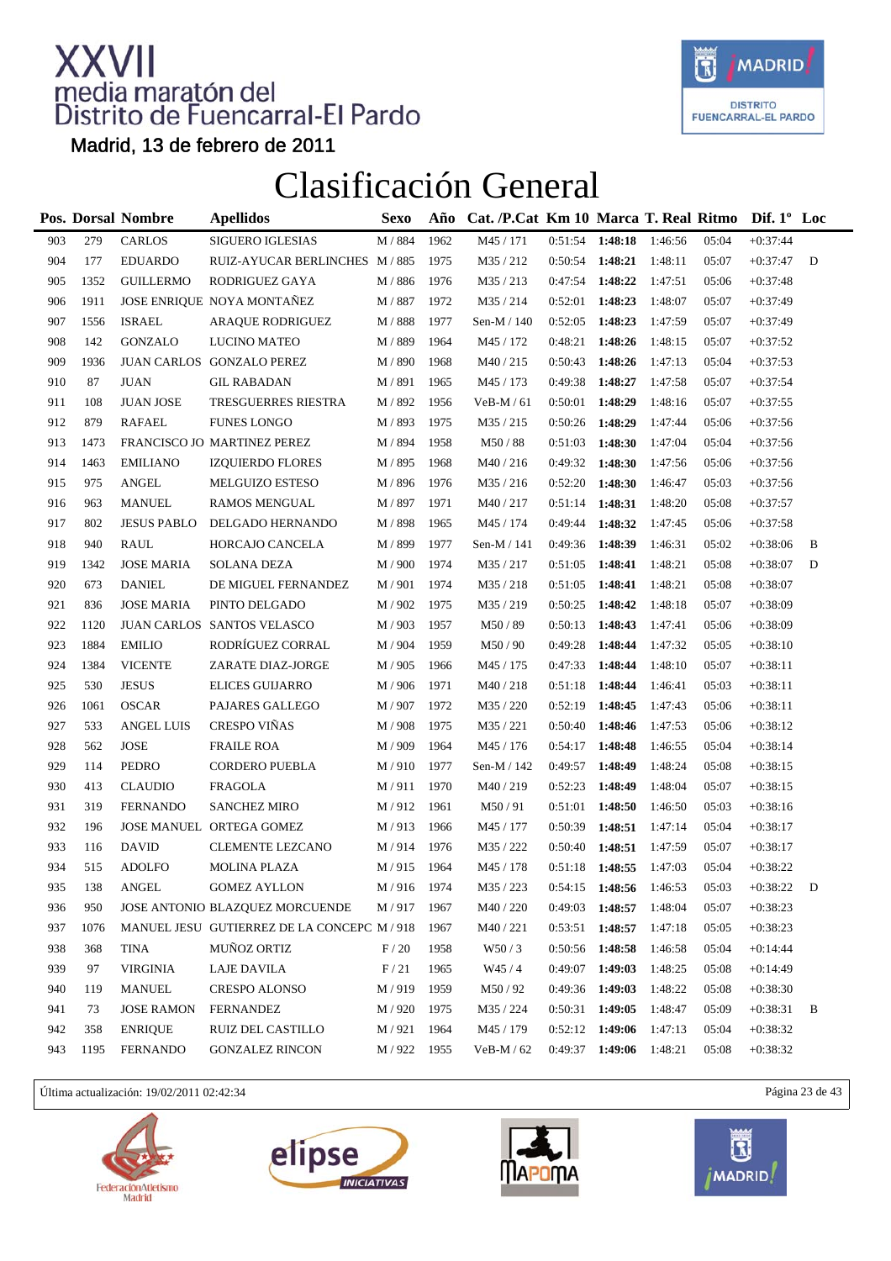

Madrid, 13 de febrero de 2011

### Clasificación General

|     |      | Pos. Dorsal Nombre         | <b>Apellidos</b>                          | <b>Sexo</b>      | Año  | Cat. /P.Cat Km 10 Marca T. Real Ritmo |                   |         |         |       | Dif. $1^{\circ}$ Loc |   |
|-----|------|----------------------------|-------------------------------------------|------------------|------|---------------------------------------|-------------------|---------|---------|-------|----------------------|---|
| 903 | 279  | <b>CARLOS</b>              | <b>SIGUERO IGLESIAS</b>                   | M / 884          | 1962 | M45 / 171                             | 0:51:54           | 1:48:18 | 1:46:56 | 05:04 | $+0:37:44$           |   |
| 904 | 177  | <b>EDUARDO</b>             | RUIZ-AYUCAR BERLINCHES M / 885            |                  | 1975 | M35 / 212                             | 0:50:54           | 1:48:21 | 1:48:11 | 05:07 | $+0:37:47$           | D |
| 905 | 1352 | <b>GUILLERMO</b>           | RODRIGUEZ GAYA                            | M / 886          | 1976 | M35 / 213                             | 0:47:54           | 1:48:22 | 1:47:51 | 05:06 | $+0:37:48$           |   |
| 906 | 1911 |                            | JOSE ENRIQUE NOYA MONTAÑEZ                | M / 887          | 1972 | M35/214                               | 0:52:01           | 1:48:23 | 1:48:07 | 05:07 | $+0:37:49$           |   |
| 907 | 1556 | <b>ISRAEL</b>              | <b>ARAQUE RODRIGUEZ</b>                   | M / 888          | 1977 | Sen-M / 140                           | 0:52:05           | 1:48:23 | 1:47:59 | 05:07 | $+0:37:49$           |   |
| 908 | 142  | <b>GONZALO</b>             | LUCINO MATEO                              | M / 889          | 1964 | M45 / 172                             | 0:48:21           | 1:48:26 | 1:48:15 | 05:07 | $+0:37:52$           |   |
| 909 | 1936 |                            | JUAN CARLOS GONZALO PEREZ                 | M / 890          | 1968 | M40/215                               | 0:50:43           | 1:48:26 | 1:47:13 | 05:04 | $+0:37:53$           |   |
| 910 | 87   | <b>JUAN</b>                | <b>GIL RABADAN</b>                        | M / 891          | 1965 | M45 / 173                             | 0:49:38           | 1:48:27 | 1:47:58 | 05:07 | $+0:37:54$           |   |
| 911 | 108  | <b>JUAN JOSE</b>           | TRESGUERRES RIESTRA                       | M / 892          | 1956 | $VeB-M/61$                            | 0:50:01           | 1:48:29 | 1:48:16 | 05:07 | $+0:37:55$           |   |
| 912 | 879  | <b>RAFAEL</b>              | <b>FUNES LONGO</b>                        | M / 893          | 1975 | M35 / 215                             | 0:50:26           | 1:48:29 | 1:47:44 | 05:06 | $+0:37:56$           |   |
| 913 | 1473 |                            | FRANCISCO JO MARTINEZ PEREZ               | M / 894          | 1958 | M50 / 88                              | 0:51:03           | 1:48:30 | 1:47:04 | 05:04 | $+0:37:56$           |   |
| 914 | 1463 | <b>EMILIANO</b>            | <b>IZQUIERDO FLORES</b>                   | M / 895          | 1968 | M40/216                               | 0:49:32           | 1:48:30 | 1:47:56 | 05:06 | $+0:37:56$           |   |
| 915 | 975  | <b>ANGEL</b>               | MELGUIZO ESTESO                           | M / 896          | 1976 | M35 / 216                             | 0:52:20           | 1:48:30 | 1:46:47 | 05:03 | $+0:37:56$           |   |
| 916 | 963  | <b>MANUEL</b>              | <b>RAMOS MENGUAL</b>                      | M / 897          | 1971 | M40/217                               | 0:51:14           | 1:48:31 | 1:48:20 | 05:08 | $+0:37:57$           |   |
| 917 | 802  | <b>JESUS PABLO</b>         | DELGADO HERNANDO                          | M / 898          | 1965 | M45 / 174                             | 0:49:44           | 1:48:32 | 1:47:45 | 05:06 | $+0:37:58$           |   |
| 918 | 940  | <b>RAUL</b>                | HORCAJO CANCELA                           | M / 899          | 1977 | Sen-M / 141                           | 0:49:36           | 1:48:39 | 1:46:31 | 05:02 | $+0:38:06$           | B |
| 919 | 1342 | <b>JOSE MARIA</b>          | <b>SOLANA DEZA</b>                        | M / 900          | 1974 | M35 / 217                             | 0:51:05           | 1:48:41 | 1:48:21 | 05:08 | $+0:38:07$           | D |
| 920 | 673  | <b>DANIEL</b>              | DE MIGUEL FERNANDEZ                       | M / 901          | 1974 | M35/218                               | 0:51:05           | 1:48:41 | 1:48:21 | 05:08 | $+0:38:07$           |   |
| 921 | 836  | <b>JOSE MARIA</b>          | PINTO DELGADO                             | M / 902          | 1975 | M35/219                               | 0:50:25           | 1:48:42 | 1:48:18 | 05:07 | $+0:38:09$           |   |
| 922 | 1120 |                            | JUAN CARLOS SANTOS VELASCO                | M / 903          | 1957 | M50/89                                | 0:50:13           | 1:48:43 | 1:47:41 | 05:06 | $+0:38:09$           |   |
| 923 | 1884 | <b>EMILIO</b>              | RODRÍGUEZ CORRAL                          | M / 904          | 1959 | M50/90                                | 0:49:28           | 1:48:44 | 1:47:32 | 05:05 | $+0:38:10$           |   |
| 924 | 1384 | <b>VICENTE</b>             | ZARATE DIAZ-JORGE                         | M / 905          | 1966 | M45 / 175                             | 0:47:33           | 1:48:44 | 1:48:10 | 05:07 | $+0:38:11$           |   |
| 925 | 530  | <b>JESUS</b>               | <b>ELICES GUIJARRO</b>                    | M / 906          | 1971 | M40/218                               | 0:51:18           | 1:48:44 | 1:46:41 | 05:03 | $+0:38:11$           |   |
| 926 | 1061 | <b>OSCAR</b>               | PAJARES GALLEGO                           | M / 907          | 1972 | M35 / 220                             | 0:52:19           | 1:48:45 | 1:47:43 | 05:06 | $+0:38:11$           |   |
| 927 | 533  | <b>ANGEL LUIS</b>          | CRESPO VIÑAS                              | M / 908          | 1975 | M35 / 221                             | 0:50:40           | 1:48:46 | 1:47:53 | 05:06 | $+0:38:12$           |   |
| 928 | 562  | $\ensuremath{\text{JOSE}}$ | <b>FRAILE ROA</b>                         | M / 909          | 1964 | M45 / 176                             | 0:54:17           | 1:48:48 | 1:46:55 | 05:04 | $+0:38:14$           |   |
| 929 | 114  | PEDRO                      | <b>CORDERO PUEBLA</b>                     | M/910            | 1977 | Sen-M / 142                           | 0:49:57           | 1:48:49 | 1:48:24 | 05:08 | $+0:38:15$           |   |
| 930 | 413  | <b>CLAUDIO</b>             | <b>FRAGOLA</b>                            | M/911            | 1970 | M40/219                               | 0:52:23           | 1:48:49 | 1:48:04 | 05:07 | $+0:38:15$           |   |
| 931 | 319  | <b>FERNANDO</b>            | <b>SANCHEZ MIRO</b>                       | M/912            | 1961 | M50/91                                | 0:51:01           | 1:48:50 | 1:46:50 | 05:03 | $+0:38:16$           |   |
| 932 | 196  |                            | JOSE MANUEL ORTEGA GOMEZ                  | M/913            | 1966 | M45 / 177                             | 0:50:39           | 1:48:51 | 1:47:14 | 05:04 | $+0:38:17$           |   |
| 933 | 116  | <b>DAVID</b>               | <b>CLEMENTE LEZCANO</b>                   | M/914            | 1976 | M35 / 222                             | 0:50:40           | 1:48:51 | 1:47:59 | 05:07 | $+0:38:17$           |   |
| 934 | 515  | <b>ADOLFO</b>              | <b>MOLINA PLAZA</b>                       | M/915            | 1964 | M45 / 178                             | $0:51:18$ 1:48:55 |         | 1:47:03 | 05:04 | $+0:38:22$           |   |
| 935 | 138  | ANGEL                      | <b>GOMEZ AYLLON</b>                       | $\text{M}$ / 916 | 1974 | M35/223                               | 0:54:15           | 1:48:56 | 1:46:53 | 05:03 | $+0:38:22$           | D |
| 936 | 950  |                            | JOSE ANTONIO BLAZQUEZ MORCUENDE           | M / 917          | 1967 | M40 / 220                             | 0:49:03           | 1:48:57 | 1:48:04 | 05:07 | $+0:38:23$           |   |
| 937 | 1076 |                            | MANUEL JESU GUTIERREZ DE LA CONCEPC M/918 |                  | 1967 | M40/221                               | 0:53:51           | 1:48:57 | 1:47:18 | 05:05 | $+0:38:23$           |   |
| 938 | 368  | <b>TINA</b>                | MUÑOZ ORTIZ                               | F/20             | 1958 | W50/3                                 | 0:50:56           | 1:48:58 | 1:46:58 | 05:04 | $+0:14:44$           |   |
| 939 | 97   | <b>VIRGINIA</b>            | <b>LAJE DAVILA</b>                        | F/21             | 1965 | W45/4                                 | 0:49:07           | 1:49:03 | 1:48:25 | 05:08 | $+0:14:49$           |   |
| 940 | 119  | <b>MANUEL</b>              | <b>CRESPO ALONSO</b>                      | M/919            | 1959 | M50/92                                | 0:49:36           | 1:49:03 | 1:48:22 | 05:08 | $+0:38:30$           |   |
| 941 | 73   | <b>JOSE RAMON</b>          | <b>FERNANDEZ</b>                          | M / 920          | 1975 | M35 / 224                             | 0:50:31           | 1:49:05 | 1:48:47 | 05:09 | $+0:38:31$           | B |
| 942 | 358  | <b>ENRIQUE</b>             | RUIZ DEL CASTILLO                         | M / 921          | 1964 | M45 / 179                             | $0:52:12$ 1:49:06 |         | 1:47:13 | 05:04 | $+0:38:32$           |   |
| 943 | 1195 | <b>FERNANDO</b>            | <b>GONZALEZ RINCON</b>                    | M / 922          | 1955 | $VeB-M/62$                            | 0:49:37           | 1:49:06 | 1:48:21 | 05:08 | $+0:38:32$           |   |
|     |      |                            |                                           |                  |      |                                       |                   |         |         |       |                      |   |

Última actualización: 19/02/2011 02:42:34 Página 23 de 43







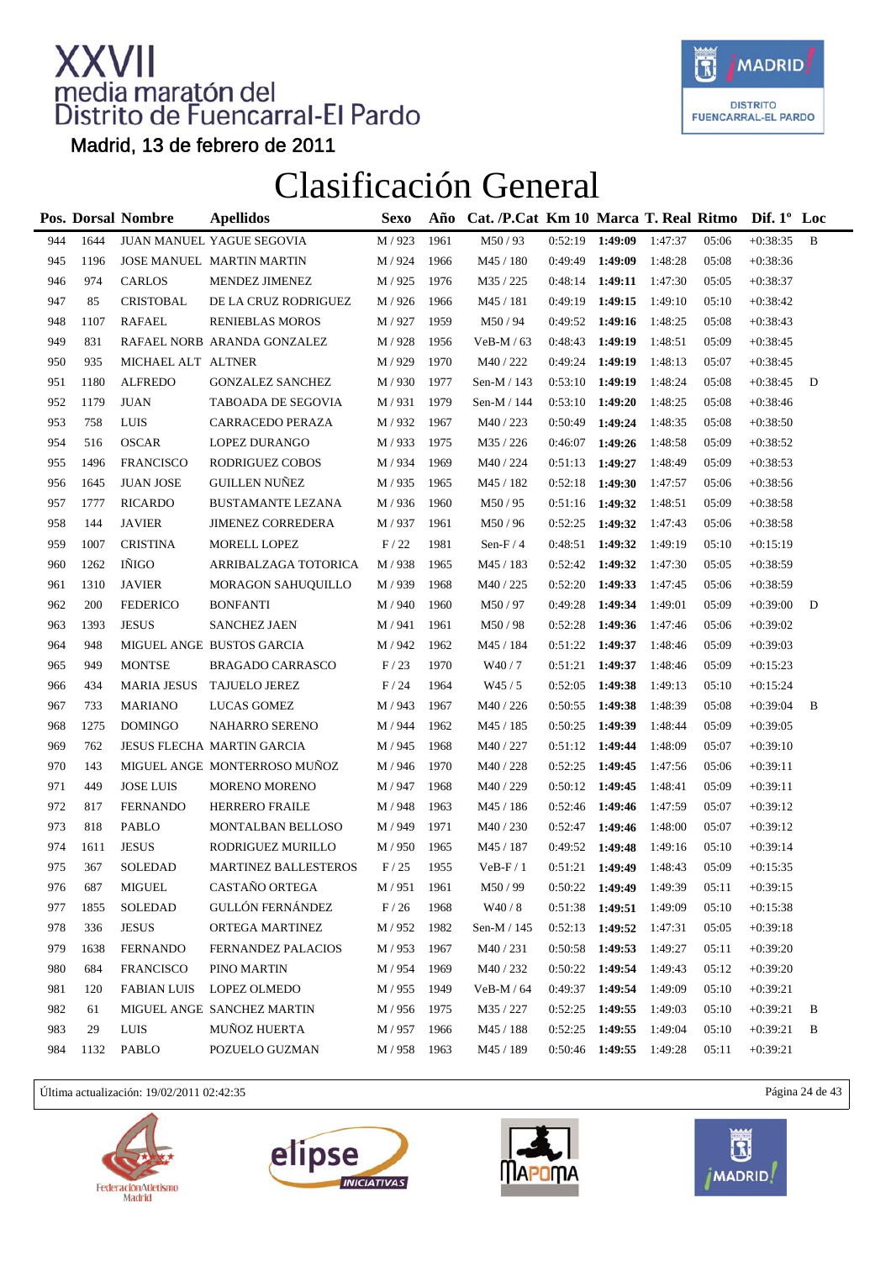

Madrid, 13 de febrero de 2011

### Clasificación General

|     |      | Pos. Dorsal Nombre | <b>Apellidos</b>             | Sexo    | Año  | Cat. /P.Cat Km 10 Marca T. Real Ritmo Dif. 1° Loc |                   |                   |         |       |            |   |  |
|-----|------|--------------------|------------------------------|---------|------|---------------------------------------------------|-------------------|-------------------|---------|-------|------------|---|--|
| 944 | 1644 |                    | JUAN MANUEL YAGUE SEGOVIA    | M / 923 | 1961 | M50/93                                            | 0:52:19           | 1:49:09           | 1:47:37 | 05:06 | $+0:38:35$ | B |  |
| 945 | 1196 |                    | JOSE MANUEL MARTIN MARTIN    | M / 924 | 1966 | M45 / 180                                         | 0:49:49           | 1:49:09           | 1:48:28 | 05:08 | $+0:38:36$ |   |  |
| 946 | 974  | <b>CARLOS</b>      | MENDEZ JIMENEZ               | M / 925 | 1976 | M35 / 225                                         | 0:48:14           | 1:49:11           | 1:47:30 | 05:05 | $+0:38:37$ |   |  |
| 947 | 85   | <b>CRISTOBAL</b>   | DE LA CRUZ RODRIGUEZ         | M / 926 | 1966 | M45 / 181                                         | 0:49:19           | 1:49:15           | 1:49:10 | 05:10 | $+0:38:42$ |   |  |
| 948 | 1107 | <b>RAFAEL</b>      | <b>RENIEBLAS MOROS</b>       | M / 927 | 1959 | M50/94                                            | 0:49:52           | 1:49:16           | 1:48:25 | 05:08 | $+0:38:43$ |   |  |
| 949 | 831  |                    | RAFAEL NORB ARANDA GONZALEZ  | M / 928 | 1956 | $VeB-M/63$                                        | 0:48:43           | 1:49:19           | 1:48:51 | 05:09 | $+0:38:45$ |   |  |
| 950 | 935  | MICHAEL ALT ALTNER |                              | M / 929 | 1970 | M40 / 222                                         | 0:49:24           | 1:49:19           | 1:48:13 | 05:07 | $+0:38:45$ |   |  |
| 951 | 1180 | <b>ALFREDO</b>     | <b>GONZALEZ SANCHEZ</b>      | M / 930 | 1977 | Sen-M / 143                                       | $0:53:10$ 1:49:19 |                   | 1:48:24 | 05:08 | $+0:38:45$ | D |  |
| 952 | 1179 | <b>JUAN</b>        | TABOADA DE SEGOVIA           | M / 931 | 1979 | Sen-M / 144                                       | $0:53:10$ 1:49:20 |                   | 1:48:25 | 05:08 | $+0:38:46$ |   |  |
| 953 | 758  | <b>LUIS</b>        | CARRACEDO PERAZA             | M / 932 | 1967 | M40 / 223                                         | 0:50:49           | 1:49:24           | 1:48:35 | 05:08 | $+0:38:50$ |   |  |
| 954 | 516  | <b>OSCAR</b>       | LOPEZ DURANGO                | M / 933 | 1975 | M35 / 226                                         | 0:46:07           | 1:49:26           | 1:48:58 | 05:09 | $+0:38:52$ |   |  |
| 955 | 1496 | <b>FRANCISCO</b>   | RODRIGUEZ COBOS              | M / 934 | 1969 | M40 / 224                                         | 0:51:13           | 1:49:27           | 1:48:49 | 05:09 | $+0:38:53$ |   |  |
| 956 | 1645 | <b>JUAN JOSE</b>   | <b>GUILLEN NUÑEZ</b>         | M / 935 | 1965 | M45 / 182                                         | 0:52:18           | 1:49:30           | 1:47:57 | 05:06 | $+0:38:56$ |   |  |
| 957 | 1777 | <b>RICARDO</b>     | <b>BUSTAMANTE LEZANA</b>     | M / 936 | 1960 | M50/95                                            | 0:51:16           | 1:49:32           | 1:48:51 | 05:09 | $+0:38:58$ |   |  |
| 958 | 144  | <b>JAVIER</b>      | <b>JIMENEZ CORREDERA</b>     | M / 937 | 1961 | M50/96                                            | 0:52:25           | 1:49:32           | 1:47:43 | 05:06 | $+0:38:58$ |   |  |
| 959 | 1007 | <b>CRISTINA</b>    | MORELL LOPEZ                 | F/22    | 1981 | Sen-F $/4$                                        | 0:48:51           | 1:49:32           | 1:49:19 | 05:10 | $+0:15:19$ |   |  |
| 960 | 1262 | IÑIGO              | ARRIBALZAGA TOTORICA         | M / 938 | 1965 | M45 / 183                                         | 0:52:42           | 1:49:32           | 1:47:30 | 05:05 | $+0:38:59$ |   |  |
| 961 | 1310 | <b>JAVIER</b>      | MORAGON SAHUQUILLO           | M / 939 | 1968 | M40 / 225                                         | 0:52:20           | 1:49:33           | 1:47:45 | 05:06 | $+0:38:59$ |   |  |
| 962 | 200  | <b>FEDERICO</b>    | <b>BONFANTI</b>              | M / 940 | 1960 | M50/97                                            | 0:49:28           | 1:49:34           | 1:49:01 | 05:09 | $+0:39:00$ | D |  |
| 963 | 1393 | <b>JESUS</b>       | <b>SANCHEZ JAEN</b>          | M / 941 | 1961 | M50/98                                            | 0:52:28           | 1:49:36           | 1:47:46 | 05:06 | $+0:39:02$ |   |  |
| 964 | 948  |                    | MIGUEL ANGE BUSTOS GARCIA    | M / 942 | 1962 | M45 / 184                                         | 0:51:22           | 1:49:37           | 1:48:46 | 05:09 | $+0:39:03$ |   |  |
| 965 | 949  | <b>MONTSE</b>      | <b>BRAGADO CARRASCO</b>      | F/23    | 1970 | W40/7                                             | 0:51:21           | 1:49:37           | 1:48:46 | 05:09 | $+0:15:23$ |   |  |
| 966 | 434  | MARIA JESUS        | TAJUELO JEREZ                | F/24    | 1964 | W45/5                                             | 0:52:05           | 1:49:38           | 1:49:13 | 05:10 | $+0:15:24$ |   |  |
| 967 | 733  | <b>MARIANO</b>     | LUCAS GOMEZ                  | M / 943 | 1967 | M40 / 226                                         | 0:50:55           | 1:49:38           | 1:48:39 | 05:08 | $+0:39:04$ | B |  |
| 968 | 1275 | <b>DOMINGO</b>     | <b>NAHARRO SERENO</b>        | M / 944 | 1962 | M45 / 185                                         | 0:50:25           | 1:49:39           | 1:48:44 | 05:09 | $+0:39:05$ |   |  |
| 969 | 762  |                    | JESUS FLECHA MARTIN GARCIA   | M / 945 | 1968 | M40 / 227                                         | $0:51:12$ 1:49:44 |                   | 1:48:09 | 05:07 | $+0:39:10$ |   |  |
| 970 | 143  |                    | MIGUEL ANGE MONTERROSO MUÑOZ | M / 946 | 1970 | M40 / 228                                         | 0:52:25           | 1:49:45           | 1:47:56 | 05:06 | $+0:39:11$ |   |  |
| 971 | 449  | <b>JOSE LUIS</b>   | <b>MORENO MORENO</b>         | M / 947 | 1968 | M40 / 229                                         | $0:50:12$ 1:49:45 |                   | 1:48:41 | 05:09 | $+0:39:11$ |   |  |
| 972 | 817  | <b>FERNANDO</b>    | <b>HERRERO FRAILE</b>        | M / 948 | 1963 | M45 / 186                                         | $0:52:46$ 1:49:46 |                   | 1:47:59 | 05:07 | $+0:39:12$ |   |  |
| 973 | 818  | <b>PABLO</b>       | MONTALBAN BELLOSO            | M / 949 | 1971 | M40 / 230                                         | 0:52:47           | 1:49:46           | 1:48:00 | 05:07 | $+0:39:12$ |   |  |
| 974 | 1611 | <b>JESUS</b>       | RODRIGUEZ MURILLO            | M / 950 | 1965 | M45 / 187                                         | 0:49:52           | 1:49:48           | 1:49:16 | 05:10 | $+0:39:14$ |   |  |
| 975 | 367  | SOLEDAD            | <b>MARTINEZ BALLESTEROS</b>  | F/25    | 1955 | $VeB-F/1$                                         | $0:51:21$ 1:49:49 |                   | 1:48:43 | 05:09 | $+0:15:35$ |   |  |
| 976 | 687  | <b>MIGUEL</b>      | CASTAÑO ORTEGA               | M / 951 | 1961 | M50/99                                            | 0:50:22           | 1:49:49           | 1:49:39 | 05:11 | $+0:39:15$ |   |  |
| 977 | 1855 | SOLEDAD            | <b>GULLÓN FERNÁNDEZ</b>      | F/26    | 1968 | W40/8                                             |                   | $0:51:38$ 1:49:51 | 1:49:09 | 05:10 | $+0:15:38$ |   |  |
| 978 | 336  | <b>JESUS</b>       | ORTEGA MARTINEZ              | M / 952 | 1982 | Sen-M / 145                                       | 0:52:13           | 1:49:52           | 1:47:31 | 05:05 | $+0:39:18$ |   |  |
| 979 | 1638 | <b>FERNANDO</b>    | FERNANDEZ PALACIOS           | M / 953 | 1967 | M40/231                                           | 0:50:58           | 1:49:53           | 1:49:27 | 05:11 | $+0:39:20$ |   |  |
| 980 | 684  | <b>FRANCISCO</b>   | PINO MARTIN                  | M / 954 | 1969 | M40 / 232                                         | 0:50:22           | 1:49:54           | 1:49:43 | 05:12 | $+0:39:20$ |   |  |
| 981 | 120  | <b>FABIAN LUIS</b> | LOPEZ OLMEDO                 | M / 955 | 1949 | $VeB-M / 64$                                      | 0:49:37           | 1:49:54           | 1:49:09 | 05:10 | $+0:39:21$ |   |  |
| 982 | 61   |                    | MIGUEL ANGE SANCHEZ MARTIN   | M / 956 | 1975 | M35 / 227                                         | 0:52:25           | 1:49:55           | 1:49:03 | 05:10 | $+0:39:21$ | B |  |
| 983 | 29   | LUIS               | MUÑOZ HUERTA                 | M / 957 | 1966 | M45 / 188                                         | 0:52:25           | 1:49:55           | 1:49:04 | 05:10 | $+0:39:21$ | B |  |
| 984 | 1132 | PABLO              | POZUELO GUZMAN               | M/958   | 1963 | M45 / 189                                         | $0:50:46$ 1:49:55 |                   | 1:49:28 | 05:11 | $+0:39:21$ |   |  |
|     |      |                    |                              |         |      |                                                   |                   |                   |         |       |            |   |  |

Última actualización: 19/02/2011 02:42:35 Página 24 de 43







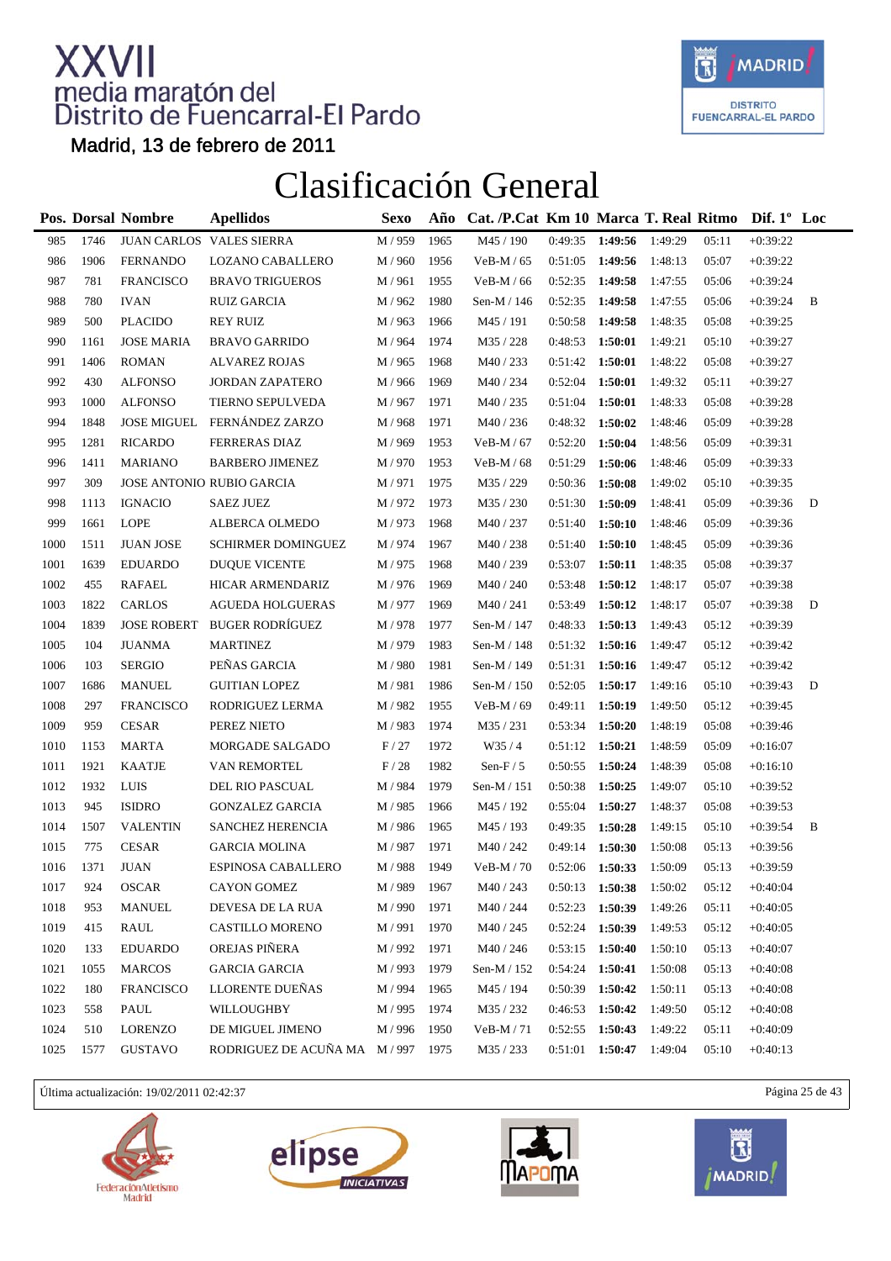

Madrid, 13 de febrero de 2011

### Clasificación General

|      |      | Pos. Dorsal Nombre | <b>Apellidos</b>            | Sexo               | Año  | Cat. /P.Cat Km 10 Marca T. Real Ritmo |         |         |         |       | Dif. $1^{\circ}$ Loc |   |
|------|------|--------------------|-----------------------------|--------------------|------|---------------------------------------|---------|---------|---------|-------|----------------------|---|
| 985  | 1746 |                    | JUAN CARLOS VALES SIERRA    | M / 959            | 1965 | M45 / 190                             | 0:49:35 | 1:49:56 | 1:49:29 | 05:11 | $+0:39:22$           |   |
| 986  | 1906 | <b>FERNANDO</b>    | LOZANO CABALLERO            | M / 960            | 1956 | $VeB-M/65$                            | 0:51:05 | 1:49:56 | 1:48:13 | 05:07 | $+0:39:22$           |   |
| 987  | 781  | <b>FRANCISCO</b>   | <b>BRAVO TRIGUEROS</b>      | M / 961            | 1955 | $VeB-M/66$                            | 0:52:35 | 1:49:58 | 1:47:55 | 05:06 | $+0:39:24$           |   |
| 988  | 780  | <b>IVAN</b>        | <b>RUIZ GARCIA</b>          | M / 962            | 1980 | Sen-M / 146                           | 0:52:35 | 1:49:58 | 1:47:55 | 05:06 | $+0:39:24$           | B |
| 989  | 500  | <b>PLACIDO</b>     | <b>REY RUIZ</b>             | M / 963            | 1966 | M45 / 191                             | 0:50:58 | 1:49:58 | 1:48:35 | 05:08 | $+0:39:25$           |   |
| 990  | 1161 | <b>JOSE MARIA</b>  | <b>BRAVO GARRIDO</b>        | M / 964            | 1974 | M35 / 228                             | 0:48:53 | 1:50:01 | 1:49:21 | 05:10 | $+0:39:27$           |   |
| 991  | 1406 | <b>ROMAN</b>       | <b>ALVAREZ ROJAS</b>        | M / 965            | 1968 | M40 / 233                             | 0:51:42 | 1:50:01 | 1:48:22 | 05:08 | $+0:39:27$           |   |
| 992  | 430  | <b>ALFONSO</b>     | <b>JORDAN ZAPATERO</b>      | M / 966            | 1969 | M40 / 234                             | 0:52:04 | 1:50:01 | 1:49:32 | 05:11 | $+0:39:27$           |   |
| 993  | 1000 | <b>ALFONSO</b>     | TIERNO SEPULVEDA            | M / 967            | 1971 | M40/235                               | 0:51:04 | 1:50:01 | 1:48:33 | 05:08 | $+0:39:28$           |   |
| 994  | 1848 |                    | JOSE MIGUEL FERNÁNDEZ ZARZO | M / 968            | 1971 | M40 / 236                             | 0:48:32 | 1:50:02 | 1:48:46 | 05:09 | $+0:39:28$           |   |
| 995  | 1281 | <b>RICARDO</b>     | <b>FERRERAS DIAZ</b>        | M / 969            | 1953 | $VeB-M/67$                            | 0:52:20 | 1:50:04 | 1:48:56 | 05:09 | $+0:39:31$           |   |
| 996  | 1411 | <b>MARIANO</b>     | <b>BARBERO JIMENEZ</b>      | M / 970            | 1953 | $VeB-M/68$                            | 0:51:29 | 1:50:06 | 1:48:46 | 05:09 | $+0:39:33$           |   |
| 997  | 309  |                    | JOSE ANTONIO RUBIO GARCIA   | M / 971            | 1975 | M35 / 229                             | 0:50:36 | 1:50:08 | 1:49:02 | 05:10 | $+0:39:35$           |   |
| 998  | 1113 | <b>IGNACIO</b>     | <b>SAEZ JUEZ</b>            | M / 972            | 1973 | M35 / 230                             | 0:51:30 | 1:50:09 | 1:48:41 | 05:09 | $+0:39:36$           | D |
| 999  | 1661 | <b>LOPE</b>        | ALBERCA OLMEDO              | M/973              | 1968 | M40 / 237                             | 0:51:40 | 1:50:10 | 1:48:46 | 05:09 | $+0:39:36$           |   |
| 1000 | 1511 | <b>JUAN JOSE</b>   | <b>SCHIRMER DOMINGUEZ</b>   | M / 974            | 1967 | M40 / 238                             | 0:51:40 | 1:50:10 | 1:48:45 | 05:09 | $+0:39:36$           |   |
| 1001 | 1639 | <b>EDUARDO</b>     | <b>DUQUE VICENTE</b>        | M / 975            | 1968 | M40 / 239                             | 0:53:07 | 1:50:11 | 1:48:35 | 05:08 | $+0:39:37$           |   |
| 1002 | 455  | <b>RAFAEL</b>      | HICAR ARMENDARIZ            | M / 976            | 1969 | M40 / 240                             | 0:53:48 | 1:50:12 | 1:48:17 | 05:07 | $+0:39:38$           |   |
| 1003 | 1822 | <b>CARLOS</b>      | <b>AGUEDA HOLGUERAS</b>     | M / 977            | 1969 | M40 / 241                             | 0:53:49 | 1:50:12 | 1:48:17 | 05:07 | $+0:39:38$           | D |
| 1004 | 1839 | <b>JOSE ROBERT</b> | BUGER RODRÍGUEZ             | M / 978            | 1977 | Sen-M / 147                           | 0:48:33 | 1:50:13 | 1:49:43 | 05:12 | $+0:39:39$           |   |
| 1005 | 104  | <b>JUANMA</b>      | <b>MARTINEZ</b>             | M / 979            | 1983 | Sen-M / 148                           | 0:51:32 | 1:50:16 | 1:49:47 | 05:12 | $+0:39:42$           |   |
| 1006 | 103  | <b>SERGIO</b>      | PEÑAS GARCIA                | M / 980            | 1981 | Sen-M / 149                           | 0:51:31 | 1:50:16 | 1:49:47 | 05:12 | $+0:39:42$           |   |
| 1007 | 1686 | <b>MANUEL</b>      | <b>GUITIAN LOPEZ</b>        | M / 981            | 1986 | Sen-M / 150                           | 0:52:05 | 1:50:17 | 1:49:16 | 05:10 | $+0:39:43$           | D |
| 1008 | 297  | <b>FRANCISCO</b>   | RODRIGUEZ LERMA             | M / 982            | 1955 | VeB-M / 69                            | 0:49:11 | 1:50:19 | 1:49:50 | 05:12 | $+0:39:45$           |   |
| 1009 | 959  | <b>CESAR</b>       | PEREZ NIETO                 | M / 983            | 1974 | M35 / 231                             | 0:53:34 | 1:50:20 | 1:48:19 | 05:08 | $+0:39:46$           |   |
| 1010 | 1153 | <b>MARTA</b>       | MORGADE SALGADO             | F/27               | 1972 | W35/4                                 | 0:51:12 | 1:50:21 | 1:48:59 | 05:09 | $+0.16:07$           |   |
| 1011 | 1921 | <b>KAATJE</b>      | VAN REMORTEL                | F/28               | 1982 | Sen-F $/ 5$                           | 0:50:55 | 1:50:24 | 1:48:39 | 05:08 | $+0:16:10$           |   |
| 1012 | 1932 | LUIS               | DEL RIO PASCUAL             | M / 984            | 1979 | Sen-M / 151                           | 0:50:38 | 1:50:25 | 1:49:07 | 05:10 | $+0:39:52$           |   |
| 1013 | 945  | <b>ISIDRO</b>      | <b>GONZALEZ GARCIA</b>      | M / 985            | 1966 | M45 / 192                             | 0:55:04 | 1:50:27 | 1:48:37 | 05:08 | $+0:39:53$           |   |
| 1014 | 1507 | <b>VALENTIN</b>    | SANCHEZ HERENCIA            | M / 986            | 1965 | M45 / 193                             | 0:49:35 | 1:50:28 | 1:49:15 | 05:10 | $+0:39:54$           | B |
| 1015 | 775  | <b>CESAR</b>       | <b>GARCIA MOLINA</b>        | M/987              | 1971 | M40 / 242                             | 0:49:14 | 1:50:30 | 1:50:08 | 05:13 | $+0:39:56$           |   |
| 1016 | 1371 | <b>JUAN</b>        | ESPINOSA CABALLERO          | M / 988            | 1949 | $VeB-M / 70$                          | 0:52:06 | 1:50:33 | 1:50:09 | 05:13 | $+0:39:59$           |   |
| 1017 | 924  | <b>OSCAR</b>       | CAYON GOMEZ                 | $\mathbf{M}$ / 989 | 1967 | M40 / 243                             | 0:50:13 | 1:50:38 | 1:50:02 | 05:12 | $+0:40:04$           |   |
| 1018 | 953  | <b>MANUEL</b>      | DEVESA DE LA RUA            | M / 990            | 1971 | M40 / 244                             | 0:52:23 | 1:50:39 | 1:49:26 | 05:11 | $+0:40:05$           |   |
| 1019 | 415  | <b>RAUL</b>        | <b>CASTILLO MORENO</b>      | M / 991            | 1970 | M40 / 245                             | 0:52:24 | 1:50:39 | 1:49:53 | 05:12 | $+0:40:05$           |   |
| 1020 | 133  | <b>EDUARDO</b>     | OREJAS PIÑERA               | M / 992            | 1971 | M40 / 246                             | 0:53:15 | 1:50:40 | 1:50:10 | 05:13 | $+0:40:07$           |   |
| 1021 | 1055 | <b>MARCOS</b>      | <b>GARCIA GARCIA</b>        | M / 993            | 1979 | Sen-M / 152                           | 0:54:24 | 1:50:41 | 1:50:08 | 05:13 | $+0:40:08$           |   |
| 1022 | 180  | <b>FRANCISCO</b>   | LLORENTE DUEÑAS             | M / 994            | 1965 | M45 / 194                             | 0:50:39 | 1:50:42 | 1:50:11 | 05:13 | $+0:40:08$           |   |
| 1023 | 558  | PAUL               | WILLOUGHBY                  | M / 995            | 1974 | M35 / 232                             | 0:46:53 | 1:50:42 | 1:49:50 | 05:12 | $+0:40:08$           |   |
| 1024 | 510  | LORENZO            | DE MIGUEL JIMENO            | M / 996            | 1950 | $VeB-M / 71$                          | 0:52:55 | 1:50:43 | 1:49:22 | 05:11 | $+0:40:09$           |   |
| 1025 | 1577 | <b>GUSTAVO</b>     | RODRIGUEZ DE ACUÑA MA       | M / 997            | 1975 | M35 / 233                             | 0:51:01 | 1:50:47 | 1:49:04 | 05:10 | $+0:40:13$           |   |
|      |      |                    |                             |                    |      |                                       |         |         |         |       |                      |   |

Última actualización: 19/02/2011 02:42:37 Página 25 de 43







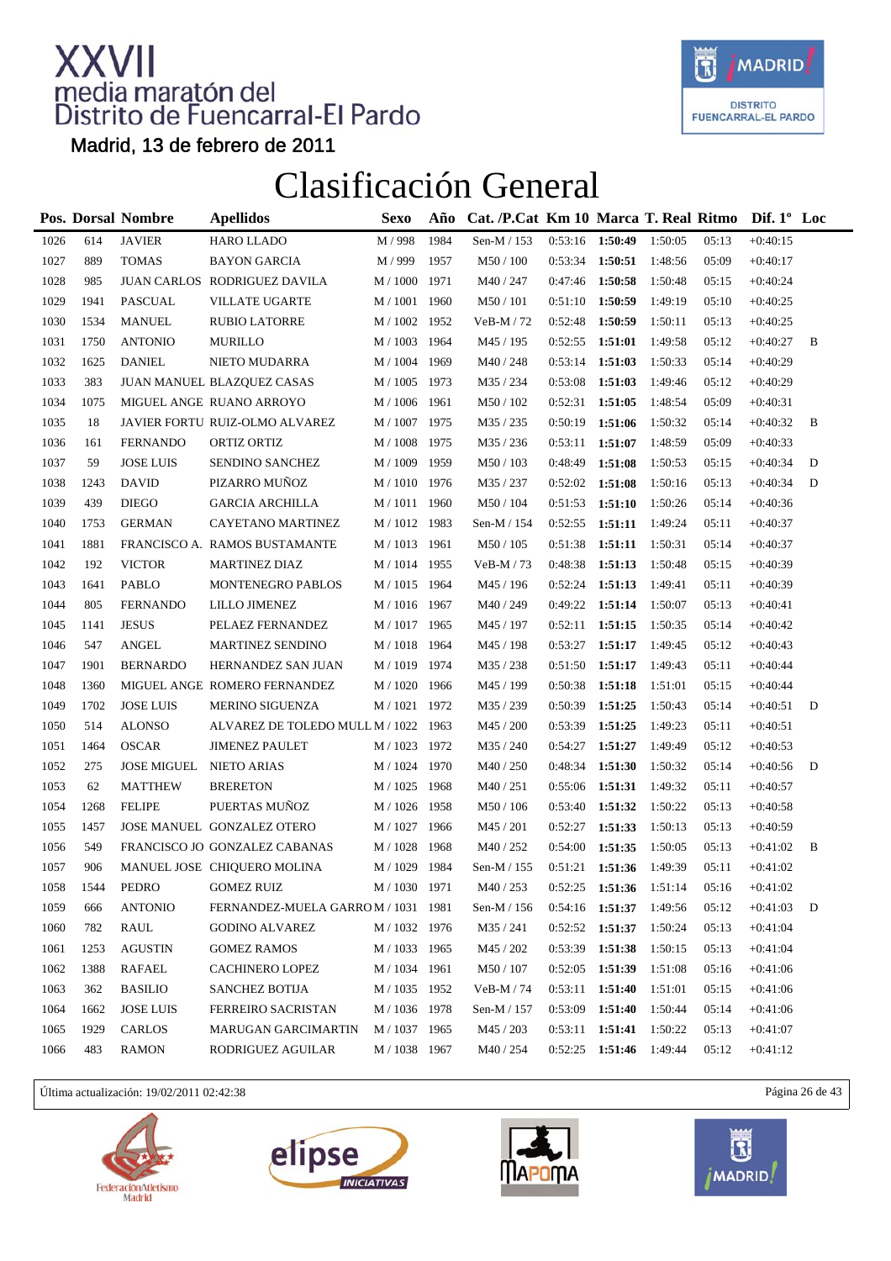

Madrid, 13 de febrero de 2011

### Clasificación General

|      |      | <b>Pos. Dorsal Nombre</b> | <b>Apellidos</b>                     | <b>Sexo</b>           | Año  | Cat. /P.Cat Km 10 Marca T. Real Ritmo |                   |         |         |       | Dif. $1^{\circ}$ Loc |   |
|------|------|---------------------------|--------------------------------------|-----------------------|------|---------------------------------------|-------------------|---------|---------|-------|----------------------|---|
| 1026 | 614  | <b>JAVIER</b>             | HARO LLADO                           | M / 998               | 1984 | Sen-M / 153                           | 0:53:16           | 1:50:49 | 1:50:05 | 05:13 | $+0:40:15$           |   |
| 1027 | 889  | <b>TOMAS</b>              | <b>BAYON GARCIA</b>                  | M / 999               | 1957 | $M50$ / $100\,$                       | 0:53:34           | 1:50:51 | 1:48:56 | 05:09 | $+0:40:17$           |   |
| 1028 | 985  |                           | JUAN CARLOS RODRIGUEZ DAVILA         | M / 1000              | 1971 | M40 / 247                             | 0:47:46           | 1:50:58 | 1:50:48 | 05:15 | $+0:40:24$           |   |
| 1029 | 1941 | PASCUAL                   | <b>VILLATE UGARTE</b>                | M / 1001              | 1960 | M50 / 101                             | 0:51:10           | 1:50:59 | 1:49:19 | 05:10 | $+0:40:25$           |   |
| 1030 | 1534 | <b>MANUEL</b>             | <b>RUBIO LATORRE</b>                 | M / 1002 1952         |      | $VeB-M / 72$                          | 0:52:48           | 1:50:59 | 1:50:11 | 05:13 | $+0:40:25$           |   |
| 1031 | 1750 | <b>ANTONIO</b>            | <b>MURILLO</b>                       | M / 1003 1964         |      | M45 / 195                             | 0:52:55           | 1:51:01 | 1:49:58 | 05:12 | $+0:40:27$           | B |
| 1032 | 1625 | <b>DANIEL</b>             | NIETO MUDARRA                        | M / 1004              | 1969 | M40 / 248                             | 0:53:14           | 1:51:03 | 1:50:33 | 05:14 | $+0:40:29$           |   |
| 1033 | 383  |                           | JUAN MANUEL BLAZQUEZ CASAS           | M / 1005              | 1973 | M35 / 234                             | 0:53:08           | 1:51:03 | 1:49:46 | 05:12 | $+0:40:29$           |   |
| 1034 | 1075 |                           | MIGUEL ANGE RUANO ARROYO             | M / 1006 1961         |      | M50 / 102                             | 0:52:31           | 1:51:05 | 1:48:54 | 05:09 | $+0:40:31$           |   |
| 1035 | 18   |                           | JAVIER FORTU RUIZ-OLMO ALVAREZ       | M / 1007 1975         |      | M35 / 235                             | 0:50:19           | 1:51:06 | 1:50:32 | 05:14 | $+0:40:32$           | B |
| 1036 | 161  | <b>FERNANDO</b>           | ORTIZ ORTIZ                          | M / 1008              | 1975 | M35/236                               | 0:53:11           | 1:51:07 | 1:48:59 | 05:09 | $+0:40:33$           |   |
| 1037 | 59   | <b>JOSE LUIS</b>          | <b>SENDINO SANCHEZ</b>               | $\mathrm{M}$ / $1009$ | 1959 | M50 / 103                             | 0:48:49           | 1:51:08 | 1:50:53 | 05:15 | $+0:40:34$           | D |
| 1038 | 1243 | <b>DAVID</b>              | PIZARRO MUÑOZ                        | M / 1010 1976         |      | M35 / 237                             | 0:52:02           | 1:51:08 | 1:50:16 | 05:13 | $+0:40:34$           | D |
| 1039 | 439  | <b>DIEGO</b>              | <b>GARCIA ARCHILLA</b>               | M / 1011 1960         |      | M50 / 104                             | 0:51:53           | 1:51:10 | 1:50:26 | 05:14 | $+0:40:36$           |   |
| 1040 | 1753 | <b>GERMAN</b>             | CAYETANO MARTINEZ                    | M / 1012 1983         |      | Sen-M / 154                           | 0:52:55           | 1:51:11 | 1:49:24 | 05:11 | $+0:40:37$           |   |
| 1041 | 1881 |                           | FRANCISCO A. RAMOS BUSTAMANTE        | M / 1013 1961         |      | M50 / 105                             | 0:51:38           | 1:51:11 | 1:50:31 | 05:14 | $+0:40:37$           |   |
| 1042 | 192  | <b>VICTOR</b>             | <b>MARTINEZ DIAZ</b>                 | M / 1014 1955         |      | $VeB-M / 73$                          | 0:48:38           | 1:51:13 | 1:50:48 | 05:15 | $+0:40:39$           |   |
| 1043 | 1641 | <b>PABLO</b>              | MONTENEGRO PABLOS                    | M / 1015 1964         |      | M45 / 196                             | 0:52:24           | 1:51:13 | 1:49:41 | 05:11 | $+0:40:39$           |   |
| 1044 | 805  | <b>FERNANDO</b>           | LILLO JIMENEZ                        | M / 1016 1967         |      | M40 / 249                             | 0:49:22           | 1:51:14 | 1:50:07 | 05:13 | $+0:40:41$           |   |
| 1045 | 1141 | <b>JESUS</b>              | PELAEZ FERNANDEZ                     | M / 1017 1965         |      | M45 / 197                             | 0:52:11           | 1:51:15 | 1:50:35 | 05:14 | $+0:40:42$           |   |
| 1046 | 547  | <b>ANGEL</b>              | MARTINEZ SENDINO                     | M / 1018 1964         |      | M45 / 198                             | 0:53:27           | 1:51:17 | 1:49:45 | 05:12 | $+0:40:43$           |   |
| 1047 | 1901 | <b>BERNARDO</b>           | HERNANDEZ SAN JUAN                   | M / 1019 1974         |      | M35 / 238                             | 0:51:50           | 1:51:17 | 1:49:43 | 05:11 | $+0:40:44$           |   |
| 1048 | 1360 |                           | MIGUEL ANGE ROMERO FERNANDEZ         | M / 1020              | 1966 | M45 / 199                             | 0:50:38           | 1:51:18 | 1:51:01 | 05:15 | $+0:40:44$           |   |
| 1049 | 1702 | <b>JOSE LUIS</b>          | <b>MERINO SIGUENZA</b>               | M / 1021 1972         |      | M35 / 239                             | 0:50:39           | 1:51:25 | 1:50:43 | 05:14 | $+0:40:51$           | D |
| 1050 | 514  | <b>ALONSO</b>             | ALVAREZ DE TOLEDO MULL M / 1022 1963 |                       |      | M45 / 200                             | 0:53:39           | 1:51:25 | 1:49:23 | 05:11 | $+0:40:51$           |   |
| 1051 | 1464 | <b>OSCAR</b>              | <b>JIMENEZ PAULET</b>                | M / 1023 1972         |      | M35 / 240                             | 0:54:27           | 1:51:27 | 1:49:49 | 05:12 | $+0:40:53$           |   |
| 1052 | 275  | JOSE MIGUEL NIETO ARIAS   |                                      | M / 1024 1970         |      | M40 / 250                             | 0:48:34           | 1:51:30 | 1:50:32 | 05:14 | $+0:40:56$           | D |
| 1053 | 62   | <b>MATTHEW</b>            | <b>BRERETON</b>                      | M / 1025              | 1968 | M40/251                               | 0:55:06           | 1:51:31 | 1:49:32 | 05:11 | $+0:40:57$           |   |
| 1054 | 1268 | <b>FELIPE</b>             | PUERTAS MUÑOZ                        | M / 1026 1958         |      | M50 / 106                             | 0:53:40           | 1:51:32 | 1:50:22 | 05:13 | $+0:40:58$           |   |
| 1055 | 1457 |                           | JOSE MANUEL GONZALEZ OTERO           | M / 1027 1966         |      | M45 / 201                             | 0:52:27           | 1:51:33 | 1:50:13 | 05:13 | $+0:40:59$           |   |
| 1056 | 549  |                           | FRANCISCO JO GONZALEZ CABANAS        | M / 1028              | 1968 | M40 / 252                             | 0:54:00           | 1:51:35 | 1:50:05 | 05:13 | $+0:41:02$           | B |
| 1057 | 906  |                           | MANUEL JOSE CHIQUERO MOLINA          | M / 1029 1984         |      | Sen-M / 155                           | $0:51:21$ 1:51:36 |         | 1:49:39 | 05:11 | $+0:41:02$           |   |
| 1058 | 1544 | PEDRO                     | <b>GOMEZ RUIZ</b>                    | M / 1030 1971         |      | $\rm M40$ / $253$                     | 0:52:25           | 1:51:36 | 1:51:14 | 05:16 | $+0:41:02$           |   |
| 1059 | 666  | <b>ANTONIO</b>            | FERNANDEZ-MUELA GARROM / 1031 1981   |                       |      | Sen-M $/$ 156                         | 0:54:16           | 1:51:37 | 1:49:56 | 05:12 | $+0:41:03$           | D |
| 1060 | 782  | <b>RAUL</b>               | <b>GODINO ALVAREZ</b>                | M / 1032 1976         |      | M35 / 241                             | 0:52:52           | 1:51:37 | 1:50:24 | 05:13 | $+0:41:04$           |   |
| 1061 | 1253 | <b>AGUSTIN</b>            | <b>GOMEZ RAMOS</b>                   | M / 1033 1965         |      | M45 / 202                             | 0:53:39           | 1:51:38 | 1:50:15 | 05:13 | $+0:41:04$           |   |
| 1062 | 1388 | <b>RAFAEL</b>             | <b>CACHINERO LOPEZ</b>               | M / 1034 1961         |      | M50 / 107                             | 0:52:05           | 1:51:39 | 1:51:08 | 05:16 | $+0:41:06$           |   |
| 1063 | 362  | <b>BASILIO</b>            | <b>SANCHEZ BOTIJA</b>                | M / 1035 1952         |      | VeB-M / 74                            | 0:53:11           | 1:51:40 | 1:51:01 | 05:15 | $+0:41:06$           |   |
| 1064 | 1662 | <b>JOSE LUIS</b>          | <b>FERREIRO SACRISTAN</b>            | M / 1036 1978         |      | Sen-M $/$ 157                         | 0:53:09           | 1:51:40 | 1:50:44 | 05:14 | $+0:41:06$           |   |
| 1065 | 1929 | CARLOS                    | <b>MARUGAN GARCIMARTIN</b>           | M / 1037 1965         |      | M45 / 203                             | 0:53:11           | 1:51:41 | 1:50:22 | 05:13 | $+0:41:07$           |   |
| 1066 | 483  | <b>RAMON</b>              | RODRIGUEZ AGUILAR                    | M / 1038 1967         |      | M40 / 254                             | 0:52:25           | 1:51:46 | 1:49:44 | 05:12 | $+0:41:12$           |   |
|      |      |                           |                                      |                       |      |                                       |                   |         |         |       |                      |   |

Última actualización: 19/02/2011 02:42:38 Página 26 de 43







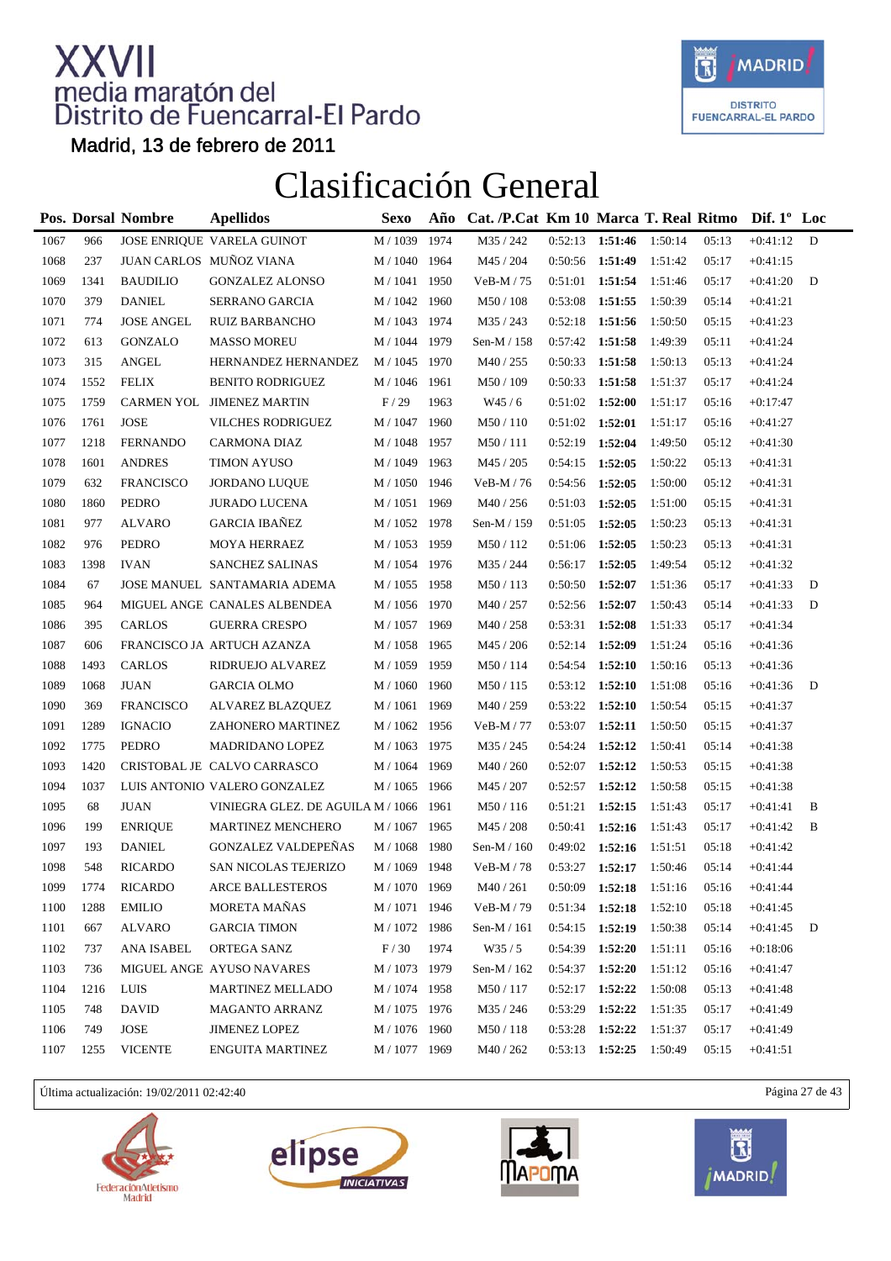

Madrid, 13 de febrero de 2011

### Clasificación General

|      |      | Pos. Dorsal Nombre | <b>Apellidos</b>                       | <b>Sexo</b>           | Año  | Cat. /P.Cat Km 10 Marca T. Real Ritmo |         |         |         |       | Dif. $1^{\circ}$ Loc |   |
|------|------|--------------------|----------------------------------------|-----------------------|------|---------------------------------------|---------|---------|---------|-------|----------------------|---|
| 1067 | 966  |                    | JOSE ENRIQUE VARELA GUINOT             | M / 1039              | 1974 | M35 / 242                             | 0:52:13 | 1:51:46 | 1:50:14 | 05:13 | $+0:41:12$           | D |
| 1068 | 237  |                    | JUAN CARLOS MUÑOZ VIANA                | M / 1040 1964         |      | M45 / 204                             | 0:50:56 | 1:51:49 | 1:51:42 | 05:17 | $+0:41:15$           |   |
| 1069 | 1341 | <b>BAUDILIO</b>    | <b>GONZALEZ ALONSO</b>                 | M / 1041              | 1950 | $VeB-M / 75$                          | 0:51:01 | 1:51:54 | 1:51:46 | 05:17 | $+0:41:20$           | D |
| 1070 | 379  | <b>DANIEL</b>      | SERRANO GARCIA                         | M / 1042              | 1960 | M50 / 108                             | 0:53:08 | 1:51:55 | 1:50:39 | 05:14 | $+0:41:21$           |   |
| 1071 | 774  | <b>JOSE ANGEL</b>  | <b>RUIZ BARBANCHO</b>                  | M / 1043 1974         |      | M35 / 243                             | 0:52:18 | 1:51:56 | 1:50:50 | 05:15 | $+0:41:23$           |   |
| 1072 | 613  | <b>GONZALO</b>     | <b>MASSO MOREU</b>                     | M / 1044 1979         |      | Sen-M / 158                           | 0:57:42 | 1:51:58 | 1:49:39 | 05:11 | $+0:41:24$           |   |
| 1073 | 315  | <b>ANGEL</b>       | HERNANDEZ HERNANDEZ                    | M / 1045              | 1970 | M40 / 255                             | 0:50:33 | 1:51:58 | 1:50:13 | 05:13 | $+0:41:24$           |   |
| 1074 | 1552 | <b>FELIX</b>       | <b>BENITO RODRIGUEZ</b>                | M / 1046              | 1961 | M50 / 109                             | 0:50:33 | 1:51:58 | 1:51:37 | 05:17 | $+0:41:24$           |   |
| 1075 | 1759 |                    | CARMEN YOL JIMENEZ MARTIN              | F/29                  | 1963 | W45/6                                 | 0:51:02 | 1:52:00 | 1:51:17 | 05:16 | $+0:17:47$           |   |
| 1076 | 1761 | <b>JOSE</b>        | <b>VILCHES RODRIGUEZ</b>               | M / 1047 1960         |      | M50 / 110                             | 0:51:02 | 1:52:01 | 1:51:17 | 05:16 | $+0:41:27$           |   |
| 1077 | 1218 | <b>FERNANDO</b>    | <b>CARMONA DIAZ</b>                    | M / 1048              | 1957 | M50/111                               | 0:52:19 | 1:52:04 | 1:49:50 | 05:12 | $+0:41:30$           |   |
| 1078 | 1601 | <b>ANDRES</b>      | <b>TIMON AYUSO</b>                     | $\mathrm{M}$ / $1049$ | 1963 | M45 / 205                             | 0:54:15 | 1:52:05 | 1:50:22 | 05:13 | $+0:41:31$           |   |
| 1079 | 632  | <b>FRANCISCO</b>   | <b>JORDANO LUQUE</b>                   | M / 1050 1946         |      | $VeB-M / 76$                          | 0:54:56 | 1:52:05 | 1:50:00 | 05:12 | $+0:41:31$           |   |
| 1080 | 1860 | <b>PEDRO</b>       | <b>JURADO LUCENA</b>                   | M / 1051 1969         |      | M40 / 256                             | 0:51:03 | 1:52:05 | 1:51:00 | 05:15 | $+0:41:31$           |   |
| 1081 | 977  | <b>ALVARO</b>      | <b>GARCIA IBAÑEZ</b>                   | M / 1052              | 1978 | Sen-M / 159                           | 0:51:05 | 1:52:05 | 1:50:23 | 05:13 | $+0:41:31$           |   |
| 1082 | 976  | <b>PEDRO</b>       | MOYA HERRAEZ                           | $M/1053\,$            | 1959 | M50 / 112                             | 0:51:06 | 1:52:05 | 1:50:23 | 05:13 | $+0:41:31$           |   |
| 1083 | 1398 | <b>IVAN</b>        | <b>SANCHEZ SALINAS</b>                 | M / 1054 1976         |      | M35 / 244                             | 0:56:17 | 1:52:05 | 1:49:54 | 05:12 | $+0:41:32$           |   |
| 1084 | 67   |                    | JOSE MANUEL SANTAMARIA ADEMA           | M / 1055 1958         |      | M50 / 113                             | 0:50:50 | 1:52:07 | 1:51:36 | 05:17 | $+0:41:33$           | D |
| 1085 | 964  |                    | MIGUEL ANGE CANALES ALBENDEA           | M / 1056              | 1970 | M40 / 257                             | 0:52:56 | 1:52:07 | 1:50:43 | 05:14 | $+0:41:33$           | D |
| 1086 | 395  | CARLOS             | <b>GUERRA CRESPO</b>                   | M / 1057              | 1969 | M40 / 258                             | 0:53:31 | 1:52:08 | 1:51:33 | 05:17 | $+0:41:34$           |   |
| 1087 | 606  |                    | FRANCISCO JA ARTUCH AZANZA             | M / 1058 1965         |      | M45 / 206                             | 0:52:14 | 1:52:09 | 1:51:24 | 05:16 | $+0:41:36$           |   |
| 1088 | 1493 | CARLOS             | RIDRUEJO ALVAREZ                       | M / 1059 1959         |      | M50/114                               | 0:54:54 | 1:52:10 | 1:50:16 | 05:13 | $+0:41:36$           |   |
| 1089 | 1068 | <b>JUAN</b>        | <b>GARCIA OLMO</b>                     | M / 1060              | 1960 | M50 / 115                             | 0:53:12 | 1:52:10 | 1:51:08 | 05:16 | $+0:41:36$           | D |
| 1090 | 369  | <b>FRANCISCO</b>   | ALVAREZ BLAZQUEZ                       | M / 1061              | 1969 | M40 / 259                             | 0:53:22 | 1:52:10 | 1:50:54 | 05:15 | $+0:41:37$           |   |
| 1091 | 1289 | <b>IGNACIO</b>     | ZAHONERO MARTINEZ                      | M / 1062 1956         |      | VeB-M / 77                            | 0:53:07 | 1:52:11 | 1:50:50 | 05:15 | $+0:41:37$           |   |
| 1092 | 1775 | <b>PEDRO</b>       | MADRIDANO LOPEZ                        | M / 1063 1975         |      | M35 / 245                             | 0:54:24 | 1:52:12 | 1:50:41 | 05:14 | $+0:41:38$           |   |
| 1093 | 1420 |                    | CRISTOBAL JE CALVO CARRASCO            | M / 1064              | 1969 | M40 / 260                             | 0:52:07 | 1:52:12 | 1:50:53 | 05:15 | $+0:41:38$           |   |
| 1094 | 1037 |                    | LUIS ANTONIO VALERO GONZALEZ           | M / 1065              | 1966 | M45 / 207                             | 0:52:57 | 1:52:12 | 1:50:58 | 05:15 | $+0:41:38$           |   |
| 1095 | 68   | <b>JUAN</b>        | VINIEGRA GLEZ. DE AGUILA M / 1066 1961 |                       |      | M50/116                               | 0:51:21 | 1:52:15 | 1:51:43 | 05:17 | $+0:41:41$           | B |
| 1096 | 199  | <b>ENRIQUE</b>     | MARTINEZ MENCHERO                      | M / 1067 1965         |      | M45 / 208                             | 0:50:41 | 1:52:16 | 1:51:43 | 05:17 | $+0:41:42$           | B |
| 1097 | 193  | <b>DANIEL</b>      | <b>GONZALEZ VALDEPEÑAS</b>             | M / 1068              | 1980 | Sen-M / 160                           | 0:49:02 | 1:52:16 | 1:51:51 | 05:18 | $+0:41:42$           |   |
| 1098 | 548  | <b>RICARDO</b>     | SAN NICOLAS TEJERIZO                   | M / 1069 1948         |      | VeB-M / 78                            | 0:53:27 | 1:52:17 | 1:50:46 | 05:14 | $+0:41:44$           |   |
| 1099 | 1774 | <b>RICARDO</b>     | ARCE BALLESTEROS                       | M / 1070 1969         |      | $\rm M40$ / $261$                     | 0:50:09 | 1:52:18 | 1:51:16 | 05:16 | $+0:41:44$           |   |
| 1100 | 1288 | <b>EMILIO</b>      | MORETA MAÑAS                           | M / 1071 1946         |      | VeB-M / 79                            | 0:51:34 | 1:52:18 | 1:52:10 | 05:18 | $+0:41:45$           |   |
| 1101 | 667  | ALVARO             | <b>GARCIA TIMON</b>                    | M / 1072              | 1986 | Sen-M $/ 161$                         | 0:54:15 | 1:52:19 | 1:50:38 | 05:14 | $+0:41:45$           | D |
| 1102 | 737  | ANA ISABEL         | ORTEGA SANZ                            | F/30                  | 1974 | W35/5                                 | 0:54:39 | 1:52:20 | 1:51:11 | 05:16 | $+0:18:06$           |   |
| 1103 | 736  |                    | MIGUEL ANGE AYUSO NAVARES              | M / 1073 1979         |      | Sen-M / 162                           | 0:54:37 | 1:52:20 | 1:51:12 | 05:16 | $+0:41:47$           |   |
| 1104 | 1216 | LUIS               | <b>MARTINEZ MELLADO</b>                | M / 1074 1958         |      | M50 / 117                             | 0:52:17 | 1:52:22 | 1:50:08 | 05:13 | $+0:41:48$           |   |
| 1105 | 748  | <b>DAVID</b>       | <b>MAGANTO ARRANZ</b>                  | M / 1075 1976         |      | M35 / 246                             | 0:53:29 | 1:52:22 | 1:51:35 | 05:17 | $+0:41:49$           |   |
| 1106 | 749  | JOSE               | JIMENEZ LOPEZ                          | M / 1076 1960         |      | M50 / 118                             | 0:53:28 | 1:52:22 | 1:51:37 | 05:17 | $+0:41:49$           |   |
| 1107 | 1255 | <b>VICENTE</b>     | ENGUITA MARTINEZ                       | M / 1077 1969         |      | M40 / 262                             | 0:53:13 | 1:52:25 | 1:50:49 | 05:15 | $+0:41:51$           |   |
|      |      |                    |                                        |                       |      |                                       |         |         |         |       |                      |   |

Última actualización: 19/02/2011 02:42:40 Página 27 de 43







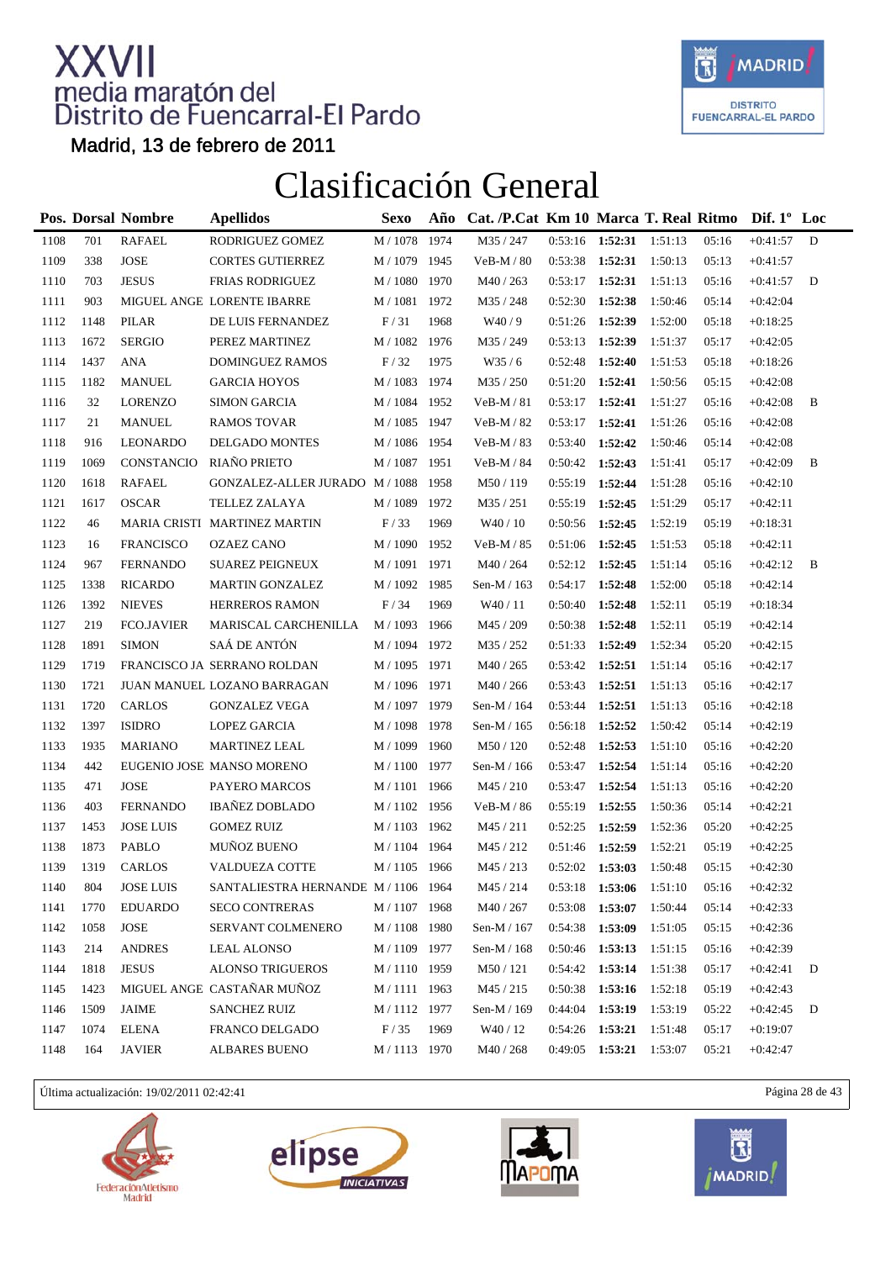

Madrid, 13 de febrero de 2011

### Clasificación General

|      |      | Pos. Dorsal Nombre         | <b>Apellidos</b>                    | Sexo                | Año  | Cat. /P.Cat Km 10 Marca T. Real Ritmo |                   |                         |         |       | Dif. $1^{\circ}$ Loc |   |
|------|------|----------------------------|-------------------------------------|---------------------|------|---------------------------------------|-------------------|-------------------------|---------|-------|----------------------|---|
| 1108 | 701  | <b>RAFAEL</b>              | RODRIGUEZ GOMEZ                     | $M$ / $1078\,$      | 1974 | M35 / 247                             | $0:53:16$ 1:52:31 |                         | 1:51:13 | 05:16 | $+0:41:57$           | D |
| 1109 | 338  | $\ensuremath{\text{JOSE}}$ | <b>CORTES GUTIERREZ</b>             | M / 1079 1945       |      | $VeB-M / 80$                          | 0:53:38           | 1:52:31                 | 1:50:13 | 05:13 | $+0:41:57$           |   |
| 1110 | 703  | <b>JESUS</b>               | FRIAS RODRIGUEZ                     | M / 1080            | 1970 | M40 / 263                             | 0:53:17           | 1:52:31                 | 1:51:13 | 05:16 | $+0:41:57$           | D |
| 1111 | 903  |                            | MIGUEL ANGE LORENTE IBARRE          | M / 1081            | 1972 | M35 / 248                             | 0:52:30           | 1:52:38                 | 1:50:46 | 05:14 | $+0:42:04$           |   |
| 1112 | 1148 | <b>PILAR</b>               | DE LUIS FERNANDEZ                   | F/31                | 1968 | W40/9                                 | 0:51:26           | 1:52:39                 | 1:52:00 | 05:18 | $+0.18:25$           |   |
| 1113 | 1672 | <b>SERGIO</b>              | PEREZ MARTINEZ                      | M / 1082            | 1976 | M35 / 249                             | 0:53:13           | 1:52:39                 | 1:51:37 | 05:17 | $+0:42:05$           |   |
| 1114 | 1437 | <b>ANA</b>                 | DOMINGUEZ RAMOS                     | F/32                | 1975 | W35/6                                 | 0:52:48           | 1:52:40                 | 1:51:53 | 05:18 | $+0.18:26$           |   |
| 1115 | 1182 | <b>MANUEL</b>              | <b>GARCIA HOYOS</b>                 | $\text{M}$ / $1083$ | 1974 | M35 / 250                             | 0:51:20           | 1:52:41                 | 1:50:56 | 05:15 | $+0:42:08$           |   |
| 1116 | 32   | <b>LORENZO</b>             | <b>SIMON GARCIA</b>                 | M / 1084 1952       |      | $VeB-M/81$                            | 0:53:17           | 1:52:41                 | 1:51:27 | 05:16 | $+0:42:08$           | B |
| 1117 | 21   | <b>MANUEL</b>              | <b>RAMOS TOVAR</b>                  | M / 1085 1947       |      | $VeB-M / 82$                          | 0:53:17           | 1:52:41                 | 1:51:26 | 05:16 | $+0:42:08$           |   |
| 1118 | 916  | LEONARDO                   | DELGADO MONTES                      | M / 1086 1954       |      | $VeB-M/83$                            | 0:53:40           | 1:52:42                 | 1:50:46 | 05:14 | $+0:42:08$           |   |
| 1119 | 1069 | CONSTANCIO                 | RIAÑO PRIETO                        | M / 1087            | 1951 | $VeB-M / 84$                          | 0:50:42           | 1:52:43                 | 1:51:41 | 05:17 | $+0:42:09$           | B |
| 1120 | 1618 | <b>RAFAEL</b>              | GONZALEZ-ALLER JURADO M/1088        |                     | 1958 | M50/119                               | 0:55:19           | 1:52:44                 | 1:51:28 | 05:16 | $+0:42:10$           |   |
| 1121 | 1617 | <b>OSCAR</b>               | TELLEZ ZALAYA                       | M / 1089            | 1972 | M35 / 251                             | 0:55:19           | 1:52:45                 | 1:51:29 | 05:17 | $+0:42:11$           |   |
| 1122 | 46   |                            | MARIA CRISTI MARTINEZ MARTIN        | F/33                | 1969 | W40 / 10                              | 0:50:56           | 1:52:45                 | 1:52:19 | 05:19 | $+0:18:31$           |   |
| 1123 | 16   | <b>FRANCISCO</b>           | <b>OZAEZ CANO</b>                   | M / 1090            | 1952 | $VeB-M / 85$                          | 0:51:06           | 1:52:45                 | 1:51:53 | 05:18 | $+0:42:11$           |   |
| 1124 | 967  | <b>FERNANDO</b>            | <b>SUAREZ PEIGNEUX</b>              | M / 1091 1971       |      | M40 / 264                             | 0:52:12           | 1:52:45                 | 1:51:14 | 05:16 | $+0:42:12$           | B |
| 1125 | 1338 | <b>RICARDO</b>             | <b>MARTIN GONZALEZ</b>              | M / 1092 1985       |      | Sen-M / 163                           | 0:54:17           | 1:52:48                 | 1:52:00 | 05:18 | $+0:42:14$           |   |
| 1126 | 1392 | <b>NIEVES</b>              | <b>HERREROS RAMON</b>               | F/34                | 1969 | W40/11                                | 0:50:40           | 1:52:48                 | 1:52:11 | 05:19 | $+0:18:34$           |   |
| 1127 | 219  | <b>FCO.JAVIER</b>          | MARISCAL CARCHENILLA                | M / 1093            | 1966 | M45 / 209                             | 0:50:38           | 1:52:48                 | 1:52:11 | 05:19 | $+0:42:14$           |   |
| 1128 | 1891 | <b>SIMON</b>               | SAÁ DE ANTÓN                        | M / 1094 1972       |      | M35 / 252                             | 0:51:33           | 1:52:49                 | 1:52:34 | 05:20 | $+0:42:15$           |   |
| 1129 | 1719 |                            | FRANCISCO JA SERRANO ROLDAN         | M / 1095 1971       |      | M40 / 265                             | 0:53:42           | 1:52:51                 | 1:51:14 | 05:16 | $+0:42:17$           |   |
| 1130 | 1721 |                            | JUAN MANUEL LOZANO BARRAGAN         | M / 1096 1971       |      | M40 / 266                             | 0:53:43           | 1:52:51                 | 1:51:13 | 05:16 | $+0:42:17$           |   |
| 1131 | 1720 | <b>CARLOS</b>              | <b>GONZALEZ VEGA</b>                | M / 1097 1979       |      | Sen-M / 164                           | 0:53:44           | 1:52:51                 | 1:51:13 | 05:16 | $+0:42:18$           |   |
| 1132 | 1397 | <b>ISIDRO</b>              | <b>LOPEZ GARCIA</b>                 | M / 1098 1978       |      | Sen-M / 165                           | 0:56:18           | 1:52:52                 | 1:50:42 | 05:14 | $+0:42:19$           |   |
| 1133 | 1935 | <b>MARIANO</b>             | MARTINEZ LEAL                       | M / 1099 1960       |      | M50 / 120                             | 0:52:48           | 1:52:53                 | 1:51:10 | 05:16 | $+0:42:20$           |   |
| 1134 | 442  |                            | EUGENIO JOSE MANSO MORENO           | M / 1100            | 1977 | Sen-M / 166                           | 0:53:47           | 1:52:54                 | 1:51:14 | 05:16 | $+0:42:20$           |   |
| 1135 | 471  | <b>JOSE</b>                | PAYERO MARCOS                       | M / 1101 1966       |      | M45/210                               | 0:53:47           | 1:52:54                 | 1:51:13 | 05:16 | $+0:42:20$           |   |
| 1136 | 403  | <b>FERNANDO</b>            | <b>IBAÑEZ DOBLADO</b>               | M / 1102 1956       |      | VeB-M / 86                            | 0:55:19           | 1:52:55                 | 1:50:36 | 05:14 | $+0:42:21$           |   |
| 1137 | 1453 | <b>JOSE LUIS</b>           | <b>GOMEZ RUIZ</b>                   | M / 1103 1962       |      | M45 / 211                             | 0:52:25           | 1:52:59                 | 1:52:36 | 05:20 | $+0:42:25$           |   |
| 1138 | 1873 | PABLO                      | MUÑOZ BUENO                         | M / 1104            | 1964 | M45 / 212                             | 0:51:46           | 1:52:59                 | 1:52:21 | 05:19 | $+0:42:25$           |   |
| 1139 | 1319 | CARLOS                     | <b>VALDUEZA COTTE</b>               | M / 1105 1966       |      | M45 / 213                             | $0:52:02$ 1:53:03 |                         | 1:50:48 | 05:15 | $+0:42:30$           |   |
| 1140 | 804  | <b>JOSE LUIS</b>           | SANTALIESTRA HERNANDE M / 1106 1964 |                     |      | $\rm M45$ / $\rm 214$                 | 0:53:18           | 1:53:06                 | 1:51:10 | 05:16 | $+0:42:32$           |   |
| 1141 | 1770 | <b>EDUARDO</b>             | <b>SECO CONTRERAS</b>               | M / 1107 1968       |      | M40 / 267                             | 0:53:08           | 1:53:07                 | 1:50:44 | 05:14 | $+0:42:33$           |   |
| 1142 | 1058 | <b>JOSE</b>                | SERVANT COLMENERO                   | M / 1108 1980       |      | Sen-M / 167                           | 0:54:38           | 1:53:09                 | 1:51:05 | 05:15 | $+0:42:36$           |   |
| 1143 | 214  | <b>ANDRES</b>              | <b>LEAL ALONSO</b>                  | M / 1109            | 1977 | Sen-M / 168                           | 0:50:46           | 1:53:13                 | 1:51:15 | 05:16 | $+0:42:39$           |   |
| 1144 | 1818 | <b>JESUS</b>               | <b>ALONSO TRIGUEROS</b>             | M / 1110 1959       |      | M50 / 121                             | 0:54:42           | 1:53:14                 | 1:51:38 | 05:17 | $+0:42:41$           | D |
| 1145 | 1423 |                            | MIGUEL ANGE CASTAÑAR MUÑOZ          | M / 1111 1963       |      | M45 / 215                             | 0:50:38           | 1:53:16                 | 1:52:18 | 05:19 | $+0:42:43$           |   |
| 1146 | 1509 | JAIME                      | <b>SANCHEZ RUIZ</b>                 | M / 1112 1977       |      | Sen-M / 169                           | 0:44:04           | 1:53:19                 | 1:53:19 | 05:22 | $+0:42:45$           | D |
| 1147 | 1074 | <b>ELENA</b>               | FRANCO DELGADO                      | F/35                | 1969 | W40 / 12                              | 0:54:26           | 1:53:21                 | 1:51:48 | 05:17 | $+0:19:07$           |   |
| 1148 | 164  | <b>JAVIER</b>              | <b>ALBARES BUENO</b>                | M / 1113 1970       |      | M40 / 268                             |                   | 0:49:05 1:53:21 1:53:07 |         | 05:21 | $+0:42:47$           |   |

Última actualización: 19/02/2011 02:42:41 Página 28 de 43







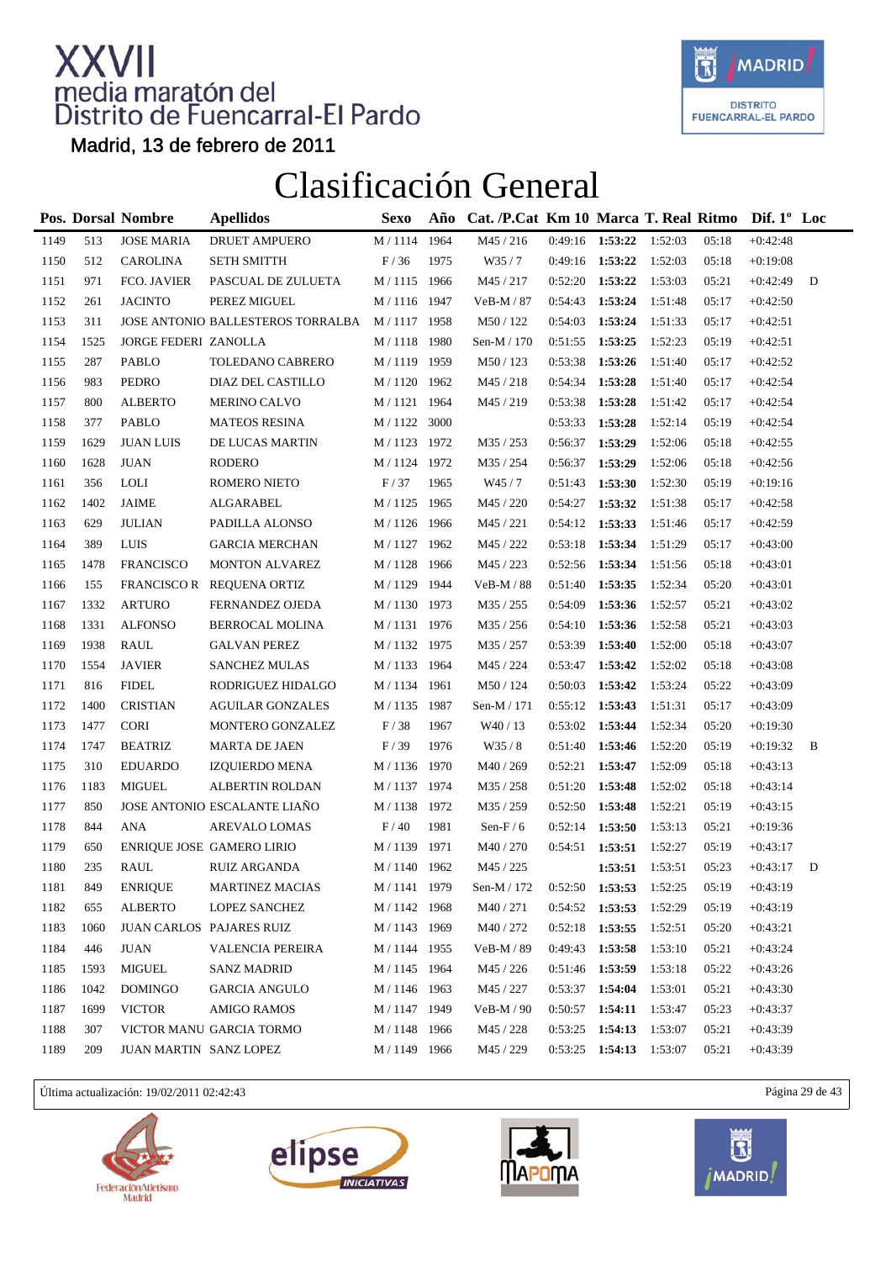

Madrid, 13 de febrero de 2011

### Clasificación General

|      |      | Pos. Dorsal Nombre       | <b>Apellidos</b>                  | <b>Sexo</b>    | Año  | Cat. /P.Cat Km 10 Marca T. Real Ritmo Dif. 1° Loc |                   |         |         |       |            |   |
|------|------|--------------------------|-----------------------------------|----------------|------|---------------------------------------------------|-------------------|---------|---------|-------|------------|---|
| 1149 | 513  | <b>JOSE MARIA</b>        | <b>DRUET AMPUERO</b>              | $M$ / $1114\,$ | 1964 | M45 / 216                                         | 0:49:16 1:53:22   |         | 1:52:03 | 05:18 | $+0:42:48$ |   |
| 1150 | 512  | CAROLINA                 | <b>SETH SMITTH</b>                | F/36           | 1975 | W35/7                                             | 0:49:16           | 1:53:22 | 1:52:03 | 05:18 | $+0:19:08$ |   |
| 1151 | 971  | FCO. JAVIER              | PASCUAL DE ZULUETA                | M / 1115 1966  |      | M45 / 217                                         | 0:52:20           | 1:53:22 | 1:53:03 | 05:21 | $+0:42:49$ | D |
| 1152 | 261  | <b>JACINTO</b>           | PEREZ MIGUEL                      | M / 1116 1947  |      | VeB-M / 87                                        | 0:54:43           | 1:53:24 | 1:51:48 | 05:17 | $+0:42:50$ |   |
| 1153 | 311  |                          | JOSE ANTONIO BALLESTEROS TORRALBA | M / 1117 1958  |      | M50 / 122                                         | 0:54:03           | 1:53:24 | 1:51:33 | 05:17 | $+0:42:51$ |   |
| 1154 | 1525 | JORGE FEDERI ZANOLLA     |                                   | M / 1118 1980  |      | Sen-M / 170                                       | 0:51:55           | 1:53:25 | 1:52:23 | 05:19 | $+0:42:51$ |   |
| 1155 | 287  | PABLO                    | TOLEDANO CABRERO                  | M / 1119 1959  |      | M50/123                                           | 0:53:38           | 1:53:26 | 1:51:40 | 05:17 | $+0:42:52$ |   |
| 1156 | 983  | PEDRO                    | DIAZ DEL CASTILLO                 | M / 1120       | 1962 | M45 / 218                                         | 0:54:34           | 1:53:28 | 1:51:40 | 05:17 | $+0:42:54$ |   |
| 1157 | 800  | <b>ALBERTO</b>           | MERINO CALVO                      | M / 1121 1964  |      | M45 / 219                                         | 0:53:38           | 1:53:28 | 1:51:42 | 05:17 | $+0:42:54$ |   |
| 1158 | 377  | <b>PABLO</b>             | <b>MATEOS RESINA</b>              | M / 1122 3000  |      |                                                   | 0:53:33           | 1:53:28 | 1:52:14 | 05:19 | $+0:42:54$ |   |
| 1159 | 1629 | <b>JUAN LUIS</b>         | DE LUCAS MARTIN                   | M / 1123 1972  |      | M35 / 253                                         | 0:56:37           | 1:53:29 | 1:52:06 | 05:18 | $+0:42:55$ |   |
| 1160 | 1628 | <b>JUAN</b>              | RODERO                            | M / 1124 1972  |      | M35 / 254                                         | 0:56:37           | 1:53:29 | 1:52:06 | 05:18 | $+0:42:56$ |   |
| 1161 | 356  | <b>LOLI</b>              | ROMERO NIETO                      | F/37           | 1965 | W45/7                                             | 0:51:43           | 1:53:30 | 1:52:30 | 05:19 | $+0:19:16$ |   |
| 1162 | 1402 | <b>JAIME</b>             | ALGARABEL                         | M / 1125 1965  |      | M45 / 220                                         | 0:54:27           | 1:53:32 | 1:51:38 | 05:17 | $+0:42:58$ |   |
| 1163 | 629  | <b>JULIAN</b>            | PADILLA ALONSO                    | M / 1126       | 1966 | M45 / 221                                         | 0:54:12           | 1:53:33 | 1:51:46 | 05:17 | $+0:42:59$ |   |
| 1164 | 389  | <b>LUIS</b>              | <b>GARCIA MERCHAN</b>             | M / 1127 1962  |      | M45 / 222                                         | 0:53:18           | 1:53:34 | 1:51:29 | 05:17 | $+0:43:00$ |   |
| 1165 | 1478 | <b>FRANCISCO</b>         | <b>MONTON ALVAREZ</b>             | M / 1128 1966  |      | M45 / 223                                         | 0:52:56           | 1:53:34 | 1:51:56 | 05:18 | $+0:43:01$ |   |
| 1166 | 155  |                          | FRANCISCO R REQUENA ORTIZ         | M / 1129 1944  |      | VeB-M / 88                                        | 0:51:40           | 1:53:35 | 1:52:34 | 05:20 | $+0:43:01$ |   |
| 1167 | 1332 | <b>ARTURO</b>            | FERNANDEZ OJEDA                   | M / 1130       | 1973 | M35 / 255                                         | 0:54:09           | 1:53:36 | 1:52:57 | 05:21 | $+0:43:02$ |   |
| 1168 | 1331 | <b>ALFONSO</b>           | BERROCAL MOLINA                   | M / 1131 1976  |      | M35 / 256                                         | 0:54:10           | 1:53:36 | 1:52:58 | 05:21 | $+0:43:03$ |   |
| 1169 | 1938 | <b>RAUL</b>              | <b>GALVAN PEREZ</b>               | M / 1132 1975  |      | M35 / 257                                         | 0:53:39           | 1:53:40 | 1:52:00 | 05:18 | $+0:43:07$ |   |
| 1170 | 1554 | <b>JAVIER</b>            | <b>SANCHEZ MULAS</b>              | M / 1133 1964  |      | M45 / 224                                         | 0:53:47           | 1:53:42 | 1:52:02 | 05:18 | $+0:43:08$ |   |
| 1171 | 816  | <b>FIDEL</b>             | RODRIGUEZ HIDALGO                 | M / 1134       | 1961 | M50 / 124                                         | 0:50:03           | 1:53:42 | 1:53:24 | 05:22 | $+0:43:09$ |   |
| 1172 | 1400 | <b>CRISTIAN</b>          | <b>AGUILAR GONZALES</b>           | $M/1135$       | 1987 | Sen-M / 171                                       | 0:55:12           | 1:53:43 | 1:51:31 | 05:17 | $+0:43:09$ |   |
| 1173 | 1477 | <b>CORI</b>              | MONTERO GONZALEZ                  | F/38           | 1967 | W <sub>40</sub> / 13                              | 0:53:02           | 1:53:44 | 1:52:34 | 05:20 | $+0:19:30$ |   |
| 1174 | 1747 | <b>BEATRIZ</b>           | <b>MARTA DE JAEN</b>              | F/39           | 1976 | W35/8                                             | 0:51:40           | 1:53:46 | 1:52:20 | 05:19 | $+0:19:32$ | B |
| 1175 | 310  | <b>EDUARDO</b>           | <b>IZQUIERDO MENA</b>             | M / 1136       | 1970 | M40 / 269                                         | 0:52:21           | 1:53:47 | 1:52:09 | 05:18 | $+0:43:13$ |   |
| 1176 | 1183 | MIGUEL                   | ALBERTIN ROLDAN                   | M / 1137       | 1974 | M35 / 258                                         | 0:51:20           | 1:53:48 | 1:52:02 | 05:18 | $+0:43:14$ |   |
| 1177 | 850  |                          | JOSE ANTONIO ESCALANTE LIAÑO      | M / 1138 1972  |      | M35 / 259                                         | 0:52:50           | 1:53:48 | 1:52:21 | 05:19 | $+0:43:15$ |   |
| 1178 | 844  | <b>ANA</b>               | <b>AREVALO LOMAS</b>              | F/40           | 1981 | Sen-F $/ 6$                                       | 0:52:14           | 1:53:50 | 1:53:13 | 05:21 | $+0:19:36$ |   |
| 1179 | 650  |                          | ENRIQUE JOSE GAMERO LIRIO         | $M/1139$       | 1971 | M40 / 270                                         | 0:54:51           | 1:53:51 | 1:52:27 | 05:19 | $+0:43:17$ |   |
| 1180 | 235  | RAUL                     | RUIZ ARGANDA                      | M / 1140 1962  |      | M45 / 225                                         |                   | 1:53:51 | 1:53:51 | 05:23 | $+0:43:17$ | D |
| 1181 | 849  | <b>ENRIQUE</b>           | MARTINEZ MACIAS                   | M / 1141 1979  |      | Sen-M / $172\,$                                   | $0:52:50$ 1:53:53 |         | 1:52:25 | 05:19 | $+0:43:19$ |   |
| 1182 | 655  | <b>ALBERTO</b>           | <b>LOPEZ SANCHEZ</b>              | M / 1142 1968  |      | M40/271                                           | 0:54:52           | 1:53:53 | 1:52:29 | 05:19 | $+0:43:19$ |   |
| 1183 | 1060 | JUAN CARLOS PAJARES RUIZ |                                   | M / 1143 1969  |      | M40 / 272                                         | 0:52:18           | 1:53:55 | 1:52:51 | 05:20 | $+0:43:21$ |   |
| 1184 | 446  | <b>JUAN</b>              | <b>VALENCIA PEREIRA</b>           | M / 1144 1955  |      | VeB-M / 89                                        | 0:49:43           | 1:53:58 | 1:53:10 | 05:21 | $+0:43:24$ |   |
| 1185 | 1593 | MIGUEL                   | <b>SANZ MADRID</b>                | M / 1145 1964  |      | M45 / 226                                         | 0:51:46 1:53:59   |         | 1:53:18 | 05:22 | $+0:43:26$ |   |
| 1186 | 1042 | <b>DOMINGO</b>           | <b>GARCIA ANGULO</b>              | M / 1146 1963  |      | M45 / 227                                         | 0:53:37           | 1:54:04 | 1:53:01 | 05:21 | $+0:43:30$ |   |
| 1187 | 1699 | <b>VICTOR</b>            | <b>AMIGO RAMOS</b>                | M / 1147 1949  |      | $VeB-M / 90$                                      | $0:50:57$ 1:54:11 |         | 1:53:47 | 05:23 | $+0:43:37$ |   |
| 1188 | 307  |                          | VICTOR MANU GARCIA TORMO          | M / 1148 1966  |      | M45 / 228                                         | 0:53:25           | 1:54:13 | 1:53:07 | 05:21 | $+0:43:39$ |   |
| 1189 | 209  | JUAN MARTIN SANZ LOPEZ   |                                   | M / 1149 1966  |      | M45 / 229                                         | 0:53:25           | 1:54:13 | 1:53:07 | 05:21 | $+0:43:39$ |   |
|      |      |                          |                                   |                |      |                                                   |                   |         |         |       |            |   |

Última actualización: 19/02/2011 02:42:43 Página 29 de 43







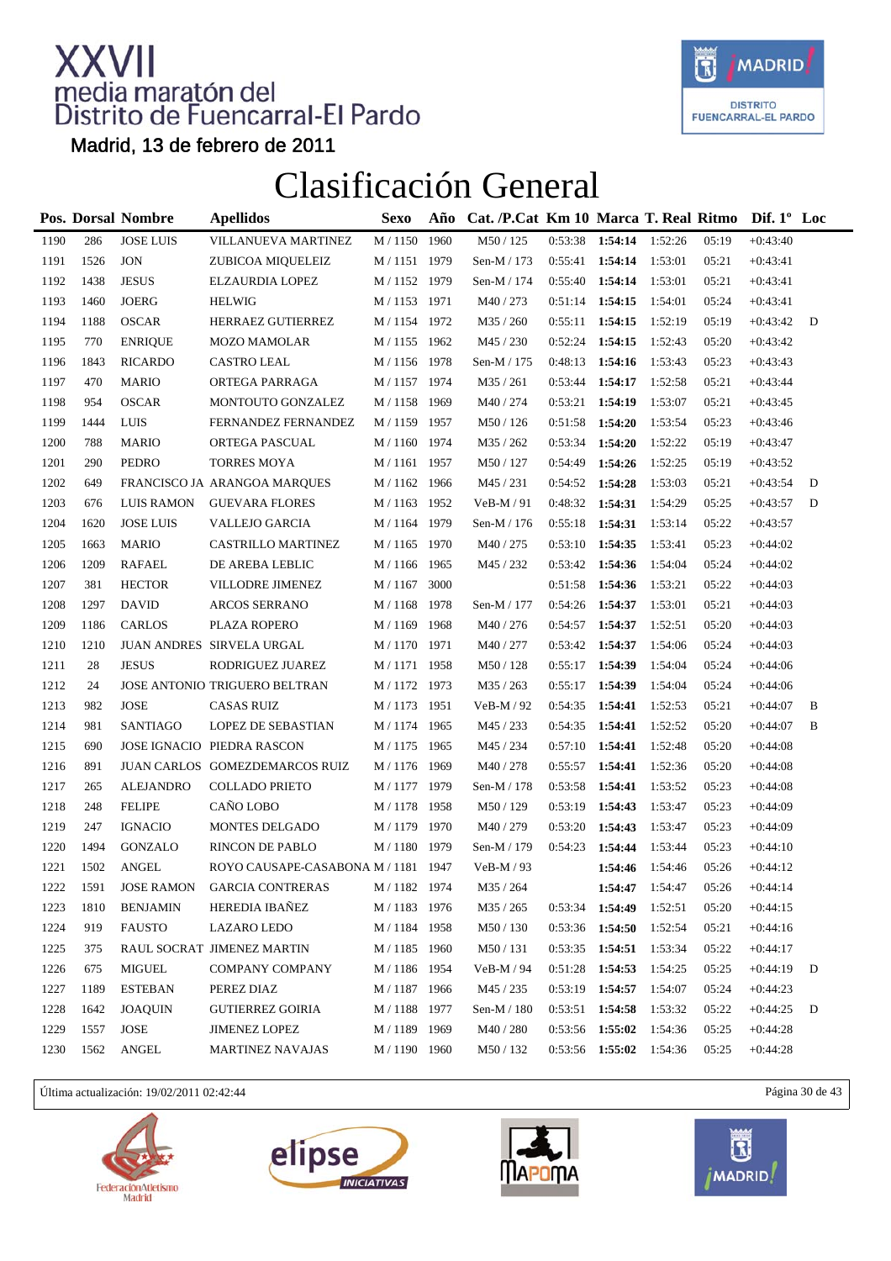

Madrid, 13 de febrero de 2011

### Clasificación General

|      |      | Pos. Dorsal Nombre | <b>Apellidos</b>                    | <b>Sexo</b>   | Año  | Cat. /P.Cat Km 10 Marca T. Real Ritmo Dif. 1° Loc |                   |                   |         |       |            |   |
|------|------|--------------------|-------------------------------------|---------------|------|---------------------------------------------------|-------------------|-------------------|---------|-------|------------|---|
| 1190 | 286  | <b>JOSE LUIS</b>   | VILLANUEVA MARTINEZ                 | M / 1150      | 1960 | M50 / 125                                         | 0:53:38           | 1:54:14           | 1:52:26 | 05:19 | $+0:43:40$ |   |
| 1191 | 1526 | <b>JON</b>         | ZUBICOA MIQUELEIZ                   | M / 1151 1979 |      | Sen-M / 173                                       | 0:55:41           | 1:54:14           | 1:53:01 | 05:21 | $+0:43:41$ |   |
| 1192 | 1438 | <b>JESUS</b>       | ELZAURDIA LOPEZ                     | M / 1152 1979 |      | Sen-M / 174                                       | 0:55:40           | 1:54:14           | 1:53:01 | 05:21 | $+0:43:41$ |   |
| 1193 | 1460 | <b>JOERG</b>       | <b>HELWIG</b>                       | M / 1153 1971 |      | M40 / 273                                         | 0:51:14           | 1:54:15           | 1:54:01 | 05:24 | $+0:43:41$ |   |
| 1194 | 1188 | <b>OSCAR</b>       | HERRAEZ GUTIERREZ                   | M / 1154 1972 |      | M35 / 260                                         | 0:55:11           | 1:54:15           | 1:52:19 | 05:19 | $+0:43:42$ | D |
| 1195 | 770  | <b>ENRIQUE</b>     | <b>MOZO MAMOLAR</b>                 | M / 1155 1962 |      | M45 / 230                                         | 0:52:24           | 1:54:15           | 1:52:43 | 05:20 | $+0:43:42$ |   |
| 1196 | 1843 | <b>RICARDO</b>     | <b>CASTRO LEAL</b>                  | M / 1156 1978 |      | Sen-M / 175                                       | 0:48:13           | 1:54:16           | 1:53:43 | 05:23 | $+0:43:43$ |   |
| 1197 | 470  | <b>MARIO</b>       | ORTEGA PARRAGA                      | M / 1157 1974 |      | M35 / 261                                         | 0:53:44           | 1:54:17           | 1:52:58 | 05:21 | $+0:43:44$ |   |
| 1198 | 954  | <b>OSCAR</b>       | MONTOUTO GONZALEZ                   | M / 1158 1969 |      | M40 / 274                                         | 0:53:21           | 1:54:19           | 1:53:07 | 05:21 | $+0:43:45$ |   |
| 1199 | 1444 | <b>LUIS</b>        | FERNANDEZ FERNANDEZ                 | M / 1159 1957 |      | M50 / 126                                         | 0:51:58           | 1:54:20           | 1:53:54 | 05:23 | $+0:43:46$ |   |
| 1200 | 788  | <b>MARIO</b>       | ORTEGA PASCUAL                      | M / 1160 1974 |      | M35 / 262                                         | 0:53:34           | 1:54:20           | 1:52:22 | 05:19 | $+0:43:47$ |   |
| 1201 | 290  | PEDRO              | <b>TORRES MOYA</b>                  | M / 1161 1957 |      | M50 / 127                                         | 0:54:49           | 1:54:26           | 1:52:25 | 05:19 | $+0:43:52$ |   |
| 1202 | 649  |                    | FRANCISCO JA ARANGOA MARQUES        | M / 1162 1966 |      | M45 / 231                                         | 0:54:52           | 1:54:28           | 1:53:03 | 05:21 | $+0:43:54$ | D |
| 1203 | 676  | <b>LUIS RAMON</b>  | <b>GUEVARA FLORES</b>               | M / 1163 1952 |      | $VeB-M/91$                                        | 0:48:32           | 1:54:31           | 1:54:29 | 05:25 | $+0:43:57$ | D |
| 1204 | 1620 | <b>JOSE LUIS</b>   | VALLEJO GARCIA                      | M / 1164 1979 |      | Sen-M / 176                                       | 0:55:18           | 1:54:31           | 1:53:14 | 05:22 | $+0:43:57$ |   |
| 1205 | 1663 | <b>MARIO</b>       | <b>CASTRILLO MARTINEZ</b>           | M / 1165 1970 |      | M40 / 275                                         | 0:53:10           | 1:54:35           | 1:53:41 | 05:23 | $+0:44:02$ |   |
| 1206 | 1209 | <b>RAFAEL</b>      | DE AREBA LEBLIC                     | M / 1166 1965 |      | M45 / 232                                         | 0:53:42           | 1:54:36           | 1:54:04 | 05:24 | $+0:44:02$ |   |
| 1207 | 381  | <b>HECTOR</b>      | VILLODRE JIMENEZ                    | M / 1167 3000 |      |                                                   | 0:51:58           | 1:54:36           | 1:53:21 | 05:22 | $+0:44:03$ |   |
| 1208 | 1297 | <b>DAVID</b>       | <b>ARCOS SERRANO</b>                | M / 1168      | 1978 | Sen-M / 177                                       | 0:54:26           | 1:54:37           | 1:53:01 | 05:21 | $+0:44:03$ |   |
| 1209 | 1186 | CARLOS             | PLAZA ROPERO                        | M / 1169 1968 |      | M40 / 276                                         | 0:54:57           | 1:54:37           | 1:52:51 | 05:20 | $+0:44:03$ |   |
| 1210 | 1210 |                    | JUAN ANDRES SIRVELA URGAL           | M / 1170 1971 |      | M40 / 277                                         | $0:53:42$ 1:54:37 |                   | 1:54:06 | 05:24 | $+0:44:03$ |   |
| 1211 | 28   | <b>JESUS</b>       | RODRIGUEZ JUAREZ                    | M / 1171 1958 |      | M50 / 128                                         | 0:55:17           | 1:54:39           | 1:54:04 | 05:24 | $+0:44:06$ |   |
| 1212 | 24   |                    | JOSE ANTONIO TRIGUERO BELTRAN       | M / 1172 1973 |      | M35 / 263                                         | 0:55:17           | 1:54:39           | 1:54:04 | 05:24 | $+0:44:06$ |   |
| 1213 | 982  | <b>JOSE</b>        | <b>CASAS RUIZ</b>                   | M / 1173 1951 |      | VeB-M / 92                                        | 0:54:35           | 1:54:41           | 1:52:53 | 05:21 | $+0:44:07$ | B |
| 1214 | 981  | <b>SANTIAGO</b>    | <b>LOPEZ DE SEBASTIAN</b>           | M / 1174 1965 |      | M45 / 233                                         | 0:54:35           | 1:54:41           | 1:52:52 | 05:20 | $+0:44:07$ | B |
| 1215 | 690  |                    | JOSE IGNACIO PIEDRA RASCON          | M / 1175 1965 |      | M45 / 234                                         | 0:57:10           | 1:54:41           | 1:52:48 | 05:20 | $+0:44:08$ |   |
| 1216 | 891  |                    | JUAN CARLOS GOMEZDEMARCOS RUIZ      | M / 1176 1969 |      | M40 / 278                                         | 0:55:57           | 1:54:41           | 1:52:36 | 05:20 | $+0:44:08$ |   |
| 1217 | 265  | <b>ALEJANDRO</b>   | <b>COLLADO PRIETO</b>               | M / 1177 1979 |      | Sen-M / 178                                       | 0:53:58           | 1:54:41           | 1:53:52 | 05:23 | $+0:44:08$ |   |
| 1218 | 248  | <b>FELIPE</b>      | CAÑO LOBO                           | M / 1178 1958 |      | M50 / 129                                         | 0:53:19           | 1:54:43           | 1:53:47 | 05:23 | $+0:44:09$ |   |
| 1219 | 247  | <b>IGNACIO</b>     | MONTES DELGADO                      | M / 1179 1970 |      | M40 / 279                                         | 0:53:20           | 1:54:43           | 1:53:47 | 05:23 | $+0:44:09$ |   |
| 1220 | 1494 | GONZALO            | RINCON DE PABLO                     | M / 1180 1979 |      | Sen-M / 179                                       | 0:54:23           | 1:54:44           | 1:53:44 | 05:23 | $+0:44:10$ |   |
| 1221 | 1502 | <b>ANGEL</b>       | ROYO CAUSAPE-CASABONA M / 1181 1947 |               |      | $VeB-M / 93$                                      |                   | 1:54:46           | 1:54:46 | 05:26 | $+0:44:12$ |   |
| 1222 | 1591 | <b>JOSE RAMON</b>  | GARCIA CONTRERAS                    | M / 1182 1974 |      | M35 / 264                                         |                   | 1:54:47           | 1:54:47 | 05:26 | $+0:44:14$ |   |
| 1223 | 1810 | <b>BENJAMIN</b>    | HEREDIA IBAÑEZ                      | M / 1183 1976 |      | M35 / 265                                         | 0:53:34           | 1:54:49           | 1:52:51 | 05:20 | $+0:44:15$ |   |
| 1224 | 919  | <b>FAUSTO</b>      | <b>LAZARO LEDO</b>                  | M / 1184 1958 |      | M50 / 130                                         |                   | $0:53:36$ 1:54:50 | 1:52:54 | 05:21 | $+0:44:16$ |   |
| 1225 | 375  |                    | RAUL SOCRAT JIMENEZ MARTIN          | M / 1185 1960 |      | M50/131                                           | 0:53:35           | 1:54:51           | 1:53:34 | 05:22 | $+0:44:17$ |   |
| 1226 | 675  | MIGUEL             | COMPANY COMPANY                     | M / 1186 1954 |      | VeB-M / 94                                        | 0:51:28           | 1:54:53           | 1:54:25 | 05:25 | $+0:44:19$ | D |
| 1227 | 1189 | <b>ESTEBAN</b>     | PEREZ DIAZ                          | M / 1187 1966 |      | M45 / 235                                         | 0:53:19           | 1:54:57           | 1:54:07 | 05:24 | $+0:44:23$ |   |
| 1228 | 1642 | <b>JOAQUIN</b>     | <b>GUTIERREZ GOIRIA</b>             | M / 1188 1977 |      | Sen-M / 180                                       |                   | $0:53:51$ 1:54:58 | 1:53:32 | 05:22 | $+0:44:25$ | D |
| 1229 | 1557 | JOSE               | <b>JIMENEZ LOPEZ</b>                | M / 1189 1969 |      | M40 / 280                                         |                   | 0:53:56 1:55:02   | 1:54:36 | 05:25 | $+0:44:28$ |   |
| 1230 | 1562 | <b>ANGEL</b>       | <b>MARTINEZ NAVAJAS</b>             | M / 1190 1960 |      | M50 / 132                                         |                   | $0:53:56$ 1:55:02 | 1:54:36 | 05:25 | $+0:44:28$ |   |

Última actualización: 19/02/2011 02:42:44 Página 30 de 43







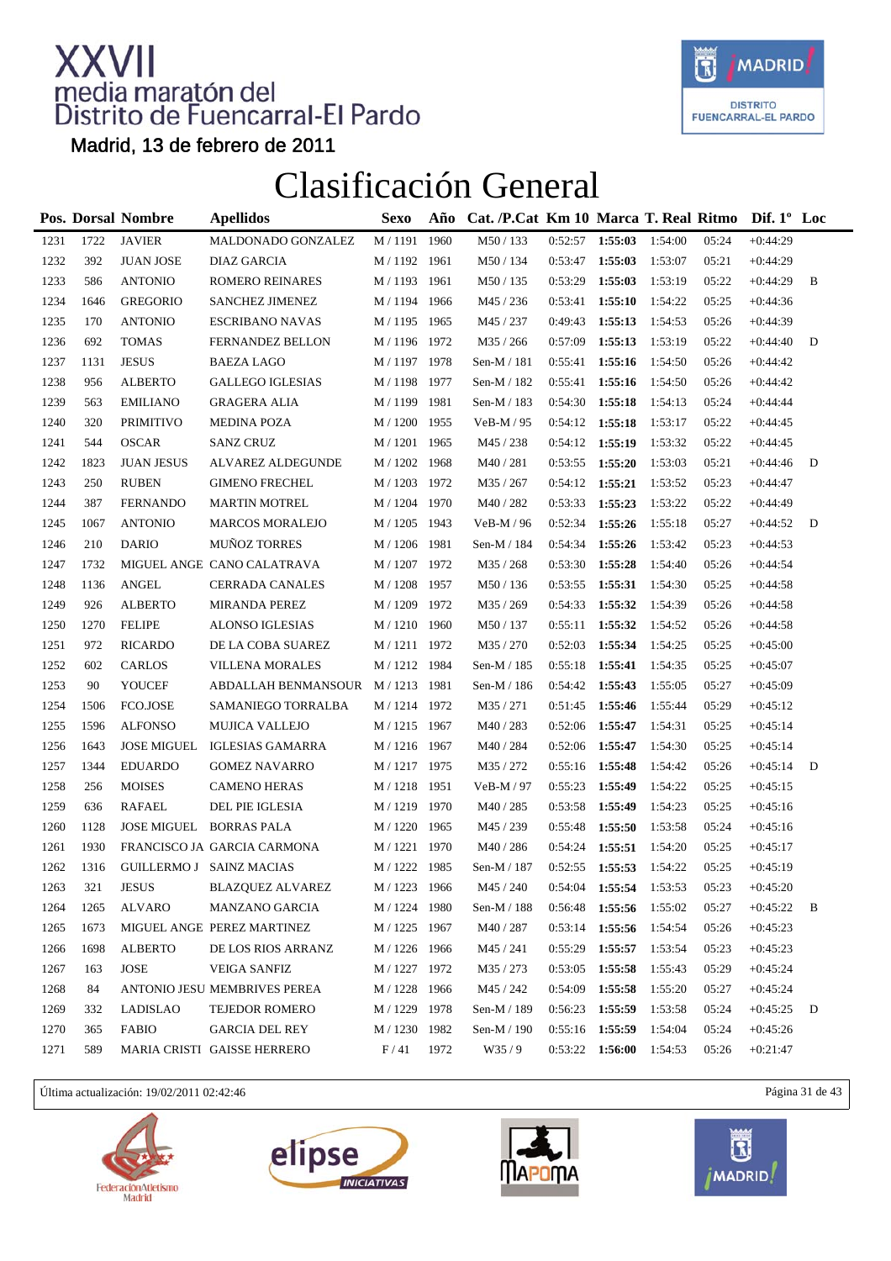

Madrid, 13 de febrero de 2011

### Clasificación General

|      |      | Pos. Dorsal Nombre | <b>Apellidos</b>                | <b>Sexo</b>   | Año  | Cat. /P.Cat Km 10 Marca T. Real Ritmo Dif. 1 <sup>°</sup> Loc |                   |         |         |       |            |   |
|------|------|--------------------|---------------------------------|---------------|------|---------------------------------------------------------------|-------------------|---------|---------|-------|------------|---|
| 1231 | 1722 | <b>JAVIER</b>      | MALDONADO GONZALEZ              | M / 1191      | 1960 | M50 / 133                                                     | 0:52:57           | 1:55:03 | 1:54:00 | 05:24 | $+0:44:29$ |   |
| 1232 | 392  | <b>JUAN JOSE</b>   | DIAZ GARCIA                     | M / 1192 1961 |      | M50 / 134                                                     | 0:53:47           | 1:55:03 | 1:53:07 | 05:21 | $+0:44:29$ |   |
| 1233 | 586  | <b>ANTONIO</b>     | <b>ROMERO REINARES</b>          | M / 1193 1961 |      | M50/135                                                       | 0:53:29           | 1:55:03 | 1:53:19 | 05:22 | $+0:44:29$ | B |
| 1234 | 1646 | <b>GREGORIO</b>    | <b>SANCHEZ JIMENEZ</b>          | M / 1194 1966 |      | M45 / 236                                                     | 0:53:41           | 1:55:10 | 1:54:22 | 05:25 | $+0:44:36$ |   |
| 1235 | 170  | <b>ANTONIO</b>     | <b>ESCRIBANO NAVAS</b>          | M / 1195 1965 |      | M45 / 237                                                     | 0:49:43           | 1:55:13 | 1:54:53 | 05:26 | $+0:44:39$ |   |
| 1236 | 692  | <b>TOMAS</b>       | FERNANDEZ BELLON                | M / 1196 1972 |      | M35 / 266                                                     | 0:57:09           | 1:55:13 | 1:53:19 | 05:22 | $+0:44:40$ | D |
| 1237 | 1131 | <b>JESUS</b>       | <b>BAEZA LAGO</b>               | M / 1197 1978 |      | Sen-M $/$ 181                                                 | 0:55:41           | 1:55:16 | 1:54:50 | 05:26 | $+0:44:42$ |   |
| 1238 | 956  | <b>ALBERTO</b>     | <b>GALLEGO IGLESIAS</b>         | M / 1198 1977 |      | Sen-M $/$ 182                                                 | 0:55:41           | 1:55:16 | 1:54:50 | 05:26 | $+0:44:42$ |   |
| 1239 | 563  | <b>EMILIANO</b>    | <b>GRAGERA ALIA</b>             | M / 1199 1981 |      | Sen-M / 183                                                   | 0:54:30           | 1:55:18 | 1:54:13 | 05:24 | $+0:44:44$ |   |
| 1240 | 320  | <b>PRIMITIVO</b>   | <b>MEDINA POZA</b>              | M / 1200 1955 |      | $VeB-M / 95$                                                  | 0:54:12           | 1:55:18 | 1:53:17 | 05:22 | $+0:44:45$ |   |
| 1241 | 544  | <b>OSCAR</b>       | <b>SANZ CRUZ</b>                | M / 1201 1965 |      | M45 / 238                                                     | 0:54:12           | 1:55:19 | 1:53:32 | 05:22 | $+0:44:45$ |   |
| 1242 | 1823 | <b>JUAN JESUS</b>  | ALVAREZ ALDEGUNDE               | M / 1202 1968 |      | M40 / 281                                                     | 0:53:55           | 1:55:20 | 1:53:03 | 05:21 | $+0:44:46$ | D |
| 1243 | 250  | <b>RUBEN</b>       | <b>GIMENO FRECHEL</b>           | M / 1203 1972 |      | M35 / 267                                                     | 0:54:12           | 1:55:21 | 1:53:52 | 05:23 | $+0:44:47$ |   |
| 1244 | 387  | <b>FERNANDO</b>    | <b>MARTIN MOTREL</b>            | M / 1204 1970 |      | M40 / 282                                                     | 0:53:33           | 1:55:23 | 1:53:22 | 05:22 | $+0:44:49$ |   |
| 1245 | 1067 | <b>ANTONIO</b>     | <b>MARCOS MORALEJO</b>          | M / 1205 1943 |      | VeB-M / 96                                                    | 0:52:34           | 1:55:26 | 1:55:18 | 05:27 | $+0:44:52$ | D |
| 1246 | 210  | <b>DARIO</b>       | <b>MUÑOZ TORRES</b>             | M / 1206 1981 |      | Sen-M $/$ 184                                                 | 0:54:34           | 1:55:26 | 1:53:42 | 05:23 | $+0:44:53$ |   |
| 1247 | 1732 |                    | MIGUEL ANGE CANO CALATRAVA      | M / 1207 1972 |      | M35 / 268                                                     | 0:53:30           | 1:55:28 | 1:54:40 | 05:26 | $+0:44:54$ |   |
| 1248 | 1136 | <b>ANGEL</b>       | <b>CERRADA CANALES</b>          | M / 1208 1957 |      | M50 / 136                                                     | 0:53:55           | 1:55:31 | 1:54:30 | 05:25 | $+0:44:58$ |   |
| 1249 | 926  | <b>ALBERTO</b>     | MIRANDA PEREZ                   | M / 1209 1972 |      | M35 / 269                                                     | 0:54:33           | 1:55:32 | 1:54:39 | 05:26 | $+0:44:58$ |   |
| 1250 | 1270 | <b>FELIPE</b>      | ALONSO IGLESIAS                 | M / 1210 1960 |      | M50 / 137                                                     | 0:55:11           | 1:55:32 | 1:54:52 | 05:26 | $+0:44:58$ |   |
| 1251 | 972  | <b>RICARDO</b>     | DE LA COBA SUAREZ               | M / 1211 1972 |      | M35 / 270                                                     | 0:52:03           | 1:55:34 | 1:54:25 | 05:25 | $+0:45:00$ |   |
| 1252 | 602  | <b>CARLOS</b>      | <b>VILLENA MORALES</b>          | M / 1212 1984 |      | Sen-M $/$ 185                                                 | 0:55:18           | 1:55:41 | 1:54:35 | 05:25 | $+0:45:07$ |   |
| 1253 | 90   | YOUCEF             | ABDALLAH BENMANSOUR M/1213 1981 |               |      | Sen-M / 186                                                   | 0:54:42           | 1:55:43 | 1:55:05 | 05:27 | $+0:45:09$ |   |
| 1254 | 1506 | FCO.JOSE           | SAMANIEGO TORRALBA              | M / 1214 1972 |      | M35 / 271                                                     | 0:51:45           | 1:55:46 | 1:55:44 | 05:29 | $+0:45:12$ |   |
| 1255 | 1596 | <b>ALFONSO</b>     | <b>MUJICA VALLEJO</b>           | M / 1215 1967 |      | M40/283                                                       | 0:52:06 1:55:47   |         | 1:54:31 | 05:25 | $+0:45:14$ |   |
| 1256 | 1643 |                    | JOSE MIGUEL IGLESIAS GAMARRA    | M / 1216 1967 |      | M40 / 284                                                     | 0:52:06           | 1:55:47 | 1:54:30 | 05:25 | $+0:45:14$ |   |
| 1257 | 1344 | <b>EDUARDO</b>     | <b>GOMEZ NAVARRO</b>            | M / 1217 1975 |      | M35 / 272                                                     | $0:55:16$ 1:55:48 |         | 1:54:42 | 05:26 | $+0:45:14$ | D |
| 1258 | 256  | <b>MOISES</b>      | <b>CAMENO HERAS</b>             | M / 1218 1951 |      | VeB-M / 97                                                    | 0:55:23           | 1:55:49 | 1:54:22 | 05:25 | $+0:45:15$ |   |
| 1259 | 636  | <b>RAFAEL</b>      | DEL PIE IGLESIA                 | M / 1219 1970 |      | M40 / 285                                                     | 0:53:58           | 1:55:49 | 1:54:23 | 05:25 | $+0:45:16$ |   |
| 1260 | 1128 |                    | JOSE MIGUEL BORRAS PALA         | M / 1220 1965 |      | M45 / 239                                                     | 0:55:48           | 1:55:50 | 1:53:58 | 05:24 | $+0:45:16$ |   |
| 1261 | 1930 |                    | FRANCISCO JA GARCIA CARMONA     | M / 1221 1970 |      | M40/286                                                       | 0:54:24           | 1:55:51 | 1:54:20 | 05:25 | $+0:45:17$ |   |
| 1262 | 1316 |                    | GUILLERMO J SAINZ MACIAS        | M / 1222 1985 |      | Sen-M / 187                                                   | $0:52:55$ 1:55:53 |         | 1:54:22 | 05:25 | $+0:45:19$ |   |
| 1263 | 321  | <b>JESUS</b>       | <b>BLAZQUEZ ALVAREZ</b>         | M / 1223 1966 |      | M45 / 240                                                     | 0:54:04           | 1:55:54 | 1:53:53 | 05:23 | $+0:45:20$ |   |
| 1264 | 1265 | ALVARO             | <b>MANZANO GARCIA</b>           | M / 1224 1980 |      | Sen-M / 188                                                   | 0:56:48           | 1:55:56 | 1:55:02 | 05:27 | $+0:45:22$ | В |
| 1265 | 1673 |                    | MIGUEL ANGE PEREZ MARTINEZ      | M / 1225 1967 |      | M40 / 287                                                     | 0:53:14           | 1:55:56 | 1:54:54 | 05:26 | $+0:45:23$ |   |
| 1266 | 1698 | <b>ALBERTO</b>     | DE LOS RIOS ARRANZ              | M / 1226 1966 |      | M45 / 241                                                     | 0:55:29           | 1:55:57 | 1:53:54 | 05:23 | $+0:45:23$ |   |
| 1267 | 163  | <b>JOSE</b>        | <b>VEIGA SANFIZ</b>             | M / 1227 1972 |      | M35 / 273                                                     | 0:53:05           | 1:55:58 | 1:55:43 | 05:29 | $+0:45:24$ |   |
| 1268 | 84   |                    | ANTONIO JESU MEMBRIVES PEREA    | M / 1228 1966 |      | M45 / 242                                                     | 0:54:09           | 1:55:58 | 1:55:20 | 05:27 | $+0:45:24$ |   |
| 1269 | 332  | LADISLAO           | TEJEDOR ROMERO                  | M / 1229      | 1978 | Sen-M / 189                                                   | 0:56:23           | 1:55:59 | 1:53:58 | 05:24 | $+0:45:25$ | D |
| 1270 | 365  | <b>FABIO</b>       | <b>GARCIA DEL REY</b>           | M / 1230      | 1982 | Sen-M / 190                                                   | $0:55:16$ 1:55:59 |         | 1:54:04 | 05:24 | $+0:45:26$ |   |
| 1271 | 589  |                    | MARIA CRISTI GAISSE HERRERO     | F/41          | 1972 | W35/9                                                         | 0:53:22           | 1:56:00 | 1:54:53 | 05:26 | $+0:21:47$ |   |

Última actualización: 19/02/2011 02:42:46 Página 31 de 43







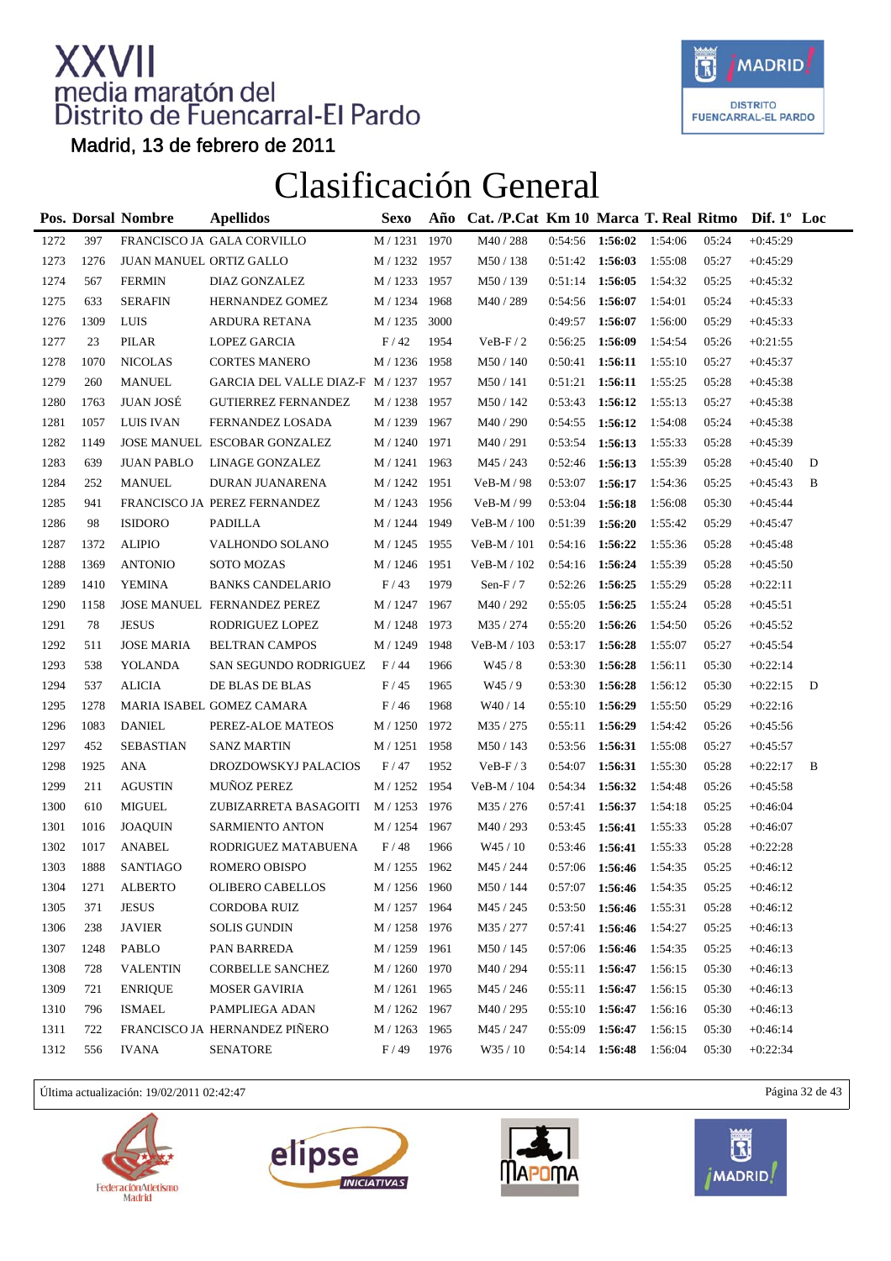

Madrid, 13 de febrero de 2011

### Clasificación General

|      |      | <b>Pos. Dorsal Nombre</b> | <b>Apellidos</b>                 | <b>Sexo</b>    | Año  | Cat. /P.Cat Km 10 Marca T. Real Ritmo |         |         |         |       | Dif. $1^{\circ}$ Loc |   |
|------|------|---------------------------|----------------------------------|----------------|------|---------------------------------------|---------|---------|---------|-------|----------------------|---|
| 1272 | 397  |                           | FRANCISCO JA GALA CORVILLO       | M / 1231       | 1970 | M40 / 288                             | 0:54:56 | 1:56:02 | 1:54:06 | 05:24 | $+0:45:29$           |   |
| 1273 | 1276 | JUAN MANUEL ORTIZ GALLO   |                                  | M / 1232 1957  |      | M50 / 138                             | 0:51:42 | 1:56:03 | 1:55:08 | 05:27 | $+0:45:29$           |   |
| 1274 | 567  | <b>FERMIN</b>             | DIAZ GONZALEZ                    | M / 1233       | 1957 | M50 / 139                             | 0:51:14 | 1:56:05 | 1:54:32 | 05:25 | $+0:45:32$           |   |
| 1275 | 633  | <b>SERAFIN</b>            | HERNANDEZ GOMEZ                  | M / 1234       | 1968 | M40/289                               | 0:54:56 | 1:56:07 | 1:54:01 | 05:24 | $+0:45:33$           |   |
| 1276 | 1309 | LUIS                      | ARDURA RETANA                    | M / 1235 3000  |      |                                       | 0:49:57 | 1:56:07 | 1:56:00 | 05:29 | $+0:45:33$           |   |
| 1277 | 23   | PILAR                     | <b>LOPEZ GARCIA</b>              | F/42           | 1954 | $VeB-F/2$                             | 0:56:25 | 1:56:09 | 1:54:54 | 05:26 | $+0:21:55$           |   |
| 1278 | 1070 | <b>NICOLAS</b>            | <b>CORTES MANERO</b>             | M / 1236       | 1958 | M50 / 140                             | 0:50:41 | 1:56:11 | 1:55:10 | 05:27 | $+0:45:37$           |   |
| 1279 | 260  | <b>MANUEL</b>             | GARCIA DEL VALLE DIAZ-F M / 1237 |                | 1957 | M50 / 141                             | 0:51:21 | 1:56:11 | 1:55:25 | 05:28 | $+0:45:38$           |   |
| 1280 | 1763 | <b>JUAN JOSÉ</b>          | <b>GUTIERREZ FERNANDEZ</b>       | M / 1238       | 1957 | M50 / 142                             | 0:53:43 | 1:56:12 | 1:55:13 | 05:27 | $+0:45:38$           |   |
| 1281 | 1057 | <b>LUIS IVAN</b>          | FERNANDEZ LOSADA                 | M / 1239 1967  |      | M40 / 290                             | 0:54:55 | 1:56:12 | 1:54:08 | 05:24 | $+0:45:38$           |   |
| 1282 | 1149 |                           | JOSE MANUEL ESCOBAR GONZALEZ     | $M$ / $1240\,$ | 1971 | M40/291                               | 0:53:54 | 1:56:13 | 1:55:33 | 05:28 | $+0:45:39$           |   |
| 1283 | 639  | <b>JUAN PABLO</b>         | LINAGE GONZALEZ                  | M / 1241 1963  |      | M45 / 243                             | 0:52:46 | 1:56:13 | 1:55:39 | 05:28 | $+0:45:40$           | D |
| 1284 | 252  | <b>MANUEL</b>             | DURAN JUANARENA                  | M / 1242 1951  |      | VeB-M / 98                            | 0:53:07 | 1:56:17 | 1:54:36 | 05:25 | $+0:45:43$           | B |
| 1285 | 941  |                           | FRANCISCO JA PEREZ FERNANDEZ     | M / 1243 1956  |      | VeB-M / 99                            | 0:53:04 | 1:56:18 | 1:56:08 | 05:30 | $+0:45:44$           |   |
| 1286 | 98   | <b>ISIDORO</b>            | PADILLA                          | M / 1244       | 1949 | VeB-M / 100                           | 0:51:39 | 1:56:20 | 1:55:42 | 05:29 | $+0:45:47$           |   |
| 1287 | 1372 | <b>ALIPIO</b>             | VALHONDO SOLANO                  | M / 1245       | 1955 | $VeB-M / 101$                         | 0:54:16 | 1:56:22 | 1:55:36 | 05:28 | $+0:45:48$           |   |
| 1288 | 1369 | <b>ANTONIO</b>            | SOTO MOZAS                       | M / 1246       | 1951 | VeB-M / 102                           | 0:54:16 | 1:56:24 | 1:55:39 | 05:28 | $+0:45:50$           |   |
| 1289 | 1410 | YEMINA                    | <b>BANKS CANDELARIO</b>          | F/43           | 1979 | Sen-F $/7$                            | 0:52:26 | 1:56:25 | 1:55:29 | 05:28 | $+0:22:11$           |   |
| 1290 | 1158 |                           | JOSE MANUEL FERNANDEZ PEREZ      | M / 1247       | 1967 | M40 / 292                             | 0:55:05 | 1:56:25 | 1:55:24 | 05:28 | $+0:45:51$           |   |
| 1291 | 78   | <b>JESUS</b>              | RODRIGUEZ LOPEZ                  | M / 1248       | 1973 | M35 / 274                             | 0:55:20 | 1:56:26 | 1:54:50 | 05:26 | $+0:45:52$           |   |
| 1292 | 511  | <b>JOSE MARIA</b>         | <b>BELTRAN CAMPOS</b>            | M / 1249       | 1948 | $VeB-M / 103$                         | 0:53:17 | 1:56:28 | 1:55:07 | 05:27 | $+0:45:54$           |   |
| 1293 | 538  | YOLANDA                   | SAN SEGUNDO RODRIGUEZ            | F/44           | 1966 | W45 / 8                               | 0:53:30 | 1:56:28 | 1:56:11 | 05:30 | $+0:22:14$           |   |
| 1294 | 537  | <b>ALICIA</b>             | DE BLAS DE BLAS                  | F/45           | 1965 | W45/9                                 | 0:53:30 | 1:56:28 | 1:56:12 | 05:30 | $+0:22:15$           | D |
| 1295 | 1278 |                           | MARIA ISABEL GOMEZ CAMARA        | F/46           | 1968 | W <sub>40</sub> / 14                  | 0:55:10 | 1:56:29 | 1:55:50 | 05:29 | $+0:22:16$           |   |
| 1296 | 1083 | <b>DANIEL</b>             | PEREZ-ALOE MATEOS                | M / 1250       | 1972 | M35 / 275                             | 0:55:11 | 1:56:29 | 1:54:42 | 05:26 | $+0:45:56$           |   |
| 1297 | 452  | <b>SEBASTIAN</b>          | <b>SANZ MARTIN</b>               | M / 1251 1958  |      | M50 / 143                             | 0:53:56 | 1:56:31 | 1:55:08 | 05:27 | $+0:45:57$           |   |
| 1298 | 1925 | ANA                       | DROZDOWSKYJ PALACIOS             | F/47           | 1952 | $VeB-F/3$                             | 0:54:07 | 1:56:31 | 1:55:30 | 05:28 | $+0:22:17$           | B |
| 1299 | 211  | <b>AGUSTIN</b>            | <b>MUÑOZ PEREZ</b>               | M / 1252 1954  |      | VeB-M / 104                           | 0:54:34 | 1:56:32 | 1:54:48 | 05:26 | $+0:45:58$           |   |
| 1300 | 610  | <b>MIGUEL</b>             | ZUBIZARRETA BASAGOITI            | M / 1253 1976  |      | M35 / 276                             | 0:57:41 | 1:56:37 | 1:54:18 | 05:25 | $+0:46:04$           |   |
| 1301 | 1016 | <b>JOAQUIN</b>            | SARMIENTO ANTON                  | M / 1254 1967  |      | M40 / 293                             | 0:53:45 | 1:56:41 | 1:55:33 | 05:28 | $+0:46:07$           |   |
| 1302 | 1017 | <b>ANABEL</b>             | RODRIGUEZ MATABUENA              | F/48           | 1966 | W45/10                                | 0:53:46 | 1:56:41 | 1:55:33 | 05:28 | $+0:22:28$           |   |
| 1303 | 1888 | SANTIAGO                  | ROMERO OBISPO                    | M / 1255 1962  |      | M45 / 244                             | 0:57:06 | 1:56:46 | 1:54:35 | 05:25 | $+0:46:12$           |   |
| 1304 | 1271 | <b>ALBERTO</b>            | OLIBERO CABELLOS                 | M / 1256 1960  |      | $\rm M50$ / $144$                     | 0:57:07 | 1:56:46 | 1:54:35 | 05:25 | $+0:46:12$           |   |
| 1305 | 371  | <b>JESUS</b>              | <b>CORDOBA RUIZ</b>              | M / 1257 1964  |      | M45 / 245                             | 0:53:50 | 1:56:46 | 1:55:31 | 05:28 | $+0:46:12$           |   |
| 1306 | 238  | <b>JAVIER</b>             | <b>SOLIS GUNDIN</b>              | M / 1258       | 1976 | M35 / 277                             | 0:57:41 | 1:56:46 | 1:54:27 | 05:25 | $+0:46:13$           |   |
| 1307 | 1248 | PABLO                     | PAN BARREDA                      | M / 1259       | 1961 | M50 / 145                             | 0:57:06 | 1:56:46 | 1:54:35 | 05:25 | $+0:46:13$           |   |
| 1308 | 728  | <b>VALENTIN</b>           | <b>CORBELLE SANCHEZ</b>          | M / 1260 1970  |      | M40 / 294                             | 0:55:11 | 1:56:47 | 1:56:15 | 05:30 | $+0:46:13$           |   |
| 1309 | 721  | <b>ENRIQUE</b>            | <b>MOSER GAVIRIA</b>             | M / 1261 1965  |      | M45 / 246                             | 0:55:11 | 1:56:47 | 1:56:15 | 05:30 | $+0:46:13$           |   |
| 1310 | 796  | <b>ISMAEL</b>             | PAMPLIEGA ADAN                   | M / 1262       | 1967 | M40 / 295                             | 0:55:10 | 1:56:47 | 1:56:16 | 05:30 | $+0:46:13$           |   |
| 1311 | 722  |                           | FRANCISCO JA HERNANDEZ PIÑERO    | M / 1263       | 1965 | M45 / 247                             | 0:55:09 | 1:56:47 | 1:56:15 | 05:30 | $+0:46:14$           |   |
| 1312 | 556  | IVANA                     | <b>SENATORE</b>                  | F/49           | 1976 | W35 / 10                              | 0:54:14 | 1:56:48 | 1:56:04 | 05:30 | $+0:22:34$           |   |

Última actualización: 19/02/2011 02:42:47 Página 32 de 43







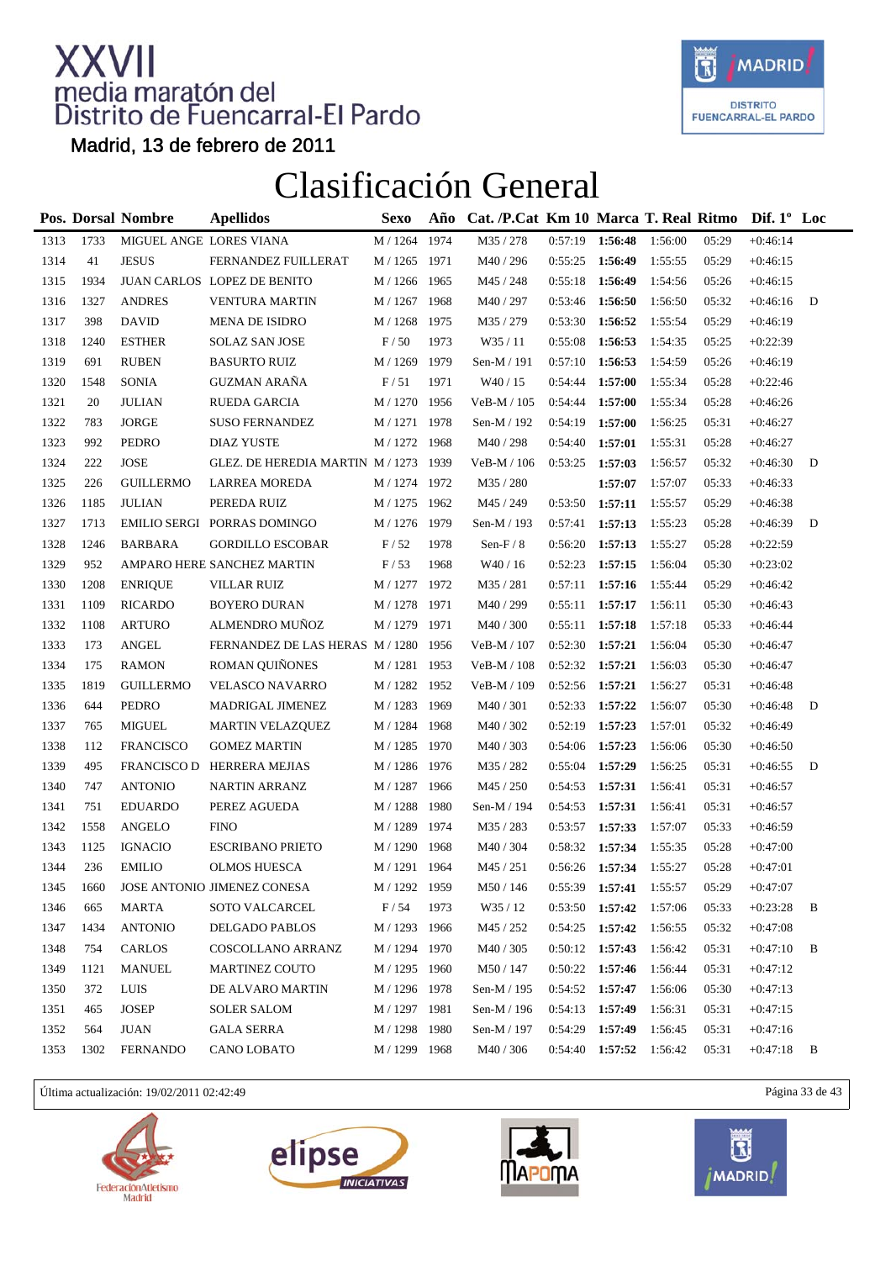

Madrid, 13 de febrero de 2011

### Clasificación General

|      |      | Pos. Dorsal Nombre      | <b>Apellidos</b>                      | Sexo          | Año  | Cat. /P.Cat Km 10 Marca T. Real Ritmo |                   |         |         |       | Dif. $1^{\circ}$ Loc |   |
|------|------|-------------------------|---------------------------------------|---------------|------|---------------------------------------|-------------------|---------|---------|-------|----------------------|---|
| 1313 | 1733 | MIGUEL ANGE LORES VIANA |                                       | M / 1264      | 1974 | M35 / 278                             | 0:57:19           | 1:56:48 | 1:56:00 | 05:29 | $+0:46:14$           |   |
| 1314 | 41   | <b>JESUS</b>            | FERNANDEZ FUILLERAT                   | M / 1265 1971 |      | M40 / 296                             | 0:55:25           | 1:56:49 | 1:55:55 | 05:29 | $+0:46:15$           |   |
| 1315 | 1934 |                         | JUAN CARLOS LOPEZ DE BENITO           | M / 1266      | 1965 | M45 / 248                             | 0:55:18           | 1:56:49 | 1:54:56 | 05:26 | $+0:46:15$           |   |
| 1316 | 1327 | <b>ANDRES</b>           | <b>VENTURA MARTIN</b>                 | M / 1267      | 1968 | M40 / 297                             | 0:53:46           | 1:56:50 | 1:56:50 | 05:32 | $+0:46:16$           | D |
| 1317 | 398  | <b>DAVID</b>            | <b>MENA DE ISIDRO</b>                 | $M/1268$      | 1975 | M35 / 279                             | 0:53:30           | 1:56:52 | 1:55:54 | 05:29 | $+0:46:19$           |   |
| 1318 | 1240 | <b>ESTHER</b>           | <b>SOLAZ SAN JOSE</b>                 | F/50          | 1973 | W35/11                                | 0:55:08           | 1:56:53 | 1:54:35 | 05:25 | $+0:22:39$           |   |
| 1319 | 691  | <b>RUBEN</b>            | <b>BASURTO RUIZ</b>                   | M / 1269      | 1979 | Sen-M / 191                           | 0:57:10           | 1:56:53 | 1:54:59 | 05:26 | $+0:46:19$           |   |
| 1320 | 1548 | <b>SONIA</b>            | <b>GUZMAN ARAÑA</b>                   | F/51          | 1971 | W40 / 15                              | 0:54:44           | 1:57:00 | 1:55:34 | 05:28 | $+0:22:46$           |   |
| 1321 | 20   | <b>JULIAN</b>           | RUEDA GARCIA                          | M / 1270      | 1956 | VeB-M / 105                           | 0:54:44           | 1:57:00 | 1:55:34 | 05:28 | $+0:46:26$           |   |
| 1322 | 783  | <b>JORGE</b>            | <b>SUSO FERNANDEZ</b>                 | M / 1271 1978 |      | Sen-M / 192                           | 0:54:19           | 1:57:00 | 1:56:25 | 05:31 | $+0:46:27$           |   |
| 1323 | 992  | PEDRO                   | <b>DIAZ YUSTE</b>                     | M / 1272      | 1968 | M40 / 298                             | 0:54:40           | 1:57:01 | 1:55:31 | 05:28 | $+0:46:27$           |   |
| 1324 | 222  | <b>JOSE</b>             | GLEZ. DE HEREDIA MARTIN M / 1273 1939 |               |      | $VeB-M / 106$                         | 0:53:25           | 1:57:03 | 1:56:57 | 05:32 | $+0:46:30$           | D |
| 1325 | 226  | <b>GUILLERMO</b>        | <b>LARREA MOREDA</b>                  | M / 1274 1972 |      | M35 / 280                             |                   | 1:57:07 | 1:57:07 | 05:33 | $+0:46:33$           |   |
| 1326 | 1185 | <b>JULIAN</b>           | PEREDA RUIZ                           | M / 1275 1962 |      | M45 / 249                             | 0:53:50           | 1:57:11 | 1:55:57 | 05:29 | $+0:46:38$           |   |
| 1327 | 1713 |                         | EMILIO SERGI PORRAS DOMINGO           | M / 1276 1979 |      | Sen-M / 193                           | 0:57:41           | 1:57:13 | 1:55:23 | 05:28 | $+0:46:39$           | D |
| 1328 | 1246 | <b>BARBARA</b>          | <b>GORDILLO ESCOBAR</b>               | F/52          | 1978 | Sen- $F/8$                            | 0:56:20           | 1:57:13 | 1:55:27 | 05:28 | $+0:22:59$           |   |
| 1329 | 952  |                         | AMPARO HERE SANCHEZ MARTIN            | F/53          | 1968 | W40 / 16                              | 0:52:23           | 1:57:15 | 1:56:04 | 05:30 | $+0:23:02$           |   |
| 1330 | 1208 | <b>ENRIQUE</b>          | <b>VILLAR RUIZ</b>                    | M / 1277 1972 |      | M35 / 281                             | 0:57:11           | 1:57:16 | 1:55:44 | 05:29 | $+0:46:42$           |   |
| 1331 | 1109 | <b>RICARDO</b>          | <b>BOYERO DURAN</b>                   | M / 1278      | 1971 | M40 / 299                             | 0:55:11           | 1:57:17 | 1:56:11 | 05:30 | $+0:46:43$           |   |
| 1332 | 1108 | <b>ARTURO</b>           | ALMENDRO MUÑOZ                        | M / 1279      | 1971 | M40 / 300                             | 0:55:11           | 1:57:18 | 1:57:18 | 05:33 | $+0:46:44$           |   |
| 1333 | 173  | <b>ANGEL</b>            | FERNANDEZ DE LAS HERAS M / 1280 1956  |               |      | VeB-M / 107                           | 0:52:30           | 1:57:21 | 1:56:04 | 05:30 | $+0:46:47$           |   |
| 1334 | 175  | <b>RAMON</b>            | ROMAN QUIÑONES                        | M / 1281 1953 |      | VeB-M / 108                           | 0:52:32           | 1:57:21 | 1:56:03 | 05:30 | $+0:46:47$           |   |
| 1335 | 1819 | <b>GUILLERMO</b>        | VELASCO NAVARRO                       | M / 1282      | 1952 | VeB-M / 109                           | 0:52:56           | 1:57:21 | 1:56:27 | 05:31 | $+0:46:48$           |   |
| 1336 | 644  | PEDRO                   | MADRIGAL JIMENEZ                      | M / 1283 1969 |      | M40 / 301                             | 0:52:33           | 1:57:22 | 1:56:07 | 05:30 | $+0:46:48$           | D |
| 1337 | 765  | <b>MIGUEL</b>           | <b>MARTIN VELAZQUEZ</b>               | M / 1284 1968 |      | M40 / 302                             | 0:52:19           | 1:57:23 | 1:57:01 | 05:32 | $+0:46:49$           |   |
| 1338 | 112  | <b>FRANCISCO</b>        | <b>GOMEZ MARTIN</b>                   | M / 1285 1970 |      | M40/303                               | 0:54:06           | 1:57:23 | 1:56:06 | 05:30 | $+0:46:50$           |   |
| 1339 | 495  |                         | FRANCISCO D HERRERA MEJIAS            | M / 1286 1976 |      | M35 / 282                             | 0:55:04           | 1:57:29 | 1:56:25 | 05:31 | $+0:46:55$           | D |
| 1340 | 747  | <b>ANTONIO</b>          | <b>NARTIN ARRANZ</b>                  | M / 1287      | 1966 | M45 / 250                             | 0:54:53           | 1:57:31 | 1:56:41 | 05:31 | $+0:46:57$           |   |
| 1341 | 751  | <b>EDUARDO</b>          | PEREZ AGUEDA                          | M / 1288 1980 |      | Sen-M / 194                           | 0:54:53           | 1:57:31 | 1:56:41 | 05:31 | $+0.46:57$           |   |
| 1342 | 1558 | <b>ANGELO</b>           | <b>FINO</b>                           | M / 1289 1974 |      | M35 / 283                             | 0:53:57           | 1:57:33 | 1:57:07 | 05:33 | $+0:46:59$           |   |
| 1343 | 1125 | <b>IGNACIO</b>          | <b>ESCRIBANO PRIETO</b>               | M / 1290      | 1968 | M40 / 304                             | 0:58:32           | 1:57:34 | 1:55:35 | 05:28 | $+0:47:00$           |   |
| 1344 | 236  | <b>EMILIO</b>           | <b>OLMOS HUESCA</b>                   | M / 1291 1964 |      | M45 / 251                             | $0:56:26$ 1:57:34 |         | 1:55:27 | 05:28 | $+0:47:01$           |   |
| 1345 | 1660 |                         | JOSE ANTONIO JIMENEZ CONESA           | M / 1292 1959 |      | M50 / 146                             | $0:55:39$ 1:57:41 |         | 1:55:57 | 05:29 | $+0:47:07$           |   |
| 1346 | 665  | <b>MARTA</b>            | <b>SOTO VALCARCEL</b>                 | F/54          | 1973 | W35 / 12                              | 0:53:50           | 1:57:42 | 1:57:06 | 05:33 | $+0:23:28$           | B |
| 1347 | 1434 | <b>ANTONIO</b>          | DELGADO PABLOS                        | M / 1293      | 1966 | M45 / 252                             | 0:54:25           | 1:57:42 | 1:56:55 | 05:32 | $+0:47:08$           |   |
| 1348 | 754  | CARLOS                  | COSCOLLANO ARRANZ                     | M / 1294 1970 |      | M40 / 305                             | 0:50:12           | 1:57:43 | 1:56:42 | 05:31 | $+0:47:10$           | B |
| 1349 | 1121 | <b>MANUEL</b>           | <b>MARTINEZ COUTO</b>                 | M / 1295 1960 |      | M50 / 147                             | 0:50:22           | 1:57:46 | 1:56:44 | 05:31 | $+0:47:12$           |   |
| 1350 | 372  | LUIS                    | DE ALVARO MARTIN                      | M / 1296 1978 |      | Sen-M / 195                           | 0:54:52           | 1:57:47 | 1:56:06 | 05:30 | $+0:47:13$           |   |
| 1351 | 465  | <b>JOSEP</b>            | <b>SOLER SALOM</b>                    | M / 1297 1981 |      | Sen-M / 196                           | 0:54:13           | 1:57:49 | 1:56:31 | 05:31 | $+0:47:15$           |   |
| 1352 | 564  | JUAN                    | <b>GALA SERRA</b>                     | M / 1298 1980 |      | Sen-M / 197                           | 0:54:29           | 1:57:49 | 1:56:45 | 05:31 | $+0:47:16$           |   |
| 1353 | 1302 | <b>FERNANDO</b>         | CANO LOBATO                           | M / 1299 1968 |      | M40 / 306                             | $0:54:40$ 1:57:52 |         | 1:56:42 | 05:31 | $+0:47:18$           | B |

Última actualización: 19/02/2011 02:42:49 Página 33 de 43







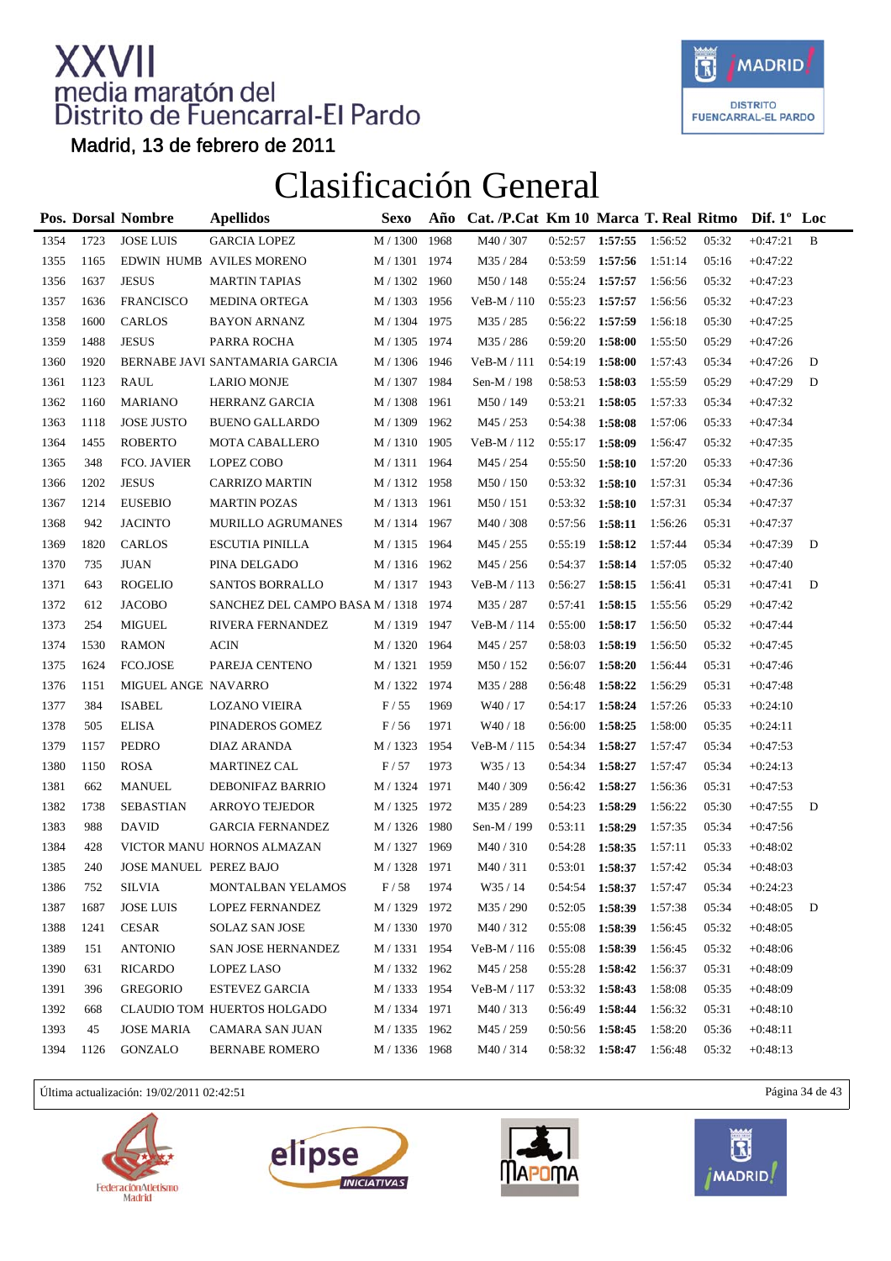

Madrid, 13 de febrero de 2011

### Clasificación General

|      |      | Pos. Dorsal Nombre     | <b>Apellidos</b>                     | <b>Sexo</b>         | Año  | Cat. /P.Cat Km 10 Marca T. Real Ritmo |                   |         |         |       | Dif. $1^{\circ}$ Loc |   |
|------|------|------------------------|--------------------------------------|---------------------|------|---------------------------------------|-------------------|---------|---------|-------|----------------------|---|
| 1354 | 1723 | <b>JOSE LUIS</b>       | <b>GARCIA LOPEZ</b>                  | M / 1300            | 1968 | M40 / 307                             | $0:52:57$ 1:57:55 |         | 1:56:52 | 05:32 | $+0:47:21$           | B |
| 1355 | 1165 |                        | EDWIN HUMB AVILES MORENO             | M / 1301 1974       |      | M35 / 284                             | 0:53:59           | 1:57:56 | 1:51:14 | 05:16 | $+0:47:22$           |   |
| 1356 | 1637 | <b>JESUS</b>           | <b>MARTIN TAPIAS</b>                 | M / 1302            | 1960 | M50 / 148                             | 0:55:24           | 1:57:57 | 1:56:56 | 05:32 | $+0:47:23$           |   |
| 1357 | 1636 | <b>FRANCISCO</b>       | <b>MEDINA ORTEGA</b>                 | M / 1303            | 1956 | VeB-M / 110                           | 0:55:23           | 1:57:57 | 1:56:56 | 05:32 | $+0:47:23$           |   |
| 1358 | 1600 | <b>CARLOS</b>          | <b>BAYON ARNANZ</b>                  | M / 1304 1975       |      | M35 / 285                             | 0:56:22           | 1:57:59 | 1:56:18 | 05:30 | $+0:47:25$           |   |
| 1359 | 1488 | <b>JESUS</b>           | PARRA ROCHA                          | M / 1305 1974       |      | M35 / 286                             | 0:59:20           | 1:58:00 | 1:55:50 | 05:29 | $+0:47:26$           |   |
| 1360 | 1920 |                        | BERNABE JAVI SANTAMARIA GARCIA       | M / 1306 1946       |      | $VeB-M / 111$                         | 0:54:19           | 1:58:00 | 1:57:43 | 05:34 | $+0:47:26$           | D |
| 1361 | 1123 | <b>RAUL</b>            | <b>LARIO MONJE</b>                   | $\text{M}$ / $1307$ | 1984 | Sen-M / 198                           | 0:58:53           | 1:58:03 | 1:55:59 | 05:29 | $+0:47:29$           | D |
| 1362 | 1160 | <b>MARIANO</b>         | HERRANZ GARCIA                       | M / 1308 1961       |      | M50 / 149                             | 0:53:21           | 1:58:05 | 1:57:33 | 05:34 | $+0:47:32$           |   |
| 1363 | 1118 | <b>JOSE JUSTO</b>      | <b>BUENO GALLARDO</b>                | M / 1309            | 1962 | M45 / 253                             | 0:54:38           | 1:58:08 | 1:57:06 | 05:33 | $+0:47:34$           |   |
| 1364 | 1455 | <b>ROBERTO</b>         | <b>MOTA CABALLERO</b>                | M / 1310 1905       |      | VeB-M / 112                           | 0:55:17           | 1:58:09 | 1:56:47 | 05:32 | $+0:47:35$           |   |
| 1365 | 348  | FCO. JAVIER            | LOPEZ COBO                           | M / 1311 1964       |      | M45 / 254                             | 0:55:50           | 1:58:10 | 1:57:20 | 05:33 | $+0:47:36$           |   |
| 1366 | 1202 | <b>JESUS</b>           | <b>CARRIZO MARTIN</b>                | M / 1312 1958       |      | M50 / 150                             | 0:53:32           | 1:58:10 | 1:57:31 | 05:34 | $+0:47:36$           |   |
| 1367 | 1214 | <b>EUSEBIO</b>         | <b>MARTIN POZAS</b>                  | M / 1313 1961       |      | M50/151                               | $0:53:32$ 1:58:10 |         | 1:57:31 | 05:34 | $+0:47:37$           |   |
| 1368 | 942  | <b>JACINTO</b>         | MURILLO AGRUMANES                    | M / 1314 1967       |      | M40 / 308                             | 0:57:56           | 1:58:11 | 1:56:26 | 05:31 | $+0:47:37$           |   |
| 1369 | 1820 | <b>CARLOS</b>          | <b>ESCUTIA PINILLA</b>               | M / 1315 1964       |      | M45 / 255                             | 0:55:19           | 1:58:12 | 1:57:44 | 05:34 | $+0:47:39$           | D |
| 1370 | 735  | <b>JUAN</b>            | PINA DELGADO                         | M / 1316 1962       |      | M45 / 256                             | 0:54:37           | 1:58:14 | 1:57:05 | 05:32 | $+0:47:40$           |   |
| 1371 | 643  | <b>ROGELIO</b>         | <b>SANTOS BORRALLO</b>               | M / 1317 1943       |      | VeB-M / 113                           | 0:56:27           | 1:58:15 | 1:56:41 | 05:31 | $+0:47:41$           | D |
| 1372 | 612  | <b>JACOBO</b>          | SANCHEZ DEL CAMPO BASA M / 1318 1974 |                     |      | M35 / 287                             | 0:57:41           | 1:58:15 | 1:55:56 | 05:29 | $+0:47:42$           |   |
| 1373 | 254  | <b>MIGUEL</b>          | RIVERA FERNANDEZ                     | M / 1319 1947       |      | VeB-M / 114                           | 0:55:00           | 1:58:17 | 1:56:50 | 05:32 | $+0:47:44$           |   |
| 1374 | 1530 | <b>RAMON</b>           | <b>ACIN</b>                          | M / 1320 1964       |      | M45 / 257                             | 0:58:03           | 1:58:19 | 1:56:50 | 05:32 | $+0:47:45$           |   |
| 1375 | 1624 | FCO.JOSE               | PAREJA CENTENO                       | M / 1321 1959       |      | M50 / 152                             | 0:56:07           | 1:58:20 | 1:56:44 | 05:31 | $+0:47:46$           |   |
| 1376 | 1151 | MIGUEL ANGE NAVARRO    |                                      | M / 1322 1974       |      | M35 / 288                             | 0:56:48           | 1:58:22 | 1:56:29 | 05:31 | $+0:47:48$           |   |
| 1377 | 384  | <b>ISABEL</b>          | <b>LOZANO VIEIRA</b>                 | F/55                | 1969 | W <sub>40</sub> / 17                  | 0:54:17           | 1:58:24 | 1:57:26 | 05:33 | $+0:24:10$           |   |
| 1378 | 505  | <b>ELISA</b>           | PINADEROS GOMEZ                      | F/56                | 1971 | W40 / 18                              | 0:56:00           | 1:58:25 | 1:58:00 | 05:35 | $+0:24:11$           |   |
| 1379 | 1157 | PEDRO                  | DIAZ ARANDA                          | M / 1323            | 1954 | VeB-M / 115                           | 0:54:34           | 1:58:27 | 1:57:47 | 05:34 | $+0:47:53$           |   |
| 1380 | 1150 | <b>ROSA</b>            | <b>MARTINEZ CAL</b>                  | F/57                | 1973 | W35 / 13                              | 0:54:34           | 1:58:27 | 1:57:47 | 05:34 | $+0:24:13$           |   |
| 1381 | 662  | <b>MANUEL</b>          | DEBONIFAZ BARRIO                     | M / 1324 1971       |      | M40 / 309                             | 0:56:42 1:58:27   |         | 1:56:36 | 05:31 | $+0:47:53$           |   |
| 1382 | 1738 | <b>SEBASTIAN</b>       | <b>ARROYO TEJEDOR</b>                | M / 1325 1972       |      | M35 / 289                             | 0:54:23           | 1:58:29 | 1:56:22 | 05:30 | $+0:47:55$           | D |
| 1383 | 988  | <b>DAVID</b>           | <b>GARCIA FERNANDEZ</b>              | M / 1326 1980       |      | Sen-M / 199                           | 0:53:11           | 1:58:29 | 1:57:35 | 05:34 | $+0:47:56$           |   |
| 1384 | 428  |                        | VICTOR MANU HORNOS ALMAZAN           | M / 1327            | 1969 | M40/310                               | 0:54:28           | 1:58:35 | 1:57:11 | 05:33 | $+0:48:02$           |   |
| 1385 | 240  | JOSE MANUEL PEREZ BAJO |                                      | M / 1328 1971       |      | M40/311                               | $0:53:01$ 1:58:37 |         | 1:57:42 | 05:34 | $+0:48:03$           |   |
| 1386 | 752  | SILVIA                 | MONTALBAN YELAMOS                    | $\rm F$ / $58$      | 1974 | $W35\,/\,14$                          | 0:54:54           | 1:58:37 | 1:57:47 | 05:34 | $+0:24:23$           |   |
| 1387 | 1687 | <b>JOSE LUIS</b>       | LOPEZ FERNANDEZ                      | M / 1329 1972       |      | M35 / 290                             | 0:52:05           | 1:58:39 | 1:57:38 | 05:34 | $+0:48:05$           | D |
| 1388 | 1241 | <b>CESAR</b>           | <b>SOLAZ SAN JOSE</b>                | M / 1330            | 1970 | M40/312                               | 0:55:08           | 1:58:39 | 1:56:45 | 05:32 | $+0:48:05$           |   |
| 1389 | 151  | <b>ANTONIO</b>         | SAN JOSE HERNANDEZ                   | M / 1331 1954       |      | VeB-M / 116                           | 0:55:08           | 1:58:39 | 1:56:45 | 05:32 | $+0:48:06$           |   |
| 1390 | 631  | <b>RICARDO</b>         | LOPEZ LASO                           | M / 1332 1962       |      | M45 / 258                             | 0:55:28           | 1:58:42 | 1:56:37 | 05:31 | $+0:48:09$           |   |
| 1391 | 396  | <b>GREGORIO</b>        | <b>ESTEVEZ GARCIA</b>                | M / 1333 1954       |      | VeB-M / 117                           | 0:53:32           | 1:58:43 | 1:58:08 | 05:35 | $+0.48:09$           |   |
| 1392 | 668  |                        | CLAUDIO TOM HUERTOS HOLGADO          | M / 1334 1971       |      | M40/313                               | 0:56:49           | 1:58:44 | 1:56:32 | 05:31 | $+0:48:10$           |   |
| 1393 | 45   | <b>JOSE MARIA</b>      | CAMARA SAN JUAN                      | M / 1335 1962       |      | M45 / 259                             | 0:50:56           | 1:58:45 | 1:58:20 | 05:36 | $+0:48:11$           |   |
| 1394 | 1126 | GONZALO                | <b>BERNABE ROMERO</b>                | M / 1336 1968       |      | M40/314                               | 0:58:32 1:58:47   |         | 1:56:48 | 05:32 | $+0:48:13$           |   |

Última actualización: 19/02/2011 02:42:51 Página 34 de 43







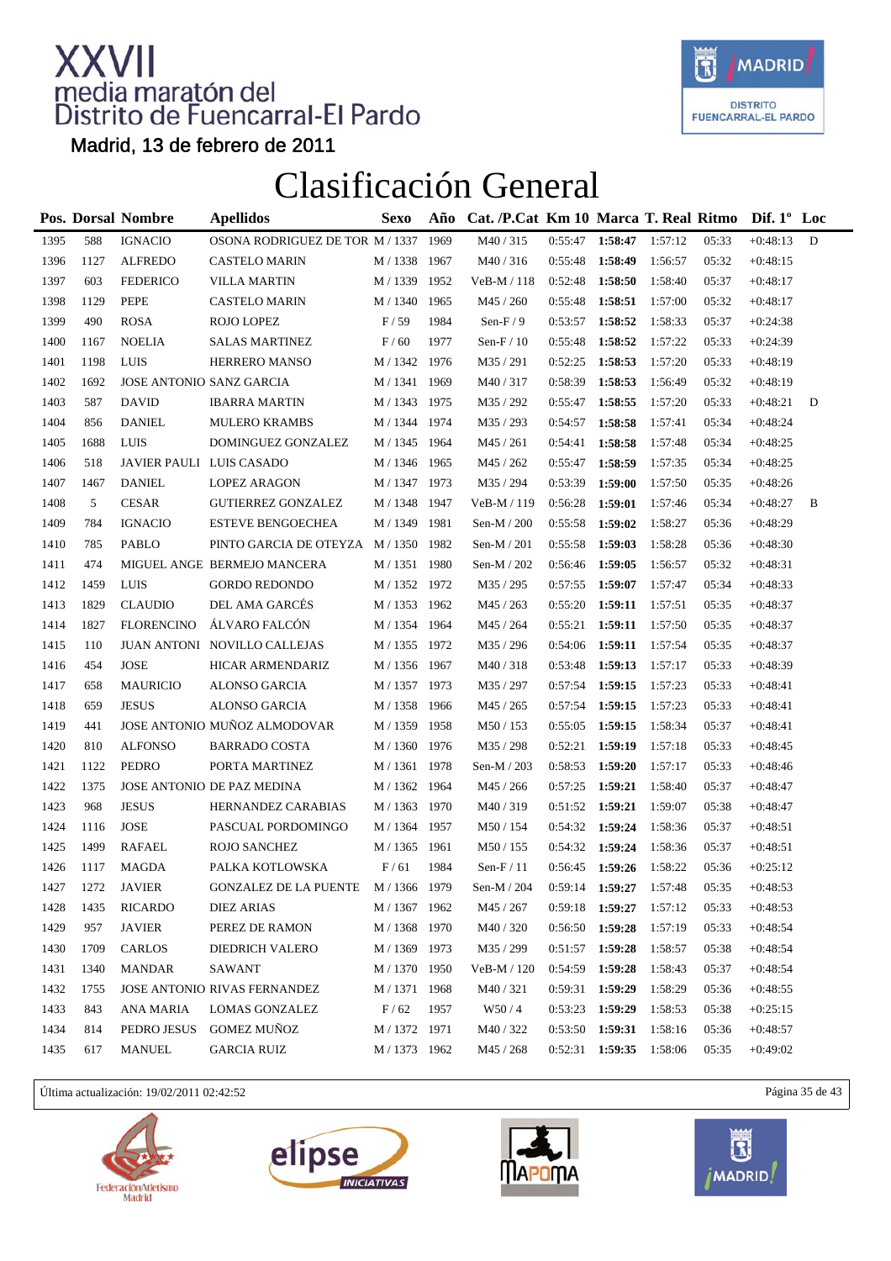

Madrid, 13 de febrero de 2011

#### Clasificación General

|      |      | Pos. Dorsal Nombre       | <b>Apellidos</b>                | <b>Sexo</b>   | Año  | Cat. /P.Cat Km 10 Marca T. Real Ritmo |                   |         |         |       | Dif. $1^{\circ}$ Loc |   |
|------|------|--------------------------|---------------------------------|---------------|------|---------------------------------------|-------------------|---------|---------|-------|----------------------|---|
| 1395 | 588  | <b>IGNACIO</b>           | OSONA RODRIGUEZ DE TOR M / 1337 |               | 1969 | M40 / 315                             | 0:55:47           | 1:58:47 | 1:57:12 | 05:33 | $+0:48:13$           | D |
| 1396 | 1127 | <b>ALFREDO</b>           | <b>CASTELO MARIN</b>            | M / 1338 1967 |      | M40/316                               | 0:55:48           | 1:58:49 | 1:56:57 | 05:32 | $+0:48:15$           |   |
| 1397 | 603  | <b>FEDERICO</b>          | <b>VILLA MARTIN</b>             | M / 1339      | 1952 | VeB-M / 118                           | 0:52:48           | 1:58:50 | 1:58:40 | 05:37 | $+0:48:17$           |   |
| 1398 | 1129 | <b>PEPE</b>              | <b>CASTELO MARIN</b>            | $M/1340\,$    | 1965 | M45 / 260                             | 0:55:48           | 1:58:51 | 1:57:00 | 05:32 | $+0:48:17$           |   |
| 1399 | 490  | <b>ROSA</b>              | ROJO LOPEZ                      | F/59          | 1984 | Sen- $F/9$                            | 0:53:57           | 1:58:52 | 1:58:33 | 05:37 | $+0:24:38$           |   |
| 1400 | 1167 | <b>NOELIA</b>            | <b>SALAS MARTINEZ</b>           | F/60          | 1977 | Sen- $F/10$                           | 0:55:48           | 1:58:52 | 1:57:22 | 05:33 | $+0:24:39$           |   |
| 1401 | 1198 | LUIS                     | HERRERO MANSO                   | M / 1342 1976 |      | M35 / 291                             | 0:52:25           | 1:58:53 | 1:57:20 | 05:33 | $+0:48:19$           |   |
| 1402 | 1692 | JOSE ANTONIO SANZ GARCIA |                                 | M / 1341 1969 |      | M40/317                               | 0:58:39           | 1:58:53 | 1:56:49 | 05:32 | $+0:48:19$           |   |
| 1403 | 587  | <b>DAVID</b>             | <b>IBARRA MARTIN</b>            | M / 1343 1975 |      | M35 / 292                             | 0:55:47           | 1:58:55 | 1:57:20 | 05:33 | $+0:48:21$           | D |
| 1404 | 856  | <b>DANIEL</b>            | <b>MULERO KRAMBS</b>            | M / 1344 1974 |      | M35 / 293                             | 0:54:57           | 1:58:58 | 1:57:41 | 05:34 | $+0:48:24$           |   |
| 1405 | 1688 | LUIS                     | DOMINGUEZ GONZALEZ              | M / 1345 1964 |      | M45/261                               | 0:54:41           | 1:58:58 | 1:57:48 | 05:34 | $+0:48:25$           |   |
| 1406 | 518  | JAVIER PAULI LUIS CASADO |                                 | M / 1346 1965 |      | M45 / 262                             | 0:55:47           | 1:58:59 | 1:57:35 | 05:34 | $+0:48:25$           |   |
| 1407 | 1467 | <b>DANIEL</b>            | <b>LOPEZ ARAGON</b>             | M / 1347 1973 |      | M35 / 294                             | 0:53:39           | 1:59:00 | 1:57:50 | 05:35 | $+0:48:26$           |   |
| 1408 | 5    | <b>CESAR</b>             | <b>GUTIERREZ GONZALEZ</b>       | M / 1348 1947 |      | VeB-M / 119                           | 0:56:28           | 1:59:01 | 1:57:46 | 05:34 | $+0:48:27$           | B |
| 1409 | 784  | <b>IGNACIO</b>           | <b>ESTEVE BENGOECHEA</b>        | M / 1349      | 1981 | Sen-M / 200                           | 0:55:58           | 1:59:02 | 1:58:27 | 05:36 | $+0:48:29$           |   |
| 1410 | 785  | PABLO                    | PINTO GARCIA DE OTEYZA M/1350   |               | 1982 | Sen-M $/ 201$                         | 0:55:58           | 1:59:03 | 1:58:28 | 05:36 | $+0:48:30$           |   |
| 1411 | 474  |                          | MIGUEL ANGE BERMEJO MANCERA     | M / 1351 1980 |      | Sen-M / 202                           | 0:56:46           | 1:59:05 | 1:56:57 | 05:32 | $+0:48:31$           |   |
| 1412 | 1459 | LUIS                     | <b>GORDO REDONDO</b>            | M / 1352 1972 |      | M35 / 295                             | 0:57:55           | 1:59:07 | 1:57:47 | 05:34 | $+0:48:33$           |   |
| 1413 | 1829 | <b>CLAUDIO</b>           | DEL AMA GARCÉS                  | M / 1353 1962 |      | M45 / 263                             | 0:55:20           | 1:59:11 | 1:57:51 | 05:35 | $+0:48:37$           |   |
| 1414 | 1827 | <b>FLORENCINO</b>        | ÁLVARO FALCÓN                   | M / 1354 1964 |      | M45 / 264                             | 0:55:21           | 1:59:11 | 1:57:50 | 05:35 | $+0:48:37$           |   |
| 1415 | 110  |                          | JUAN ANTONI NOVILLO CALLEJAS    | M / 1355 1972 |      | M35 / 296                             | $0:54:06$ 1:59:11 |         | 1:57:54 | 05:35 | $+0:48:37$           |   |
| 1416 | 454  | <b>JOSE</b>              | HICAR ARMENDARIZ                | M / 1356 1967 |      | M40/318                               | 0:53:48           | 1:59:13 | 1:57:17 | 05:33 | $+0:48:39$           |   |
| 1417 | 658  | <b>MAURICIO</b>          | ALONSO GARCIA                   | M / 1357 1973 |      | M35 / 297                             | 0:57:54           | 1:59:15 | 1:57:23 | 05:33 | $+0:48:41$           |   |
| 1418 | 659  | <b>JESUS</b>             | <b>ALONSO GARCIA</b>            | M / 1358 1966 |      | M45 / 265                             | 0:57:54           | 1:59:15 | 1:57:23 | 05:33 | $+0:48:41$           |   |
| 1419 | 441  |                          | JOSE ANTONIO MUÑOZ ALMODOVAR    | M / 1359 1958 |      | M50 / 153                             | 0:55:05           | 1:59:15 | 1:58:34 | 05:37 | $+0:48:41$           |   |
| 1420 | 810  | <b>ALFONSO</b>           | <b>BARRADO COSTA</b>            | M / 1360 1976 |      | M35 / 298                             | 0:52:21           | 1:59:19 | 1:57:18 | 05:33 | $+0:48:45$           |   |
| 1421 | 1122 | <b>PEDRO</b>             | PORTA MARTINEZ                  | M / 1361 1978 |      | Sen-M $/ 203$                         | 0:58:53           | 1:59:20 | 1:57:17 | 05:33 | $+0:48:46$           |   |
| 1422 | 1375 |                          | JOSE ANTONIO DE PAZ MEDINA      | M / 1362 1964 |      | M45 / 266                             | 0:57:25           | 1:59:21 | 1:58:40 | 05:37 | $+0:48:47$           |   |
| 1423 | 968  | <b>JESUS</b>             | HERNANDEZ CARABIAS              | M / 1363 1970 |      | M40/319                               | 0:51:52           | 1:59:21 | 1:59:07 | 05:38 | $+0:48:47$           |   |
| 1424 | 1116 | <b>JOSE</b>              | PASCUAL PORDOMINGO              | M / 1364 1957 |      | M50 / 154                             | $0:54:32$ 1:59:24 |         | 1:58:36 | 05:37 | $+0:48:51$           |   |
| 1425 | 1499 | <b>RAFAEL</b>            | <b>ROJO SANCHEZ</b>             | M / 1365      | 1961 | M50/155                               | 0:54:32           | 1:59:24 | 1:58:36 | 05:37 | $+0:48:51$           |   |
| 1426 | 1117 | MAGDA                    | PALKA KOTLOWSKA                 | F/61          | 1984 | Sen- $F/11$                           | $0:56:45$ 1:59:26 |         | 1:58:22 | 05:36 | $+0:25:12$           |   |
| 1427 | 1272 | <b>JAVIER</b>            | GONZALEZ DE LA PUENTE           | M / 1366 1979 |      | Sen-M / $204\,$                       | $0:59:14$ 1:59:27 |         | 1:57:48 | 05:35 | $+0:48:53$           |   |
| 1428 | 1435 | <b>RICARDO</b>           | <b>DIEZ ARIAS</b>               | M / 1367 1962 |      | M45 / 267                             | 0:59:18           | 1:59:27 | 1:57:12 | 05:33 | $+0:48:53$           |   |
| 1429 | 957  | <b>JAVIER</b>            | PEREZ DE RAMON                  | M / 1368      | 1970 | M40 / 320                             | 0:56:50           | 1:59:28 | 1:57:19 | 05:33 | $+0:48:54$           |   |
| 1430 | 1709 | CARLOS                   | <b>DIEDRICH VALERO</b>          | M / 1369      | 1973 | M35 / 299                             | 0:51:57           | 1:59:28 | 1:58:57 | 05:38 | $+0:48:54$           |   |
| 1431 | 1340 | <b>MANDAR</b>            | SAWANT                          | M / 1370 1950 |      | VeB-M / 120                           | 0:54:59           | 1:59:28 | 1:58:43 | 05:37 | $+0:48:54$           |   |
| 1432 | 1755 |                          | JOSE ANTONIO RIVAS FERNANDEZ    | M / 1371 1968 |      | M40/321                               | 0:59:31           | 1:59:29 | 1:58:29 | 05:36 | $+0:48:55$           |   |
| 1433 | 843  | ANA MARIA                | <b>LOMAS GONZALEZ</b>           | $\rm F$ / 62  | 1957 | W50/4                                 | 0:53:23           | 1:59:29 | 1:58:53 | 05:38 | $+0:25:15$           |   |
| 1434 | 814  | PEDRO JESUS              | <b>GOMEZ MUÑOZ</b>              | M / 1372 1971 |      | M40 / 322                             | 0:53:50           | 1:59:31 | 1:58:16 | 05:36 | $+0:48:57$           |   |
| 1435 | 617  | <b>MANUEL</b>            | <b>GARCIA RUIZ</b>              | M / 1373 1962 |      | M45 / 268                             | $0:52:31$ 1:59:35 |         | 1:58:06 | 05:35 | $+0:49:02$           |   |
|      |      |                          |                                 |               |      |                                       |                   |         |         |       |                      |   |

Última actualización: 19/02/2011 02:42:52 Página 35 de 43







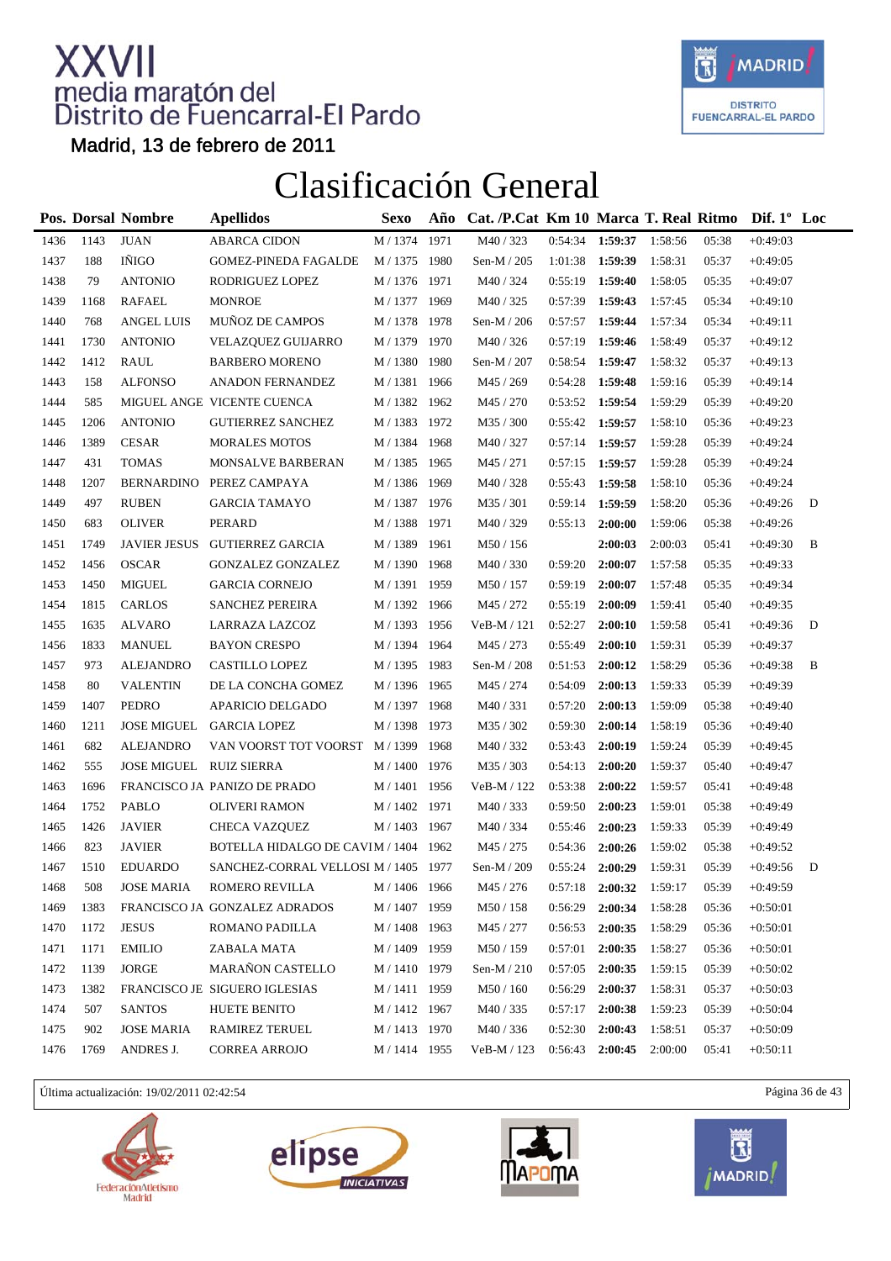

Madrid, 13 de febrero de 2011

### Clasificación General

|      |      | Pos. Dorsal Nombre      | <b>Apellidos</b>                     | <b>Sexo</b>       | Año  | Cat. /P.Cat Km 10 Marca T. Real Ritmo |         |         |         |       | Dif. $1^{\circ}$ Loc |   |
|------|------|-------------------------|--------------------------------------|-------------------|------|---------------------------------------|---------|---------|---------|-------|----------------------|---|
| 1436 | 1143 | <b>JUAN</b>             | <b>ABARCA CIDON</b>                  | M / 1374          | 1971 | M40 / 323                             | 0:54:34 | 1:59:37 | 1:58:56 | 05:38 | $+0:49:03$           |   |
| 1437 | 188  | IÑIGO                   | <b>GOMEZ-PINEDA FAGALDE</b>          | M / 1375 1980     |      | Sen-M / 205                           | 1:01:38 | 1:59:39 | 1:58:31 | 05:37 | $+0:49:05$           |   |
| 1438 | 79   | <b>ANTONIO</b>          | RODRIGUEZ LOPEZ                      | M / 1376 1971     |      | M40 / 324                             | 0:55:19 | 1:59:40 | 1:58:05 | 05:35 | $+0:49:07$           |   |
| 1439 | 1168 | RAFAEL                  | <b>MONROE</b>                        | M / 1377          | 1969 | M40/325                               | 0:57:39 | 1:59:43 | 1:57:45 | 05:34 | $+0:49:10$           |   |
| 1440 | 768  | <b>ANGEL LUIS</b>       | MUÑOZ DE CAMPOS                      | M / 1378 1978     |      | Sen-M / 206                           | 0:57:57 | 1:59:44 | 1:57:34 | 05:34 | $+0:49:11$           |   |
| 1441 | 1730 | <b>ANTONIO</b>          | <b>VELAZQUEZ GUIJARRO</b>            | M / 1379 1970     |      | M40 / 326                             | 0:57:19 | 1:59:46 | 1:58:49 | 05:37 | $+0:49:12$           |   |
| 1442 | 1412 | <b>RAUL</b>             | <b>BARBERO MORENO</b>                | M / 1380          | 1980 | Sen-M / 207                           | 0:58:54 | 1:59:47 | 1:58:32 | 05:37 | $+0:49:13$           |   |
| 1443 | 158  | <b>ALFONSO</b>          | ANADON FERNANDEZ                     | M / 1381 1966     |      | M45 / 269                             | 0:54:28 | 1:59:48 | 1:59:16 | 05:39 | $+0:49:14$           |   |
| 1444 | 585  |                         | MIGUEL ANGE VICENTE CUENCA           | M / 1382 1962     |      | M45 / 270                             | 0:53:52 | 1:59:54 | 1:59:29 | 05:39 | $+0:49:20$           |   |
| 1445 | 1206 | <b>ANTONIO</b>          | <b>GUTIERREZ SANCHEZ</b>             | M / 1383 1972     |      | M35 / 300                             | 0:55:42 | 1:59:57 | 1:58:10 | 05:36 | $+0:49:23$           |   |
| 1446 | 1389 | <b>CESAR</b>            | <b>MORALES MOTOS</b>                 | M / 1384          | 1968 | M40/327                               | 0:57:14 | 1:59:57 | 1:59:28 | 05:39 | $+0:49:24$           |   |
| 1447 | 431  | <b>TOMAS</b>            | MONSALVE BARBERAN                    | $\text{M}$ / 1385 | 1965 | M45 / 271                             | 0:57:15 | 1:59:57 | 1:59:28 | 05:39 | $+0:49:24$           |   |
| 1448 | 1207 |                         | BERNARDINO PEREZ CAMPAYA             | M / 1386 1969     |      | M40 / 328                             | 0:55:43 | 1:59:58 | 1:58:10 | 05:36 | $+0:49:24$           |   |
| 1449 | 497  | <b>RUBEN</b>            | <b>GARCIA TAMAYO</b>                 | M / 1387 1976     |      | M35 / 301                             | 0:59:14 | 1:59:59 | 1:58:20 | 05:36 | $+0:49:26$           | D |
| 1450 | 683  | <b>OLIVER</b>           | PERARD                               | M / 1388          | 1971 | M40 / 329                             | 0:55:13 | 2:00:00 | 1:59:06 | 05:38 | $+0:49:26$           |   |
| 1451 | 1749 | <b>JAVIER JESUS</b>     | <b>GUTIERREZ GARCIA</b>              | M / 1389          | 1961 | M50 / 156                             |         | 2:00:03 | 2:00:03 | 05:41 | $+0:49:30$           | B |
| 1452 | 1456 | <b>OSCAR</b>            | GONZALEZ GONZALEZ                    | M / 1390 1968     |      | M40/330                               | 0:59:20 | 2:00:07 | 1:57:58 | 05:35 | $+0:49:33$           |   |
| 1453 | 1450 | <b>MIGUEL</b>           | <b>GARCIA CORNEJO</b>                | M / 1391 1959     |      | M50 / 157                             | 0:59:19 | 2:00:07 | 1:57:48 | 05:35 | $+0:49:34$           |   |
| 1454 | 1815 | CARLOS                  | <b>SANCHEZ PEREIRA</b>               | M / 1392          | 1966 | M45 / 272                             | 0:55:19 | 2:00:09 | 1:59:41 | 05:40 | $+0:49:35$           |   |
| 1455 | 1635 | <b>ALVARO</b>           | LARRAZA LAZCOZ                       | M / 1393          | 1956 | $VeB-M/121$                           | 0:52:27 | 2:00:10 | 1:59:58 | 05:41 | $+0:49:36$           | D |
| 1456 | 1833 | <b>MANUEL</b>           | <b>BAYON CRESPO</b>                  | M / 1394 1964     |      | M45 / 273                             | 0:55:49 | 2:00:10 | 1:59:31 | 05:39 | $+0:49:37$           |   |
| 1457 | 973  | <b>ALEJANDRO</b>        | CASTILLO LOPEZ                       | M / 1395 1983     |      | Sen-M / 208                           | 0:51:53 | 2:00:12 | 1:58:29 | 05:36 | $+0:49:38$           | B |
| 1458 | 80   | <b>VALENTIN</b>         | DE LA CONCHA GOMEZ                   | M / 1396          | 1965 | M45 / 274                             | 0:54:09 | 2:00:13 | 1:59:33 | 05:39 | $+0:49:39$           |   |
| 1459 | 1407 | <b>PEDRO</b>            | APARICIO DELGADO                     | M / 1397          | 1968 | M40/331                               | 0:57:20 | 2:00:13 | 1:59:09 | 05:38 | $+0:49:40$           |   |
| 1460 | 1211 | <b>JOSE MIGUEL</b>      | <b>GARCIA LOPEZ</b>                  | M / 1398 1973     |      | M35 / 302                             | 0:59:30 | 2:00:14 | 1:58:19 | 05:36 | $+0:49:40$           |   |
| 1461 | 682  | <b>ALEJANDRO</b>        | VAN VOORST TOT VOORST                | M / 1399 1968     |      | M40/332                               | 0:53:43 | 2:00:19 | 1:59:24 | 05:39 | $+0:49:45$           |   |
| 1462 | 555  | JOSE MIGUEL RUIZ SIERRA |                                      | M / 1400          | 1976 | M35 / 303                             | 0:54:13 | 2:00:20 | 1:59:37 | 05:40 | $+0:49:47$           |   |
| 1463 | 1696 |                         | FRANCISCO JA PANIZO DE PRADO         | M / 1401 1956     |      | VeB-M / 122                           | 0:53:38 | 2:00:22 | 1:59:57 | 05:41 | $+0:49:48$           |   |
| 1464 | 1752 | <b>PABLO</b>            | <b>OLIVERI RAMON</b>                 | M / 1402 1971     |      | M40/333                               | 0:59:50 | 2:00:23 | 1:59:01 | 05:38 | $+0:49:49$           |   |
| 1465 | 1426 | <b>JAVIER</b>           | <b>CHECA VAZQUEZ</b>                 | M / 1403 1967     |      | M40 / 334                             | 0:55:46 | 2:00:23 | 1:59:33 | 05:39 | $+0:49:49$           |   |
| 1466 | 823  | <b>JAVIER</b>           | BOTELLA HIDALGO DE CAVIM / 1404      |                   | 1962 | M45 / 275                             | 0:54:36 | 2:00:26 | 1:59:02 | 05:38 | $+0:49:52$           |   |
| 1467 | 1510 | <b>EDUARDO</b>          | SANCHEZ-CORRAL VELLOSI M / 1405 1977 |                   |      | Sen-M / 209                           | 0:55:24 | 2:00:29 | 1:59:31 | 05:39 | $+0:49:56$           | D |
| 1468 | 508  | <b>JOSE MARIA</b>       | ROMERO REVILLA                       | M / 1406 1966     |      | M45 / 276                             | 0:57:18 | 2:00:32 | 1:59:17 | 05:39 | $+0:49:59$           |   |
| 1469 | 1383 |                         | FRANCISCO JA GONZALEZ ADRADOS        | M / 1407 1959     |      | M50/158                               | 0:56:29 | 2:00:34 | 1:58:28 | 05:36 | $+0:50:01$           |   |
| 1470 | 1172 | <b>JESUS</b>            | ROMANO PADILLA                       | M / 1408          | 1963 | M45 / 277                             | 0:56:53 | 2:00:35 | 1:58:29 | 05:36 | $+0:50:01$           |   |
| 1471 | 1171 | <b>EMILIO</b>           | ZABALA MATA                          | M / 1409          | 1959 | M50 / 159                             | 0:57:01 | 2:00:35 | 1:58:27 | 05:36 | $+0:50:01$           |   |
| 1472 | 1139 | <b>JORGE</b>            | <b>MARAÑON CASTELLO</b>              | M / 1410 1979     |      | Sen-M / 210                           | 0:57:05 | 2:00:35 | 1:59:15 | 05:39 | $+0:50:02$           |   |
| 1473 | 1382 |                         | FRANCISCO JE SIGUERO IGLESIAS        | M / 1411 1959     |      | M50 / 160                             | 0:56:29 | 2:00:37 | 1:58:31 | 05:37 | $+0:50:03$           |   |
| 1474 | 507  | <b>SANTOS</b>           | <b>HUETE BENITO</b>                  | M / 1412 1967     |      | M40 / 335                             | 0:57:17 | 2:00:38 | 1:59:23 | 05:39 | $+0:50:04$           |   |
| 1475 | 902  | <b>JOSE MARIA</b>       | RAMIREZ TERUEL                       | M / 1413 1970     |      | M40 / 336                             | 0:52:30 | 2:00:43 | 1:58:51 | 05:37 | $+0:50:09$           |   |
| 1476 | 1769 | ANDRES J.               | <b>CORREA ARROJO</b>                 | M / 1414 1955     |      | VeB-M / 123                           | 0:56:43 | 2:00:45 | 2:00:00 | 05:41 | $+0:50:11$           |   |

Última actualización: 19/02/2011 02:42:54 Página 36 de 43







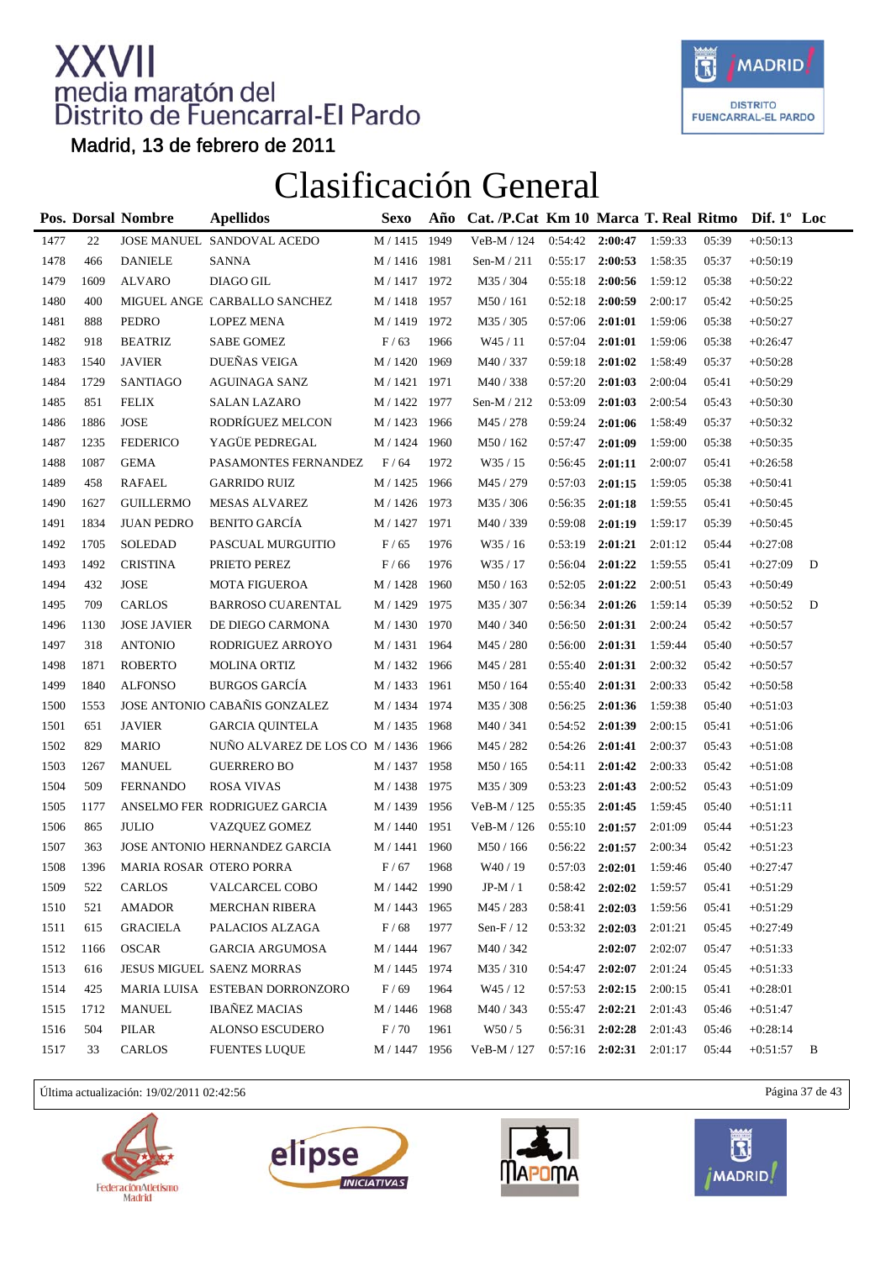

Madrid, 13 de febrero de 2011

#### Clasificación General

|      |      | Pos. Dorsal Nombre         | <b>Apellidos</b>                     | <b>Sexo</b>    | Año  | Cat. /P.Cat Km 10 Marca T. Real Ritmo Dif. 1° Loc |         |         |         |       |            |   |
|------|------|----------------------------|--------------------------------------|----------------|------|---------------------------------------------------|---------|---------|---------|-------|------------|---|
| 1477 | 22   |                            | JOSE MANUEL SANDOVAL ACEDO           | M / 1415       | 1949 | VeB-M / 124                                       | 0:54:42 | 2:00:47 | 1:59:33 | 05:39 | $+0:50:13$ |   |
| 1478 | 466  | <b>DANIELE</b>             | <b>SANNA</b>                         | M / 1416 1981  |      | Sen-M / 211                                       | 0:55:17 | 2:00:53 | 1:58:35 | 05:37 | $+0:50:19$ |   |
| 1479 | 1609 | <b>ALVARO</b>              | DIAGO GIL                            | M / 1417 1972  |      | M35 / 304                                         | 0:55:18 | 2:00:56 | 1:59:12 | 05:38 | $+0:50:22$ |   |
| 1480 | 400  |                            | MIGUEL ANGE CARBALLO SANCHEZ         | M / 1418 1957  |      | M50 / 161                                         | 0:52:18 | 2:00:59 | 2:00:17 | 05:42 | $+0:50:25$ |   |
| 1481 | 888  | <b>PEDRO</b>               | <b>LOPEZ MENA</b>                    | M / 1419 1972  |      | M35 / 305                                         | 0:57:06 | 2:01:01 | 1:59:06 | 05:38 | $+0:50:27$ |   |
| 1482 | 918  | <b>BEATRIZ</b>             | <b>SABE GOMEZ</b>                    | F/63           | 1966 | W45 / 11                                          | 0:57:04 | 2:01:01 | 1:59:06 | 05:38 | $+0:26:47$ |   |
| 1483 | 1540 | <b>JAVIER</b>              | DUEÑAS VEIGA                         | M / 1420       | 1969 | M40 / 337                                         | 0:59:18 | 2:01:02 | 1:58:49 | 05:37 | $+0:50:28$ |   |
| 1484 | 1729 | SANTIAGO                   | AGUINAGA SANZ                        | M / 1421 1971  |      | M40/338                                           | 0:57:20 | 2:01:03 | 2:00:04 | 05:41 | $+0:50:29$ |   |
| 1485 | 851  | <b>FELIX</b>               | <b>SALAN LAZARO</b>                  | M / 1422 1977  |      | Sen-M $/212$                                      | 0:53:09 | 2:01:03 | 2:00:54 | 05:43 | $+0:50:30$ |   |
| 1486 | 1886 | $\ensuremath{\text{JOSE}}$ | RODRÍGUEZ MELCON                     | M / 1423 1966  |      | M45 / 278                                         | 0:59:24 | 2:01:06 | 1:58:49 | 05:37 | $+0:50:32$ |   |
| 1487 | 1235 | <b>FEDERICO</b>            | YAGÜE PEDREGAL                       | M / 1424       | 1960 | M50 / 162                                         | 0:57:47 | 2:01:09 | 1:59:00 | 05:38 | $+0:50:35$ |   |
| 1488 | 1087 | <b>GEMA</b>                | PASAMONTES FERNANDEZ                 | F/64           | 1972 | W35 / 15                                          | 0:56:45 | 2:01:11 | 2:00:07 | 05:41 | $+0:26:58$ |   |
| 1489 | 458  | <b>RAFAEL</b>              | <b>GARRIDO RUIZ</b>                  | M / 1425       | 1966 | M45 / 279                                         | 0:57:03 | 2:01:15 | 1:59:05 | 05:38 | $+0:50:41$ |   |
| 1490 | 1627 | <b>GUILLERMO</b>           | <b>MESAS ALVAREZ</b>                 | M / 1426 1973  |      | M35 / 306                                         | 0:56:35 | 2:01:18 | 1:59:55 | 05:41 | $+0:50:45$ |   |
| 1491 | 1834 | <b>JUAN PEDRO</b>          | <b>BENITO GARCÍA</b>                 | M / 1427       | 1971 | M40 / 339                                         | 0:59:08 | 2:01:19 | 1:59:17 | 05:39 | $+0:50:45$ |   |
| 1492 | 1705 | SOLEDAD                    | PASCUAL MURGUITIO                    | F/65           | 1976 | W35 / 16                                          | 0:53:19 | 2:01:21 | 2:01:12 | 05:44 | $+0:27:08$ |   |
| 1493 | 1492 | <b>CRISTINA</b>            | PRIETO PEREZ                         | F/66           | 1976 | W35 / 17                                          | 0:56:04 | 2:01:22 | 1:59:55 | 05:41 | $+0:27:09$ | D |
| 1494 | 432  | $\ensuremath{\text{JOSE}}$ | <b>MOTA FIGUEROA</b>                 | M / 1428       | 1960 | M50 / 163                                         | 0:52:05 | 2:01:22 | 2:00:51 | 05:43 | $+0:50:49$ |   |
| 1495 | 709  | <b>CARLOS</b>              | <b>BARROSO CUARENTAL</b>             | M / 1429       | 1975 | M35 / 307                                         | 0:56:34 | 2:01:26 | 1:59:14 | 05:39 | $+0:50:52$ | D |
| 1496 | 1130 | <b>JOSE JAVIER</b>         | DE DIEGO CARMONA                     | M / 1430       | 1970 | M40 / 340                                         | 0:56:50 | 2:01:31 | 2:00:24 | 05:42 | $+0:50:57$ |   |
| 1497 | 318  | <b>ANTONIO</b>             | RODRIGUEZ ARROYO                     | M / 1431 1964  |      | M45 / 280                                         | 0:56:00 | 2:01:31 | 1:59:44 | 05:40 | $+0:50:57$ |   |
| 1498 | 1871 | <b>ROBERTO</b>             | <b>MOLINA ORTIZ</b>                  | M / 1432 1966  |      | M45 / 281                                         | 0:55:40 | 2:01:31 | 2:00:32 | 05:42 | $+0:50:57$ |   |
| 1499 | 1840 | <b>ALFONSO</b>             | <b>BURGOS GARCÍA</b>                 | M / 1433       | 1961 | M50 / 164                                         | 0:55:40 | 2:01:31 | 2:00:33 | 05:42 | $+0:50:58$ |   |
| 1500 | 1553 |                            | JOSE ANTONIO CABAÑIS GONZALEZ        | M / 1434 1974  |      | M35 / 308                                         | 0:56:25 | 2:01:36 | 1:59:38 | 05:40 | $+0:51:03$ |   |
| 1501 | 651  | <b>JAVIER</b>              | <b>GARCIA QUINTELA</b>               | M / 1435 1968  |      | M40 / 341                                         | 0:54:52 | 2:01:39 | 2:00:15 | 05:41 | $+0:51:06$ |   |
| 1502 | 829  | <b>MARIO</b>               | NUÑO ALVAREZ DE LOS CO M / 1436 1966 |                |      | M45 / 282                                         | 0:54:26 | 2:01:41 | 2:00:37 | 05:43 | $+0:51:08$ |   |
| 1503 | 1267 | <b>MANUEL</b>              | <b>GUERRERO BO</b>                   | M / 1437 1958  |      | M50 / 165                                         | 0:54:11 | 2:01:42 | 2:00:33 | 05:42 | $+0:51:08$ |   |
| 1504 | 509  | <b>FERNANDO</b>            | <b>ROSA VIVAS</b>                    | M / 1438       | 1975 | M35 / 309                                         | 0:53:23 | 2:01:43 | 2:00:52 | 05:43 | $+0:51:09$ |   |
| 1505 | 1177 |                            | ANSELMO FER RODRIGUEZ GARCIA         | M / 1439       | 1956 | VeB-M / 125                                       | 0:55:35 | 2:01:45 | 1:59:45 | 05:40 | $+0:51:11$ |   |
| 1506 | 865  | <b>JULIO</b>               | <b>VAZOUEZ GOMEZ</b>                 | M / 1440       | 1951 | VeB-M / 126                                       | 0:55:10 | 2:01:57 | 2:01:09 | 05:44 | $+0:51:23$ |   |
| 1507 | 363  |                            | JOSE ANTONIO HERNANDEZ GARCIA        | M / 1441       | 1960 | M50 / 166                                         | 0:56:22 | 2:01:57 | 2:00:34 | 05:42 | $+0:51:23$ |   |
| 1508 | 1396 |                            | <b>MARIA ROSAR OTERO PORRA</b>       | F/67           | 1968 | W <sub>40</sub> / 19                              | 0:57:03 | 2:02:01 | 1:59:46 | 05:40 | $+0:27:47$ |   |
| 1509 | 522  | CARLOS                     | VALCARCEL COBO                       | M / 1442 1990  |      | JP-M / $1\,$                                      | 0:58:42 | 2:02:02 | 1:59:57 | 05:41 | $+0:51:29$ |   |
| 1510 | 521  | AMADOR                     | MERCHAN RIBERA                       | M / 1443 1965  |      | M45 / 283                                         | 0:58:41 | 2:02:03 | 1:59:56 | 05:41 | $+0:51:29$ |   |
| 1511 | 615  | <b>GRACIELA</b>            | PALACIOS ALZAGA                      | $\rm F$ / $68$ | 1977 | Sen- $F/12$                                       | 0:53:32 | 2:02:03 | 2:01:21 | 05:45 | $+0:27:49$ |   |
| 1512 | 1166 | <b>OSCAR</b>               | <b>GARCIA ARGUMOSA</b>               | M / 1444 1967  |      | M40 / 342                                         |         | 2:02:07 | 2:02:07 | 05:47 | $+0:51:33$ |   |
| 1513 | 616  |                            | <b>JESUS MIGUEL SAENZ MORRAS</b>     | M / 1445 1974  |      | M35/310                                           | 0:54:47 | 2:02:07 | 2:01:24 | 05:45 | $+0:51:33$ |   |
| 1514 | 425  |                            | MARIA LUISA ESTEBAN DORRONZORO       | F/69           | 1964 | W45 / 12                                          | 0:57:53 | 2:02:15 | 2:00:15 | 05:41 | $+0:28:01$ |   |
| 1515 | 1712 | MANUEL                     | <b>IBAÑEZ MACIAS</b>                 | M / 1446       | 1968 | M40 / 343                                         | 0:55:47 | 2:02:21 | 2:01:43 | 05:46 | $+0:51:47$ |   |
| 1516 | 504  | PILAR                      | <b>ALONSO ESCUDERO</b>               | F/70           | 1961 | W50/5                                             | 0:56:31 | 2:02:28 | 2:01:43 | 05:46 | $+0:28:14$ |   |
| 1517 | 33   | CARLOS                     | <b>FUENTES LUQUE</b>                 | M / 1447 1956  |      | VeB-M / 127                                       | 0:57:16 | 2:02:31 | 2:01:17 | 05:44 | $+0:51:57$ | B |

Última actualización: 19/02/2011 02:42:56 Página 37 de 43







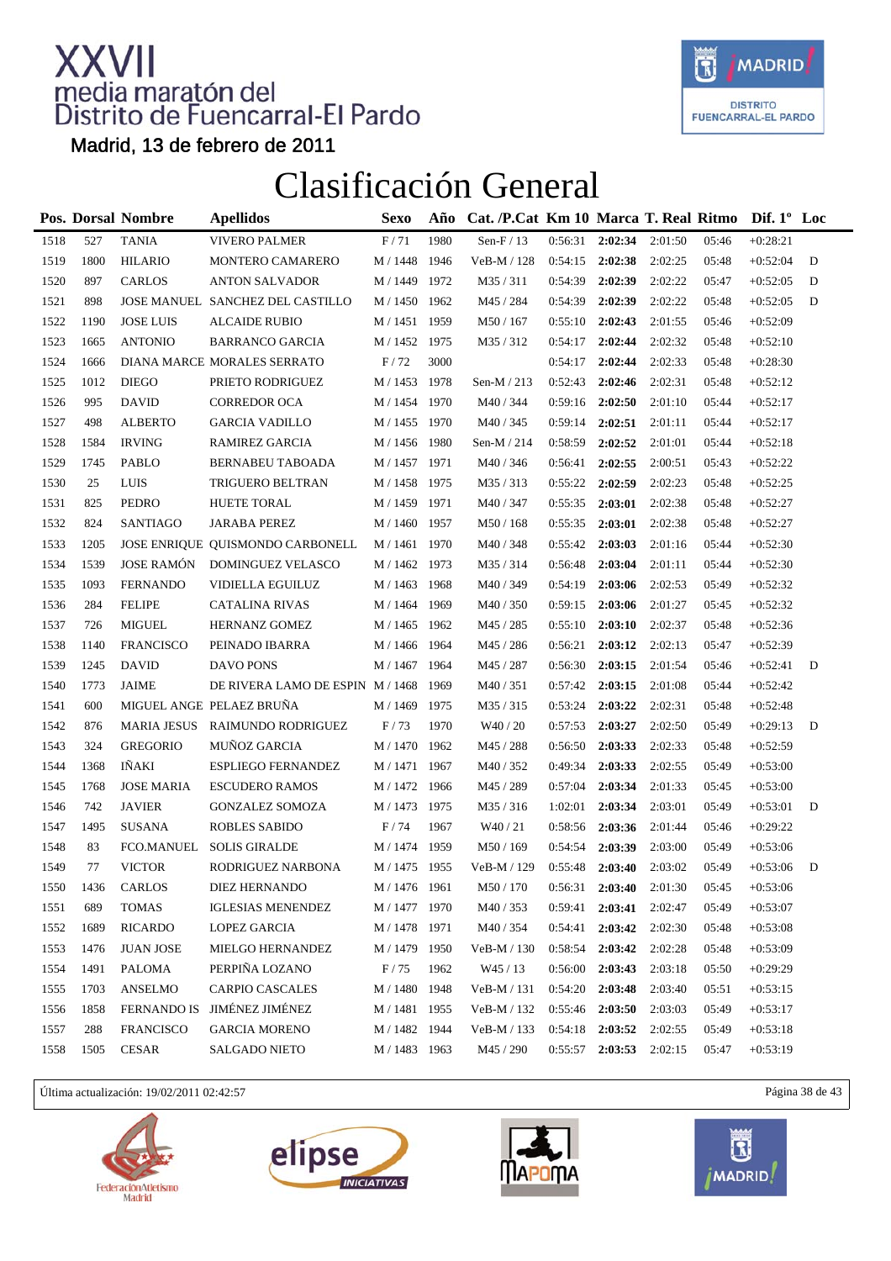

Madrid, 13 de febrero de 2011

### Clasificación General

|      |      | <b>Pos. Dorsal Nombre</b> | <b>Apellidos</b>                 | <b>Sexo</b>   | Año  | Cat. /P.Cat Km 10 Marca T. Real Ritmo Dif. 1° Loc |         |         |         |       |            |   |
|------|------|---------------------------|----------------------------------|---------------|------|---------------------------------------------------|---------|---------|---------|-------|------------|---|
| 1518 | 527  | <b>TANIA</b>              | <b>VIVERO PALMER</b>             | F/71          | 1980 | Sen-F / 13                                        | 0:56:31 | 2:02:34 | 2:01:50 | 05:46 | $+0:28:21$ |   |
| 1519 | 1800 | <b>HILARIO</b>            | MONTERO CAMARERO                 | M / 1448 1946 |      | VeB-M / 128                                       | 0:54:15 | 2:02:38 | 2:02:25 | 05:48 | $+0:52:04$ | D |
| 1520 | 897  | <b>CARLOS</b>             | <b>ANTON SALVADOR</b>            | M / 1449 1972 |      | M35/311                                           | 0:54:39 | 2:02:39 | 2:02:22 | 05:47 | $+0:52:05$ | D |
| 1521 | 898  |                           | JOSE MANUEL SANCHEZ DEL CASTILLO | M / 1450 1962 |      | M45 / 284                                         | 0:54:39 | 2:02:39 | 2:02:22 | 05:48 | $+0:52:05$ | D |
| 1522 | 1190 | <b>JOSE LUIS</b>          | <b>ALCAIDE RUBIO</b>             | M / 1451 1959 |      | M50 / 167                                         | 0:55:10 | 2:02:43 | 2:01:55 | 05:46 | $+0:52:09$ |   |
| 1523 | 1665 | <b>ANTONIO</b>            | <b>BARRANCO GARCIA</b>           | M / 1452 1975 |      | M35/312                                           | 0:54:17 | 2:02:44 | 2:02:32 | 05:48 | $+0:52:10$ |   |
| 1524 | 1666 |                           | DIANA MARCE MORALES SERRATO      | $\rm F$ / 72  | 3000 |                                                   | 0:54:17 | 2:02:44 | 2:02:33 | 05:48 | $+0:28:30$ |   |
| 1525 | 1012 | <b>DIEGO</b>              | PRIETO RODRIGUEZ                 | M / 1453      | 1978 | Sen-M $/213$                                      | 0:52:43 | 2:02:46 | 2:02:31 | 05:48 | $+0:52:12$ |   |
| 1526 | 995  | <b>DAVID</b>              | <b>CORREDOR OCA</b>              | M / 1454 1970 |      | M40 / 344                                         | 0:59:16 | 2:02:50 | 2:01:10 | 05:44 | $+0:52:17$ |   |
| 1527 | 498  | <b>ALBERTO</b>            | <b>GARCIA VADILLO</b>            | M / 1455 1970 |      | M40 / 345                                         | 0:59:14 | 2:02:51 | 2:01:11 | 05:44 | $+0:52:17$ |   |
| 1528 | 1584 | <b>IRVING</b>             | RAMIREZ GARCIA                   | M / 1456 1980 |      | Sen-M $/214$                                      | 0:58:59 | 2:02:52 | 2:01:01 | 05:44 | $+0:52:18$ |   |
| 1529 | 1745 | PABLO                     | BERNABEU TABOADA                 | M / 1457 1971 |      | M40 / 346                                         | 0:56:41 | 2:02:55 | 2:00:51 | 05:43 | $+0:52:22$ |   |
| 1530 | 25   | <b>LUIS</b>               | TRIGUERO BELTRAN                 | M / 1458 1975 |      | M35/313                                           | 0:55:22 | 2:02:59 | 2:02:23 | 05:48 | $+0:52:25$ |   |
| 1531 | 825  | PEDRO                     | <b>HUETE TORAL</b>               | M / 1459 1971 |      | M40 / 347                                         | 0:55:35 | 2:03:01 | 2:02:38 | 05:48 | $+0:52:27$ |   |
| 1532 | 824  | <b>SANTIAGO</b>           | <b>JARABA PEREZ</b>              | M / 1460      | 1957 | M50 / 168                                         | 0:55:35 | 2:03:01 | 2:02:38 | 05:48 | $+0:52:27$ |   |
| 1533 | 1205 |                           | JOSE ENRIQUE QUISMONDO CARBONELL | M / 1461 1970 |      | M40 / 348                                         | 0:55:42 | 2:03:03 | 2:01:16 | 05:44 | $+0:52:30$ |   |
| 1534 | 1539 | <b>JOSE RAMÓN</b>         | DOMINGUEZ VELASCO                | M / 1462 1973 |      | M35/314                                           | 0:56:48 | 2:03:04 | 2:01:11 | 05:44 | $+0:52:30$ |   |
| 1535 | 1093 | <b>FERNANDO</b>           | VIDIELLA EGUILUZ                 | M / 1463 1968 |      | M40 / 349                                         | 0:54:19 | 2:03:06 | 2:02:53 | 05:49 | $+0:52:32$ |   |
| 1536 | 284  | <b>FELIPE</b>             | <b>CATALINA RIVAS</b>            | M / 1464      | 1969 | M40 / 350                                         | 0:59:15 | 2:03:06 | 2:01:27 | 05:45 | $+0:52:32$ |   |
| 1537 | 726  | <b>MIGUEL</b>             | HERNANZ GOMEZ                    | M / 1465      | 1962 | M45 / 285                                         | 0:55:10 | 2:03:10 | 2:02:37 | 05:48 | $+0:52:36$ |   |
| 1538 | 1140 | <b>FRANCISCO</b>          | PEINADO IBARRA                   | M / 1466 1964 |      | M45 / 286                                         | 0:56:21 | 2:03:12 | 2:02:13 | 05:47 | $+0:52:39$ |   |
| 1539 | 1245 | <b>DAVID</b>              | DAVO PONS                        | M / 1467 1964 |      | M45 / 287                                         | 0:56:30 | 2:03:15 | 2:01:54 | 05:46 | $+0:52:41$ | D |
| 1540 | 1773 | JAIME                     | DE RIVERA LAMO DE ESPIN M/1468   |               | 1969 | M40/351                                           | 0:57:42 | 2:03:15 | 2:01:08 | 05:44 | $+0:52:42$ |   |
| 1541 | 600  |                           | MIGUEL ANGE PELAEZ BRUÑA         | M / 1469      | 1975 | M35/315                                           | 0:53:24 | 2:03:22 | 2:02:31 | 05:48 | $+0:52:48$ |   |
| 1542 | 876  |                           | MARIA JESUS RAIMUNDO RODRIGUEZ   | F/73          | 1970 | W40 / 20                                          | 0:57:53 | 2:03:27 | 2:02:50 | 05:49 | $+0:29:13$ | D |
| 1543 | 324  | <b>GREGORIO</b>           | MUÑOZ GARCIA                     | M / 1470 1962 |      | M45 / 288                                         | 0:56:50 | 2:03:33 | 2:02:33 | 05:48 | $+0:52:59$ |   |
| 1544 | 1368 | IÑAKI                     | <b>ESPLIEGO FERNANDEZ</b>        | M / 1471 1967 |      | M40/352                                           | 0:49:34 | 2:03:33 | 2:02:55 | 05:49 | $+0:53:00$ |   |
| 1545 | 1768 | <b>JOSE MARIA</b>         | <b>ESCUDERO RAMOS</b>            | M / 1472 1966 |      | M45 / 289                                         | 0:57:04 | 2:03:34 | 2:01:33 | 05:45 | $+0:53:00$ |   |
| 1546 | 742  | <b>JAVIER</b>             | <b>GONZALEZ SOMOZA</b>           | M / 1473 1975 |      | M35/316                                           | 1:02:01 | 2:03:34 | 2:03:01 | 05:49 | $+0:53:01$ | D |
| 1547 | 1495 | SUSANA                    | ROBLES SABIDO                    | F/74          | 1967 | W40/21                                            | 0:58:56 | 2:03:36 | 2:01:44 | 05:46 | $+0:29:22$ |   |
| 1548 | 83   | FCO.MANUEL                | <b>SOLIS GIRALDE</b>             | M / 1474      | 1959 | M50 / 169                                         | 0:54:54 | 2:03:39 | 2:03:00 | 05:49 | $+0:53:06$ |   |
| 1549 | 77   | <b>VICTOR</b>             | RODRIGUEZ NARBONA                | M / 1475 1955 |      | VeB-M / 129                                       | 0:55:48 | 2:03:40 | 2:03:02 | 05:49 | $+0:53:06$ | D |
| 1550 | 1436 | CARLOS                    | DIEZ HERNANDO                    | M / 1476 1961 |      | $\text{M50}$ / $170$                              | 0:56:31 | 2:03:40 | 2:01:30 | 05:45 | $+0:53:06$ |   |
| 1551 | 689  | <b>TOMAS</b>              | <b>IGLESIAS MENENDEZ</b>         | M / 1477 1970 |      | M40 / 353                                         | 0:59:41 | 2:03:41 | 2:02:47 | 05:49 | $+0:53:07$ |   |
| 1552 | 1689 | <b>RICARDO</b>            | LOPEZ GARCIA                     | M / 1478      | 1971 | M40/354                                           | 0:54:41 | 2:03:42 | 2:02:30 | 05:48 | $+0:53:08$ |   |
| 1553 | 1476 | <b>JUAN JOSE</b>          | MIELGO HERNANDEZ                 | M / 1479      | 1950 | VeB-M / 130                                       | 0:58:54 | 2:03:42 | 2:02:28 | 05:48 | $+0:53:09$ |   |
| 1554 | 1491 | PALOMA                    | PERPIÑA LOZANO                   | $\rm F$ / 75  | 1962 | W45 / 13                                          | 0:56:00 | 2:03:43 | 2:03:18 | 05:50 | $+0:29:29$ |   |
| 1555 | 1703 | <b>ANSELMO</b>            | <b>CARPIO CASCALES</b>           | M / 1480      | 1948 | VeB-M / 131                                       | 0:54:20 | 2:03:48 | 2:03:40 | 05:51 | $+0:53:15$ |   |
| 1556 | 1858 |                           | FERNANDO IS JIMÉNEZ JIMÉNEZ      | M / 1481      | 1955 | VeB-M / 132                                       | 0:55:46 | 2:03:50 | 2:03:03 | 05:49 | $+0:53:17$ |   |
| 1557 | 288  | <b>FRANCISCO</b>          | <b>GARCIA MORENO</b>             | M / 1482 1944 |      | VeB-M / 133                                       | 0:54:18 | 2:03:52 | 2:02:55 | 05:49 | $+0:53:18$ |   |
| 1558 | 1505 | CESAR                     | SALGADO NIETO                    | M / 1483 1963 |      | M45 / 290                                         | 0:55:57 | 2:03:53 | 2:02:15 | 05:47 | $+0:53:19$ |   |
|      |      |                           |                                  |               |      |                                                   |         |         |         |       |            |   |

Última actualización: 19/02/2011 02:42:57 Página 38 de 43







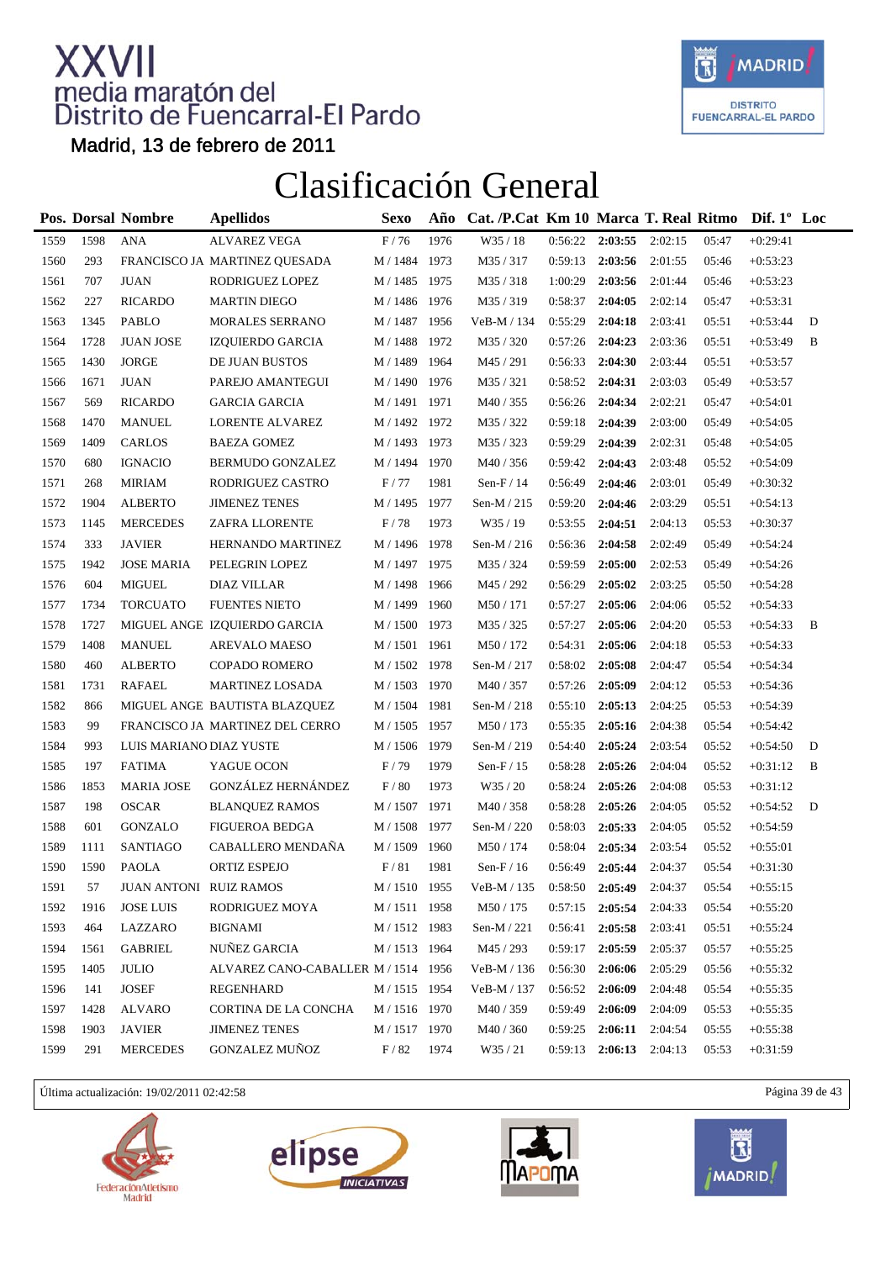

Madrid, 13 de febrero de 2011

#### Clasificación General

|      |      | Pos. Dorsal Nombre      | <b>Apellidos</b>                    | Sexo                  | Año  | Cat. /P.Cat Km 10 Marca T. Real Ritmo |         |                     |         |       | Dif. $1^{\circ}$ Loc |   |
|------|------|-------------------------|-------------------------------------|-----------------------|------|---------------------------------------|---------|---------------------|---------|-------|----------------------|---|
| 1559 | 1598 | <b>ANA</b>              | <b>ALVAREZ VEGA</b>                 | $\rm F$ / 76          | 1976 | W35 / 18                              | 0:56:22 | 2:03:55             | 2:02:15 | 05:47 | $+0:29:41$           |   |
| 1560 | 293  |                         | FRANCISCO JA MARTINEZ QUESADA       | M / 1484 1973         |      | M35 / 317                             | 0:59:13 | 2:03:56             | 2:01:55 | 05:46 | $+0:53:23$           |   |
| 1561 | 707  | <b>JUAN</b>             | RODRIGUEZ LOPEZ                     | M / 1485              | 1975 | M35/318                               | 1:00:29 | 2:03:56             | 2:01:44 | 05:46 | $+0:53:23$           |   |
| 1562 | 227  | <b>RICARDO</b>          | <b>MARTIN DIEGO</b>                 | M / 1486              | 1976 | M35/319                               | 0:58:37 | 2:04:05             | 2:02:14 | 05:47 | $+0:53:31$           |   |
| 1563 | 1345 | <b>PABLO</b>            | <b>MORALES SERRANO</b>              | M / 1487 1956         |      | VeB-M / 134                           | 0:55:29 | 2:04:18             | 2:03:41 | 05:51 | $+0:53:44$           | D |
| 1564 | 1728 | <b>JUAN JOSE</b>        | IZQUIERDO GARCIA                    | M / 1488 1972         |      | M35 / 320                             | 0:57:26 | 2:04:23             | 2:03:36 | 05:51 | $+0:53:49$           | B |
| 1565 | 1430 | <b>JORGE</b>            | DE JUAN BUSTOS                      | M / 1489              | 1964 | M45 / 291                             | 0:56:33 | 2:04:30             | 2:03:44 | 05:51 | $+0:53:57$           |   |
| 1566 | 1671 | <b>JUAN</b>             | PAREJO AMANTEGUI                    | $\mathrm{M}$ / $1490$ | 1976 | M35 / 321                             | 0:58:52 | 2:04:31             | 2:03:03 | 05:49 | $+0:53:57$           |   |
| 1567 | 569  | <b>RICARDO</b>          | <b>GARCIA GARCIA</b>                | M / 1491 1971         |      | M40 / 355                             | 0:56:26 | 2:04:34             | 2:02:21 | 05:47 | $+0:54:01$           |   |
| 1568 | 1470 | <b>MANUEL</b>           | LORENTE ALVAREZ                     | M / 1492 1972         |      | M35 / 322                             | 0:59:18 | 2:04:39             | 2:03:00 | 05:49 | $+0:54:05$           |   |
| 1569 | 1409 | <b>CARLOS</b>           | <b>BAEZA GOMEZ</b>                  | M / 1493 1973         |      | M35 / 323                             | 0:59:29 | 2:04:39             | 2:02:31 | 05:48 | $+0:54:05$           |   |
| 1570 | 680  | <b>IGNACIO</b>          | BERMUDO GONZALEZ                    | M / 1494 1970         |      | M40/356                               | 0:59:42 | 2:04:43             | 2:03:48 | 05:52 | $+0:54:09$           |   |
| 1571 | 268  | <b>MIRIAM</b>           | RODRIGUEZ CASTRO                    | F/77                  | 1981 | Sen- $F/14$                           | 0:56:49 | 2:04:46             | 2:03:01 | 05:49 | $+0:30:32$           |   |
| 1572 | 1904 | <b>ALBERTO</b>          | <b>JIMENEZ TENES</b>                | M / 1495              | 1977 | Sen-M / 215                           | 0:59:20 | 2:04:46             | 2:03:29 | 05:51 | $+0:54:13$           |   |
| 1573 | 1145 | <b>MERCEDES</b>         | ZAFRA LLORENTE                      | $\rm F$ / 78          | 1973 | W35 / 19                              | 0:53:55 | 2:04:51             | 2:04:13 | 05:53 | $+0:30:37$           |   |
| 1574 | 333  | <b>JAVIER</b>           | HERNANDO MARTINEZ                   | M / 1496              | 1978 | Sen-M $/$ 216                         | 0:56:36 | 2:04:58             | 2:02:49 | 05:49 | $+0:54:24$           |   |
| 1575 | 1942 | <b>JOSE MARIA</b>       | PELEGRIN LOPEZ                      | M / 1497 1975         |      | M35 / 324                             | 0:59:59 | 2:05:00             | 2:02:53 | 05:49 | $+0:54:26$           |   |
| 1576 | 604  | <b>MIGUEL</b>           | <b>DIAZ VILLAR</b>                  | M / 1498 1966         |      | M45 / 292                             | 0:56:29 | 2:05:02             | 2:03:25 | 05:50 | $+0:54:28$           |   |
| 1577 | 1734 | <b>TORCUATO</b>         | <b>FUENTES NIETO</b>                | M / 1499              | 1960 | M50 / 171                             | 0:57:27 | 2:05:06             | 2:04:06 | 05:52 | $+0:54:33$           |   |
| 1578 | 1727 |                         | MIGUEL ANGE IZQUIERDO GARCIA        | $\mathrm{M}$ / $1500$ | 1973 | M35 / 325                             | 0:57:27 | 2:05:06             | 2:04:20 | 05:53 | $+0:54:33$           | B |
| 1579 | 1408 | <b>MANUEL</b>           | <b>AREVALO MAESO</b>                | M / 1501 1961         |      | M50 / 172                             | 0:54:31 | 2:05:06             | 2:04:18 | 05:53 | $+0:54:33$           |   |
| 1580 | 460  | <b>ALBERTO</b>          | COPADO ROMERO                       | M / 1502 1978         |      | Sen-M / 217                           | 0:58:02 | 2:05:08             | 2:04:47 | 05:54 | $+0:54:34$           |   |
| 1581 | 1731 | <b>RAFAEL</b>           | <b>MARTINEZ LOSADA</b>              | M / 1503              | 1970 | M40/357                               | 0:57:26 | 2:05:09             | 2:04:12 | 05:53 | $+0:54:36$           |   |
| 1582 | 866  |                         | MIGUEL ANGE BAUTISTA BLAZQUEZ       | M / 1504 1981         |      | Sen-M $/218$                          | 0:55:10 | 2:05:13             | 2:04:25 | 05:53 | $+0:54:39$           |   |
| 1583 | 99   |                         | FRANCISCO JA MARTINEZ DEL CERRO     | M / 1505 1957         |      | M50 / 173                             | 0:55:35 | 2:05:16             | 2:04:38 | 05:54 | $+0:54:42$           |   |
| 1584 | 993  | LUIS MARIANO DIAZ YUSTE |                                     | M / 1506 1979         |      | Sen-M / 219                           | 0:54:40 | 2:05:24             | 2:03:54 | 05:52 | $+0:54:50$           | D |
| 1585 | 197  | <b>FATIMA</b>           | YAGUE OCON                          | F/79                  | 1979 | Sen- $F/15$                           | 0:58:28 | 2:05:26             | 2:04:04 | 05:52 | $+0:31:12$           | B |
| 1586 | 1853 | <b>MARIA JOSE</b>       | <b>GONZÁLEZ HERNÁNDEZ</b>           | F/80                  | 1973 | W35 / 20                              | 0:58:24 | 2:05:26             | 2:04:08 | 05:53 | $+0:31:12$           |   |
| 1587 | 198  | <b>OSCAR</b>            | <b>BLANQUEZ RAMOS</b>               | M / 1507 1971         |      | M40/358                               | 0:58:28 | 2:05:26             | 2:04:05 | 05:52 | $+0:54:52$           | D |
| 1588 | 601  | <b>GONZALO</b>          | FIGUEROA BEDGA                      | M / 1508 1977         |      | Sen-M / 220                           | 0:58:03 | 2:05:33             | 2:04:05 | 05:52 | $+0:54:59$           |   |
| 1589 | 1111 | SANTIAGO                | CABALLERO MENDAÑA                   | M / 1509              | 1960 | M50 / 174                             | 0:58:04 | 2:05:34             | 2:03:54 | 05:52 | $+0:55:01$           |   |
| 1590 | 1590 | <b>PAOLA</b>            | ORTIZ ESPEJO                        | F/81                  | 1981 | Sen- $F/16$                           | 0:56:49 | 2:05:44             | 2:04:37 | 05:54 | $+0:31:30$           |   |
| 1591 | 57   | JUAN ANTONI RUIZ RAMOS  |                                     | M / 1510 1955         |      | VeB-M / 135                           | 0:58:50 | 2:05:49             | 2:04:37 | 05:54 | $+0:55:15$           |   |
| 1592 | 1916 | <b>JOSE LUIS</b>        | RODRIGUEZ MOYA                      | M / 1511 1958         |      | M50 / 175                             | 0:57:15 | 2:05:54             | 2:04:33 | 05:54 | $+0:55:20$           |   |
| 1593 | 464  | LAZZARO                 | <b>BIGNAMI</b>                      | M / 1512 1983         |      | Sen-M / 221                           | 0:56:41 | 2:05:58             | 2:03:41 | 05:51 | $+0:55:24$           |   |
| 1594 | 1561 | <b>GABRIEL</b>          | NUÑEZ GARCIA                        | M / 1513 1964         |      | M45 / 293                             | 0:59:17 | 2:05:59             | 2:05:37 | 05:57 | $+0:55:25$           |   |
| 1595 | 1405 | <b>JULIO</b>            | ALVAREZ CANO-CABALLER M / 1514 1956 |                       |      | VeB-M / 136                           | 0:56:30 | 2:06:06             | 2:05:29 | 05:56 | $+0:55:32$           |   |
| 1596 | 141  | <b>JOSEF</b>            | REGENHARD                           | M / 1515 1954         |      | VeB-M / 137                           | 0:56:52 | 2:06:09             | 2:04:48 | 05:54 | $+0:55:35$           |   |
| 1597 | 1428 | ALVARO                  | CORTINA DE LA CONCHA                | M / 1516 1970         |      | M40 / 359                             | 0:59:49 | 2:06:09             | 2:04:09 | 05:53 | $+0:55:35$           |   |
| 1598 | 1903 | <b>JAVIER</b>           | <b>JIMENEZ TENES</b>                | M / 1517 1970         |      | M40 / 360                             | 0:59:25 | 2:06:11             | 2:04:54 | 05:55 | $+0:55:38$           |   |
| 1599 | 291  | <b>MERCEDES</b>         | <b>GONZALEZ MUÑOZ</b>               | F/82                  | 1974 | W35/21                                | 0:59:13 | $2:06:13$ $2:04:13$ |         | 05:53 | $+0:31:59$           |   |

Última actualización: 19/02/2011 02:42:58 Página 39 de 43







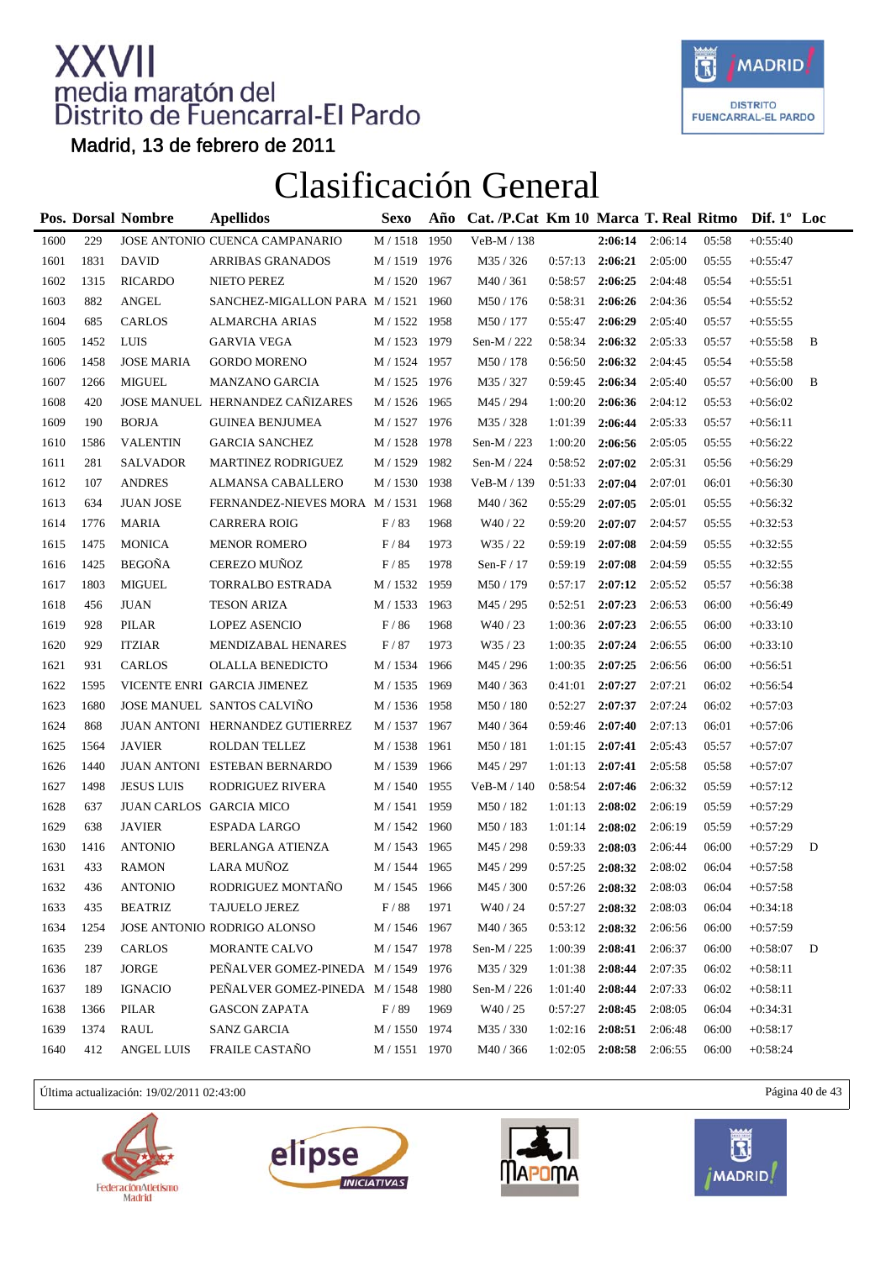

Madrid, 13 de febrero de 2011

### Clasificación General

|      |      | <b>Pos. Dorsal Nombre</b> | <b>Apellidos</b>                               | <b>Sexo</b>       | Año  | Cat. /P.Cat Km 10 Marca T. Real Ritmo |         |         |         |       | Dif. $1^{\circ}$ Loc |   |
|------|------|---------------------------|------------------------------------------------|-------------------|------|---------------------------------------|---------|---------|---------|-------|----------------------|---|
| 1600 | 229  |                           | JOSE ANTONIO CUENCA CAMPANARIO                 | M / 1518          | 1950 | VeB-M / 138                           |         | 2:06:14 | 2:06:14 | 05:58 | $+0:55:40$           |   |
| 1601 | 1831 | <b>DAVID</b>              | <b>ARRIBAS GRANADOS</b>                        | M / 1519 1976     |      | M35 / 326                             | 0:57:13 | 2:06:21 | 2:05:00 | 05:55 | $+0:55:47$           |   |
| 1602 | 1315 | <b>RICARDO</b>            | NIETO PEREZ                                    | M / 1520 1967     |      | M40/361                               | 0:58:57 | 2:06:25 | 2:04:48 | 05:54 | $+0:55:51$           |   |
| 1603 | 882  | <b>ANGEL</b>              | SANCHEZ-MIGALLON PARA M / 1521 1960            |                   |      | M50/176                               | 0:58:31 | 2:06:26 | 2:04:36 | 05:54 | $+0:55:52$           |   |
| 1604 | 685  | <b>CARLOS</b>             | ALMARCHA ARIAS                                 | M / 1522 1958     |      | M50 / 177                             | 0:55:47 | 2:06:29 | 2:05:40 | 05:57 | $+0:55:55$           |   |
| 1605 | 1452 | LUIS                      | <b>GARVIA VEGA</b>                             | M / 1523 1979     |      | Sen-M / 222                           | 0:58:34 | 2:06:32 | 2:05:33 | 05:57 | $+0:55:58$           | B |
| 1606 | 1458 | <b>JOSE MARIA</b>         | <b>GORDO MORENO</b>                            | M / 1524 1957     |      | M50 / 178                             | 0:56:50 | 2:06:32 | 2:04:45 | 05:54 | $+0:55:58$           |   |
| 1607 | 1266 | <b>MIGUEL</b>             | <b>MANZANO GARCIA</b>                          | M / 1525 1976     |      | M35 / 327                             | 0:59:45 | 2:06:34 | 2:05:40 | 05:57 | $+0:56:00$           | B |
| 1608 | 420  |                           | JOSE MANUEL HERNANDEZ CAÑIZARES                | M / 1526 1965     |      | M45 / 294                             | 1:00:20 | 2:06:36 | 2:04:12 | 05:53 | $+0:56:02$           |   |
| 1609 | 190  | <b>BORJA</b>              | <b>GUINEA BENJUMEA</b>                         | M / 1527 1976     |      | M35 / 328                             | 1:01:39 | 2:06:44 | 2:05:33 | 05:57 | $+0:56:11$           |   |
| 1610 | 1586 | <b>VALENTIN</b>           | <b>GARCIA SANCHEZ</b>                          | M / 1528          | 1978 | Sen-M $/$ 223                         | 1:00:20 | 2:06:56 | 2:05:05 | 05:55 | $+0:56:22$           |   |
| 1611 | 281  | <b>SALVADOR</b>           | <b>MARTINEZ RODRIGUEZ</b>                      | M / 1529          | 1982 | Sen-M / 224                           | 0:58:52 | 2:07:02 | 2:05:31 | 05:56 | $+0:56:29$           |   |
| 1612 | 107  | <b>ANDRES</b>             | ALMANSA CABALLERO                              | M / 1530 1938     |      | VeB-M / 139                           | 0:51:33 | 2:07:04 | 2:07:01 | 06:01 | $+0:56:30$           |   |
| 1613 | 634  | <b>JUAN JOSE</b>          | FERNANDEZ-NIEVES MORA M / 1531 1968            |                   |      | M40/362                               | 0:55:29 | 2:07:05 | 2:05:01 | 05:55 | $+0:56:32$           |   |
| 1614 | 1776 | <b>MARIA</b>              | <b>CARRERA ROIG</b>                            | F/83              | 1968 | W40/22                                | 0:59:20 | 2:07:07 | 2:04:57 | 05:55 | $+0:32:53$           |   |
| 1615 | 1475 | <b>MONICA</b>             | <b>MENOR ROMERO</b>                            | F/84              | 1973 | W35 / 22                              | 0:59:19 | 2:07:08 | 2:04:59 | 05:55 | $+0:32:55$           |   |
| 1616 | 1425 | <b>BEGOÑA</b>             | CEREZO MUÑOZ                                   | F/85              | 1978 | Sen- $F/17$                           | 0:59:19 | 2:07:08 | 2:04:59 | 05:55 | $+0:32:55$           |   |
| 1617 | 1803 | <b>MIGUEL</b>             | TORRALBO ESTRADA                               | M / 1532 1959     |      | M50 / 179                             | 0:57:17 | 2:07:12 | 2:05:52 | 05:57 | $+0:56:38$           |   |
| 1618 | 456  | <b>JUAN</b>               | <b>TESON ARIZA</b>                             | M / 1533          | 1963 | M45 / 295                             | 0:52:51 | 2:07:23 | 2:06:53 | 06:00 | $+0:56:49$           |   |
| 1619 | 928  | PILAR                     | LOPEZ ASENCIO                                  | F/86              | 1968 | W <sub>40</sub> / 23                  | 1:00:36 | 2:07:23 | 2:06:55 | 06:00 | $+0:33:10$           |   |
| 1620 | 929  | <b>ITZIAR</b>             | MENDIZABAL HENARES                             | F/87              | 1973 | W35 / 23                              | 1:00:35 | 2:07:24 | 2:06:55 | 06:00 | $+0:33:10$           |   |
| 1621 | 931  | <b>CARLOS</b>             | OLALLA BENEDICTO                               | M / 1534          | 1966 | M45 / 296                             | 1:00:35 | 2:07:25 | 2:06:56 | 06:00 | $+0:56:51$           |   |
| 1622 | 1595 |                           | VICENTE ENRI GARCIA JIMENEZ                    | M / 1535          | 1969 | M40 / 363                             | 0:41:01 | 2:07:27 | 2:07:21 | 06:02 | $+0:56:54$           |   |
| 1623 | 1680 |                           | JOSE MANUEL SANTOS CALVIÑO                     | M / 1536          | 1958 | M50 / 180                             | 0:52:27 | 2:07:37 | 2:07:24 | 06:02 | $+0:57:03$           |   |
| 1624 | 868  |                           | JUAN ANTONI HERNANDEZ GUTIERREZ                | M / 1537 1967     |      | M40 / 364                             | 0:59:46 | 2:07:40 | 2:07:13 | 06:01 | $+0:57:06$           |   |
| 1625 | 1564 | <b>JAVIER</b>             | ROLDAN TELLEZ                                  | M / 1538 1961     |      | M50/181                               | 1:01:15 | 2:07:41 | 2:05:43 | 05:57 | $+0:57:07$           |   |
| 1626 | 1440 |                           | JUAN ANTONI ESTEBAN BERNARDO                   | M / 1539          | 1966 | M45 / 297                             | 1:01:13 | 2:07:41 | 2:05:58 | 05:58 | $+0:57:07$           |   |
| 1627 | 1498 | <b>JESUS LUIS</b>         | RODRIGUEZ RIVERA                               | $M/1540\,$        | 1955 | VeB-M / 140                           | 0:58:54 | 2:07:46 | 2:06:32 | 05:59 | $+0:57:12$           |   |
| 1628 | 637  | JUAN CARLOS GARCIA MICO   |                                                | M / 1541 1959     |      | M50 / 182                             | 1:01:13 | 2:08:02 | 2:06:19 | 05:59 | $+0:57:29$           |   |
| 1629 | 638  | <b>JAVIER</b>             | ESPADA LARGO                                   | M / 1542 1960     |      | M50 / 183                             | 1:01:14 | 2:08:02 | 2:06:19 | 05:59 | $+0:57:29$           |   |
| 1630 | 1416 | <b>ANTONIO</b>            | <b>BERLANGA ATIENZA</b>                        | M / 1543 1965     |      | M45 / 298                             | 0:59:33 | 2:08:03 | 2:06:44 | 06:00 | $+0:57:29$           | D |
| 1631 | 433  | <b>RAMON</b>              | LARA MUÑOZ                                     | M / 1544 1965     |      | M45 / 299                             | 0:57:25 | 2:08:32 | 2:08:02 | 06:04 | $+0:57:58$           |   |
| 1632 | 436  | <b>ANTONIO</b>            | $\mathop{\mathrm{RODRIGUEZ}}\nolimits$ MONTAÑO | $\text{M}$ / 1545 | 1966 | $\text{M}45$ / $300$                  | 0:57:26 | 2:08:32 | 2:08:03 | 06:04 | $+0:57:58$           |   |
| 1633 | 435  | <b>BEATRIZ</b>            | <b>TAJUELO JEREZ</b>                           | F/88              | 1971 | W <sub>40</sub> / 24                  | 0:57:27 | 2:08:32 | 2:08:03 | 06:04 | $+0:34:18$           |   |
| 1634 | 1254 |                           | JOSE ANTONIO RODRIGO ALONSO                    | M / 1546          | 1967 | M40 / 365                             | 0:53:12 | 2:08:32 | 2:06:56 | 06:00 | $+0:57:59$           |   |
| 1635 | 239  | CARLOS                    | <b>MORANTE CALVO</b>                           | M / 1547          | 1978 | Sen-M / 225                           | 1:00:39 | 2:08:41 | 2:06:37 | 06:00 | $+0:58:07$           | D |
| 1636 | 187  | <b>JORGE</b>              | PEÑALVER GOMEZ-PINEDA M / 1549 1976            |                   |      | M35 / 329                             | 1:01:38 | 2:08:44 | 2:07:35 | 06:02 | $+0:58:11$           |   |
| 1637 | 189  | <b>IGNACIO</b>            | PENALVER GOMEZ-PINEDA M / 1548                 |                   | 1980 | Sen-M / 226                           | 1:01:40 | 2:08:44 | 2:07:33 | 06:02 | $+0:58:11$           |   |
| 1638 | 1366 | PILAR                     | <b>GASCON ZAPATA</b>                           | F/89              | 1969 | W <sub>40</sub> / 25                  | 0:57:27 | 2:08:45 | 2:08:05 | 06:04 | $+0:34:31$           |   |
| 1639 | 1374 | RAUL                      | <b>SANZ GARCIA</b>                             | M / 1550 1974     |      | M35 / 330                             | 1:02:16 | 2:08:51 | 2:06:48 | 06:00 | $+0:58:17$           |   |
| 1640 | 412  | <b>ANGEL LUIS</b>         | FRAILE CASTAÑO                                 | M / 1551 1970     |      | M40 / 366                             | 1:02:05 | 2:08:58 | 2:06:55 | 06:00 | $+0:58:24$           |   |

Última actualización: 19/02/2011 02:43:00 Página 40 de 43







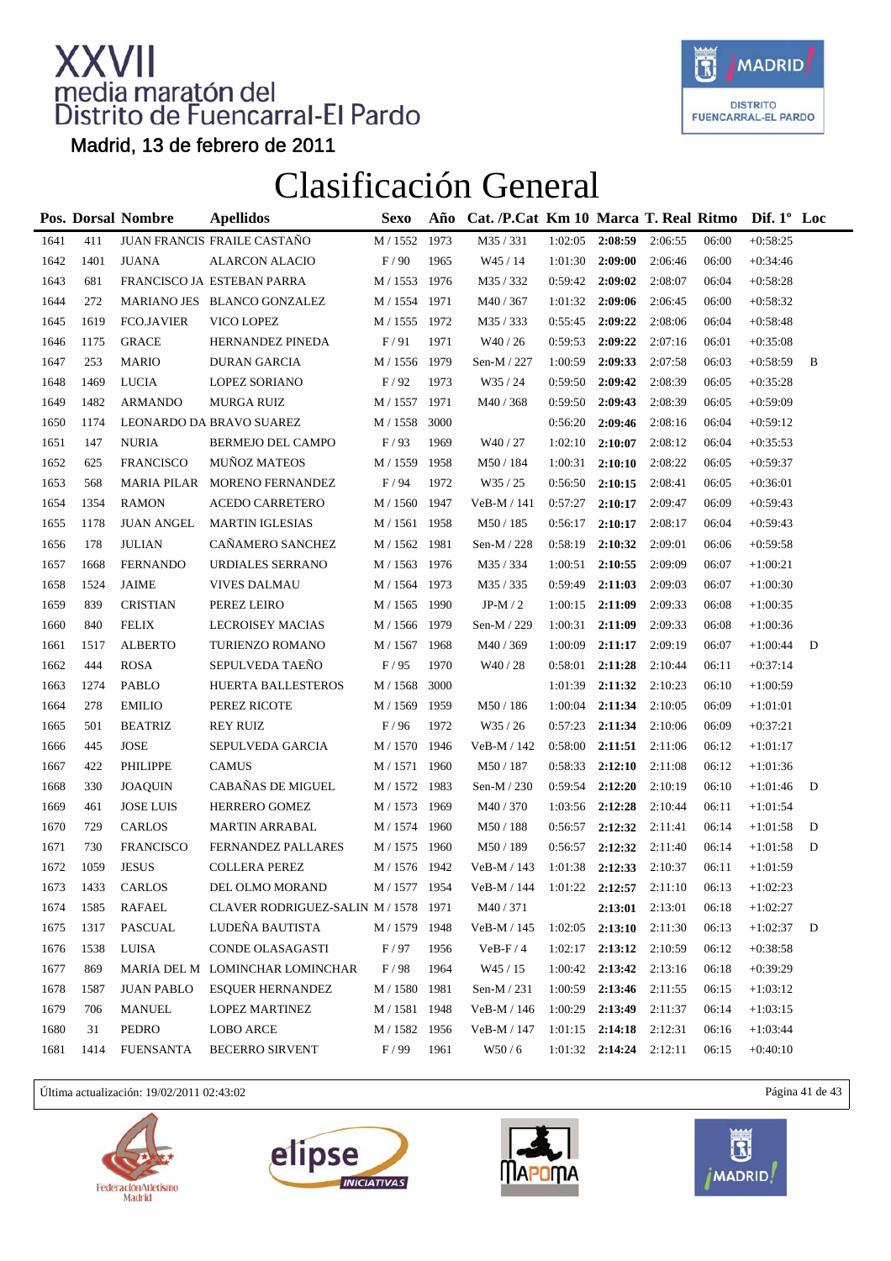

Madrid, 13 de febrero de 2011

### Clasificación General

|      |      | Pos. Dorsal Nombre | <b>Apellidos</b>                     | Sexo          | Año  | Cat. /P.Cat Km 10 Marca T. Real Ritmo Dif. 1° Loc |         |         |         |       |            |   |
|------|------|--------------------|--------------------------------------|---------------|------|---------------------------------------------------|---------|---------|---------|-------|------------|---|
| 1641 | 411  |                    | JUAN FRANCIS FRAILE CASTAÑO          | M / 1552      | 1973 | M35 / 331                                         | 1:02:05 | 2:08:59 | 2:06:55 | 06:00 | $+0:58:25$ |   |
| 1642 | 1401 | <b>JUANA</b>       | <b>ALARCON ALACIO</b>                | F/90          | 1965 | W45 / 14                                          | 1:01:30 | 2:09:00 | 2:06:46 | 06:00 | $+0:34:46$ |   |
| 1643 | 681  |                    | FRANCISCO JA ESTEBAN PARRA           | M / 1553 1976 |      | M35/332                                           | 0:59:42 | 2:09:02 | 2:08:07 | 06:04 | $+0:58:28$ |   |
| 1644 | 272  |                    | MARIANO JES BLANCO GONZALEZ          | M / 1554      | 1971 | M40 / 367                                         | 1:01:32 | 2:09:06 | 2:06:45 | 06:00 | $+0:58:32$ |   |
| 1645 | 1619 | <b>FCO.JAVIER</b>  | VICO LOPEZ                           | M / 1555 1972 |      | M35 / 333                                         | 0:55:45 | 2:09:22 | 2:08:06 | 06:04 | $+0:58:48$ |   |
| 1646 | 1175 | <b>GRACE</b>       | HERNANDEZ PINEDA                     | F/91          | 1971 | W <sub>40</sub> / 26                              | 0:59:53 | 2:09:22 | 2:07:16 | 06:01 | $+0:35:08$ |   |
| 1647 | 253  | <b>MARIO</b>       | <b>DURAN GARCIA</b>                  | M / 1556      | 1979 | Sen-M / 227                                       | 1:00:59 | 2:09:33 | 2:07:58 | 06:03 | $+0:58:59$ | B |
| 1648 | 1469 | <b>LUCIA</b>       | <b>LOPEZ SORIANO</b>                 | F/92          | 1973 | W35/24                                            | 0:59:50 | 2:09:42 | 2:08:39 | 06:05 | $+0:35:28$ |   |
| 1649 | 1482 | <b>ARMANDO</b>     | MURGA RUIZ                           | M / 1557 1971 |      | M40 / 368                                         | 0:59:50 | 2:09:43 | 2:08:39 | 06:05 | $+0:59:09$ |   |
| 1650 | 1174 |                    | LEONARDO DA BRAVO SUAREZ             | M / 1558      | 3000 |                                                   | 0:56:20 | 2:09:46 | 2:08:16 | 06:04 | $+0:59:12$ |   |
| 1651 | 147  | <b>NURIA</b>       | BERMEJO DEL CAMPO                    | F/93          | 1969 | W <sub>40</sub> / 27                              | 1:02:10 | 2:10:07 | 2:08:12 | 06:04 | $+0:35:53$ |   |
| 1652 | 625  | <b>FRANCISCO</b>   | <b>MUÑOZ MATEOS</b>                  | $M/1559$      | 1958 | M50 / 184                                         | 1:00:31 | 2:10:10 | 2:08:22 | 06:05 | $+0:59:37$ |   |
| 1653 | 568  |                    | MARIA PILAR MORENO FERNANDEZ         | F/94          | 1972 | W35 / 25                                          | 0:56:50 | 2:10:15 | 2:08:41 | 06:05 | $+0:36:01$ |   |
| 1654 | 1354 | <b>RAMON</b>       | ACEDO CARRETERO                      | M / 1560 1947 |      | VeB-M / 141                                       | 0:57:27 | 2:10:17 | 2:09:47 | 06:09 | $+0:59:43$ |   |
| 1655 | 1178 | <b>JUAN ANGEL</b>  | <b>MARTIN IGLESIAS</b>               | M / 1561      | 1958 | M50 / 185                                         | 0:56:17 | 2:10:17 | 2:08:17 | 06:04 | $+0:59:43$ |   |
| 1656 | 178  | <b>JULIAN</b>      | CAÑAMERO SANCHEZ                     | M / 1562 1981 |      | Sen-M / 228                                       | 0:58:19 | 2:10:32 | 2:09:01 | 06:06 | $+0:59:58$ |   |
| 1657 | 1668 | <b>FERNANDO</b>    | URDIALES SERRANO                     | M / 1563 1976 |      | M35 / 334                                         | 1:00:51 | 2:10:55 | 2:09:09 | 06:07 | $+1:00:21$ |   |
| 1658 | 1524 | <b>JAIME</b>       | <b>VIVES DALMAU</b>                  | M / 1564 1973 |      | M35 / 335                                         | 0:59:49 | 2:11:03 | 2:09:03 | 06:07 | $+1:00:30$ |   |
| 1659 | 839  | <b>CRISTIAN</b>    | PEREZ LEIRO                          | M / 1565 1990 |      | JP-M $/2$                                         | 1:00:15 | 2:11:09 | 2:09:33 | 06:08 | $+1:00:35$ |   |
| 1660 | 840  | <b>FELIX</b>       | LECROISEY MACIAS                     | M / 1566      | 1979 | Sen-M / 229                                       | 1:00:31 | 2:11:09 | 2:09:33 | 06:08 | $+1:00:36$ |   |
| 1661 | 1517 | <b>ALBERTO</b>     | TURIENZO ROMANO                      | M / 1567 1968 |      | M40 / 369                                         | 1:00:09 | 2:11:17 | 2:09:19 | 06:07 | $+1:00:44$ | D |
| 1662 | 444  | <b>ROSA</b>        | SEPULVEDA TAEÑO                      | F/95          | 1970 | W <sub>40</sub> / 28                              | 0:58:01 | 2:11:28 | 2:10:44 | 06:11 | $+0:37:14$ |   |
| 1663 | 1274 | PABLO              | HUERTA BALLESTEROS                   | M / 1568      | 3000 |                                                   | 1:01:39 | 2:11:32 | 2:10:23 | 06:10 | $+1:00:59$ |   |
| 1664 | 278  | <b>EMILIO</b>      | PEREZ RICOTE                         | M / 1569      | 1959 | M50/186                                           | 1:00:04 | 2:11:34 | 2:10:05 | 06:09 | $+1:01:01$ |   |
| 1665 | 501  | <b>BEATRIZ</b>     | <b>REY RUIZ</b>                      | F/96          | 1972 | W35/26                                            | 0:57:23 | 2:11:34 | 2:10:06 | 06:09 | $+0:37:21$ |   |
| 1666 | 445  | <b>JOSE</b>        | SEPULVEDA GARCIA                     | M / 1570 1946 |      | VeB-M / 142                                       | 0:58:00 | 2:11:51 | 2:11:06 | 06:12 | $+1:01:17$ |   |
| 1667 | 422  | PHILIPPE           | <b>CAMUS</b>                         | M / 1571 1960 |      | M50/187                                           | 0:58:33 | 2:12:10 | 2:11:08 | 06:12 | $+1:01:36$ |   |
| 1668 | 330  | <b>JOAQUIN</b>     | CABAÑAS DE MIGUEL                    | M / 1572 1983 |      | Sen-M / 230                                       | 0:59:54 | 2:12:20 | 2:10:19 | 06:10 | $+1:01:46$ | D |
| 1669 | 461  | <b>JOSE LUIS</b>   | HERRERO GOMEZ                        | M / 1573 1969 |      | M40 / 370                                         | 1:03:56 | 2:12:28 | 2:10:44 | 06:11 | $+1:01:54$ |   |
| 1670 | 729  | <b>CARLOS</b>      | <b>MARTIN ARRABAL</b>                | M / 1574 1960 |      | M50 / 188                                         | 0:56:57 | 2:12:32 | 2:11:41 | 06:14 | $+1:01:58$ | D |
| 1671 | 730  | <b>FRANCISCO</b>   | FERNANDEZ PALLARES                   | M / 1575      | 1960 | M50 / 189                                         | 0:56:57 | 2:12:32 | 2:11:40 | 06:14 | $+1:01:58$ | D |
| 1672 | 1059 | <b>JESUS</b>       | <b>COLLERA PEREZ</b>                 | M / 1576 1942 |      | VeB-M / 143                                       | 1:01:38 | 2:12:33 | 2:10:37 | 06:11 | $+1:01:59$ |   |
| 1673 | 1433 | CARLOS             | DEL OLMO MORAND                      | M / 1577 1954 |      | VeB-M / 144                                       | 1:01:22 | 2:12:57 | 2:11:10 | 06:13 | $+1:02:23$ |   |
| 1674 | 1585 | <b>RAFAEL</b>      | CLAVER RODRIGUEZ-SALIN M / 1578 1971 |               |      | M40/371                                           |         | 2:13:01 | 2:13:01 | 06:18 | $+1:02:27$ |   |
| 1675 | 1317 | PASCUAL            | LUDEÑA BAUTISTA                      | M / 1579      | 1948 | VeB-M / 145                                       | 1:02:05 | 2:13:10 | 2:11:30 | 06:13 | $+1:02:37$ | D |
| 1676 | 1538 | <b>LUISA</b>       | CONDE OLASAGASTI                     | F/97          | 1956 | $VeB-F/4$                                         | 1:02:17 | 2:13:12 | 2:10:59 | 06:12 | $+0:38:58$ |   |
| 1677 | 869  |                    | MARIA DEL M LOMINCHAR LOMINCHAR      | $\rm F$ / 98  | 1964 | W45 / 15                                          | 1:00:42 | 2:13:42 | 2:13:16 | 06:18 | $+0:39:29$ |   |
| 1678 | 1587 | <b>JUAN PABLO</b>  | <b>ESQUER HERNANDEZ</b>              | M / 1580      | 1981 | Sen-M / 231                                       | 1:00:59 | 2:13:46 | 2:11:55 | 06:15 | $+1:03:12$ |   |
| 1679 | 706  | <b>MANUEL</b>      | LOPEZ MARTINEZ                       | M / 1581      | 1948 | $VeB-M / 146$                                     | 1:00:29 | 2:13:49 | 2:11:37 | 06:14 | $+1:03:15$ |   |
| 1680 | 31   | PEDRO              | <b>LOBO ARCE</b>                     | M / 1582      | 1956 | VeB-M / 147                                       | 1:01:15 | 2:14:18 | 2:12:31 | 06:16 | $+1:03:44$ |   |
| 1681 | 1414 | <b>FUENSANTA</b>   | <b>BECERRO SIRVENT</b>               | F/99          | 1961 | W50/6                                             | 1:01:32 | 2:14:24 | 2:12:11 | 06:15 | $+0:40:10$ |   |

Última actualización: 19/02/2011 02:43:02 Página 41 de 43







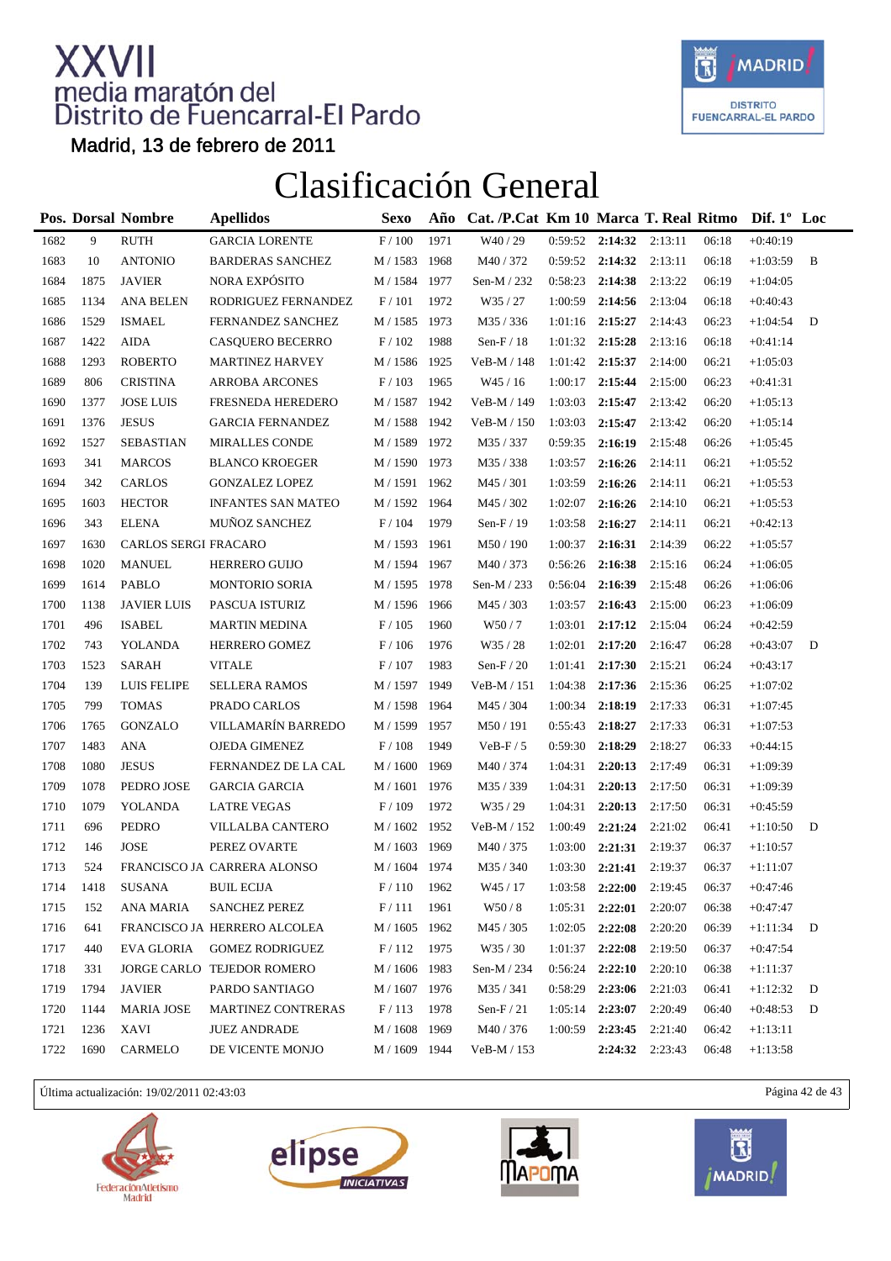

Madrid, 13 de febrero de 2011

### Clasificación General

|      |      | Pos. Dorsal Nombre   | <b>Apellidos</b>             | <b>Sexo</b>     | Año  | Cat. /P.Cat Km 10 Marca T. Real Ritmo Dif. 1° Loc |         |                   |                     |       |            |   |
|------|------|----------------------|------------------------------|-----------------|------|---------------------------------------------------|---------|-------------------|---------------------|-------|------------|---|
| 1682 | 9    | <b>RUTH</b>          | <b>GARCIA LORENTE</b>        | $\rm F$ / $100$ | 1971 | W40 / 29                                          | 0:59:52 | 2:14:32           | 2:13:11             | 06:18 | $+0:40:19$ |   |
| 1683 | 10   | <b>ANTONIO</b>       | <b>BARDERAS SANCHEZ</b>      | M / 1583        | 1968 | M40 / 372                                         |         | $0:59:52$ 2:14:32 | 2:13:11             | 06:18 | $+1:03:59$ | B |
| 1684 | 1875 | <b>JAVIER</b>        | NORA EXPÓSITO                | M / 1584        | 1977 | Sen-M / 232                                       | 0:58:23 | 2:14:38           | 2:13:22             | 06:19 | $+1:04:05$ |   |
| 1685 | 1134 | <b>ANA BELEN</b>     | RODRIGUEZ FERNANDEZ          | F/101           | 1972 | W35 / 27                                          | 1:00:59 | 2:14:56           | 2:13:04             | 06:18 | $+0:40:43$ |   |
| 1686 | 1529 | <b>ISMAEL</b>        | FERNANDEZ SANCHEZ            | M / 1585 1973   |      | M35/336                                           | 1:01:16 | 2:15:27           | 2:14:43             | 06:23 | $+1:04:54$ | D |
| 1687 | 1422 | <b>AIDA</b>          | <b>CASQUERO BECERRO</b>      | F/102           | 1988 | Sen- $F/18$                                       | 1:01:32 | 2:15:28           | 2:13:16             | 06:18 | $+0:41:14$ |   |
| 1688 | 1293 | <b>ROBERTO</b>       | <b>MARTINEZ HARVEY</b>       | M / 1586        | 1925 | VeB-M / 148                                       | 1:01:42 | 2:15:37           | 2:14:00             | 06:21 | $+1:05:03$ |   |
| 1689 | 806  | <b>CRISTINA</b>      | <b>ARROBA ARCONES</b>        | F/103           | 1965 | W45/16                                            | 1:00:17 | 2:15:44           | 2:15:00             | 06:23 | $+0:41:31$ |   |
| 1690 | 1377 | <b>JOSE LUIS</b>     | FRESNEDA HEREDERO            | M / 1587 1942   |      | VeB-M / 149                                       | 1:03:03 | 2:15:47           | 2:13:42             | 06:20 | $+1:05:13$ |   |
| 1691 | 1376 | <b>JESUS</b>         | <b>GARCIA FERNANDEZ</b>      | M / 1588 1942   |      | $VeB-M / 150$                                     | 1:03:03 | 2:15:47           | 2:13:42             | 06:20 | $+1:05:14$ |   |
| 1692 | 1527 | <b>SEBASTIAN</b>     | <b>MIRALLES CONDE</b>        | M / 1589        | 1972 | M35 / 337                                         | 0:59:35 | 2:16:19           | 2:15:48             | 06:26 | $+1:05:45$ |   |
| 1693 | 341  | <b>MARCOS</b>        | <b>BLANCO KROEGER</b>        | M / 1590 1973   |      | M35 / 338                                         | 1:03:57 | 2:16:26           | 2:14:11             | 06:21 | $+1:05:52$ |   |
| 1694 | 342  | <b>CARLOS</b>        | <b>GONZALEZ LOPEZ</b>        | M / 1591 1962   |      | M45 / 301                                         | 1:03:59 | 2:16:26           | 2:14:11             | 06:21 | $+1:05:53$ |   |
| 1695 | 1603 | <b>HECTOR</b>        | <b>INFANTES SAN MATEO</b>    | M / 1592 1964   |      | M45 / 302                                         | 1:02:07 | 2:16:26           | 2:14:10             | 06:21 | $+1:05:53$ |   |
| 1696 | 343  | <b>ELENA</b>         | MUÑOZ SANCHEZ                | F/104           | 1979 | Sen- $F/19$                                       | 1:03:58 | 2:16:27           | 2:14:11             | 06:21 | $+0:42:13$ |   |
| 1697 | 1630 | CARLOS SERGI FRACARO |                              | M / 1593        | 1961 | M50 / 190                                         | 1:00:37 | 2:16:31           | 2:14:39             | 06:22 | $+1:05:57$ |   |
| 1698 | 1020 | <b>MANUEL</b>        | HERRERO GUIJO                | M / 1594 1967   |      | M40 / 373                                         | 0:56:26 | 2:16:38           | 2:15:16             | 06:24 | $+1:06:05$ |   |
| 1699 | 1614 | <b>PABLO</b>         | <b>MONTORIO SORIA</b>        | M / 1595 1978   |      | Sen-M / 233                                       | 0:56:04 | 2:16:39           | 2:15:48             | 06:26 | $+1:06:06$ |   |
| 1700 | 1138 | <b>JAVIER LUIS</b>   | PASCUA ISTURIZ               | M / 1596        | 1966 | M45 / 303                                         | 1:03:57 | 2:16:43           | 2:15:00             | 06:23 | $+1:06:09$ |   |
| 1701 | 496  | <b>ISABEL</b>        | <b>MARTIN MEDINA</b>         | F/105           | 1960 | W50/7                                             | 1:03:01 | 2:17:12           | 2:15:04             | 06:24 | $+0:42:59$ |   |
| 1702 | 743  | <b>YOLANDA</b>       | HERRERO GOMEZ                | F/106           | 1976 | W35 / 28                                          | 1:02:01 | 2:17:20           | 2:16:47             | 06:28 | $+0:43:07$ | D |
| 1703 | 1523 | <b>SARAH</b>         | <b>VITALE</b>                | F/107           | 1983 | Sen-F $/$ 20                                      | 1:01:41 | 2:17:30           | 2:15:21             | 06:24 | $+0:43:17$ |   |
| 1704 | 139  | <b>LUIS FELIPE</b>   | <b>SELLERA RAMOS</b>         | M / 1597        | 1949 | $VeB-M / 151$                                     | 1:04:38 | 2:17:36           | 2:15:36             | 06:25 | $+1:07:02$ |   |
| 1705 | 799  | <b>TOMAS</b>         | PRADO CARLOS                 | M / 1598        | 1964 | M45 / 304                                         | 1:00:34 | 2:18:19           | 2:17:33             | 06:31 | $+1:07:45$ |   |
| 1706 | 1765 | <b>GONZALO</b>       | VILLAMARÍN BARREDO           | M / 1599 1957   |      | M50 / 191                                         | 0:55:43 | 2:18:27           | 2:17:33             | 06:31 | $+1:07:53$ |   |
| 1707 | 1483 | <b>ANA</b>           | <b>OJEDA GIMENEZ</b>         | F/108           | 1949 | $VeB-F/5$                                         | 0:59:30 | 2:18:29           | 2:18:27             | 06:33 | $+0:44:15$ |   |
| 1708 | 1080 | <b>JESUS</b>         | FERNANDEZ DE LA CAL          | M / 1600        | 1969 | M40 / 374                                         | 1:04:31 | 2:20:13           | 2:17:49             | 06:31 | $+1:09:39$ |   |
| 1709 | 1078 | PEDRO JOSE           | <b>GARCIA GARCIA</b>         | M / 1601        | 1976 | M35/339                                           | 1:04:31 | 2:20:13           | 2:17:50             | 06:31 | $+1:09:39$ |   |
| 1710 | 1079 | <b>YOLANDA</b>       | <b>LATRE VEGAS</b>           | F/109           | 1972 | W35 / 29                                          | 1:04:31 | 2:20:13           | 2:17:50             | 06:31 | $+0:45:59$ |   |
| 1711 | 696  | <b>PEDRO</b>         | <b>VILLALBA CANTERO</b>      | M / 1602 1952   |      | VeB-M / 152                                       | 1:00:49 | 2:21:24           | 2:21:02             | 06:41 | $+1:10:50$ | D |
| 1712 | 146  | <b>JOSE</b>          | PEREZ OVARTE                 | M / 1603        | 1969 | M40 / 375                                         | 1:03:00 | 2:21:31           | 2:19:37             | 06:37 | $+1:10:57$ |   |
| 1713 | 524  |                      | FRANCISCO JA CARRERA ALONSO  | M / 1604 1974   |      | M35 / 340                                         | 1:03:30 | 2:21:41 2:19:37   |                     | 06:37 | $+1:11:07$ |   |
| 1714 | 1418 | SUSANA               | <b>BUIL ECIJA</b>            | $\rm F$ / $110$ | 1962 | W <sub>45</sub> / 17                              | 1:03:58 | 2:22:00           | 2:19:45             | 06:37 | $+0:47:46$ |   |
| 1715 | 152  | ANA MARIA            | <b>SANCHEZ PEREZ</b>         | F/111           | 1961 | W50/8                                             | 1:05:31 | 2:22:01           | 2:20:07             | 06:38 | $+0:47:47$ |   |
| 1716 | 641  |                      | FRANCISCO JA HERRERO ALCOLEA | M / 1605        | 1962 | M45 / 305                                         | 1:02:05 | 2:22:08           | 2:20:20             | 06:39 | $+1:11:34$ | D |
| 1717 | 440  | EVA GLORIA           | <b>GOMEZ RODRIGUEZ</b>       | F/112           | 1975 | W35 / 30                                          | 1:01:37 | 2:22:08           | 2:19:50             | 06:37 | $+0:47:54$ |   |
| 1718 | 331  |                      | JORGE CARLO TEJEDOR ROMERO   | M / 1606 1983   |      | Sen-M / 234                                       | 0:56:24 | 2:22:10           | 2:20:10             | 06:38 | $+1:11:37$ |   |
| 1719 | 1794 | <b>JAVIER</b>        | PARDO SANTIAGO               | M / 1607 1976   |      | M35 / 341                                         | 0:58:29 | 2:23:06           | 2:21:03             | 06:41 | $+1:12:32$ | D |
| 1720 | 1144 | <b>MARIA JOSE</b>    | <b>MARTINEZ CONTRERAS</b>    | F/113           | 1978 | Sen- $F/21$                                       | 1:05:14 | 2:23:07           | 2:20:49             | 06:40 | $+0:48:53$ | D |
| 1721 | 1236 | XAVI                 | <b>JUEZ ANDRADE</b>          | M / 1608        | 1969 | M40 / 376                                         | 1:00:59 | 2:23:45           | 2:21:40             | 06:42 | $+1:13:11$ |   |
| 1722 | 1690 | <b>CARMELO</b>       | DE VICENTE MONJO             | M / 1609 1944   |      | VeB-M / 153                                       |         |                   | $2:24:32$ $2:23:43$ | 06:48 | $+1:13:58$ |   |
|      |      |                      |                              |                 |      |                                                   |         |                   |                     |       |            |   |

Última actualización: 19/02/2011 02:43:03 Página 42 de 43